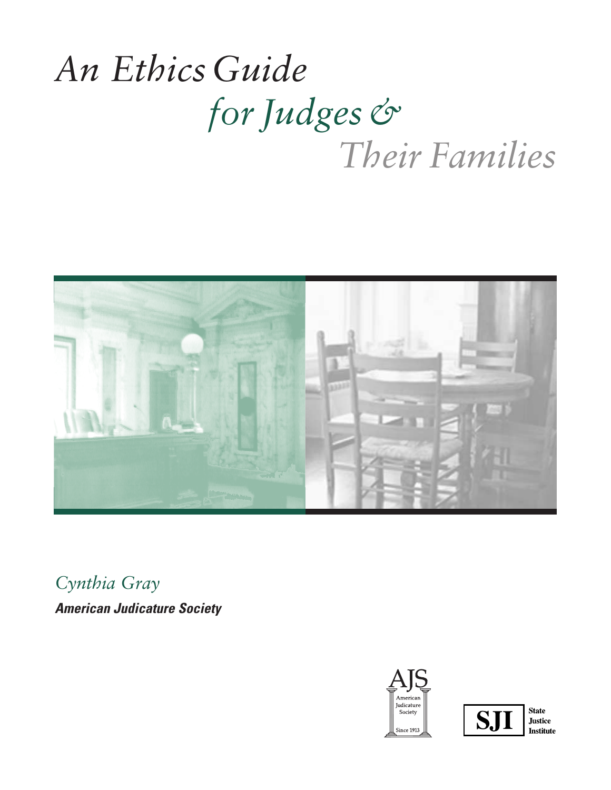# *An EthicsGuide for Judges& Their Families*



*Cynthia Gray*

*American Judicature Society*





**Justice Institute**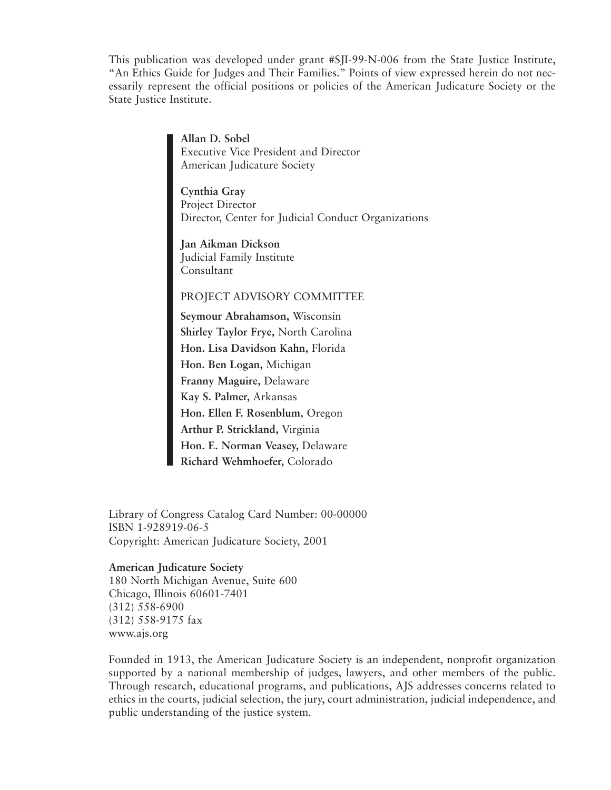This publication was developed under grant #SJI-99-N-006 from the State Justice Institute, "An Ethics Guide for Judges and Their Families." Points of view expressed herein do not necessarily represent the official positions or policies of the American Judicature Society or the State Justice Institute.

> **Allan D. Sobel** Executive Vice President and Director American Judicature Society

**Cynthia Gray** Project Director Director, Center for Judicial Conduct Organizations

**Jan Aikman Dickson** Judicial Family Institute Consultant

#### PROJECT ADVISORY COMMITTEE

**Seymour Abrahamson,** Wisconsin **Shirley Taylor Frye,** North Carolina **Hon. Lisa Davidson Kahn,** Florida **Hon. Ben Logan,** Michigan **Franny Maguire,** Delaware **Kay S. Palmer,** Arkansas **Hon. Ellen F. Rosenblum,** Oregon **Arthur P. Strickland,** Virginia **Hon. E. Norman Veasey,** Delaware **Richard Wehmhoefer,** Colorado

Library of Congress Catalog Card Number: 00-00000 ISBN 1-928919-06-5 Copyright: American Judicature Society, 2001

#### **American Judicature Society**

180 North Michigan Avenue, Suite 600 Chicago, Illinois 60601-7401 (312) 558-6900 (312) 558-9175 fax www.ajs.org

Founded in 1913, the American Judicature Society is an independent, nonprofit organization supported by a national membership of judges, lawyers, and other members of the public. Through research, educational programs, and publications, AJS addresses concerns related to ethics in the courts, judicial selection, the jury, court administration, judicial independence, and public understanding of the justice system.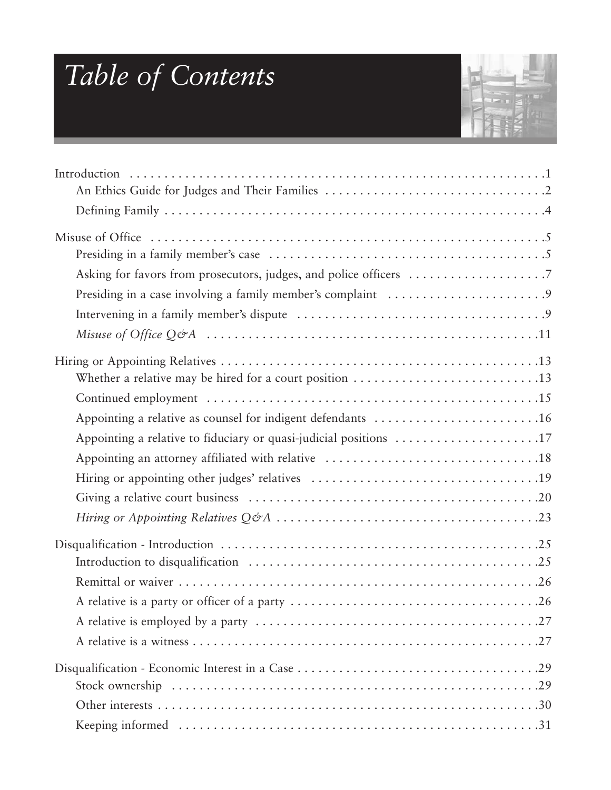# *Table of Contents*



| Appointing a relative as counsel for indigent defendants 16       |
|-------------------------------------------------------------------|
| Appointing a relative to fiduciary or quasi-judicial positions 17 |
|                                                                   |
|                                                                   |
|                                                                   |
|                                                                   |
|                                                                   |
|                                                                   |
|                                                                   |
|                                                                   |
|                                                                   |
|                                                                   |
|                                                                   |
|                                                                   |
|                                                                   |
|                                                                   |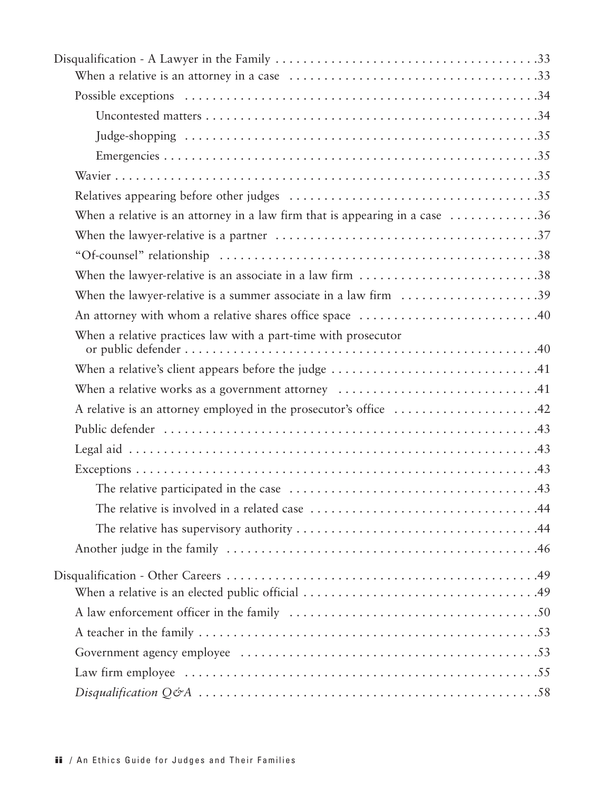| When a relative is an attorney in a law firm that is appearing in a case $\dots\dots\dots\dots36$ |  |
|---------------------------------------------------------------------------------------------------|--|
|                                                                                                   |  |
|                                                                                                   |  |
| When the lawyer-relative is an associate in a law firm 38                                         |  |
| When the lawyer-relative is a summer associate in a law firm $\dots\dots\dots\dots\dots\dots39$   |  |
| An attorney with whom a relative shares office space 40                                           |  |
| When a relative practices law with a part-time with prosecutor                                    |  |
|                                                                                                   |  |
| When a relative works as a government attorney $\dots\dots\dots\dots\dots\dots\dots\dots\dots$    |  |
| A relative is an attorney employed in the prosecutor's office 42                                  |  |
|                                                                                                   |  |
|                                                                                                   |  |
|                                                                                                   |  |
|                                                                                                   |  |
|                                                                                                   |  |
|                                                                                                   |  |
|                                                                                                   |  |
|                                                                                                   |  |
|                                                                                                   |  |
|                                                                                                   |  |
|                                                                                                   |  |
|                                                                                                   |  |
|                                                                                                   |  |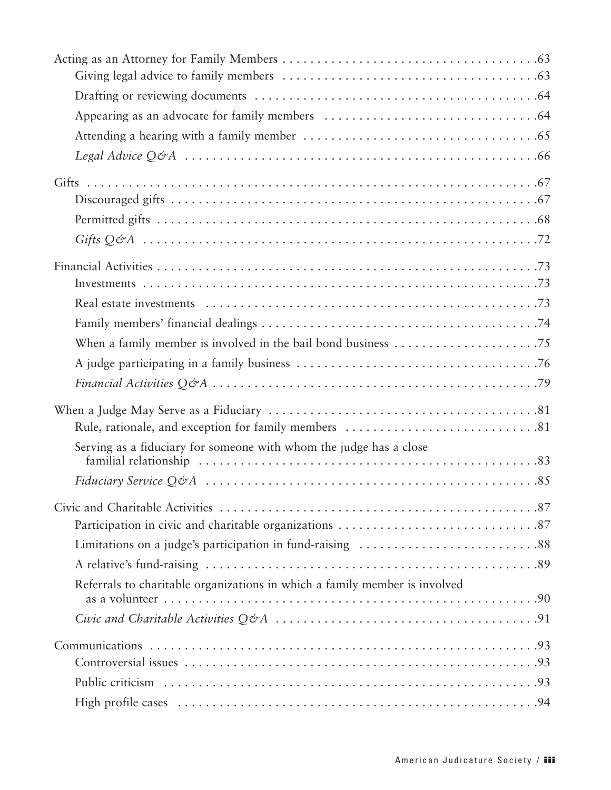| When a family member is involved in the bail bond business $\dots\dots\dots\dots\dots\dots\dots$ |
|--------------------------------------------------------------------------------------------------|
|                                                                                                  |
|                                                                                                  |
|                                                                                                  |
| Serving as a fiduciary for someone with whom the judge has a close                               |
|                                                                                                  |
|                                                                                                  |
|                                                                                                  |
|                                                                                                  |
|                                                                                                  |
| Referrals to charitable organizations in which a family member is involved                       |
|                                                                                                  |
|                                                                                                  |
|                                                                                                  |
|                                                                                                  |
|                                                                                                  |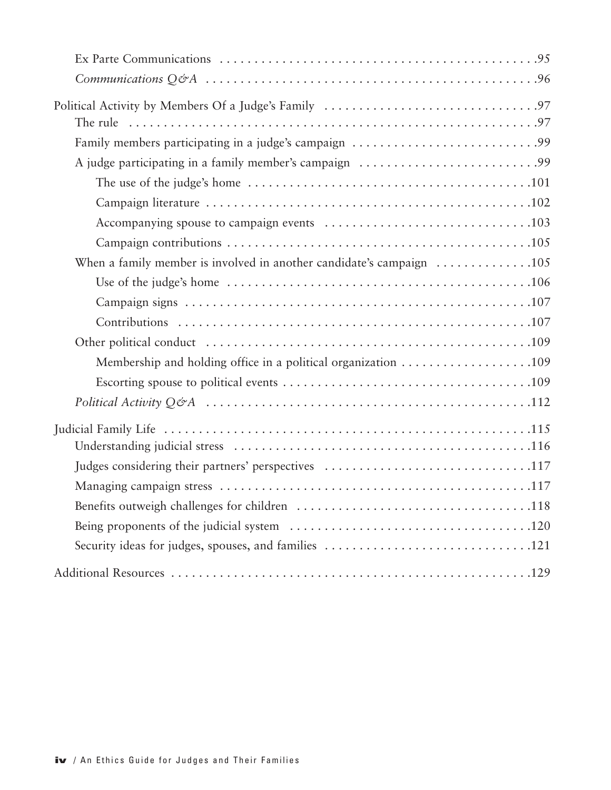| Membership and holding office in a political organization 109 |
|---------------------------------------------------------------|
|                                                               |
|                                                               |
|                                                               |
|                                                               |
| Judges considering their partners' perspectives 117           |
|                                                               |
|                                                               |
|                                                               |
|                                                               |
|                                                               |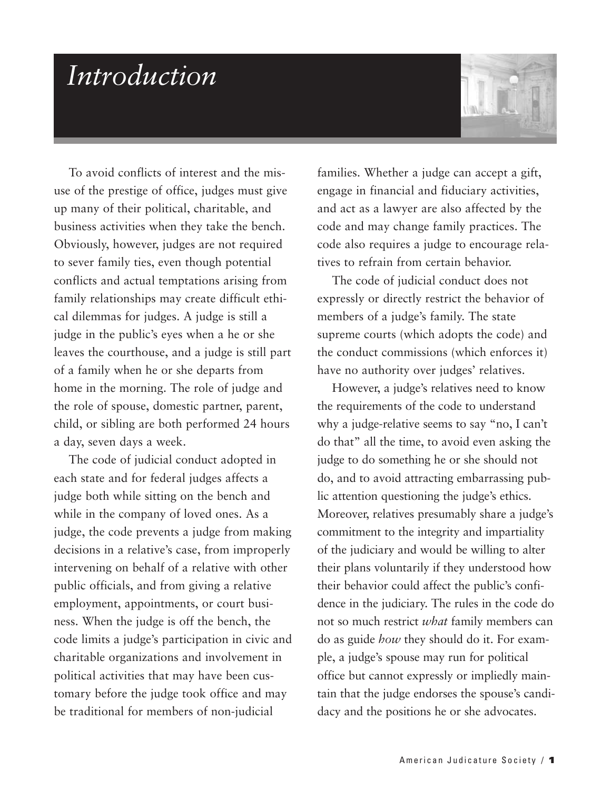### *Introduction*



To avoid conflicts of interest and the misuse of the prestige of office, judges must give up many of their political, charitable, and business activities when they take the bench. Obviously, however, judges are not required to sever family ties, even though potential conflicts and actual temptations arising from family relationships may create difficult ethical dilemmas for judges. A judge is still a judge in the public's eyes when a he or she leaves the courthouse, and a judge is still part of a family when he or she departs from home in the morning. The role of judge and the role of spouse, domestic partner, parent, child, or sibling are both performed 24 hours a day, seven days a week.

The code of judicial conduct adopted in each state and for federal judges affects a judge both while sitting on the bench and while in the company of loved ones. As a judge, the code prevents a judge from making decisions in a relative's case, from improperly intervening on behalf of a relative with other public officials, and from giving a relative employment, appointments, or court business. When the judge is off the bench, the code limits a judge's participation in civic and charitable organizations and involvement in political activities that may have been customary before the judge took office and may be traditional for members of non-judicial

families. Whether a judge can accept a gift, engage in financial and fiduciary activities, and act as a lawyer are also affected by the code and may change family practices. The code also requires a judge to encourage relatives to refrain from certain behavior.

The code of judicial conduct does not expressly or directly restrict the behavior of members of a judge's family. The state supreme courts (which adopts the code) and the conduct commissions (which enforces it) have no authority over judges' relatives.

However, a judge's relatives need to know the requirements of the code to understand why a judge-relative seems to say "no, I can't do that" all the time, to avoid even asking the judge to do something he or she should not do, and to avoid attracting embarrassing public attention questioning the judge's ethics. Moreover, relatives presumably share a judge's commitment to the integrity and impartiality of the judiciary and would be willing to alter their plans voluntarily if they understood how their behavior could affect the public's confidence in the judiciary. The rules in the code do not so much restrict *what* family members can do as guide *how* they should do it. For example, a judge's spouse may run for political office but cannot expressly or impliedly maintain that the judge endorses the spouse's candidacy and the positions he or she advocates.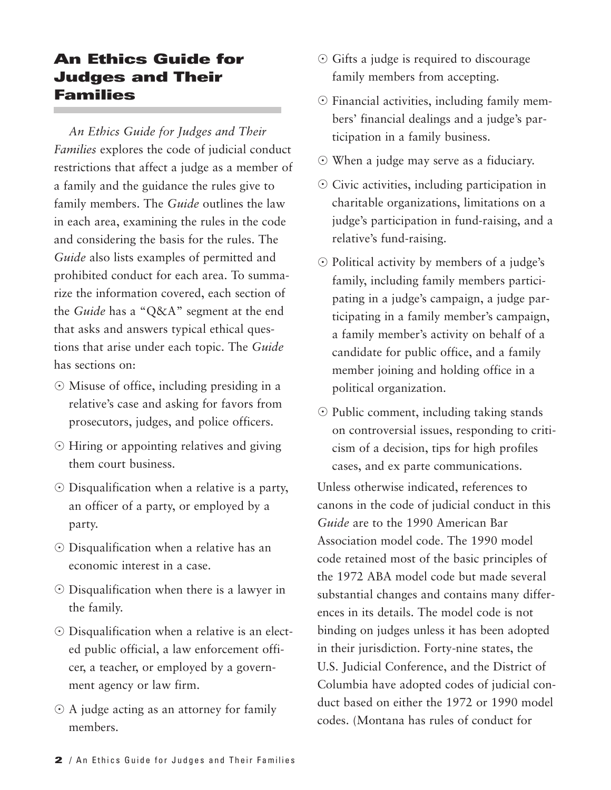#### **An Ethics Guide for Judges and Their Families**

*An Ethics Guide for Judges and Their Families* explores the code of judicial conduct restrictions that affect a judge as a member of a family and the guidance the rules give to family members. The *Guide* outlines the law in each area, examining the rules in the code and considering the basis for the rules. The *Guide* also lists examples of permitted and prohibited conduct for each area. To summarize the information covered, each section of the *Guide* has a "Q&A" segment at the end that asks and answers typical ethical questions that arise under each topic. The *Guide* has sections on:

- Misuse of office, including presiding in a relative's case and asking for favors from prosecutors, judges, and police officers.
- Hiring or appointing relatives and giving them court business.
- Disqualification when a relative is a party, an officer of a party, or employed by a party.
- Disqualification when a relative has an economic interest in a case.
- Disqualification when there is a lawyer in the family.
- Disqualification when a relative is an elected public official, a law enforcement officer, a teacher, or employed by a government agency or law firm.
- $\odot$  A judge acting as an attorney for family members.
- Gifts a judge is required to discourage family members from accepting.
- Financial activities, including family members' financial dealings and a judge's participation in a family business.
- When a judge may serve as a fiduciary.
- Civic activities, including participation in charitable organizations, limitations on a judge's participation in fund-raising, and a relative's fund-raising.
- Political activity by members of a judge's family, including family members participating in a judge's campaign, a judge participating in a family member's campaign, a family member's activity on behalf of a candidate for public office, and a family member joining and holding office in a political organization.
- Public comment, including taking stands on controversial issues, responding to criticism of a decision, tips for high profiles cases, and ex parte communications.

Unless otherwise indicated, references to canons in the code of judicial conduct in this *Guide* are to the 1990 American Bar Association model code. The 1990 model code retained most of the basic principles of the 1972 ABA model code but made several substantial changes and contains many differences in its details. The model code is not binding on judges unless it has been adopted in their jurisdiction. Forty-nine states, the U.S. Judicial Conference, and the District of Columbia have adopted codes of judicial conduct based on either the 1972 or 1990 model codes. (Montana has rules of conduct for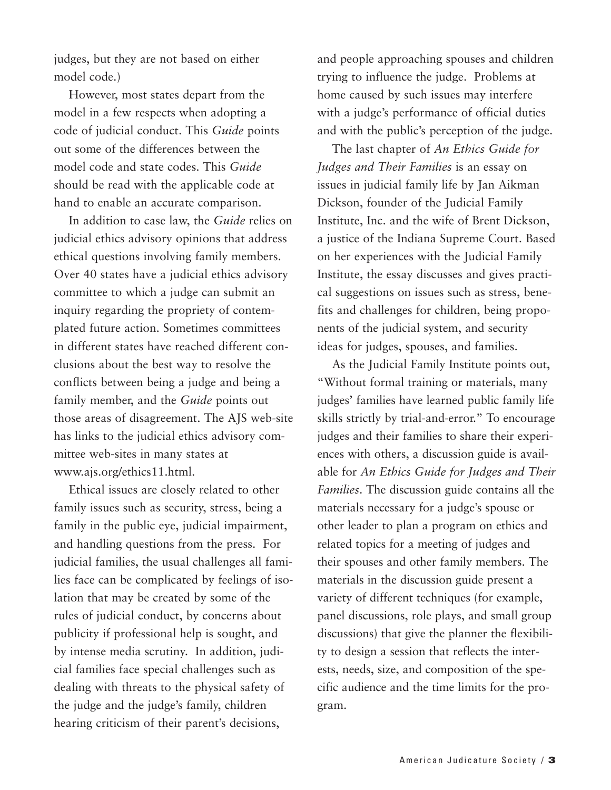judges, but they are not based on either model code.)

However, most states depart from the model in a few respects when adopting a code of judicial conduct. This *Guide* points out some of the differences between the model code and state codes. This *Guide* should be read with the applicable code at hand to enable an accurate comparison.

In addition to case law, the *Guide* relies on judicial ethics advisory opinions that address ethical questions involving family members. Over 40 states have a judicial ethics advisory committee to which a judge can submit an inquiry regarding the propriety of contemplated future action. Sometimes committees in different states have reached different conclusions about the best way to resolve the conflicts between being a judge and being a family member, and the *Guide* points out those areas of disagreement. The AJS web-site has links to the judicial ethics advisory committee web-sites in many states at www.ajs.org/ethics11.html.

Ethical issues are closely related to other family issues such as security, stress, being a family in the public eye, judicial impairment, and handling questions from the press. For judicial families, the usual challenges all families face can be complicated by feelings of isolation that may be created by some of the rules of judicial conduct, by concerns about publicity if professional help is sought, and by intense media scrutiny. In addition, judicial families face special challenges such as dealing with threats to the physical safety of the judge and the judge's family, children hearing criticism of their parent's decisions,

and people approaching spouses and children trying to influence the judge. Problems at home caused by such issues may interfere with a judge's performance of official duties and with the public's perception of the judge.

The last chapter of *An Ethics Guide for Judges and Their Families* is an essay on issues in judicial family life by Jan Aikman Dickson, founder of the Judicial Family Institute, Inc. and the wife of Brent Dickson, a justice of the Indiana Supreme Court. Based on her experiences with the Judicial Family Institute, the essay discusses and gives practical suggestions on issues such as stress, benefits and challenges for children, being proponents of the judicial system, and security ideas for judges, spouses, and families.

As the Judicial Family Institute points out, "Without formal training or materials, many judges' families have learned public family life skills strictly by trial-and-error." To encourage judges and their families to share their experiences with others, a discussion guide is available for *An Ethics Guide for Judges and Their Families*. The discussion guide contains all the materials necessary for a judge's spouse or other leader to plan a program on ethics and related topics for a meeting of judges and their spouses and other family members. The materials in the discussion guide present a variety of different techniques (for example, panel discussions, role plays, and small group discussions) that give the planner the flexibility to design a session that reflects the interests, needs, size, and composition of the specific audience and the time limits for the program.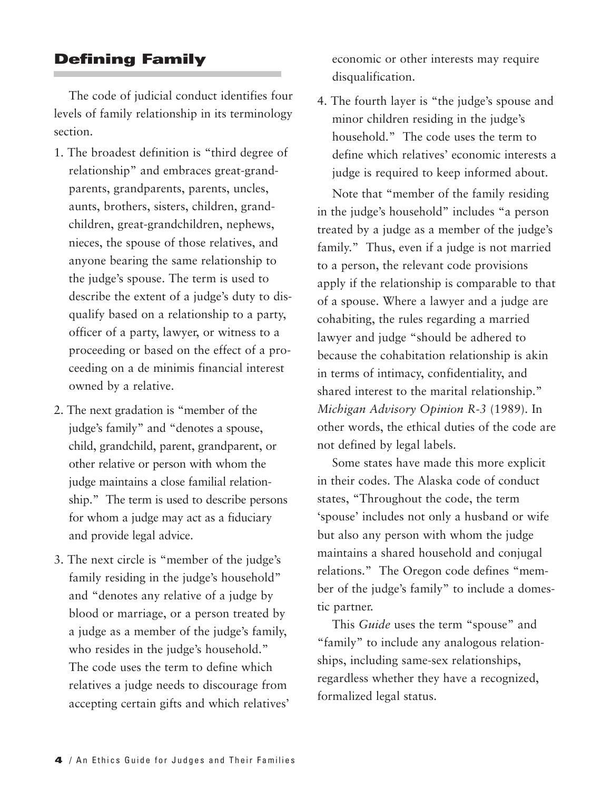#### **Defining Family**

The code of judicial conduct identifies four levels of family relationship in its terminology section.

- 1. The broadest definition is "third degree of relationship" and embraces great-grandparents, grandparents, parents, uncles, aunts, brothers, sisters, children, grandchildren, great-grandchildren, nephews, nieces, the spouse of those relatives, and anyone bearing the same relationship to the judge's spouse. The term is used to describe the extent of a judge's duty to disqualify based on a relationship to a party, officer of a party, lawyer, or witness to a proceeding or based on the effect of a proceeding on a de minimis financial interest owned by a relative.
- 2. The next gradation is "member of the judge's family" and "denotes a spouse, child, grandchild, parent, grandparent, or other relative or person with whom the judge maintains a close familial relationship." The term is used to describe persons for whom a judge may act as a fiduciary and provide legal advice.
- 3. The next circle is "member of the judge's family residing in the judge's household" and "denotes any relative of a judge by blood or marriage, or a person treated by a judge as a member of the judge's family, who resides in the judge's household." The code uses the term to define which relatives a judge needs to discourage from accepting certain gifts and which relatives'

economic or other interests may require disqualification.

4. The fourth layer is "the judge's spouse and minor children residing in the judge's household." The code uses the term to define which relatives' economic interests a judge is required to keep informed about. Note that "member of the family residing in the judge's household" includes "a person treated by a judge as a member of the judge's family." Thus, even if a judge is not married to a person, the relevant code provisions apply if the relationship is comparable to that of a spouse. Where a lawyer and a judge are cohabiting, the rules regarding a married lawyer and judge "should be adhered to because the cohabitation relationship is akin in terms of intimacy, confidentiality, and shared interest to the marital relationship." *Michigan Advisory Opinion R-3* (1989). In other words, the ethical duties of the code are not defined by legal labels.

Some states have made this more explicit in their codes. The Alaska code of conduct states, "Throughout the code, the term 'spouse' includes not only a husband or wife but also any person with whom the judge maintains a shared household and conjugal relations." The Oregon code defines "member of the judge's family" to include a domestic partner.

This *Guide* uses the term "spouse" and "family" to include any analogous relationships, including same-sex relationships, regardless whether they have a recognized, formalized legal status.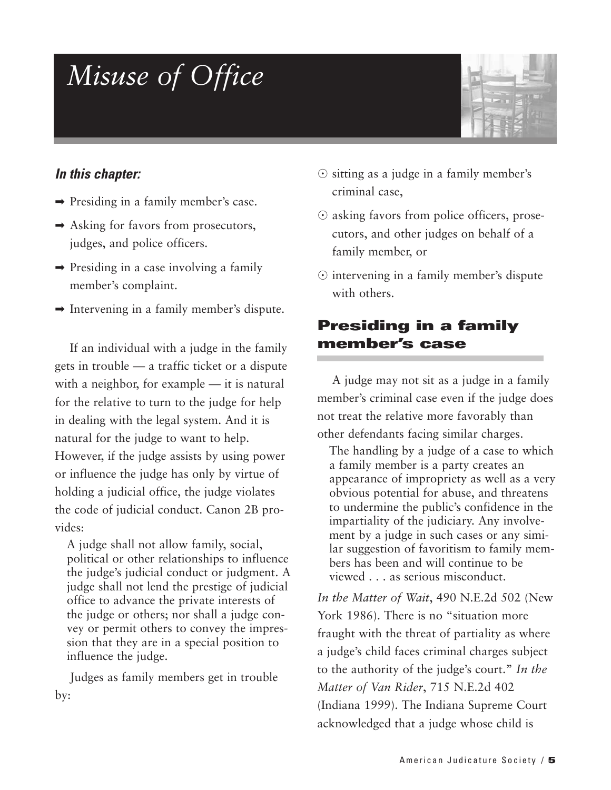## *Misuse of Office*



#### *In this chapter:*

- ➡ Presiding in a family member's case.
- $\rightarrow$  Asking for favors from prosecutors, judges, and police officers.
- ➡ Presiding in a case involving a family member's complaint.
- $\rightarrow$  Intervening in a family member's dispute.

If an individual with a judge in the family gets in trouble — a traffic ticket or a dispute with a neighbor, for example — it is natural for the relative to turn to the judge for help in dealing with the legal system. And it is natural for the judge to want to help. However, if the judge assists by using power or influence the judge has only by virtue of holding a judicial office, the judge violates the code of judicial conduct. Canon 2B provides:

A judge shall not allow family, social, political or other relationships to influence the judge's judicial conduct or judgment. A judge shall not lend the prestige of judicial office to advance the private interests of the judge or others; nor shall a judge convey or permit others to convey the impression that they are in a special position to influence the judge.

Judges as family members get in trouble by:

- $\odot$  sitting as a judge in a family member's criminal case,
- $\odot$  asking favors from police officers, prosecutors, and other judges on behalf of a family member, or
- $\odot$  intervening in a family member's dispute with others.

#### **Presiding in a family member's case**

A judge may not sit as a judge in a family member's criminal case even if the judge does not treat the relative more favorably than other defendants facing similar charges.

The handling by a judge of a case to which a family member is a party creates an appearance of impropriety as well as a very obvious potential for abuse, and threatens to undermine the public's confidence in the impartiality of the judiciary. Any involvement by a judge in such cases or any similar suggestion of favoritism to family members has been and will continue to be viewed . . . as serious misconduct.

*In the Matter of Wait*, 490 N.E.2d 502 (New York 1986). There is no "situation more fraught with the threat of partiality as where a judge's child faces criminal charges subject to the authority of the judge's court." *In the Matter of Van Rider*, 715 N.E.2d 402 (Indiana 1999). The Indiana Supreme Court acknowledged that a judge whose child is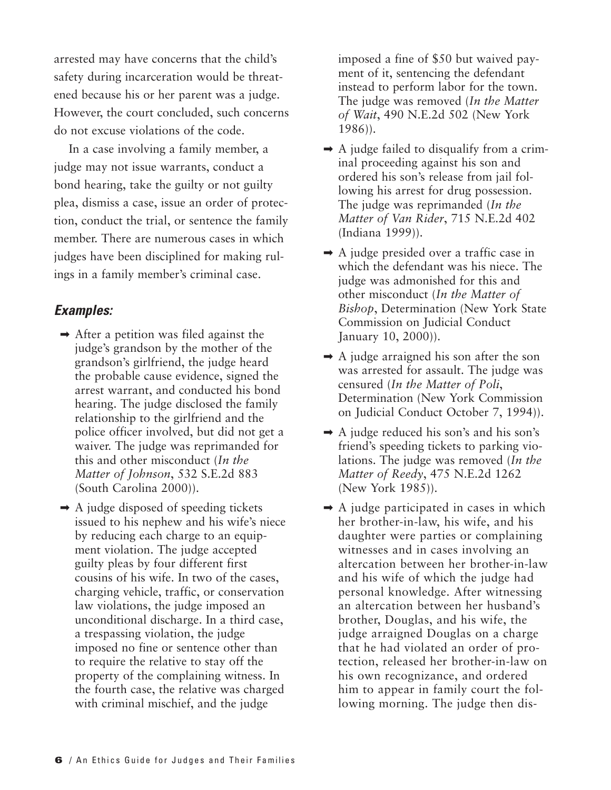arrested may have concerns that the child's safety during incarceration would be threatened because his or her parent was a judge. However, the court concluded, such concerns do not excuse violations of the code.

In a case involving a family member, a judge may not issue warrants, conduct a bond hearing, take the guilty or not guilty plea, dismiss a case, issue an order of protection, conduct the trial, or sentence the family member. There are numerous cases in which judges have been disciplined for making rulings in a family member's criminal case.

#### *Examples:*

- $\rightarrow$  After a petition was filed against the judge's grandson by the mother of the grandson's girlfriend, the judge heard the probable cause evidence, signed the arrest warrant, and conducted his bond hearing. The judge disclosed the family relationship to the girlfriend and the police officer involved, but did not get a waiver. The judge was reprimanded for this and other misconduct (*In the Matter of Johnson*, 532 S.E.2d 883 (South Carolina 2000)).
- $\rightarrow$  A judge disposed of speeding tickets issued to his nephew and his wife's niece by reducing each charge to an equipment violation. The judge accepted guilty pleas by four different first cousins of his wife. In two of the cases, charging vehicle, traffic, or conservation law violations, the judge imposed an unconditional discharge. In a third case, a trespassing violation, the judge imposed no fine or sentence other than to require the relative to stay off the property of the complaining witness. In the fourth case, the relative was charged with criminal mischief, and the judge

imposed a fine of \$50 but waived payment of it, sentencing the defendant instead to perform labor for the town. The judge was removed (*In the Matter of Wait*, 490 N.E.2d 502 (New York 1986)).

- $\rightarrow$  A judge failed to disqualify from a criminal proceeding against his son and ordered his son's release from jail following his arrest for drug possession. The judge was reprimanded (*In the Matter of Van Rider*, 715 N.E.2d 402 (Indiana 1999)).
- $\rightarrow$  A judge presided over a traffic case in which the defendant was his niece. The judge was admonished for this and other misconduct (*In the Matter of Bishop*, Determination (New York State Commission on Judicial Conduct January 10, 2000)).
- $\rightarrow$  A judge arraigned his son after the son was arrested for assault. The judge was censured (*In the Matter of Poli*, Determination (New York Commission on Judicial Conduct October 7, 1994)).
- $\rightarrow$  A judge reduced his son's and his son's friend's speeding tickets to parking violations. The judge was removed (*In the Matter of Reedy*, 475 N.E.2d 1262 (New York 1985)).
- $\rightarrow$  A judge participated in cases in which her brother-in-law, his wife, and his daughter were parties or complaining witnesses and in cases involving an altercation between her brother-in-law and his wife of which the judge had personal knowledge. After witnessing an altercation between her husband's brother, Douglas, and his wife, the judge arraigned Douglas on a charge that he had violated an order of protection, released her brother-in-law on his own recognizance, and ordered him to appear in family court the following morning. The judge then dis-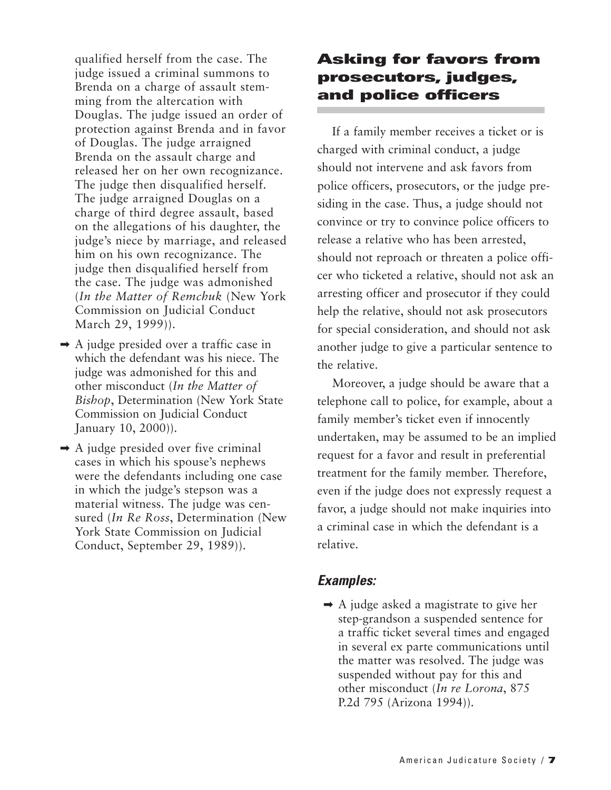qualified herself from the case. The judge issued a criminal summons to Brenda on a charge of assault stemming from the altercation with Douglas. The judge issued an order of protection against Brenda and in favor of Douglas. The judge arraigned Brenda on the assault charge and released her on her own recognizance. The judge then disqualified herself. The judge arraigned Douglas on a charge of third degree assault, based on the allegations of his daughter, the judge's niece by marriage, and released him on his own recognizance. The judge then disqualified herself from the case. The judge was admonished (*In the Matter of Remchuk* (New York Commission on Judicial Conduct March 29, 1999)).

- $\rightarrow$  A judge presided over a traffic case in which the defendant was his niece. The judge was admonished for this and other misconduct (*In the Matter of Bishop*, Determination (New York State Commission on Judicial Conduct January 10, 2000)).
- $\rightarrow$  A judge presided over five criminal cases in which his spouse's nephews were the defendants including one case in which the judge's stepson was a material witness. The judge was censured (*In Re Ross*, Determination (New York State Commission on Judicial Conduct, September 29, 1989)).

#### **Asking for favors from prosecutors, judges, and police officers**

If a family member receives a ticket or is charged with criminal conduct, a judge should not intervene and ask favors from police officers, prosecutors, or the judge presiding in the case. Thus, a judge should not convince or try to convince police officers to release a relative who has been arrested, should not reproach or threaten a police officer who ticketed a relative, should not ask an arresting officer and prosecutor if they could help the relative, should not ask prosecutors for special consideration, and should not ask another judge to give a particular sentence to the relative.

Moreover, a judge should be aware that a telephone call to police, for example, about a family member's ticket even if innocently undertaken, may be assumed to be an implied request for a favor and result in preferential treatment for the family member. Therefore, even if the judge does not expressly request a favor, a judge should not make inquiries into a criminal case in which the defendant is a relative.

#### *Examples:*

 $\rightarrow$  A judge asked a magistrate to give her step-grandson a suspended sentence for a traffic ticket several times and engaged in several ex parte communications until the matter was resolved. The judge was suspended without pay for this and other misconduct (*In re Lorona*, 875 P.2d 795 (Arizona 1994)).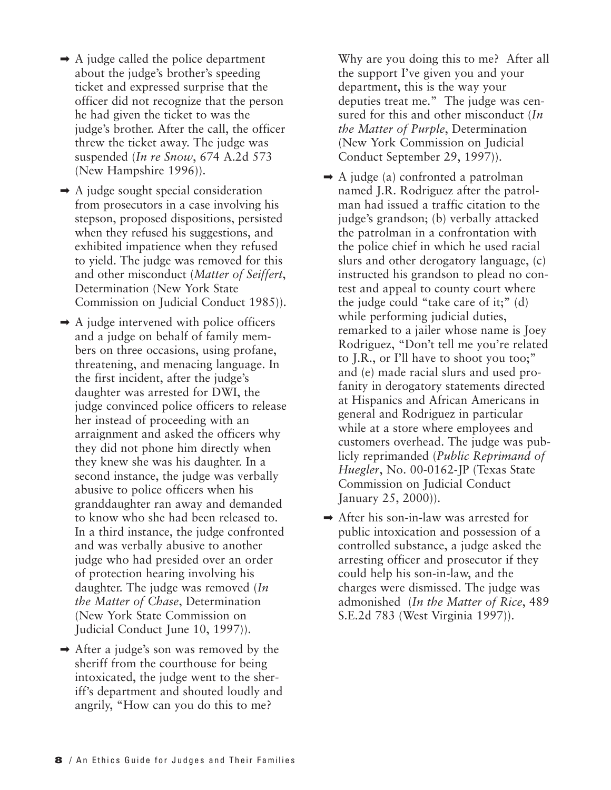- $\rightarrow$  A judge called the police department about the judge's brother's speeding ticket and expressed surprise that the officer did not recognize that the person he had given the ticket to was the judge's brother. After the call, the officer threw the ticket away. The judge was suspended (*In re Snow*, 674 A.2d 573 (New Hampshire 1996)).
- $\rightarrow$  A judge sought special consideration from prosecutors in a case involving his stepson, proposed dispositions, persisted when they refused his suggestions, and exhibited impatience when they refused to yield. The judge was removed for this and other misconduct (*Matter of Seiffert*, Determination (New York State Commission on Judicial Conduct 1985)).
- $\rightarrow$  A judge intervened with police officers and a judge on behalf of family members on three occasions, using profane, threatening, and menacing language. In the first incident, after the judge's daughter was arrested for DWI, the judge convinced police officers to release her instead of proceeding with an arraignment and asked the officers why they did not phone him directly when they knew she was his daughter. In a second instance, the judge was verbally abusive to police officers when his granddaughter ran away and demanded to know who she had been released to. In a third instance, the judge confronted and was verbally abusive to another judge who had presided over an order of protection hearing involving his daughter. The judge was removed (*In the Matter of Chase*, Determination (New York State Commission on Judicial Conduct June 10, 1997)).
- ➡ After a judge's son was removed by the sheriff from the courthouse for being intoxicated, the judge went to the sheriff's department and shouted loudly and angrily, "How can you do this to me?

Why are you doing this to me? After all the support I've given you and your department, this is the way your deputies treat me." The judge was censured for this and other misconduct (*In the Matter of Purple*, Determination (New York Commission on Judicial Conduct September 29, 1997)).

- $\rightarrow$  A judge (a) confronted a patrolman named J.R. Rodriguez after the patrolman had issued a traffic citation to the judge's grandson; (b) verbally attacked the patrolman in a confrontation with the police chief in which he used racial slurs and other derogatory language, (c) instructed his grandson to plead no contest and appeal to county court where the judge could "take care of it;" (d) while performing judicial duties, remarked to a jailer whose name is Joey Rodriguez, "Don't tell me you're related to J.R., or I'll have to shoot you too;" and (e) made racial slurs and used profanity in derogatory statements directed at Hispanics and African Americans in general and Rodriguez in particular while at a store where employees and customers overhead. The judge was publicly reprimanded (*Public Reprimand of Huegler*, No. 00-0162-JP (Texas State Commission on Judicial Conduct January 25, 2000)).
- ➡ After his son-in-law was arrested for public intoxication and possession of a controlled substance, a judge asked the arresting officer and prosecutor if they could help his son-in-law, and the charges were dismissed. The judge was admonished (*In the Matter of Rice*, 489 S.E.2d 783 (West Virginia 1997)).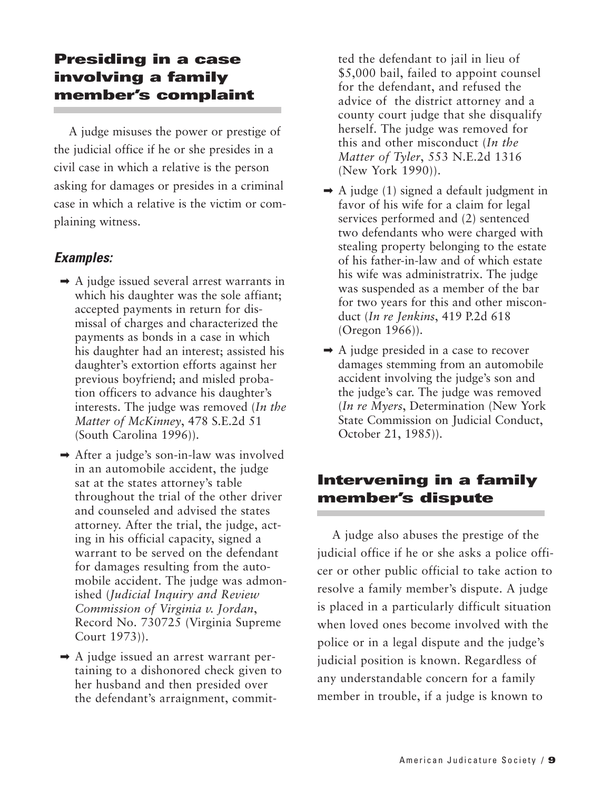#### **Presiding in a case involving a family member's complaint**

A judge misuses the power or prestige of the judicial office if he or she presides in a civil case in which a relative is the person asking for damages or presides in a criminal case in which a relative is the victim or complaining witness.

#### *Examples:*

- $\rightarrow$  A judge issued several arrest warrants in which his daughter was the sole affiant; accepted payments in return for dismissal of charges and characterized the payments as bonds in a case in which his daughter had an interest; assisted his daughter's extortion efforts against her previous boyfriend; and misled probation officers to advance his daughter's interests. The judge was removed (*In the Matter of McKinney*, 478 S.E.2d 51 (South Carolina 1996)).
- ➡ After a judge's son-in-law was involved in an automobile accident, the judge sat at the states attorney's table throughout the trial of the other driver and counseled and advised the states attorney. After the trial, the judge, acting in his official capacity, signed a warrant to be served on the defendant for damages resulting from the automobile accident. The judge was admonished (*Judicial Inquiry and Review Commission of Virginia v. Jordan*, Record No. 730725 (Virginia Supreme Court 1973)).
- ➡ A judge issued an arrest warrant pertaining to a dishonored check given to her husband and then presided over the defendant's arraignment, commit-

ted the defendant to jail in lieu of \$5,000 bail, failed to appoint counsel for the defendant, and refused the advice of the district attorney and a county court judge that she disqualify herself. The judge was removed for this and other misconduct (*In the Matter of Tyler*, 553 N.E.2d 1316 (New York 1990)).

- $\rightarrow$  A judge (1) signed a default judgment in favor of his wife for a claim for legal services performed and (2) sentenced two defendants who were charged with stealing property belonging to the estate of his father-in-law and of which estate his wife was administratrix. The judge was suspended as a member of the bar for two years for this and other misconduct (*In re Jenkins*, 419 P.2d 618 (Oregon 1966)).
- ➡ A judge presided in a case to recover damages stemming from an automobile accident involving the judge's son and the judge's car. The judge was removed (*In re Myers*, Determination (New York State Commission on Judicial Conduct, October 21, 1985)).

### **Intervening in a family member's dispute**

A judge also abuses the prestige of the judicial office if he or she asks a police officer or other public official to take action to resolve a family member's dispute. A judge is placed in a particularly difficult situation when loved ones become involved with the police or in a legal dispute and the judge's judicial position is known. Regardless of any understandable concern for a family member in trouble, if a judge is known to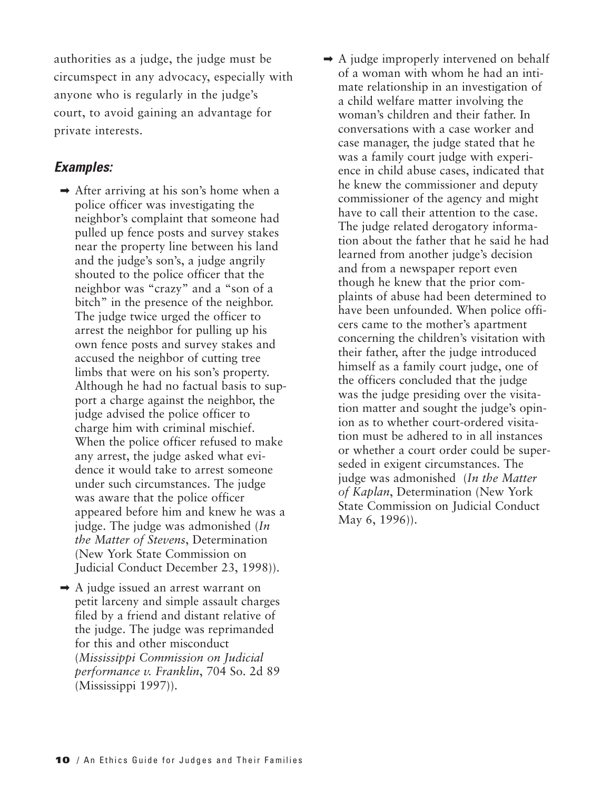authorities as a judge, the judge must be circumspect in any advocacy, especially with anyone who is regularly in the judge's court, to avoid gaining an advantage for private interests.

- $\rightarrow$  After arriving at his son's home when a police officer was investigating the neighbor's complaint that someone had pulled up fence posts and survey stakes near the property line between his land and the judge's son's, a judge angrily shouted to the police officer that the neighbor was "crazy" and a "son of a bitch" in the presence of the neighbor. The judge twice urged the officer to arrest the neighbor for pulling up his own fence posts and survey stakes and accused the neighbor of cutting tree limbs that were on his son's property. Although he had no factual basis to support a charge against the neighbor, the judge advised the police officer to charge him with criminal mischief. When the police officer refused to make any arrest, the judge asked what evidence it would take to arrest someone under such circumstances. The judge was aware that the police officer appeared before him and knew he was a judge. The judge was admonished (*In the Matter of Stevens*, Determination (New York State Commission on Judicial Conduct December 23, 1998)).
- ➡ A judge issued an arrest warrant on petit larceny and simple assault charges filed by a friend and distant relative of the judge. The judge was reprimanded for this and other misconduct (*Mississippi Commission on Judicial performance v. Franklin*, 704 So. 2d 89 (Mississippi 1997)).
- $\rightarrow$  A judge improperly intervened on behalf of a woman with whom he had an intimate relationship in an investigation of a child welfare matter involving the woman's children and their father. In conversations with a case worker and case manager, the judge stated that he was a family court judge with experience in child abuse cases, indicated that he knew the commissioner and deputy commissioner of the agency and might have to call their attention to the case. The judge related derogatory information about the father that he said he had learned from another judge's decision and from a newspaper report even though he knew that the prior complaints of abuse had been determined to have been unfounded. When police officers came to the mother's apartment concerning the children's visitation with their father, after the judge introduced himself as a family court judge, one of the officers concluded that the judge was the judge presiding over the visitation matter and sought the judge's opinion as to whether court-ordered visitation must be adhered to in all instances or whether a court order could be superseded in exigent circumstances. The judge was admonished (*In the Matter of Kaplan*, Determination (New York State Commission on Judicial Conduct May 6, 1996)).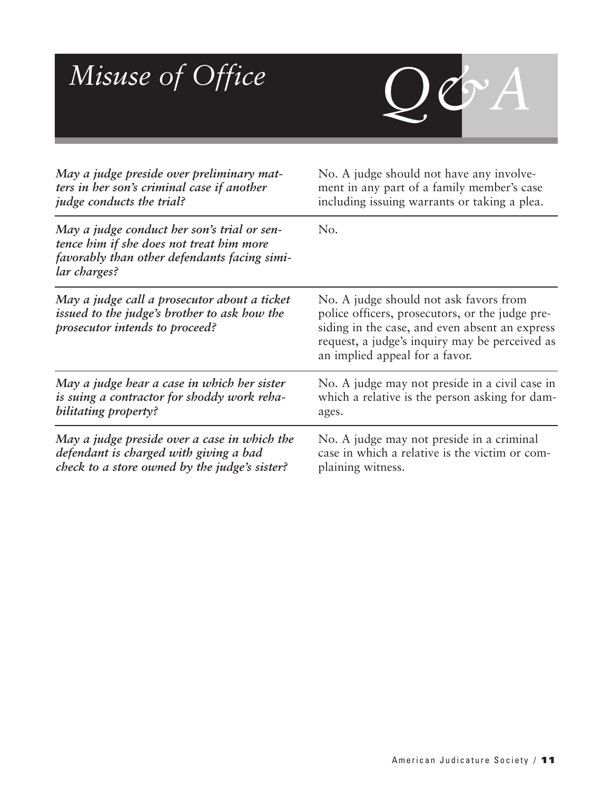

| May a judge preside over preliminary mat-                                                                                                               | No. A judge should not have any involve-                                                                                                                                                                                        |
|---------------------------------------------------------------------------------------------------------------------------------------------------------|---------------------------------------------------------------------------------------------------------------------------------------------------------------------------------------------------------------------------------|
| ters in her son's criminal case if another                                                                                                              | ment in any part of a family member's case                                                                                                                                                                                      |
| <i>judge conducts the trial?</i>                                                                                                                        | including issuing warrants or taking a plea.                                                                                                                                                                                    |
| May a judge conduct her son's trial or sen-<br>tence him if she does not treat him more<br>favorably than other defendants facing simi-<br>lar charges? | No.                                                                                                                                                                                                                             |
| May a judge call a prosecutor about a ticket<br>issued to the judge's brother to ask how the<br>prosecutor intends to proceed?                          | No. A judge should not ask favors from<br>police officers, prosecutors, or the judge pre-<br>siding in the case, and even absent an express<br>request, a judge's inquiry may be perceived as<br>an implied appeal for a favor. |
| May a judge hear a case in which her sister                                                                                                             | No. A judge may not preside in a civil case in                                                                                                                                                                                  |
| is suing a contractor for shoddy work reha-                                                                                                             | which a relative is the person asking for dam-                                                                                                                                                                                  |
| bilitating property?                                                                                                                                    | ages.                                                                                                                                                                                                                           |
| May a judge preside over a case in which the                                                                                                            | No. A judge may not preside in a criminal                                                                                                                                                                                       |
| defendant is charged with giving a bad                                                                                                                  | case in which a relative is the victim or com-                                                                                                                                                                                  |
| check to a store owned by the judge's sister?                                                                                                           | plaining witness.                                                                                                                                                                                                               |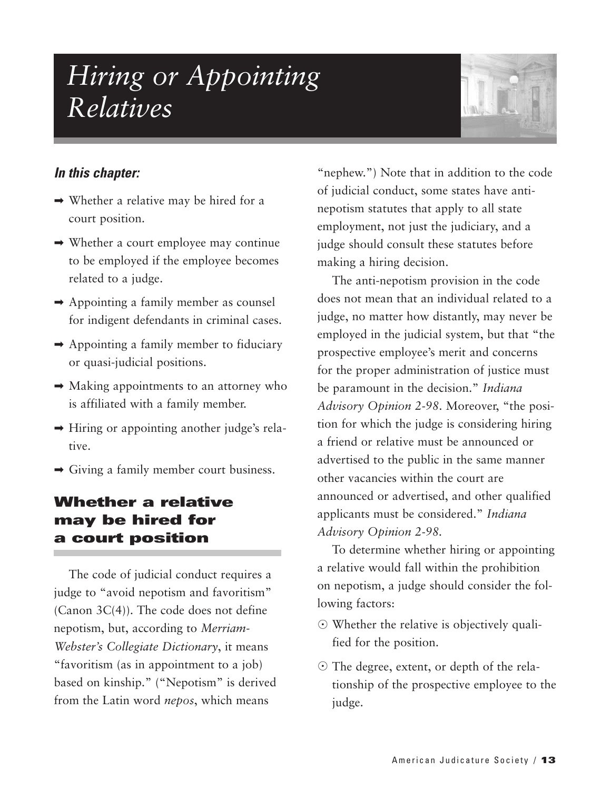### *Hiring or Appointing Relatives*



#### *In this chapter:*

- $\rightarrow$  Whether a relative may be hired for a court position.
- ➡ Whether a court employee may continue to be employed if the employee becomes related to a judge.
- $\rightarrow$  Appointing a family member as counsel for indigent defendants in criminal cases.
- ➡ Appointing a family member to fiduciary or quasi-judicial positions.
- $\rightarrow$  Making appointments to an attorney who is affiliated with a family member.
- ➡ Hiring or appointing another judge's relative.
- ➡ Giving a family member court business.

#### **Whether a relative may be hired for a court position**

The code of judicial conduct requires a judge to "avoid nepotism and favoritism" (Canon 3C(4)). The code does not define nepotism, but, according to *Merriam-Webster's Collegiate Dictionary*, it means "favoritism (as in appointment to a job) based on kinship." ("Nepotism" is derived from the Latin word *nepos*, which means

"nephew.") Note that in addition to the code of judicial conduct, some states have antinepotism statutes that apply to all state employment, not just the judiciary, and a judge should consult these statutes before making a hiring decision.

The anti-nepotism provision in the code does not mean that an individual related to a judge, no matter how distantly, may never be employed in the judicial system, but that "the prospective employee's merit and concerns for the proper administration of justice must be paramount in the decision." *Indiana Advisory Opinion 2-98*. Moreover, "the position for which the judge is considering hiring a friend or relative must be announced or advertised to the public in the same manner other vacancies within the court are announced or advertised, and other qualified applicants must be considered." *Indiana Advisory Opinion 2-98.*

To determine whether hiring or appointing a relative would fall within the prohibition on nepotism, a judge should consider the following factors:

- Whether the relative is objectively qualified for the position.
- The degree, extent, or depth of the relationship of the prospective employee to the judge.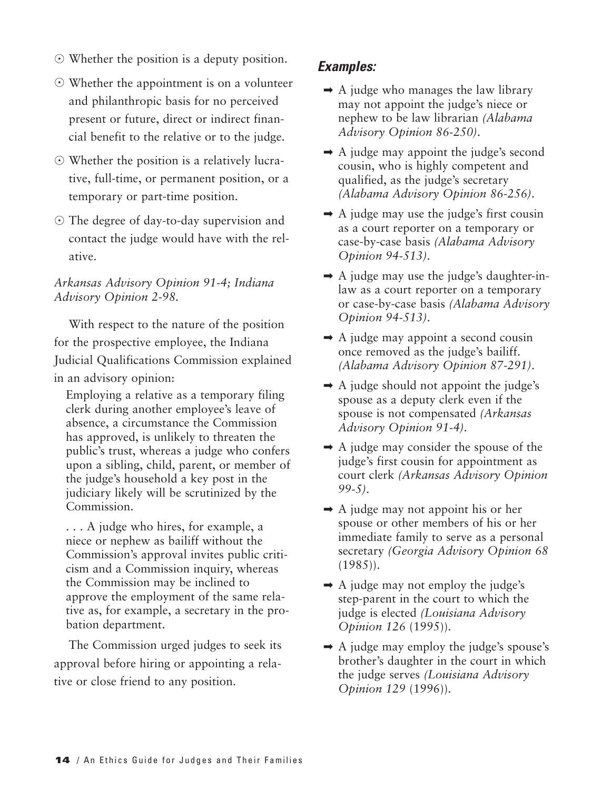- Whether the position is a deputy position.
- Whether the appointment is on a volunteer and philanthropic basis for no perceived present or future, direct or indirect financial benefit to the relative or to the judge.
- Whether the position is a relatively lucrative, full-time, or permanent position, or a temporary or part-time position.
- The degree of day-to-day supervision and contact the judge would have with the relative.

#### *Arkansas Advisory Opinion 91-4; Indiana Advisory Opinion 2-98.*

With respect to the nature of the position for the prospective employee, the Indiana Judicial Qualifications Commission explained in an advisory opinion:

Employing a relative as a temporary filing clerk during another employee's leave of absence, a circumstance the Commission has approved, is unlikely to threaten the public's trust, whereas a judge who confers upon a sibling, child, parent, or member of the judge's household a key post in the judiciary likely will be scrutinized by the Commission.

. . . A judge who hires, for example, a niece or nephew as bailiff without the Commission's approval invites public criticism and a Commission inquiry, whereas the Commission may be inclined to approve the employment of the same relative as, for example, a secretary in the probation department.

The Commission urged judges to seek its approval before hiring or appointing a relative or close friend to any position.

- $\rightarrow$  A judge who manages the law library may not appoint the judge's niece or nephew to be law librarian *(Alabama Advisory Opinion 86-250)*.
- $\rightarrow$  A judge may appoint the judge's second cousin, who is highly competent and qualified, as the judge's secretary *(Alabama Advisory Opinion 86-256)*.
- $\rightarrow$  A judge may use the judge's first cousin as a court reporter on a temporary or case-by-case basis *(Alabama Advisory Opinion 94-513)*.
- $\rightarrow$  A judge may use the judge's daughter-inlaw as a court reporter on a temporary or case-by-case basis *(Alabama Advisory Opinion 94-513)*.
- $\rightarrow$  A judge may appoint a second cousin once removed as the judge's bailiff. *(Alabama Advisory Opinion 87-291)*.
- $\rightarrow$  A judge should not appoint the judge's spouse as a deputy clerk even if the spouse is not compensated *(Arkansas Advisory Opinion 91-4)*.
- $\rightarrow$  A judge may consider the spouse of the judge's first cousin for appointment as court clerk *(Arkansas Advisory Opinion 99-5)*.
- $\rightarrow$  A judge may not appoint his or her spouse or other members of his or her immediate family to serve as a personal secretary *(Georgia Advisory Opinion 68* (1985)).
- $\rightarrow$  A judge may not employ the judge's step-parent in the court to which the judge is elected *(Louisiana Advisory Opinion 126* (1995)).
- $\rightarrow$  A judge may employ the judge's spouse's brother's daughter in the court in which the judge serves *(Louisiana Advisory Opinion 129* (1996)).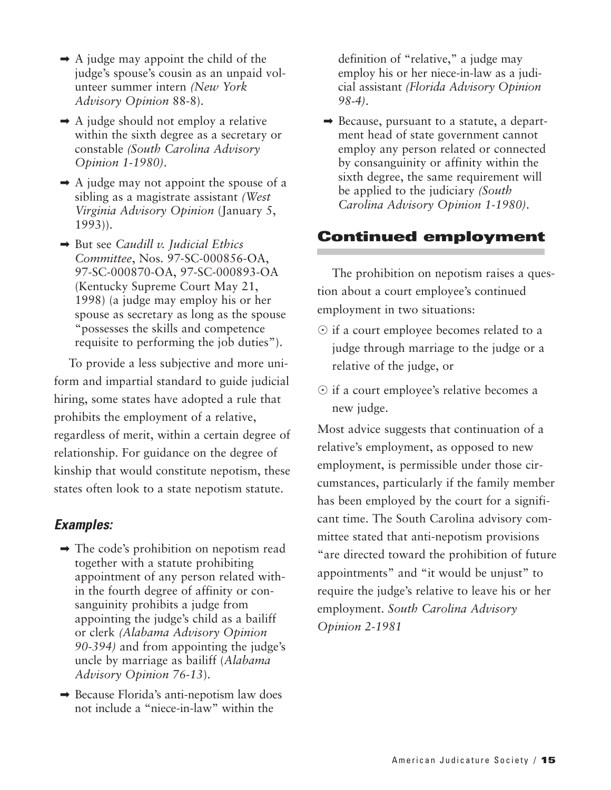- $\rightarrow$  A judge may appoint the child of the judge's spouse's cousin as an unpaid volunteer summer intern *(New York Advisory Opinion* 88-8).
- $\rightarrow$  A judge should not employ a relative within the sixth degree as a secretary or constable *(South Carolina Advisory Opinion 1-1980)*.
- $\rightarrow$  A judge may not appoint the spouse of a sibling as a magistrate assistant *(West Virginia Advisory Opinion* (January 5, 1993)).
- ➡ But see *Caudill v. Judicial Ethics Committee*, Nos. 97-SC-000856-OA, 97-SC-000870-OA, 97-SC-000893-OA (Kentucky Supreme Court May 21, 1998) (a judge may employ his or her spouse as secretary as long as the spouse "possesses the skills and competence requisite to performing the job duties").

To provide a less subjective and more uniform and impartial standard to guide judicial hiring, some states have adopted a rule that prohibits the employment of a relative, regardless of merit, within a certain degree of relationship. For guidance on the degree of kinship that would constitute nepotism, these states often look to a state nepotism statute.

#### *Examples:*

- $\rightarrow$  The code's prohibition on nepotism read together with a statute prohibiting appointment of any person related within the fourth degree of affinity or consanguinity prohibits a judge from appointing the judge's child as a bailiff or clerk *(Alabama Advisory Opinion 90-394)* and from appointing the judge's uncle by marriage as bailiff (*Alabama Advisory Opinion 76-13*).
- ➡ Because Florida's anti-nepotism law does not include a "niece-in-law" within the

definition of "relative," a judge may employ his or her niece-in-law as a judicial assistant *(Florida Advisory Opinion 98-4)*.

➡ Because, pursuant to a statute, a department head of state government cannot employ any person related or connected by consanguinity or affinity within the sixth degree, the same requirement will be applied to the judiciary *(South Carolina Advisory Opinion 1-1980)*.

#### **Continued employment**

The prohibition on nepotism raises a question about a court employee's continued employment in two situations:

- $\odot$  if a court employee becomes related to a judge through marriage to the judge or a relative of the judge, or
- if a court employee's relative becomes a new judge.

Most advice suggests that continuation of a relative's employment, as opposed to new employment, is permissible under those circumstances, particularly if the family member has been employed by the court for a significant time. The South Carolina advisory committee stated that anti-nepotism provisions "are directed toward the prohibition of future appointments" and "it would be unjust" to require the judge's relative to leave his or her employment. *South Carolina Advisory Opinion 2-1981*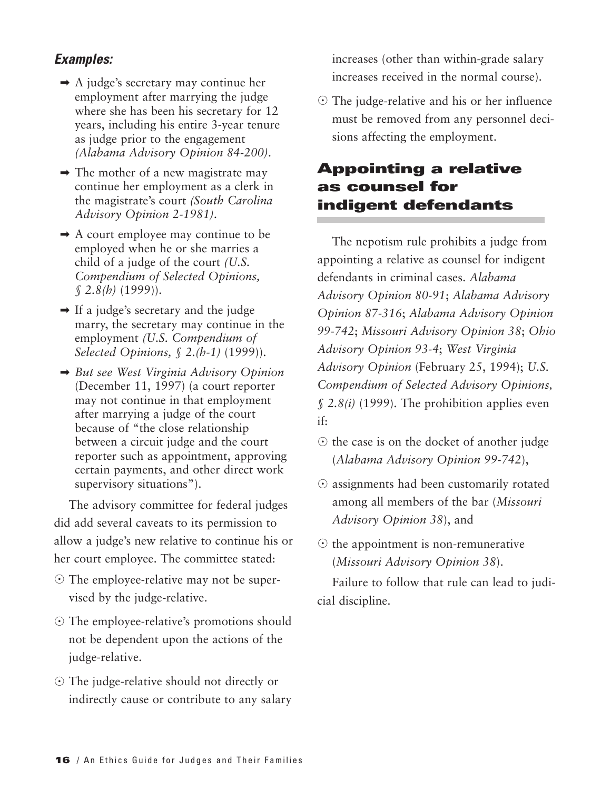#### *Examples:*

- $\rightarrow$  A judge's secretary may continue her employment after marrying the judge where she has been his secretary for 12 years, including his entire 3-year tenure as judge prior to the engagement *(Alabama Advisory Opinion 84-200)*.
- $\rightarrow$  The mother of a new magistrate may continue her employment as a clerk in the magistrate's court *(South Carolina Advisory Opinion 2-1981)*.
- ➡ A court employee may continue to be employed when he or she marries a child of a judge of the court *(U.S. Compendium of Selected Opinions, § 2.8(h)* (1999)).
- ➡ If a judge's secretary and the judge marry, the secretary may continue in the employment *(U.S. Compendium of Selected Opinions, § 2.(h-1)* (1999)).
- ➡ *But see West Virginia Advisory Opinion* (December 11, 1997) (a court reporter may not continue in that employment after marrying a judge of the court because of "the close relationship between a circuit judge and the court reporter such as appointment, approving certain payments, and other direct work supervisory situations").

The advisory committee for federal judges did add several caveats to its permission to allow a judge's new relative to continue his or her court employee. The committee stated:

- The employee-relative may not be supervised by the judge-relative.
- The employee-relative's promotions should not be dependent upon the actions of the judge-relative.
- The judge-relative should not directly or indirectly cause or contribute to any salary

increases (other than within-grade salary increases received in the normal course).

- The judge-relative and his or her influence must be removed from any personnel decisions affecting the employment.

#### **Appointing a relative as counsel for indigent defendants**

The nepotism rule prohibits a judge from appointing a relative as counsel for indigent defendants in criminal cases. *Alabama Advisory Opinion 80-91*; *Alabama Advisory Opinion 87-316*; *Alabama Advisory Opinion 99-742*; *Missouri Advisory Opinion 38*; *Ohio Advisory Opinion 93-4*; *West Virginia Advisory Opinion* (February 25, 1994); *U.S. Compendium of Selected Advisory Opinions, § 2.8(i)* (1999). The prohibition applies even if:

- $\odot$  the case is on the docket of another judge (*Alabama Advisory Opinion 99-742*),
- $\odot$  assignments had been customarily rotated among all members of the bar (*Missouri Advisory Opinion 38*), and
- $\odot$  the appointment is non-remunerative (*Missouri Advisory Opinion 38*).

Failure to follow that rule can lead to judicial discipline.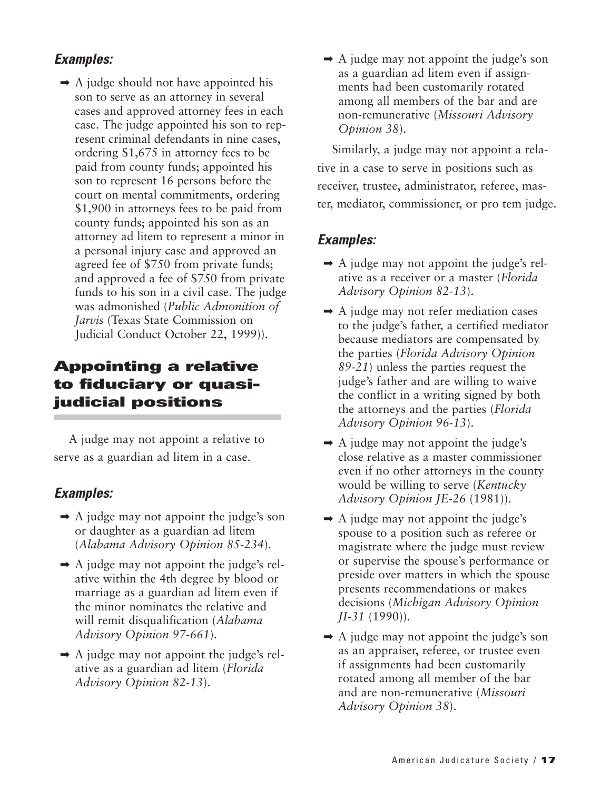#### *Examples:*

 $\rightarrow$  A judge should not have appointed his son to serve as an attorney in several cases and approved attorney fees in each case. The judge appointed his son to represent criminal defendants in nine cases, ordering \$1,675 in attorney fees to be paid from county funds; appointed his son to represent 16 persons before the court on mental commitments, ordering \$1,900 in attorneys fees to be paid from county funds; appointed his son as an attorney ad litem to represent a minor in a personal injury case and approved an agreed fee of \$750 from private funds; and approved a fee of \$750 from private funds to his son in a civil case. The judge was admonished (*Public Admonition of Jarvis* (Texas State Commission on Judicial Conduct October 22, 1999)).

#### **Appointing a relative to fiduciary or quasijudicial positions**

A judge may not appoint a relative to serve as a guardian ad litem in a case.

#### *Examples:*

- $\rightarrow$  A judge may not appoint the judge's son or daughter as a guardian ad litem (*Alabama Advisory Opinion 85-234*).
- $\rightarrow$  A judge may not appoint the judge's relative within the 4th degree by blood or marriage as a guardian ad litem even if the minor nominates the relative and will remit disqualification (*Alabama Advisory Opinion 97-661*).
- $\rightarrow$  A judge may not appoint the judge's relative as a guardian ad litem (*Florida Advisory Opinion 82-13*).

 $\rightarrow$  A judge may not appoint the judge's son as a guardian ad litem even if assignments had been customarily rotated among all members of the bar and are non-remunerative (*Missouri Advisory Opinion 38*).

Similarly, a judge may not appoint a relative in a case to serve in positions such as receiver, trustee, administrator, referee, master, mediator, commissioner, or pro tem judge.

- $\rightarrow$  A judge may not appoint the judge's relative as a receiver or a master (*Florida Advisory Opinion 82-13*).
- ➡ A judge may not refer mediation cases to the judge's father, a certified mediator because mediators are compensated by the parties (*Florida Advisory Opinion 89-21*) unless the parties request the judge's father and are willing to waive the conflict in a writing signed by both the attorneys and the parties (*Florida Advisory Opinion 96-13*).
- $\rightarrow$  A judge may not appoint the judge's close relative as a master commissioner even if no other attorneys in the county would be willing to serve (*Kentucky Advisory Opinion JE-26* (1981)).
- $\rightarrow$  A judge may not appoint the judge's spouse to a position such as referee or magistrate where the judge must review or supervise the spouse's performance or preside over matters in which the spouse presents recommendations or makes decisions (*Michigan Advisory Opinion JI-31* (1990)).
- $\rightarrow$  A judge may not appoint the judge's son as an appraiser, referee, or trustee even if assignments had been customarily rotated among all member of the bar and are non-remunerative (*Missouri Advisory Opinion 38*).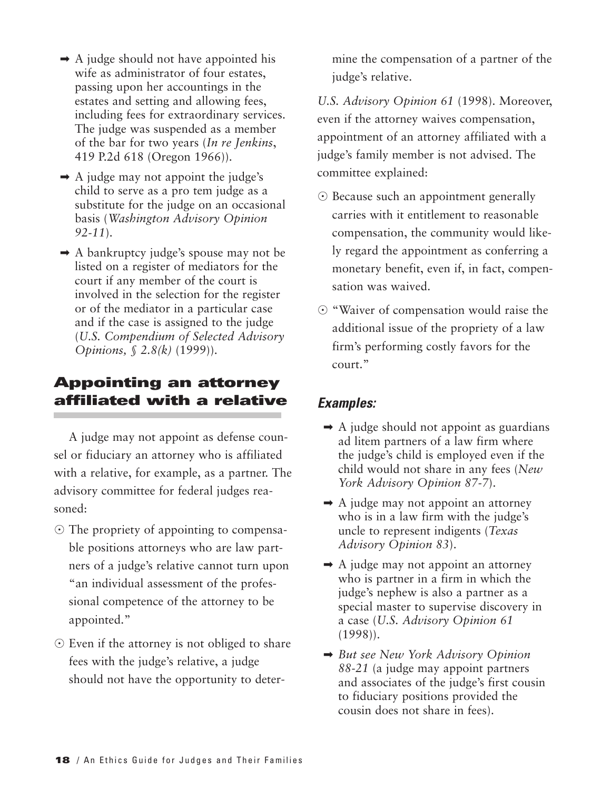- $\rightarrow$  A judge should not have appointed his wife as administrator of four estates, passing upon her accountings in the estates and setting and allowing fees, including fees for extraordinary services. The judge was suspended as a member of the bar for two years (*In re Jenkins*, 419 P.2d 618 (Oregon 1966)).
- $\rightarrow$  A judge may not appoint the judge's child to serve as a pro tem judge as a substitute for the judge on an occasional basis (*Washington Advisory Opinion 92-11*).
- ➡ A bankruptcy judge's spouse may not be listed on a register of mediators for the court if any member of the court is involved in the selection for the register or of the mediator in a particular case and if the case is assigned to the judge (*U.S. Compendium of Selected Advisory Opinions, § 2.8(k)* (1999)).

#### **Appointing an attorney affiliated with a relative**

A judge may not appoint as defense counsel or fiduciary an attorney who is affiliated with a relative, for example, as a partner. The advisory committee for federal judges reasoned:

- The propriety of appointing to compensable positions attorneys who are law partners of a judge's relative cannot turn upon "an individual assessment of the professional competence of the attorney to be appointed."
- $\odot$  Even if the attorney is not obliged to share fees with the judge's relative, a judge should not have the opportunity to deter-

mine the compensation of a partner of the judge's relative.

*U.S. Advisory Opinion 61* (1998). Moreover, even if the attorney waives compensation, appointment of an attorney affiliated with a judge's family member is not advised. The committee explained:

- Because such an appointment generally carries with it entitlement to reasonable compensation, the community would likely regard the appointment as conferring a monetary benefit, even if, in fact, compensation was waived.
- $\odot$  "Waiver of compensation would raise the additional issue of the propriety of a law firm's performing costly favors for the court."

- $\rightarrow$  A judge should not appoint as guardians ad litem partners of a law firm where the judge's child is employed even if the child would not share in any fees (*New York Advisory Opinion 87-7*).
- $\rightarrow$  A judge may not appoint an attorney who is in a law firm with the judge's uncle to represent indigents (*Texas Advisory Opinion 83*).
- $\rightarrow$  A judge may not appoint an attorney who is partner in a firm in which the judge's nephew is also a partner as a special master to supervise discovery in a case (*U.S. Advisory Opinion 61* (1998)).
- ➡ *But see New York Advisory Opinion 88-21* (a judge may appoint partners and associates of the judge's first cousin to fiduciary positions provided the cousin does not share in fees).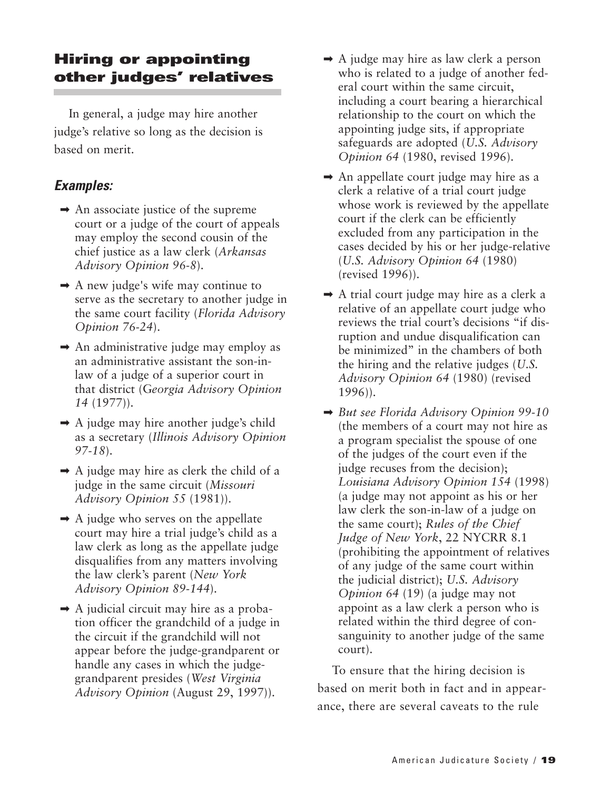#### **Hiring or appointing other judges' relatives**

In general, a judge may hire another judge's relative so long as the decision is based on merit.

#### *Examples:*

- $\rightarrow$  An associate justice of the supreme court or a judge of the court of appeals may employ the second cousin of the chief justice as a law clerk (*Arkansas Advisory Opinion 96-8*).
- $\rightarrow$  A new judge's wife may continue to serve as the secretary to another judge in the same court facility (*Florida Advisory Opinion 76-24*).
- $\rightarrow$  An administrative judge may employ as an administrative assistant the son-inlaw of a judge of a superior court in that district (G*eorgia Advisory Opinion 14* (1977)).
- $\rightarrow$  A judge may hire another judge's child as a secretary (*Illinois Advisory Opinion 97-18*).
- $\rightarrow$  A judge may hire as clerk the child of a judge in the same circuit (*Missouri Advisory Opinion 55* (1981)).
- $\rightarrow$  A judge who serves on the appellate court may hire a trial judge's child as a law clerk as long as the appellate judge disqualifies from any matters involving the law clerk's parent (*New York Advisory Opinion 89-144*).
- $\rightarrow$  A judicial circuit may hire as a probation officer the grandchild of a judge in the circuit if the grandchild will not appear before the judge-grandparent or handle any cases in which the judgegrandparent presides (*West Virginia Advisory Opinion* (August 29, 1997)).
- $\rightarrow$  A judge may hire as law clerk a person who is related to a judge of another federal court within the same circuit, including a court bearing a hierarchical relationship to the court on which the appointing judge sits, if appropriate safeguards are adopted (*U.S. Advisory Opinion 64* (1980, revised 1996).
- $\rightarrow$  An appellate court judge may hire as a clerk a relative of a trial court judge whose work is reviewed by the appellate court if the clerk can be efficiently excluded from any participation in the cases decided by his or her judge-relative (*U.S. Advisory Opinion 64* (1980) (revised 1996)).
- $\rightarrow$  A trial court judge may hire as a clerk a relative of an appellate court judge who reviews the trial court's decisions "if disruption and undue disqualification can be minimized" in the chambers of both the hiring and the relative judges (*U.S. Advisory Opinion 64* (1980) (revised 1996)).
- ➡ *But see Florida Advisory Opinion 99-10* (the members of a court may not hire as a program specialist the spouse of one of the judges of the court even if the judge recuses from the decision); *Louisiana Advisory Opinion 154* (1998) (a judge may not appoint as his or her law clerk the son-in-law of a judge on the same court); *Rules of the Chief Judge of New York*, 22 NYCRR 8.1 (prohibiting the appointment of relatives of any judge of the same court within the judicial district); *U.S. Advisory Opinion 64* (19) (a judge may not appoint as a law clerk a person who is related within the third degree of consanguinity to another judge of the same court).

To ensure that the hiring decision is based on merit both in fact and in appearance, there are several caveats to the rule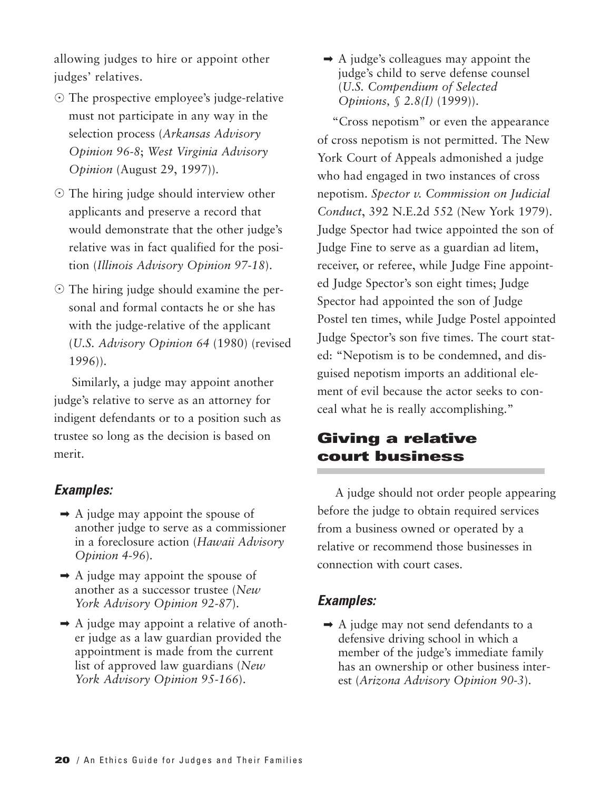allowing judges to hire or appoint other judges' relatives.

- The prospective employee's judge-relative must not participate in any way in the selection process (*Arkansas Advisory Opinion 96-8*; *West Virginia Advisory Opinion* (August 29, 1997)).
- The hiring judge should interview other applicants and preserve a record that would demonstrate that the other judge's relative was in fact qualified for the position (*Illinois Advisory Opinion 97-18*).
- The hiring judge should examine the personal and formal contacts he or she has with the judge-relative of the applicant (*U.S. Advisory Opinion 64* (1980) (revised 1996)).

Similarly, a judge may appoint another judge's relative to serve as an attorney for indigent defendants or to a position such as trustee so long as the decision is based on merit.

#### *Examples:*

- $\rightarrow$  A judge may appoint the spouse of another judge to serve as a commissioner in a foreclosure action (*Hawaii Advisory Opinion 4-96*).
- $\rightarrow$  A judge may appoint the spouse of another as a successor trustee (*New York Advisory Opinion 92-87*).
- $\rightarrow$  A judge may appoint a relative of another judge as a law guardian provided the appointment is made from the current list of approved law guardians (*New York Advisory Opinion 95-166*).

 $\rightarrow$  A judge's colleagues may appoint the judge's child to serve defense counsel (*U.S. Compendium of Selected Opinions, § 2.8(I)* (1999)).

"Cross nepotism" or even the appearance of cross nepotism is not permitted. The New York Court of Appeals admonished a judge who had engaged in two instances of cross nepotism. *Spector v. Commission on Judicial Conduct*, 392 N.E.2d 552 (New York 1979). Judge Spector had twice appointed the son of Judge Fine to serve as a guardian ad litem, receiver, or referee, while Judge Fine appointed Judge Spector's son eight times; Judge Spector had appointed the son of Judge Postel ten times, while Judge Postel appointed Judge Spector's son five times. The court stated: "Nepotism is to be condemned, and disguised nepotism imports an additional element of evil because the actor seeks to conceal what he is really accomplishing."

#### **Giving a relative court business**

A judge should not order people appearing before the judge to obtain required services from a business owned or operated by a relative or recommend those businesses in connection with court cases.

#### *Examples:*

➡ A judge may not send defendants to a defensive driving school in which a member of the judge's immediate family has an ownership or other business interest (*Arizona Advisory Opinion 90-3*).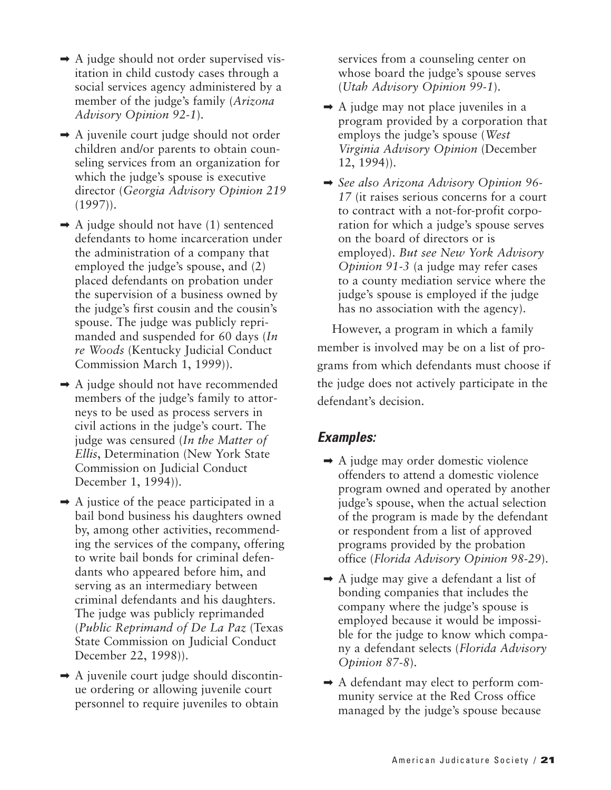- $\rightarrow$  A judge should not order supervised visitation in child custody cases through a social services agency administered by a member of the judge's family (*Arizona Advisory Opinion 92-1*).
- ➡ A juvenile court judge should not order children and/or parents to obtain counseling services from an organization for which the judge's spouse is executive director (*Georgia Advisory Opinion 219* (1997)).
- $\rightarrow$  A judge should not have (1) sentenced defendants to home incarceration under the administration of a company that employed the judge's spouse, and (2) placed defendants on probation under the supervision of a business owned by the judge's first cousin and the cousin's spouse. The judge was publicly reprimanded and suspended for 60 days (*In re Woods* (Kentucky Judicial Conduct Commission March 1, 1999)).
- ➡ A judge should not have recommended members of the judge's family to attorneys to be used as process servers in civil actions in the judge's court. The judge was censured (*In the Matter of Ellis*, Determination (New York State Commission on Judicial Conduct December 1, 1994)).
- $\rightarrow$  A justice of the peace participated in a bail bond business his daughters owned by, among other activities, recommending the services of the company, offering to write bail bonds for criminal defendants who appeared before him, and serving as an intermediary between criminal defendants and his daughters. The judge was publicly reprimanded (*Public Reprimand of De La Paz* (Texas State Commission on Judicial Conduct December 22, 1998)).
- $\rightarrow$  A juvenile court judge should discontinue ordering or allowing juvenile court personnel to require juveniles to obtain

services from a counseling center on whose board the judge's spouse serves (*Utah Advisory Opinion 99-1*).

- $\rightarrow$  A judge may not place juveniles in a program provided by a corporation that employs the judge's spouse (*West Virginia Advisory Opinion* (December 12, 1994)).
- ➡ *See also Arizona Advisory Opinion 96- 17* (it raises serious concerns for a court to contract with a not-for-profit corporation for which a judge's spouse serves on the board of directors or is employed). *But see New York Advisory Opinion 91-3* (a judge may refer cases to a county mediation service where the judge's spouse is employed if the judge has no association with the agency).

However, a program in which a family member is involved may be on a list of programs from which defendants must choose if the judge does not actively participate in the defendant's decision.

- ➡ A judge may order domestic violence offenders to attend a domestic violence program owned and operated by another judge's spouse, when the actual selection of the program is made by the defendant or respondent from a list of approved programs provided by the probation office (*Florida Advisory Opinion 98-29*).
- $\rightarrow$  A judge may give a defendant a list of bonding companies that includes the company where the judge's spouse is employed because it would be impossible for the judge to know which company a defendant selects (*Florida Advisory Opinion 87-8*).
- ➡ A defendant may elect to perform community service at the Red Cross office managed by the judge's spouse because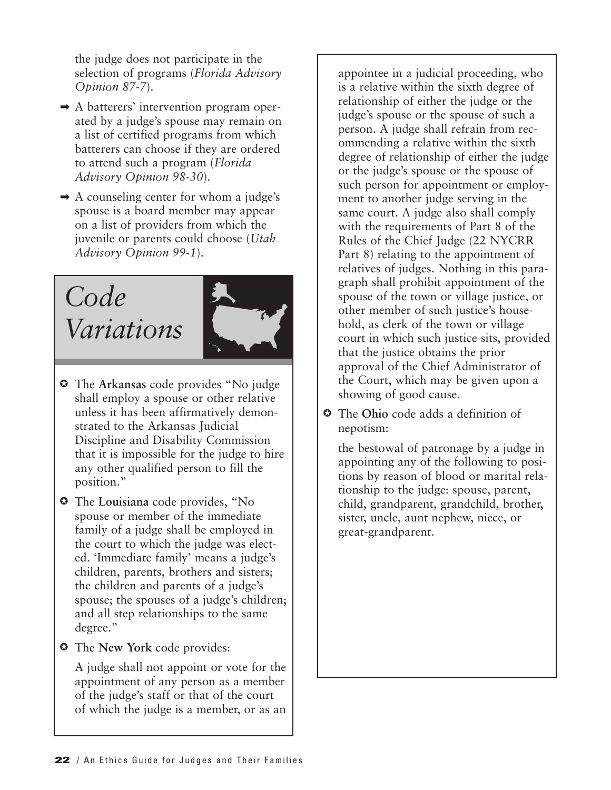the judge does not participate in the selection of programs (*Florida Advisory Opinion 87-7*).

- ➡ A batterers' intervention program operated by a judge's spouse may remain on a list of certified programs from which batterers can choose if they are ordered to attend such a program (*Florida Advisory Opinion 98-30*).
- ➡ A counseling center for whom a judge's spouse is a board member may appear on a list of providers from which the juvenile or parents could choose (*Utah Advisory Opinion 99-1*).

### *Code Variations*



- The **Arkansas** code provides "No judge shall employ a spouse or other relative unless it has been affirmatively demonstrated to the Arkansas Judicial Discipline and Disability Commission that it is impossible for the judge to hire any other qualified person to fill the position."
- The **Louisiana** code provides, "No spouse or member of the immediate family of a judge shall be employed in the court to which the judge was elected. 'Immediate family' means a judge's children, parents, brothers and sisters; the children and parents of a judge's spouse; the spouses of a judge's children; and all step relationships to the same degree."
- The **New York** code provides:

A judge shall not appoint or vote for the appointment of any person as a member of the judge's staff or that of the court of which the judge is a member, or as an

appointee in a judicial proceeding, who is a relative within the sixth degree of relationship of either the judge or the judge's spouse or the spouse of such a person. A judge shall refrain from recommending a relative within the sixth degree of relationship of either the judge or the judge's spouse or the spouse of such person for appointment or employment to another judge serving in the same court. A judge also shall comply with the requirements of Part 8 of the Rules of the Chief Judge (22 NYCRR Part 8) relating to the appointment of relatives of judges. Nothing in this paragraph shall prohibit appointment of the spouse of the town or village justice, or other member of such justice's household, as clerk of the town or village court in which such justice sits, provided that the justice obtains the prior approval of the Chief Administrator of the Court, which may be given upon a showing of good cause.

 The **Ohio** code adds a definition of nepotism:

the bestowal of patronage by a judge in appointing any of the following to positions by reason of blood or marital relationship to the judge: spouse, parent, child, grandparent, grandchild, brother, sister, uncle, aunt nephew, niece, or great-grandparent.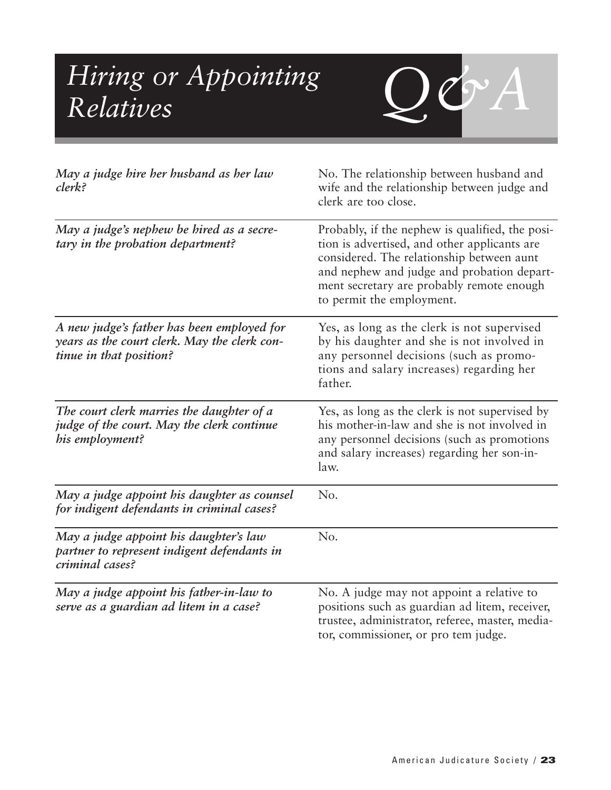### *Hiring or Appointing*  $\qquad Q Q A$ *Relatives*



| May a judge hire her husband as her law<br>clerk?                                                                     | No. The relationship between husband and<br>wife and the relationship between judge and<br>clerk are too close.                                                                                                                                                      |
|-----------------------------------------------------------------------------------------------------------------------|----------------------------------------------------------------------------------------------------------------------------------------------------------------------------------------------------------------------------------------------------------------------|
| May a judge's nephew be hired as a secre-<br>tary in the probation department?                                        | Probably, if the nephew is qualified, the posi-<br>tion is advertised, and other applicants are<br>considered. The relationship between aunt<br>and nephew and judge and probation depart-<br>ment secretary are probably remote enough<br>to permit the employment. |
| A new judge's father has been employed for<br>years as the court clerk. May the clerk con-<br>tinue in that position? | Yes, as long as the clerk is not supervised<br>by his daughter and she is not involved in<br>any personnel decisions (such as promo-<br>tions and salary increases) regarding her<br>father.                                                                         |
| The court clerk marries the daughter of a<br>judge of the court. May the clerk continue<br>his employment?            | Yes, as long as the clerk is not supervised by<br>his mother-in-law and she is not involved in<br>any personnel decisions (such as promotions<br>and salary increases) regarding her son-in-<br>law.                                                                 |
| May a judge appoint his daughter as counsel<br>for indigent defendants in criminal cases?                             | No.                                                                                                                                                                                                                                                                  |
| May a judge appoint his daughter's law<br>partner to represent indigent defendants in<br>criminal cases?              | No.                                                                                                                                                                                                                                                                  |
| May a judge appoint his father-in-law to<br>serve as a guardian ad litem in a case?                                   | No. A judge may not appoint a relative to<br>positions such as guardian ad litem, receiver,<br>trustee, administrator, referee, master, media-<br>tor, commissioner, or pro tem judge.                                                                               |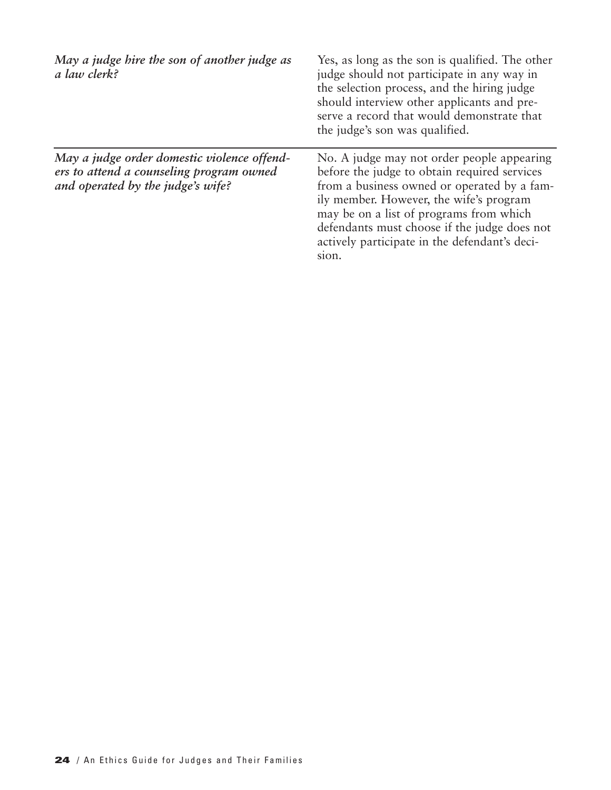| May a judge hire the son of another judge as<br>a law clerk?                                                                 | Yes, as long as the son is qualified. The other<br>judge should not participate in any way in<br>the selection process, and the hiring judge<br>should interview other applicants and pre-<br>serve a record that would demonstrate that<br>the judge's son was qualified.                                                                |
|------------------------------------------------------------------------------------------------------------------------------|-------------------------------------------------------------------------------------------------------------------------------------------------------------------------------------------------------------------------------------------------------------------------------------------------------------------------------------------|
| May a judge order domestic violence offend-<br>ers to attend a counseling program owned<br>and operated by the judge's wife? | No. A judge may not order people appearing<br>before the judge to obtain required services<br>from a business owned or operated by a fam-<br>ily member. However, the wife's program<br>may be on a list of programs from which<br>defendants must choose if the judge does not<br>actively participate in the defendant's deci-<br>sion. |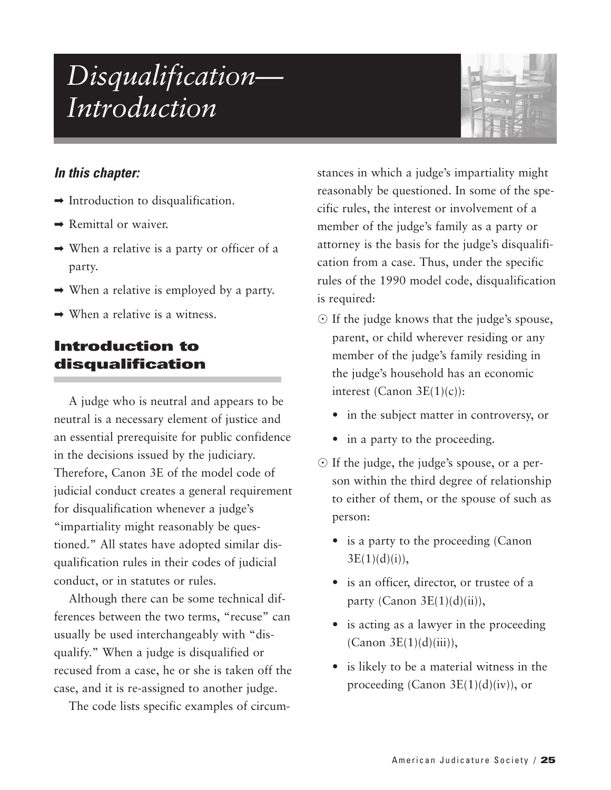### *Disqualification— Introduction*



#### *In this chapter:*

- $\rightarrow$  Introduction to disqualification.
- $\rightarrow$  Remittal or waiver.
- $\rightarrow$  When a relative is a party or officer of a party.
- $\rightarrow$  When a relative is employed by a party.
- $\rightarrow$  When a relative is a witness.

#### **Introduction to disqualification**

A judge who is neutral and appears to be neutral is a necessary element of justice and an essential prerequisite for public confidence in the decisions issued by the judiciary. Therefore, Canon 3E of the model code of judicial conduct creates a general requirement for disqualification whenever a judge's "impartiality might reasonably be questioned." All states have adopted similar disqualification rules in their codes of judicial conduct, or in statutes or rules.

Although there can be some technical differences between the two terms, "recuse" can usually be used interchangeably with "disqualify." When a judge is disqualified or recused from a case, he or she is taken off the case, and it is re-assigned to another judge.

The code lists specific examples of circum-

stances in which a judge's impartiality might reasonably be questioned. In some of the specific rules, the interest or involvement of a member of the judge's family as a party or attorney is the basis for the judge's disqualification from a case. Thus, under the specific rules of the 1990 model code, disqualification is required:

- If the judge knows that the judge's spouse, parent, or child wherever residing or any member of the judge's family residing in the judge's household has an economic interest (Canon 3E(1)(c)):
	- in the subject matter in controversy, or
	- in a party to the proceeding.
- If the judge, the judge's spouse, or a person within the third degree of relationship to either of them, or the spouse of such as person:
	- is a party to the proceeding (Canon  $3E(1)(d)(i)$ ,
	- is an officer, director, or trustee of a party (Canon  $3E(1)(d)(ii)$ ),
	- is acting as a lawyer in the proceeding  $(Canon 3E(1)(d)(iii)),$
	- is likely to be a material witness in the proceeding (Canon  $3E(1)(d)(iv)$ ), or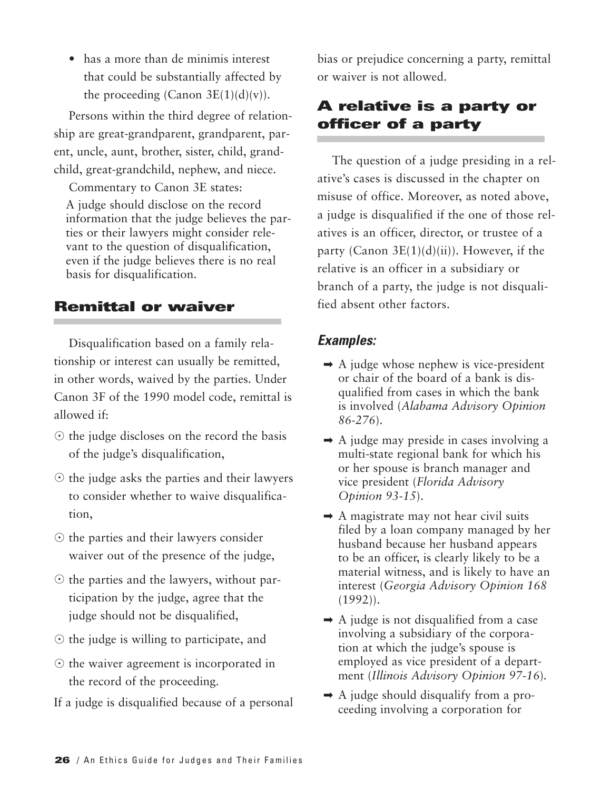• has a more than de minimis interest that could be substantially affected by the proceeding (Canon  $3E(1)(d)(v)$ ).

Persons within the third degree of relationship are great-grandparent, grandparent, parent, uncle, aunt, brother, sister, child, grandchild, great-grandchild, nephew, and niece.

Commentary to Canon 3E states: A judge should disclose on the record information that the judge believes the parties or their lawyers might consider relevant to the question of disqualification, even if the judge believes there is no real basis for disqualification.

#### **Remittal or waiver**

Disqualification based on a family relationship or interest can usually be remitted, in other words, waived by the parties. Under Canon 3F of the 1990 model code, remittal is allowed if:

- $\odot$  the judge discloses on the record the basis of the judge's disqualification,
- $\odot$  the judge asks the parties and their lawyers to consider whether to waive disqualification,
- $\odot$  the parties and their lawyers consider waiver out of the presence of the judge,
- $\odot$  the parties and the lawyers, without participation by the judge, agree that the judge should not be disqualified,
- $\odot$  the judge is willing to participate, and
- $\odot$  the waiver agreement is incorporated in the record of the proceeding.
- If a judge is disqualified because of a personal

bias or prejudice concerning a party, remittal or waiver is not allowed.

#### **A relative is a party or officer of a party**

The question of a judge presiding in a relative's cases is discussed in the chapter on misuse of office. Moreover, as noted above, a judge is disqualified if the one of those relatives is an officer, director, or trustee of a party (Canon  $3E(1)(d)(ii)$ ). However, if the relative is an officer in a subsidiary or branch of a party, the judge is not disqualified absent other factors.

- $\rightarrow$  A judge whose nephew is vice-president or chair of the board of a bank is disqualified from cases in which the bank is involved (*Alabama Advisory Opinion 86-276*).
- $\rightarrow$  A judge may preside in cases involving a multi-state regional bank for which his or her spouse is branch manager and vice president (*Florida Advisory Opinion 93-15*).
- $\rightarrow$  A magistrate may not hear civil suits filed by a loan company managed by her husband because her husband appears to be an officer, is clearly likely to be a material witness, and is likely to have an interest (*Georgia Advisory Opinion 168* (1992)).
- $\rightarrow$  A judge is not disqualified from a case involving a subsidiary of the corporation at which the judge's spouse is employed as vice president of a department (*Illinois Advisory Opinion 97-16*)*.*
- $\rightarrow$  A judge should disqualify from a proceeding involving a corporation for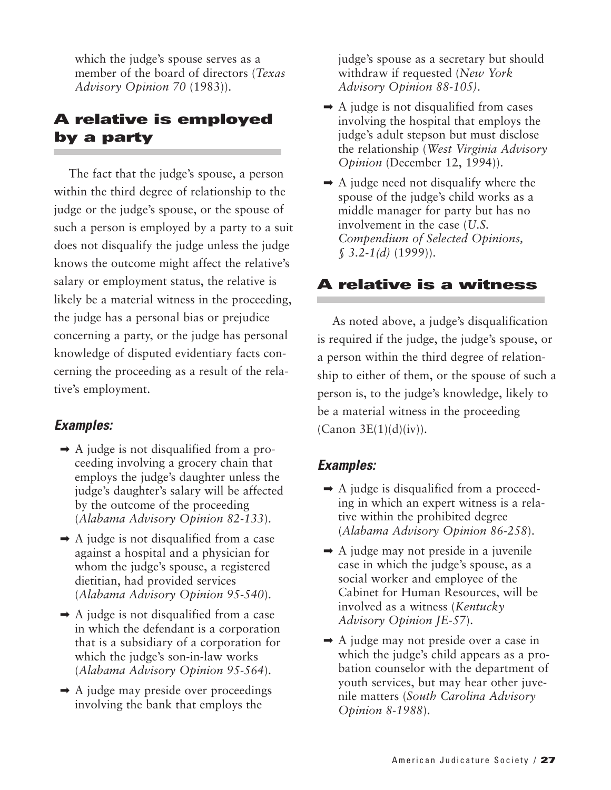which the judge's spouse serves as a member of the board of directors (*Texas Advisory Opinion 70* (1983)).

#### **A relative is employed by a party**

The fact that the judge's spouse, a person within the third degree of relationship to the judge or the judge's spouse, or the spouse of such a person is employed by a party to a suit does not disqualify the judge unless the judge knows the outcome might affect the relative's salary or employment status, the relative is likely be a material witness in the proceeding, the judge has a personal bias or prejudice concerning a party, or the judge has personal knowledge of disputed evidentiary facts concerning the proceeding as a result of the relative's employment.

#### *Examples:*

- $\rightarrow$  A judge is not disqualified from a proceeding involving a grocery chain that employs the judge's daughter unless the judge's daughter's salary will be affected by the outcome of the proceeding (*Alabama Advisory Opinion 82-133*).
- $\rightarrow$  A judge is not disqualified from a case against a hospital and a physician for whom the judge's spouse, a registered dietitian, had provided services (*Alabama Advisory Opinion 95-540*).
- $\rightarrow$  A judge is not disqualified from a case in which the defendant is a corporation that is a subsidiary of a corporation for which the judge's son-in-law works (*Alabama Advisory Opinion 95-564*).
- $\rightarrow$  A judge may preside over proceedings involving the bank that employs the

judge's spouse as a secretary but should withdraw if requested (*New York Advisory Opinion 88-105)*.

- $\rightarrow$  A judge is not disqualified from cases involving the hospital that employs the judge's adult stepson but must disclose the relationship (*West Virginia Advisory Opinion* (December 12, 1994)).
- $\rightarrow$  A judge need not disqualify where the spouse of the judge's child works as a middle manager for party but has no involvement in the case (*U.S. Compendium of Selected Opinions, § 3.2-1(d)* (1999)).

#### **A relative is a witness**

As noted above, a judge's disqualification is required if the judge, the judge's spouse, or a person within the third degree of relationship to either of them, or the spouse of such a person is, to the judge's knowledge, likely to be a material witness in the proceeding  $(Canon 3E(1)(d)(iv)).$ 

- ➡ A judge is disqualified from a proceeding in which an expert witness is a relative within the prohibited degree (*Alabama Advisory Opinion 86-258*).
- $\rightarrow$  A judge may not preside in a juvenile case in which the judge's spouse, as a social worker and employee of the Cabinet for Human Resources, will be involved as a witness (*Kentucky Advisory Opinion JE-57*).
- ➡ A judge may not preside over a case in which the judge's child appears as a probation counselor with the department of youth services, but may hear other juvenile matters (*South Carolina Advisory Opinion 8-1988*).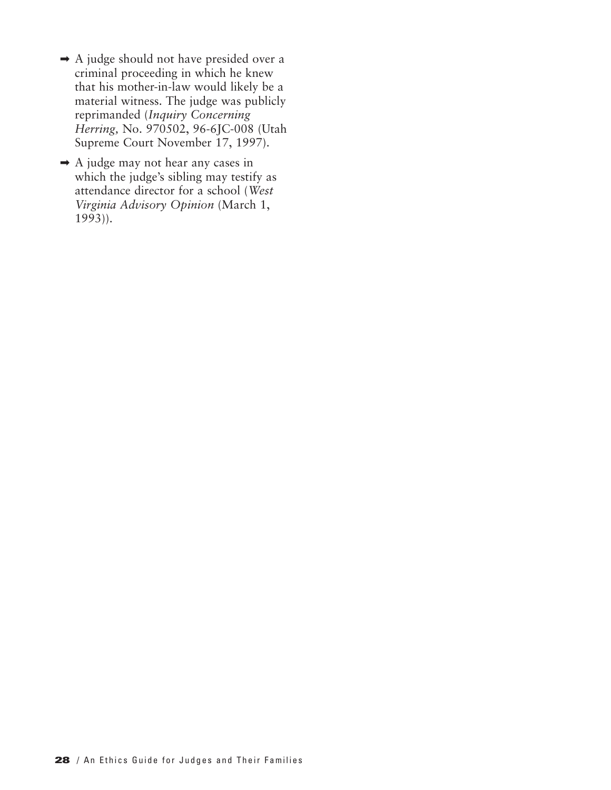- ➡ A judge should not have presided over a criminal proceeding in which he knew that his mother-in-law would likely be a material witness. The judge was publicly reprimanded (*Inquiry Concerning Herring,* No. 970502, 96-6JC-008 (Utah Supreme Court November 17, 1997).
- ➡ A judge may not hear any cases in which the judge's sibling may testify as attendance director for a school (*West Virginia Advisory Opinion* (March 1,  $1993)$ ).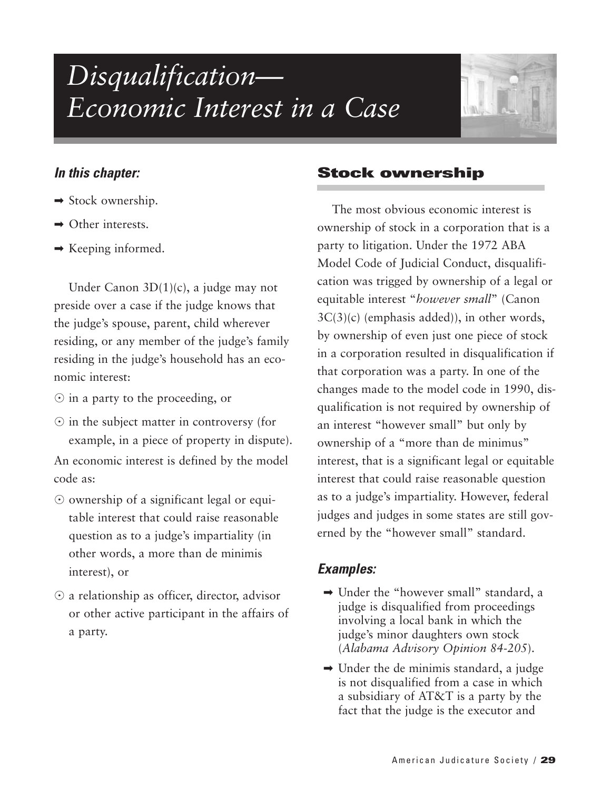### *Disqualification— Economic Interest in a Case*



#### *In this chapter:*

- $\rightarrow$  Stock ownership.
- $\rightarrow$  Other interests.
- $\rightarrow$  Keeping informed.

Under Canon 3D(1)(c), a judge may not preside over a case if the judge knows that the judge's spouse, parent, child wherever residing, or any member of the judge's family residing in the judge's household has an economic interest:

- $\odot$  in a party to the proceeding, or
- $\odot$  in the subject matter in controversy (for example, in a piece of property in dispute).

An economic interest is defined by the model code as:

- ownership of a significant legal or equitable interest that could raise reasonable question as to a judge's impartiality (in other words, a more than de minimis interest), or
- $\odot$  a relationship as officer, director, advisor or other active participant in the affairs of a party.

#### **Stock ownership**

The most obvious economic interest is ownership of stock in a corporation that is a party to litigation. Under the 1972 ABA Model Code of Judicial Conduct, disqualification was trigged by ownership of a legal or equitable interest "*however small*" (Canon 3C(3)(c) (emphasis added)), in other words, by ownership of even just one piece of stock in a corporation resulted in disqualification if that corporation was a party. In one of the changes made to the model code in 1990, disqualification is not required by ownership of an interest "however small" but only by ownership of a "more than de minimus" interest, that is a significant legal or equitable interest that could raise reasonable question as to a judge's impartiality. However, federal judges and judges in some states are still governed by the "however small" standard.

- ➡ Under the "however small" standard, a judge is disqualified from proceedings involving a local bank in which the judge's minor daughters own stock (*Alabama Advisory Opinion 84-205*).
- $\rightarrow$  Under the de minimis standard, a judge is not disqualified from a case in which a subsidiary of AT&T is a party by the fact that the judge is the executor and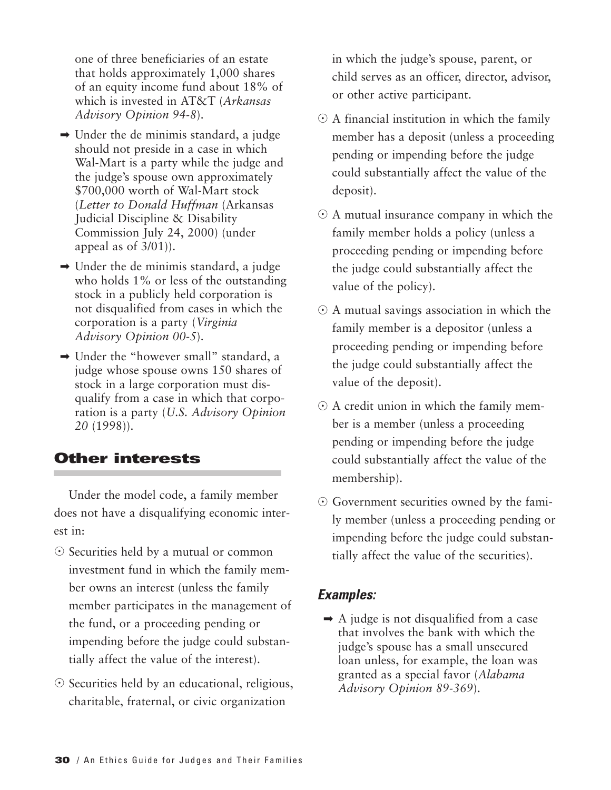one of three beneficiaries of an estate that holds approximately 1,000 shares of an equity income fund about 18% of which is invested in AT&T (*Arkansas Advisory Opinion 94-8*).

- $\rightarrow$  Under the de minimis standard, a judge should not preside in a case in which Wal-Mart is a party while the judge and the judge's spouse own approximately \$700,000 worth of Wal-Mart stock (*Letter to Donald Huffman* (Arkansas Judicial Discipline & Disability Commission July 24, 2000) (under appeal as of 3/01)).
- $\rightarrow$  Under the de minimis standard, a judge who holds 1% or less of the outstanding stock in a publicly held corporation is not disqualified from cases in which the corporation is a party (*Virginia Advisory Opinion 00-5*).
- ➡ Under the "however small" standard, a judge whose spouse owns 150 shares of stock in a large corporation must disqualify from a case in which that corporation is a party (*U.S. Advisory Opinion 20* (1998)).

#### **Other interests**

Under the model code, a family member does not have a disqualifying economic interest in:

- Securities held by a mutual or common investment fund in which the family member owns an interest (unless the family member participates in the management of the fund, or a proceeding pending or impending before the judge could substantially affect the value of the interest).
- Securities held by an educational, religious, charitable, fraternal, or civic organization

in which the judge's spouse, parent, or child serves as an officer, director, advisor, or other active participant.

- $\odot$  A financial institution in which the family member has a deposit (unless a proceeding pending or impending before the judge could substantially affect the value of the deposit).
- $\odot$  A mutual insurance company in which the family member holds a policy (unless a proceeding pending or impending before the judge could substantially affect the value of the policy).
- $\odot$  A mutual savings association in which the family member is a depositor (unless a proceeding pending or impending before the judge could substantially affect the value of the deposit).
- $\odot$  A credit union in which the family member is a member (unless a proceeding pending or impending before the judge could substantially affect the value of the membership).
- Government securities owned by the family member (unless a proceeding pending or impending before the judge could substantially affect the value of the securities).

#### *Examples:*

➡ A judge is not disqualified from a case that involves the bank with which the judge's spouse has a small unsecured loan unless, for example, the loan was granted as a special favor (*Alabama Advisory Opinion 89-369*).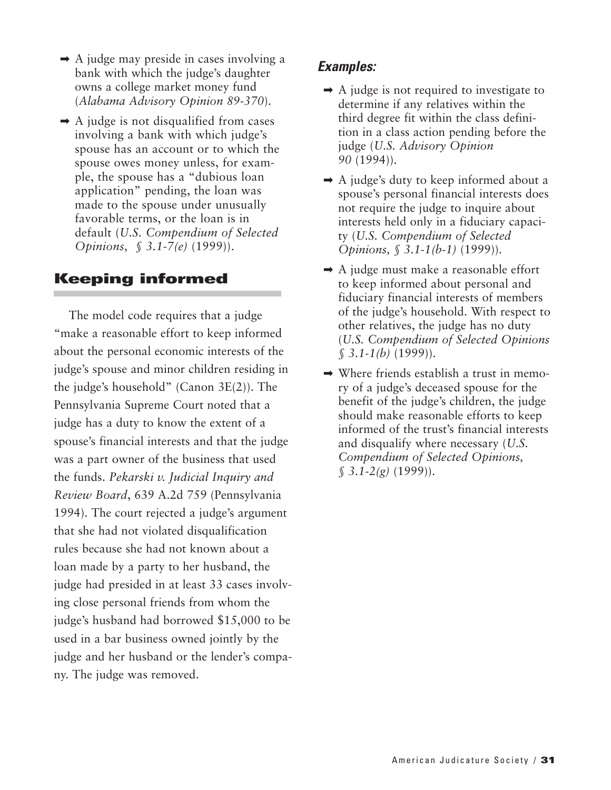- $\rightarrow$  A judge may preside in cases involving a bank with which the judge's daughter owns a college market money fund (*Alabama Advisory Opinion 89-370*).
- $\rightarrow$  A judge is not disqualified from cases involving a bank with which judge's spouse has an account or to which the spouse owes money unless, for example, the spouse has a "dubious loan application" pending, the loan was made to the spouse under unusually favorable terms, or the loan is in default (*U.S. Compendium of Selected Opinions, § 3.1-7(e)* (1999)).

## **Keeping informed**

The model code requires that a judge "make a reasonable effort to keep informed about the personal economic interests of the judge's spouse and minor children residing in the judge's household" (Canon 3E(2)). The Pennsylvania Supreme Court noted that a judge has a duty to know the extent of a spouse's financial interests and that the judge was a part owner of the business that used the funds. *Pekarski v. Judicial Inquiry and Review Board*, 639 A.2d 759 (Pennsylvania 1994). The court rejected a judge's argument that she had not violated disqualification rules because she had not known about a loan made by a party to her husband, the judge had presided in at least 33 cases involving close personal friends from whom the judge's husband had borrowed \$15,000 to be used in a bar business owned jointly by the judge and her husband or the lender's company. The judge was removed.

- $\rightarrow$  A judge is not required to investigate to determine if any relatives within the third degree fit within the class definition in a class action pending before the judge (*U.S. Advisory Opinion 90* (1994)).
- $\rightarrow$  A judge's duty to keep informed about a spouse's personal financial interests does not require the judge to inquire about interests held only in a fiduciary capacity (*U.S. Compendium of Selected Opinions, § 3.1-1(b-1)* (1999)).
- $\rightarrow$  A judge must make a reasonable effort to keep informed about personal and fiduciary financial interests of members of the judge's household. With respect to other relatives, the judge has no duty (*U.S. Compendium of Selected Opinions § 3.1-1(b)* (1999)).
- ➡ Where friends establish a trust in memory of a judge's deceased spouse for the benefit of the judge's children, the judge should make reasonable efforts to keep informed of the trust's financial interests and disqualify where necessary (*U.S. Compendium of Selected Opinions, § 3.1-2(g)* (1999)).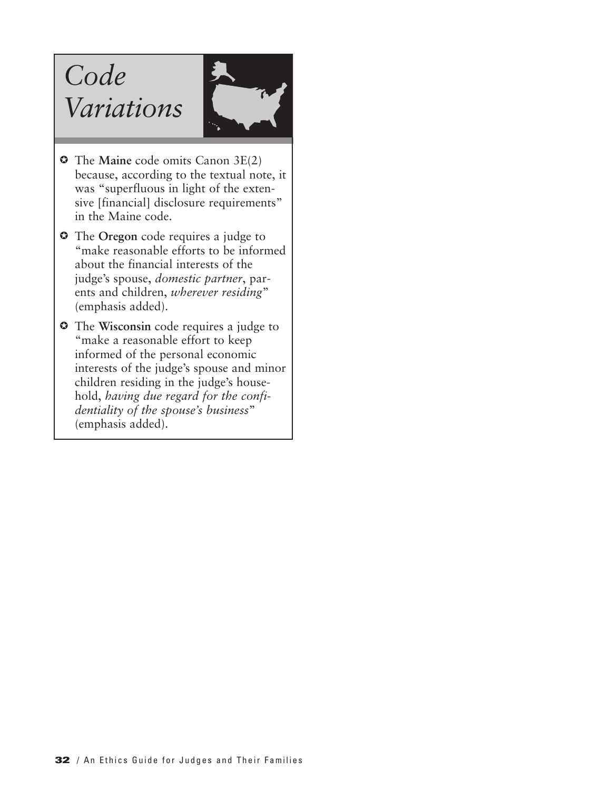# *Code Variations*



- The **Maine** code omits Canon 3E(2) because, according to the textual note, it was "superfluous in light of the extensive [financial] disclosure requirements" in the Maine code.
- $\circ$  The Oregon code requires a judge to "make reasonable efforts to be informed about the financial interests of the judge's spouse, *domestic partner*, parents and children, *wherever residing*" (emphasis added).
- The **Wisconsin** code requires a judge to "make a reasonable effort to keep informed of the personal economic interests of the judge's spouse and minor children residing in the judge's household, *having due regard for the confidentiality of the spouse's business*" (emphasis added).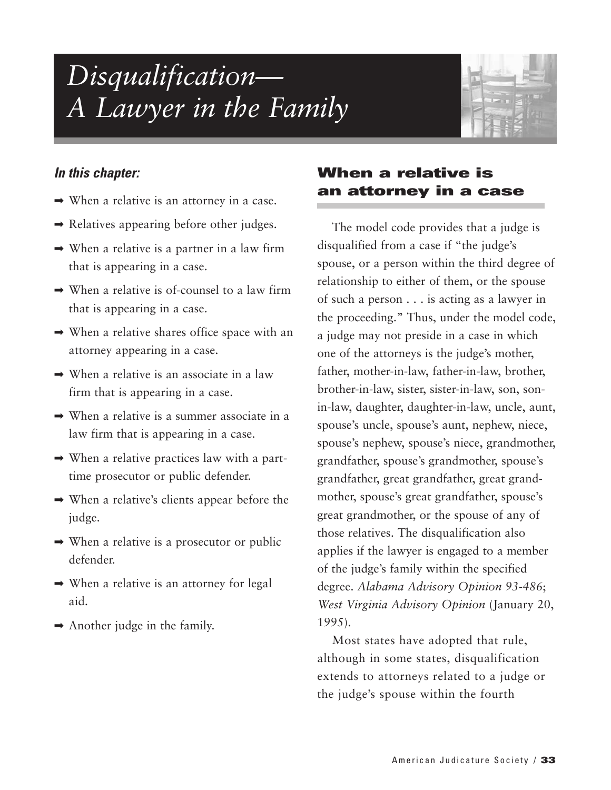# *Disqualification— A Lawyer in the Family*



#### *In this chapter:*

- $\rightarrow$  When a relative is an attorney in a case.
- $\rightarrow$  Relatives appearing before other judges.
- $\rightarrow$  When a relative is a partner in a law firm that is appearing in a case.
- $\rightarrow$  When a relative is of-counsel to a law firm that is appearing in a case.
- ➡ When a relative shares office space with an attorney appearing in a case.
- $\rightarrow$  When a relative is an associate in a law firm that is appearing in a case.
- $\rightarrow$  When a relative is a summer associate in a law firm that is appearing in a case.
- $\rightarrow$  When a relative practices law with a parttime prosecutor or public defender.
- $\rightarrow$  When a relative's clients appear before the judge.
- ➡ When a relative is a prosecutor or public defender.
- $\rightarrow$  When a relative is an attorney for legal aid.
- $\rightarrow$  Another judge in the family.

## **When a relative is an attorney in a case**

The model code provides that a judge is disqualified from a case if "the judge's spouse, or a person within the third degree of relationship to either of them, or the spouse of such a person . . . is acting as a lawyer in the proceeding." Thus, under the model code, a judge may not preside in a case in which one of the attorneys is the judge's mother, father, mother-in-law, father-in-law, brother, brother-in-law, sister, sister-in-law, son, sonin-law, daughter, daughter-in-law, uncle, aunt, spouse's uncle, spouse's aunt, nephew, niece, spouse's nephew, spouse's niece, grandmother, grandfather, spouse's grandmother, spouse's grandfather, great grandfather, great grandmother, spouse's great grandfather, spouse's great grandmother, or the spouse of any of those relatives. The disqualification also applies if the lawyer is engaged to a member of the judge's family within the specified degree. *Alabama Advisory Opinion 93-486*; *West Virginia Advisory Opinion* (January 20, 1995).

Most states have adopted that rule, although in some states, disqualification extends to attorneys related to a judge or the judge's spouse within the fourth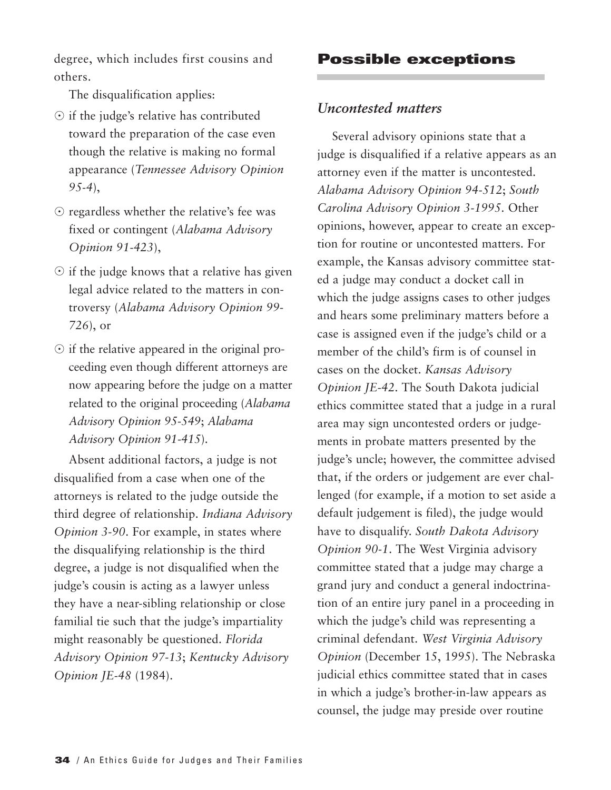degree, which includes first cousins and others.

The disqualification applies:

- if the judge's relative has contributed toward the preparation of the case even though the relative is making no formal appearance (*Tennessee Advisory Opinion 95-4*),
- $\odot$  regardless whether the relative's fee was fixed or contingent (*Alabama Advisory Opinion 91-423*),
- $\odot$  if the judge knows that a relative has given legal advice related to the matters in controversy (*Alabama Advisory Opinion 99- 726*), or
- $\odot$  if the relative appeared in the original proceeding even though different attorneys are now appearing before the judge on a matter related to the original proceeding (*Alabama Advisory Opinion 95-549*; *Alabama Advisory Opinion 91-415*).

Absent additional factors, a judge is not disqualified from a case when one of the attorneys is related to the judge outside the third degree of relationship. *Indiana Advisory Opinion 3-90*. For example, in states where the disqualifying relationship is the third degree, a judge is not disqualified when the judge's cousin is acting as a lawyer unless they have a near-sibling relationship or close familial tie such that the judge's impartiality might reasonably be questioned. *Florida Advisory Opinion 97-13*; *Kentucky Advisory Opinion JE-48* (1984).

**Possible exceptions**

#### *Uncontested matters*

Several advisory opinions state that a judge is disqualified if a relative appears as an attorney even if the matter is uncontested. *Alabama Advisory Opinion 94-512*; *South Carolina Advisory Opinion 3-1995*. Other opinions, however, appear to create an exception for routine or uncontested matters. For example, the Kansas advisory committee stated a judge may conduct a docket call in which the judge assigns cases to other judges and hears some preliminary matters before a case is assigned even if the judge's child or a member of the child's firm is of counsel in cases on the docket. *Kansas Advisory Opinion JE-42*. The South Dakota judicial ethics committee stated that a judge in a rural area may sign uncontested orders or judgements in probate matters presented by the judge's uncle; however, the committee advised that, if the orders or judgement are ever challenged (for example, if a motion to set aside a default judgement is filed), the judge would have to disqualify. *South Dakota Advisory Opinion 90-1*. The West Virginia advisory committee stated that a judge may charge a grand jury and conduct a general indoctrination of an entire jury panel in a proceeding in which the judge's child was representing a criminal defendant. *West Virginia Advisory Opinion* (December 15, 1995). The Nebraska judicial ethics committee stated that in cases in which a judge's brother-in-law appears as counsel, the judge may preside over routine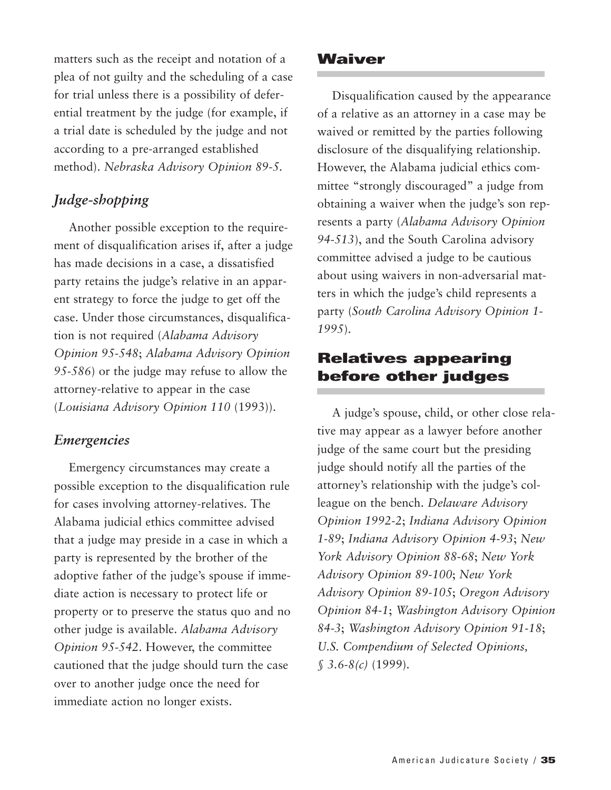matters such as the receipt and notation of a plea of not guilty and the scheduling of a case for trial unless there is a possibility of deferential treatment by the judge (for example, if a trial date is scheduled by the judge and not according to a pre-arranged established method). *Nebraska Advisory Opinion 89-5.* 

## *Judge-shopping*

Another possible exception to the requirement of disqualification arises if, after a judge has made decisions in a case, a dissatisfied party retains the judge's relative in an apparent strategy to force the judge to get off the case. Under those circumstances, disqualification is not required (*Alabama Advisory Opinion 95-548*; *Alabama Advisory Opinion 95-586*) or the judge may refuse to allow the attorney-relative to appear in the case (*Louisiana Advisory Opinion 110* (1993)).

#### *Emergencies*

Emergency circumstances may create a possible exception to the disqualification rule for cases involving attorney-relatives. The Alabama judicial ethics committee advised that a judge may preside in a case in which a party is represented by the brother of the adoptive father of the judge's spouse if immediate action is necessary to protect life or property or to preserve the status quo and no other judge is available. *Alabama Advisory Opinion 95-542*. However, the committee cautioned that the judge should turn the case over to another judge once the need for immediate action no longer exists.

#### **Waiver**

Disqualification caused by the appearance of a relative as an attorney in a case may be waived or remitted by the parties following disclosure of the disqualifying relationship. However, the Alabama judicial ethics committee "strongly discouraged" a judge from obtaining a waiver when the judge's son represents a party (*Alabama Advisory Opinion 94-513*), and the South Carolina advisory committee advised a judge to be cautious about using waivers in non-adversarial matters in which the judge's child represents a party (*South Carolina Advisory Opinion 1- 1995*).

## **Relatives appearing before other judges**

A judge's spouse, child, or other close relative may appear as a lawyer before another judge of the same court but the presiding judge should notify all the parties of the attorney's relationship with the judge's colleague on the bench. *Delaware Advisory Opinion 1992-2*; *Indiana Advisory Opinion 1-89*; *Indiana Advisory Opinion 4-93*; *New York Advisory Opinion 88-68*; *New York Advisory Opinion 89-100*; *New York Advisory Opinion 89-105*; *Oregon Advisory Opinion 84-1*; *Washington Advisory Opinion 84-3*; *Washington Advisory Opinion 91-18*; *U.S. Compendium of Selected Opinions, § 3.6-8(c)* (1999).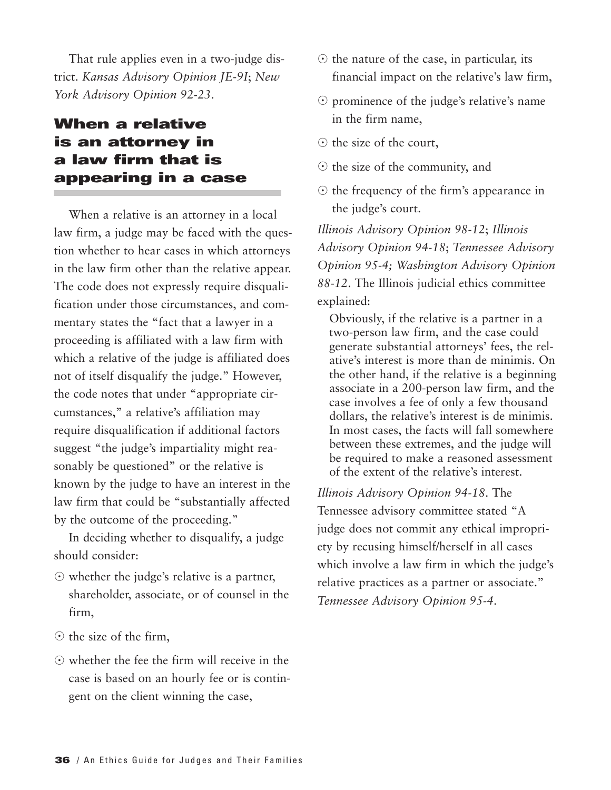That rule applies even in a two-judge district. *Kansas Advisory Opinion JE-9I*; *New York Advisory Opinion 92-23*.

# **When a relative is an attorney in a law firm that is appearing in a case**

When a relative is an attorney in a local law firm, a judge may be faced with the question whether to hear cases in which attorneys in the law firm other than the relative appear. The code does not expressly require disqualification under those circumstances, and commentary states the "fact that a lawyer in a proceeding is affiliated with a law firm with which a relative of the judge is affiliated does not of itself disqualify the judge." However, the code notes that under "appropriate circumstances," a relative's affiliation may require disqualification if additional factors suggest "the judge's impartiality might reasonably be questioned" or the relative is known by the judge to have an interest in the law firm that could be "substantially affected by the outcome of the proceeding."

In deciding whether to disqualify, a judge should consider:

- whether the judge's relative is a partner, shareholder, associate, or of counsel in the firm,
- $\odot$  the size of the firm,
- whether the fee the firm will receive in the case is based on an hourly fee or is contingent on the client winning the case,
- $\odot$  the nature of the case, in particular, its financial impact on the relative's law firm,
- prominence of the judge's relative's name in the firm name,
- $\odot$  the size of the court,
- $\odot$  the size of the community, and
- $\odot$  the frequency of the firm's appearance in the judge's court.

*Illinois Advisory Opinion 98-12*; *Illinois Advisory Opinion 94-18*; *Tennessee Advisory Opinion 95-4; Washington Advisory Opinion 88-12*. The Illinois judicial ethics committee explained:

Obviously, if the relative is a partner in a two-person law firm, and the case could generate substantial attorneys' fees, the relative's interest is more than de minimis. On the other hand, if the relative is a beginning associate in a 200-person law firm, and the case involves a fee of only a few thousand dollars, the relative's interest is de minimis. In most cases, the facts will fall somewhere between these extremes, and the judge will be required to make a reasoned assessment of the extent of the relative's interest.

*Illinois Advisory Opinion 94-18*. The Tennessee advisory committee stated "A judge does not commit any ethical impropriety by recusing himself/herself in all cases which involve a law firm in which the judge's relative practices as a partner or associate." *Tennessee Advisory Opinion 95-4*.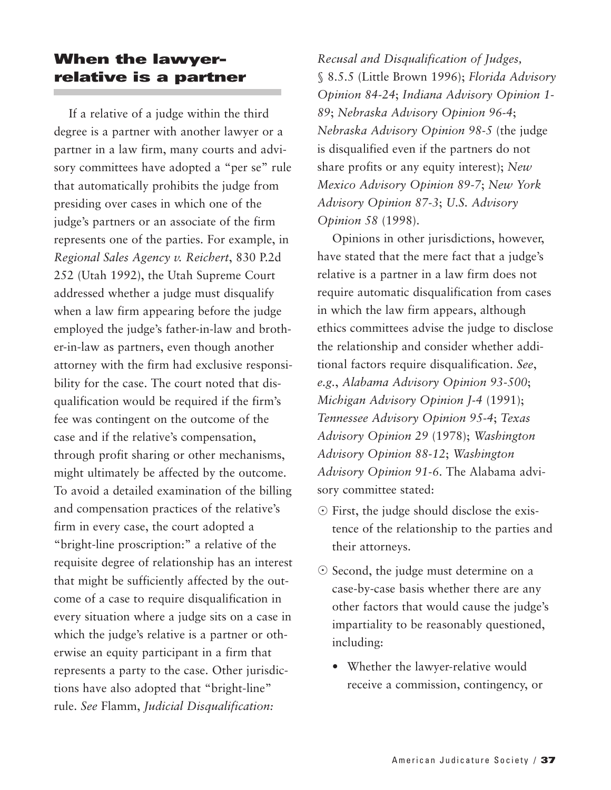## **When the lawyerrelative is a partner**

If a relative of a judge within the third degree is a partner with another lawyer or a partner in a law firm, many courts and advisory committees have adopted a "per se" rule that automatically prohibits the judge from presiding over cases in which one of the judge's partners or an associate of the firm represents one of the parties. For example, in *Regional Sales Agency v. Reichert*, 830 P.2d 252 (Utah 1992), the Utah Supreme Court addressed whether a judge must disqualify when a law firm appearing before the judge employed the judge's father-in-law and brother-in-law as partners, even though another attorney with the firm had exclusive responsibility for the case. The court noted that disqualification would be required if the firm's fee was contingent on the outcome of the case and if the relative's compensation, through profit sharing or other mechanisms, might ultimately be affected by the outcome. To avoid a detailed examination of the billing and compensation practices of the relative's firm in every case, the court adopted a "bright-line proscription:" a relative of the requisite degree of relationship has an interest that might be sufficiently affected by the outcome of a case to require disqualification in every situation where a judge sits on a case in which the judge's relative is a partner or otherwise an equity participant in a firm that represents a party to the case. Other jurisdictions have also adopted that "bright-line" rule. *See* Flamm, *Judicial Disqualification:*

*Recusal and Disqualification of Judges,* § 8.5.5 (Little Brown 1996); *Florida Advisory Opinion 84-24*; *Indiana Advisory Opinion 1- 89*; *Nebraska Advisory Opinion 96-4*; *Nebraska Advisory Opinion 98-5* (the judge is disqualified even if the partners do not share profits or any equity interest); *New Mexico Advisory Opinion 89-7*; *New York Advisory Opinion 87-3*; *U.S. Advisory Opinion 58* (1998).

Opinions in other jurisdictions, however, have stated that the mere fact that a judge's relative is a partner in a law firm does not require automatic disqualification from cases in which the law firm appears, although ethics committees advise the judge to disclose the relationship and consider whether additional factors require disqualification. *See*, *e.g.*, *Alabama Advisory Opinion 93-500*; *Michigan Advisory Opinion J-4* (1991); *Tennessee Advisory Opinion 95-4*; *Texas Advisory Opinion 29* (1978); *Washington Advisory Opinion 88-12*; *Washington Advisory Opinion 91-6*. The Alabama advisory committee stated:

- First, the judge should disclose the existence of the relationship to the parties and their attorneys.
- Second, the judge must determine on a case-by-case basis whether there are any other factors that would cause the judge's impartiality to be reasonably questioned, including:
	- Whether the lawyer-relative would receive a commission, contingency, or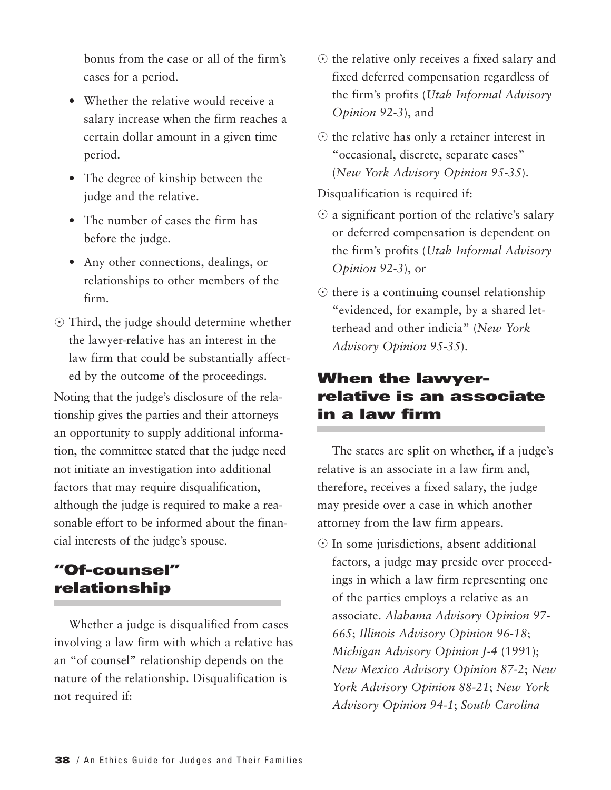bonus from the case or all of the firm's cases for a period.

- Whether the relative would receive a salary increase when the firm reaches a certain dollar amount in a given time period.
- The degree of kinship between the judge and the relative.
- The number of cases the firm has before the judge.
- Any other connections, dealings, or relationships to other members of the firm.
- Third, the judge should determine whether the lawyer-relative has an interest in the law firm that could be substantially affected by the outcome of the proceedings.

Noting that the judge's disclosure of the relationship gives the parties and their attorneys an opportunity to supply additional information, the committee stated that the judge need not initiate an investigation into additional factors that may require disqualification, although the judge is required to make a reasonable effort to be informed about the financial interests of the judge's spouse.

## **"Of-counsel" relationship**

Whether a judge is disqualified from cases involving a law firm with which a relative has an "of counsel" relationship depends on the nature of the relationship. Disqualification is not required if:

- $\odot$  the relative only receives a fixed salary and fixed deferred compensation regardless of the firm's profits (*Utah Informal Advisory Opinion 92-3*), and
- $\odot$  the relative has only a retainer interest in "occasional, discrete, separate cases" (*New York Advisory Opinion 95-35*).

Disqualification is required if:

- $\odot$  a significant portion of the relative's salary or deferred compensation is dependent on the firm's profits (*Utah Informal Advisory Opinion 92-3*), or
- $\odot$  there is a continuing counsel relationship "evidenced, for example, by a shared letterhead and other indicia" (*New York Advisory Opinion 95-35*).

## **When the lawyerrelative is an associate in a law firm**

The states are split on whether, if a judge's relative is an associate in a law firm and, therefore, receives a fixed salary, the judge may preside over a case in which another attorney from the law firm appears.

 $\odot$  In some jurisdictions, absent additional factors, a judge may preside over proceedings in which a law firm representing one of the parties employs a relative as an associate. *Alabama Advisory Opinion 97- 665*; *Illinois Advisory Opinion 96-18*; *Michigan Advisory Opinion J-4* (1991); *New Mexico Advisory Opinion 87-2*; *New York Advisory Opinion 88-21*; *New York Advisory Opinion 94-1*; *South Carolina*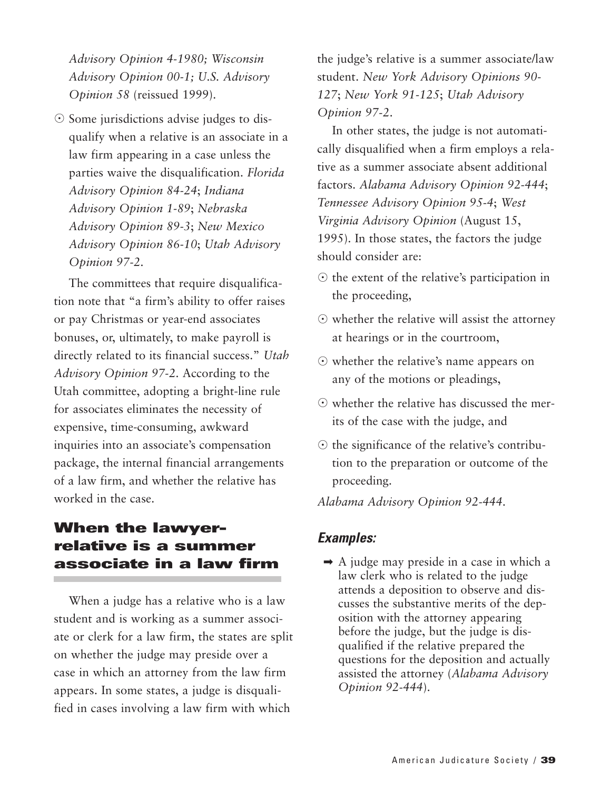*Advisory Opinion 4-1980; Wisconsin Advisory Opinion 00-1; U.S. Advisory Opinion 58* (reissued 1999).

- Some jurisdictions advise judges to disqualify when a relative is an associate in a law firm appearing in a case unless the parties waive the disqualification. *Florida Advisory Opinion 84-24*; *Indiana Advisory Opinion 1-89*; *Nebraska Advisory Opinion 89-3*; *New Mexico Advisory Opinion 86-10*; *Utah Advisory Opinion 97-2*.

The committees that require disqualification note that "a firm's ability to offer raises or pay Christmas or year-end associates bonuses, or, ultimately, to make payroll is directly related to its financial success." *Utah Advisory Opinion 97-2*. According to the Utah committee, adopting a bright-line rule for associates eliminates the necessity of expensive, time-consuming, awkward inquiries into an associate's compensation package, the internal financial arrangements of a law firm, and whether the relative has worked in the case.

## **When the lawyerrelative is a summer associate in a law firm**

When a judge has a relative who is a law student and is working as a summer associate or clerk for a law firm, the states are split on whether the judge may preside over a case in which an attorney from the law firm appears. In some states, a judge is disqualified in cases involving a law firm with which

the judge's relative is a summer associate/law student. *New York Advisory Opinions 90- 127*; *New York 91-125*; *Utah Advisory Opinion 97-2*.

In other states, the judge is not automatically disqualified when a firm employs a relative as a summer associate absent additional factors. *Alabama Advisory Opinion 92-444*; *Tennessee Advisory Opinion 95-4*; *West Virginia Advisory Opinion* (August 15, 1995). In those states, the factors the judge should consider are:

- $\odot$  the extent of the relative's participation in the proceeding,
- $\odot$  whether the relative will assist the attorney at hearings or in the courtroom,
- whether the relative's name appears on any of the motions or pleadings,
- whether the relative has discussed the merits of the case with the judge, and
- $\odot$  the significance of the relative's contribution to the preparation or outcome of the proceeding.

*Alabama Advisory Opinion 92-444*.

#### *Examples:*

 $\rightarrow$  A judge may preside in a case in which a law clerk who is related to the judge attends a deposition to observe and discusses the substantive merits of the deposition with the attorney appearing before the judge, but the judge is disqualified if the relative prepared the questions for the deposition and actually assisted the attorney (*Alabama Advisory Opinion 92-444*).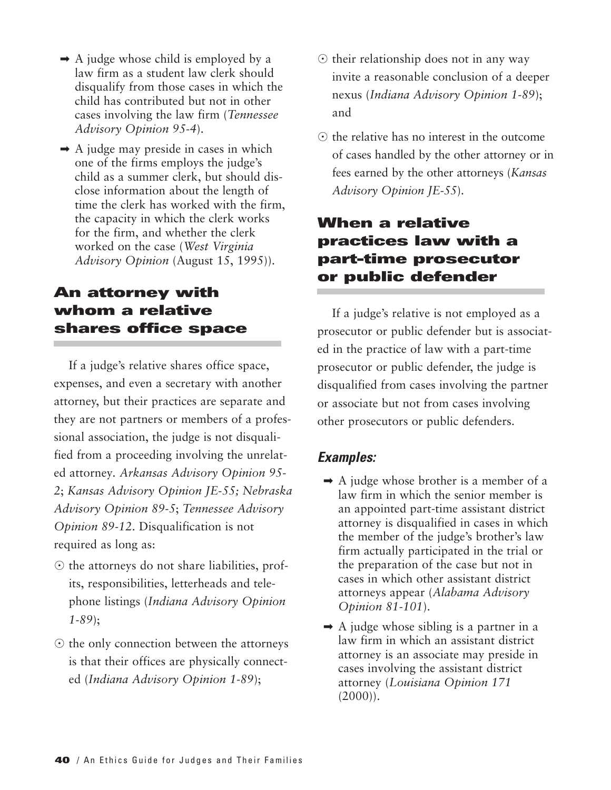- $\rightarrow$  A judge whose child is employed by a law firm as a student law clerk should disqualify from those cases in which the child has contributed but not in other cases involving the law firm (*Tennessee Advisory Opinion 95-4*).
- $\rightarrow$  A judge may preside in cases in which one of the firms employs the judge's child as a summer clerk, but should disclose information about the length of time the clerk has worked with the firm, the capacity in which the clerk works for the firm, and whether the clerk worked on the case (*West Virginia Advisory Opinion* (August 15, 1995)).

## **An attorney with whom a relative shares office space**

If a judge's relative shares office space, expenses, and even a secretary with another attorney, but their practices are separate and they are not partners or members of a professional association, the judge is not disqualified from a proceeding involving the unrelated attorney*. Arkansas Advisory Opinion 95- 2*; *Kansas Advisory Opinion JE-55; Nebraska Advisory Opinion 89-5*; *Tennessee Advisory Opinion 89-12*. Disqualification is not required as long as:

- $\odot$  the attorneys do not share liabilities, profits, responsibilities, letterheads and telephone listings (*Indiana Advisory Opinion 1-89*);
- $\odot$  the only connection between the attorneys is that their offices are physically connected (*Indiana Advisory Opinion 1-89*);
- $\odot$  their relationship does not in any way invite a reasonable conclusion of a deeper nexus (*Indiana Advisory Opinion 1-89*); and
- $\odot$  the relative has no interest in the outcome of cases handled by the other attorney or in fees earned by the other attorneys (*Kansas Advisory Opinion JE-55*).

## **When a relative practices law with a part-time prosecutor or public defender**

If a judge's relative is not employed as a prosecutor or public defender but is associated in the practice of law with a part-time prosecutor or public defender, the judge is disqualified from cases involving the partner or associate but not from cases involving other prosecutors or public defenders.

- $\rightarrow$  A judge whose brother is a member of a law firm in which the senior member is an appointed part-time assistant district attorney is disqualified in cases in which the member of the judge's brother's law firm actually participated in the trial or the preparation of the case but not in cases in which other assistant district attorneys appear (*Alabama Advisory Opinion 81-101*).
- $\rightarrow$  A judge whose sibling is a partner in a law firm in which an assistant district attorney is an associate may preside in cases involving the assistant district attorney (*Louisiana Opinion 171*  $(2000)$ ).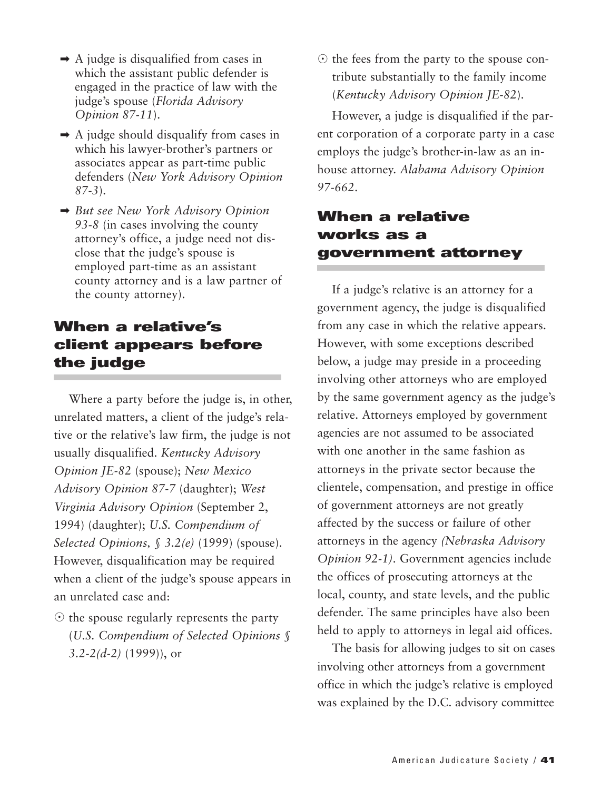- $\rightarrow$  A judge is disqualified from cases in which the assistant public defender is engaged in the practice of law with the judge's spouse (*Florida Advisory Opinion 87-11*).
- $\rightarrow$  A judge should disqualify from cases in which his lawyer-brother's partners or associates appear as part-time public defenders (*New York Advisory Opinion 87-3*).
- ➡ *But see New York Advisory Opinion 93-8* (in cases involving the county attorney's office, a judge need not disclose that the judge's spouse is employed part-time as an assistant county attorney and is a law partner of the county attorney).

## **When a relative's client appears before the judge**

Where a party before the judge is, in other, unrelated matters, a client of the judge's relative or the relative's law firm, the judge is not usually disqualified. *Kentucky Advisory Opinion JE-82* (spouse); *New Mexico Advisory Opinion 87-7* (daughter); *West Virginia Advisory Opinion* (September 2, 1994) (daughter); *U.S. Compendium of Selected Opinions, § 3.2(e)* (1999) (spouse). However, disqualification may be required when a client of the judge's spouse appears in an unrelated case and:

 $\odot$  the spouse regularly represents the party (*U.S. Compendium of Selected Opinions § 3.2-2(d-2)* (1999)), or

 $\odot$  the fees from the party to the spouse contribute substantially to the family income (*Kentucky Advisory Opinion JE-82*).

However, a judge is disqualified if the parent corporation of a corporate party in a case employs the judge's brother-in-law as an inhouse attorney. *Alabama Advisory Opinion 97-662*.

## **When a relative works as a government attorney**

If a judge's relative is an attorney for a government agency, the judge is disqualified from any case in which the relative appears. However, with some exceptions described below, a judge may preside in a proceeding involving other attorneys who are employed by the same government agency as the judge's relative. Attorneys employed by government agencies are not assumed to be associated with one another in the same fashion as attorneys in the private sector because the clientele, compensation, and prestige in office of government attorneys are not greatly affected by the success or failure of other attorneys in the agency *(Nebraska Advisory Opinion 92-1)*. Government agencies include the offices of prosecuting attorneys at the local, county, and state levels, and the public defender. The same principles have also been held to apply to attorneys in legal aid offices.

The basis for allowing judges to sit on cases involving other attorneys from a government office in which the judge's relative is employed was explained by the D.C. advisory committee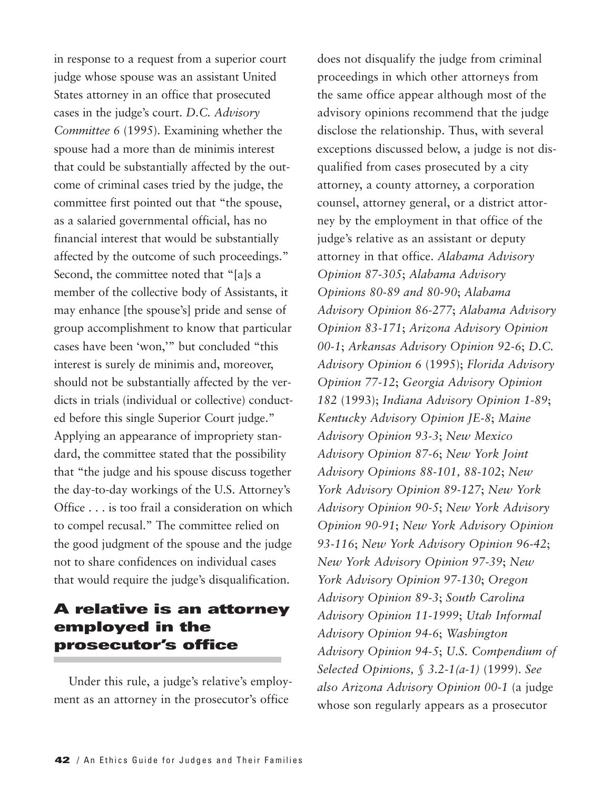in response to a request from a superior court judge whose spouse was an assistant United States attorney in an office that prosecuted cases in the judge's court. *D.C. Advisory Committee 6* (1995). Examining whether the spouse had a more than de minimis interest that could be substantially affected by the outcome of criminal cases tried by the judge, the committee first pointed out that "the spouse, as a salaried governmental official, has no financial interest that would be substantially affected by the outcome of such proceedings." Second, the committee noted that "[a]s a member of the collective body of Assistants, it may enhance [the spouse's] pride and sense of group accomplishment to know that particular cases have been 'won,'" but concluded "this interest is surely de minimis and, moreover, should not be substantially affected by the verdicts in trials (individual or collective) conducted before this single Superior Court judge." Applying an appearance of impropriety standard, the committee stated that the possibility that "the judge and his spouse discuss together the day-to-day workings of the U.S. Attorney's Office . . . is too frail a consideration on which to compel recusal." The committee relied on the good judgment of the spouse and the judge not to share confidences on individual cases that would require the judge's disqualification.

## **A relative is an attorney employed in the prosecutor's office**

Under this rule, a judge's relative's employment as an attorney in the prosecutor's office

does not disqualify the judge from criminal proceedings in which other attorneys from the same office appear although most of the advisory opinions recommend that the judge disclose the relationship. Thus, with several exceptions discussed below, a judge is not disqualified from cases prosecuted by a city attorney, a county attorney, a corporation counsel, attorney general, or a district attorney by the employment in that office of the judge's relative as an assistant or deputy attorney in that office. *Alabama Advisory Opinion 87-305*; *Alabama Advisory Opinions 80-89 and 80-90*; *Alabama Advisory Opinion 86-277*; *Alabama Advisory Opinion 83-171*; *Arizona Advisory Opinion 00-1*; *Arkansas Advisory Opinion 92-6*; *D.C. Advisory Opinion 6* (1995); *Florida Advisory Opinion 77-12*; *Georgia Advisory Opinion 182* (1993); *Indiana Advisory Opinion 1-89*; *Kentucky Advisory Opinion JE-8*; *Maine Advisory Opinion 93-3*; *New Mexico Advisory Opinion 87-6*; *New York Joint Advisory Opinions 88-101, 88-102*; *New York Advisory Opinion 89-127*; *New York Advisory Opinion 90-5*; *New York Advisory Opinion 90-91*; *New York Advisory Opinion 93-116*; *New York Advisory Opinion 96-42*; *New York Advisory Opinion 97-39*; *New York Advisory Opinion 97-130*; *Oregon Advisory Opinion 89-3*; *South Carolina Advisory Opinion 11-1999*; *Utah Informal Advisory Opinion 94-6*; *Washington Advisory Opinion 94-5*; *U.S. Compendium of Selected Opinions, § 3.2-1(a-1)* (1999). *See also Arizona Advisory Opinion 00-1* (a judge whose son regularly appears as a prosecutor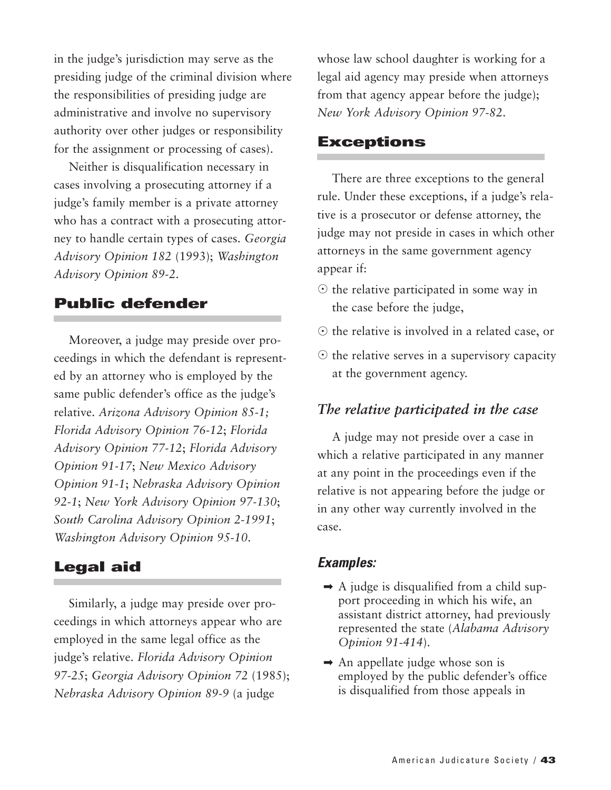in the judge's jurisdiction may serve as the presiding judge of the criminal division where the responsibilities of presiding judge are administrative and involve no supervisory authority over other judges or responsibility for the assignment or processing of cases).

Neither is disqualification necessary in cases involving a prosecuting attorney if a judge's family member is a private attorney who has a contract with a prosecuting attorney to handle certain types of cases. *Georgia Advisory Opinion 182* (1993); *Washington Advisory Opinion 89-2*.

#### **Public defender**

Moreover, a judge may preside over proceedings in which the defendant is represented by an attorney who is employed by the same public defender's office as the judge's relative. *Arizona Advisory Opinion 85-1; Florida Advisory Opinion 76-12*; *Florida Advisory Opinion 77-12*; *Florida Advisory Opinion 91-17*; *New Mexico Advisory Opinion 91-1*; *Nebraska Advisory Opinion 92-1*; *New York Advisory Opinion 97-130*; *South Carolina Advisory Opinion 2-1991*; *Washington Advisory Opinion 95-10*.

#### **Legal aid**

Similarly, a judge may preside over proceedings in which attorneys appear who are employed in the same legal office as the judge's relative. *Florida Advisory Opinion 97-25*; *Georgia Advisory Opinion 72* (1985); *Nebraska Advisory Opinion 89-9* (a judge

whose law school daughter is working for a legal aid agency may preside when attorneys from that agency appear before the judge); *New York Advisory Opinion 97-82*.

#### **Exceptions**

There are three exceptions to the general rule. Under these exceptions, if a judge's relative is a prosecutor or defense attorney, the judge may not preside in cases in which other attorneys in the same government agency appear if:

- $\odot$  the relative participated in some way in the case before the judge,
- $\odot$  the relative is involved in a related case, or
- $\odot$  the relative serves in a supervisory capacity at the government agency.

#### *The relative participated in the case*

A judge may not preside over a case in which a relative participated in any manner at any point in the proceedings even if the relative is not appearing before the judge or in any other way currently involved in the case.

- $\rightarrow$  A judge is disqualified from a child support proceeding in which his wife, an assistant district attorney, had previously represented the state (*Alabama Advisory Opinion 91-414*).
- $\rightarrow$  An appellate judge whose son is employed by the public defender's office is disqualified from those appeals in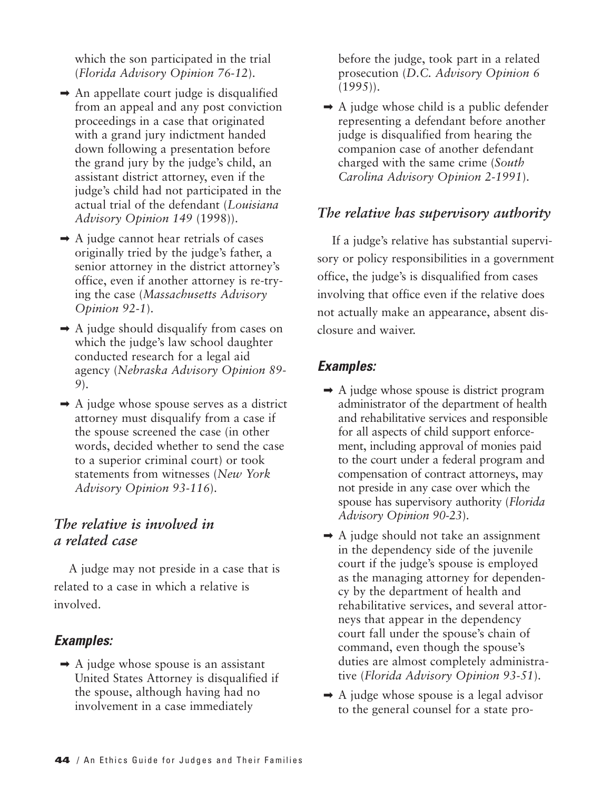which the son participated in the trial (*Florida Advisory Opinion 76-12*).

- $\rightarrow$  An appellate court judge is disqualified from an appeal and any post conviction proceedings in a case that originated with a grand jury indictment handed down following a presentation before the grand jury by the judge's child, an assistant district attorney, even if the judge's child had not participated in the actual trial of the defendant (*Louisiana Advisory Opinion 149* (1998)).
- $\rightarrow$  A judge cannot hear retrials of cases originally tried by the judge's father, a senior attorney in the district attorney's office, even if another attorney is re-trying the case (*Massachusetts Advisory Opinion 92-1*).
- $\rightarrow$  A judge should disqualify from cases on which the judge's law school daughter conducted research for a legal aid agency (*Nebraska Advisory Opinion 89- 9*).
- $\rightarrow$  A judge whose spouse serves as a district attorney must disqualify from a case if the spouse screened the case (in other words, decided whether to send the case to a superior criminal court) or took statements from witnesses (*New York Advisory Opinion 93-116*).

## *The relative is involved in a related case*

A judge may not preside in a case that is related to a case in which a relative is involved.

## *Examples:*

 $\rightarrow$  A judge whose spouse is an assistant United States Attorney is disqualified if the spouse, although having had no involvement in a case immediately

before the judge, took part in a related prosecution (*D.C. Advisory Opinion 6* (1995)).

 $\rightarrow$  A judge whose child is a public defender representing a defendant before another judge is disqualified from hearing the companion case of another defendant charged with the same crime (*South Carolina Advisory Opinion 2-1991*).

## *The relative has supervisory authority*

If a judge's relative has substantial supervisory or policy responsibilities in a government office, the judge's is disqualified from cases involving that office even if the relative does not actually make an appearance, absent disclosure and waiver.

- $\rightarrow$  A judge whose spouse is district program administrator of the department of health and rehabilitative services and responsible for all aspects of child support enforcement, including approval of monies paid to the court under a federal program and compensation of contract attorneys, may not preside in any case over which the spouse has supervisory authority (*Florida Advisory Opinion 90-23*).
- $\rightarrow$  A judge should not take an assignment in the dependency side of the juvenile court if the judge's spouse is employed as the managing attorney for dependency by the department of health and rehabilitative services, and several attorneys that appear in the dependency court fall under the spouse's chain of command, even though the spouse's duties are almost completely administrative (*Florida Advisory Opinion 93-51*).
- $\rightarrow$  A judge whose spouse is a legal advisor to the general counsel for a state pro-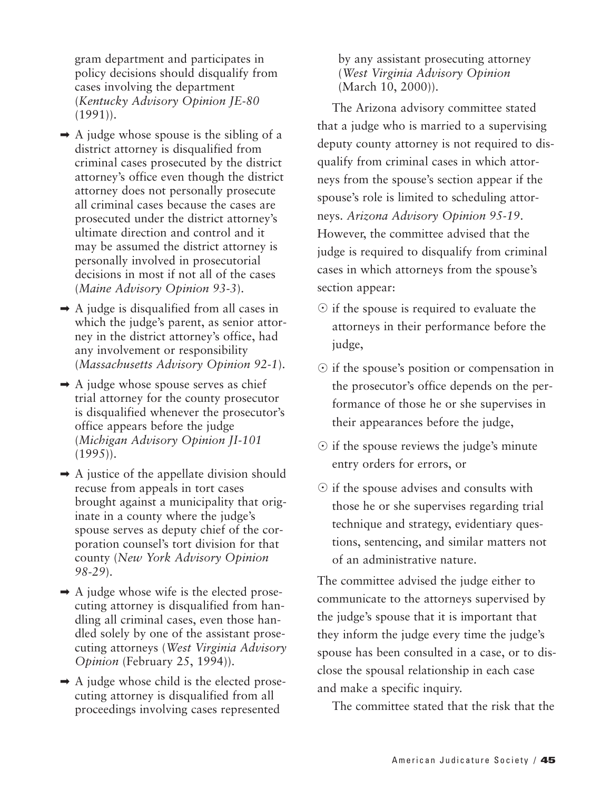gram department and participates in policy decisions should disqualify from cases involving the department (*Kentucky Advisory Opinion JE-80* (1991)).

- $\rightarrow$  A judge whose spouse is the sibling of a district attorney is disqualified from criminal cases prosecuted by the district attorney's office even though the district attorney does not personally prosecute all criminal cases because the cases are prosecuted under the district attorney's ultimate direction and control and it may be assumed the district attorney is personally involved in prosecutorial decisions in most if not all of the cases (*Maine Advisory Opinion 93-3*).
- $\rightarrow$  A judge is disqualified from all cases in which the judge's parent, as senior attorney in the district attorney's office, had any involvement or responsibility (*Massachusetts Advisory Opinion 92-1*).
- $\rightarrow$  A judge whose spouse serves as chief trial attorney for the county prosecutor is disqualified whenever the prosecutor's office appears before the judge (*Michigan Advisory Opinion JI-101* (1995)).
- $\rightarrow$  A justice of the appellate division should recuse from appeals in tort cases brought against a municipality that originate in a county where the judge's spouse serves as deputy chief of the corporation counsel's tort division for that county (*New York Advisory Opinion 98-29*).
- $\rightarrow$  A judge whose wife is the elected prosecuting attorney is disqualified from handling all criminal cases, even those handled solely by one of the assistant prosecuting attorneys (*West Virginia Advisory Opinion* (February 25, 1994)).
- $\rightarrow$  A judge whose child is the elected prosecuting attorney is disqualified from all proceedings involving cases represented

by any assistant prosecuting attorney (*West Virginia Advisory Opinion* (March 10, 2000)).

The Arizona advisory committee stated that a judge who is married to a supervising deputy county attorney is not required to disqualify from criminal cases in which attorneys from the spouse's section appear if the spouse's role is limited to scheduling attorneys. *Arizona Advisory Opinion 95-19*. However, the committee advised that the judge is required to disqualify from criminal cases in which attorneys from the spouse's section appear:

- $\odot$  if the spouse is required to evaluate the attorneys in their performance before the judge,
- $\odot$  if the spouse's position or compensation in the prosecutor's office depends on the performance of those he or she supervises in their appearances before the judge,
- $\odot$  if the spouse reviews the judge's minute entry orders for errors, or
- $\odot$  if the spouse advises and consults with those he or she supervises regarding trial technique and strategy, evidentiary questions, sentencing, and similar matters not of an administrative nature.

The committee advised the judge either to communicate to the attorneys supervised by the judge's spouse that it is important that they inform the judge every time the judge's spouse has been consulted in a case, or to disclose the spousal relationship in each case and make a specific inquiry.

The committee stated that the risk that the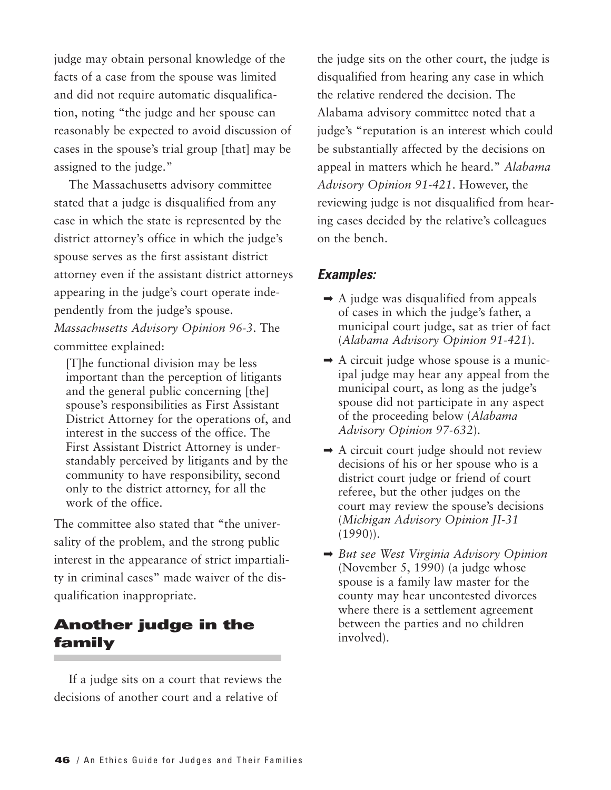judge may obtain personal knowledge of the facts of a case from the spouse was limited and did not require automatic disqualification, noting "the judge and her spouse can reasonably be expected to avoid discussion of cases in the spouse's trial group [that] may be assigned to the judge."

The Massachusetts advisory committee stated that a judge is disqualified from any case in which the state is represented by the district attorney's office in which the judge's spouse serves as the first assistant district attorney even if the assistant district attorneys appearing in the judge's court operate independently from the judge's spouse. *Massachusetts Advisory Opinion 96-3*. The committee explained:

[T]he functional division may be less important than the perception of litigants and the general public concerning [the] spouse's responsibilities as First Assistant District Attorney for the operations of, and interest in the success of the office. The First Assistant District Attorney is understandably perceived by litigants and by the community to have responsibility, second only to the district attorney, for all the work of the office.

The committee also stated that "the universality of the problem, and the strong public interest in the appearance of strict impartiality in criminal cases" made waiver of the disqualification inappropriate.

## **Another judge in the family**

If a judge sits on a court that reviews the decisions of another court and a relative of

the judge sits on the other court, the judge is disqualified from hearing any case in which the relative rendered the decision. The Alabama advisory committee noted that a judge's "reputation is an interest which could be substantially affected by the decisions on appeal in matters which he heard." *Alabama Advisory Opinion 91-421*. However, the reviewing judge is not disqualified from hearing cases decided by the relative's colleagues on the bench.

- $\rightarrow$  A judge was disqualified from appeals of cases in which the judge's father, a municipal court judge, sat as trier of fact (*Alabama Advisory Opinion 91-421*).
- $\rightarrow$  A circuit judge whose spouse is a municipal judge may hear any appeal from the municipal court, as long as the judge's spouse did not participate in any aspect of the proceeding below (*Alabama Advisory Opinion 97-632*).
- $\rightarrow$  A circuit court judge should not review decisions of his or her spouse who is a district court judge or friend of court referee, but the other judges on the court may review the spouse's decisions (*Michigan Advisory Opinion JI-31* (1990)).
- ➡ *But see West Virginia Advisory Opinion* (November 5, 1990) (a judge whose spouse is a family law master for the county may hear uncontested divorces where there is a settlement agreement between the parties and no children involved).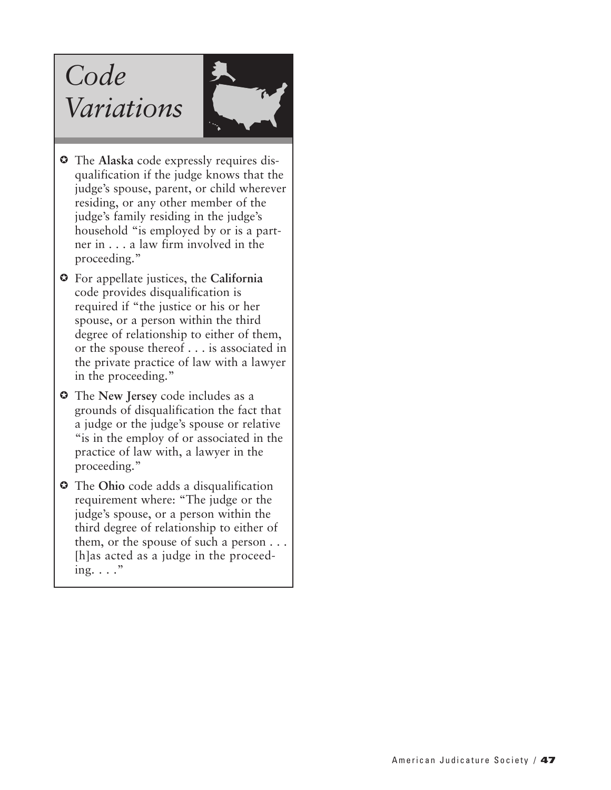# *Code Variations*



- The **Alaska** code expressly requires disqualification if the judge knows that the judge's spouse, parent, or child wherever residing, or any other member of the judge's family residing in the judge's household "is employed by or is a partner in . . . a law firm involved in the proceeding."
- For appellate justices, the **California** code provides disqualification is required if "the justice or his or her spouse, or a person within the third degree of relationship to either of them, or the spouse thereof . . . is associated in the private practice of law with a lawyer in the proceeding."
- The **New Jersey** code includes as a grounds of disqualification the fact that a judge or the judge's spouse or relative "is in the employ of or associated in the practice of law with, a lawyer in the proceeding."
- The **Ohio** code adds a disqualification requirement where: "The judge or the judge's spouse, or a person within the third degree of relationship to either of them, or the spouse of such a person . . . [h]as acted as a judge in the proceeding.  $\ldots$ "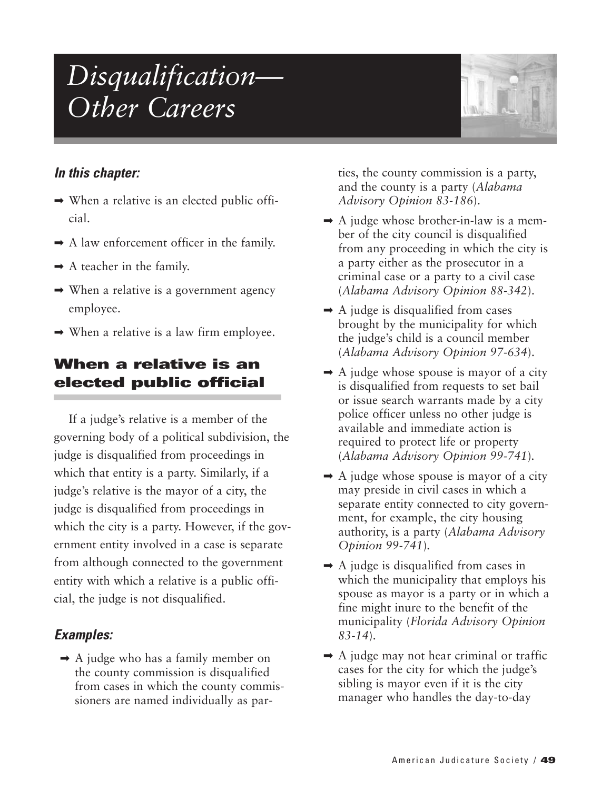# *Disqualification— Other Careers*



#### *In this chapter:*

- $\rightarrow$  When a relative is an elected public official.
- $\rightarrow$  A law enforcement officer in the family.
- $\rightarrow$  A teacher in the family.
- $\rightarrow$  When a relative is a government agency employee.
- $\rightarrow$  When a relative is a law firm employee.

## **When a relative is an elected public official**

If a judge's relative is a member of the governing body of a political subdivision, the judge is disqualified from proceedings in which that entity is a party. Similarly, if a judge's relative is the mayor of a city, the judge is disqualified from proceedings in which the city is a party. However, if the government entity involved in a case is separate from although connected to the government entity with which a relative is a public official, the judge is not disqualified.

## *Examples:*

 $\rightarrow$  A judge who has a family member on the county commission is disqualified from cases in which the county commissioners are named individually as parties, the county commission is a party, and the county is a party (*Alabama Advisory Opinion 83-186*).

- $\rightarrow$  A judge whose brother-in-law is a member of the city council is disqualified from any proceeding in which the city is a party either as the prosecutor in a criminal case or a party to a civil case (*Alabama Advisory Opinion 88-342*).
- $\rightarrow$  A judge is disqualified from cases brought by the municipality for which the judge's child is a council member (*Alabama Advisory Opinion 97-634*).
- $\rightarrow$  A judge whose spouse is mayor of a city is disqualified from requests to set bail or issue search warrants made by a city police officer unless no other judge is available and immediate action is required to protect life or property (*Alabama Advisory Opinion 99-741*)*.*
- $\rightarrow$  A judge whose spouse is mayor of a city may preside in civil cases in which a separate entity connected to city government, for example, the city housing authority, is a party (*Alabama Advisory Opinion 99-741*)*.*
- $\rightarrow$  A judge is disqualified from cases in which the municipality that employs his spouse as mayor is a party or in which a fine might inure to the benefit of the municipality (*Florida Advisory Opinion 83-14*).
- $\rightarrow$  A judge may not hear criminal or traffic cases for the city for which the judge's sibling is mayor even if it is the city manager who handles the day-to-day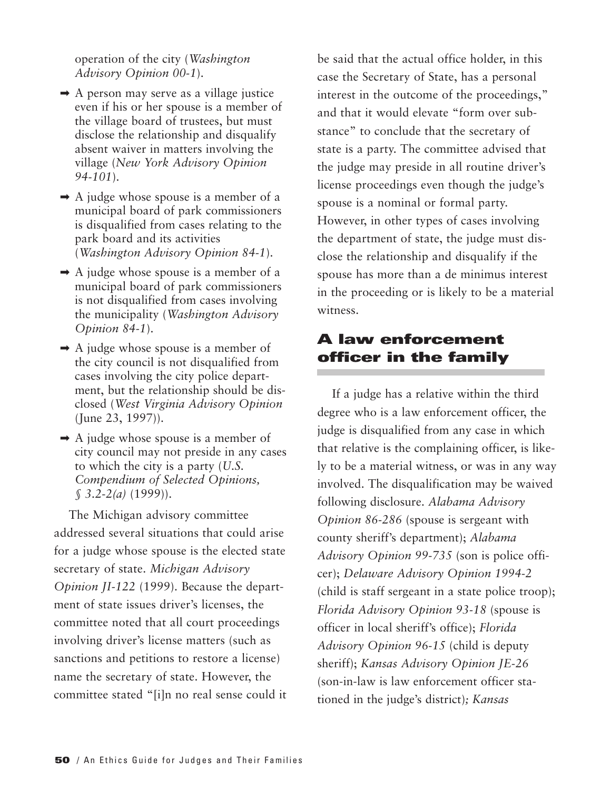operation of the city (*Washington Advisory Opinion 00-1*).

- ➡ A person may serve as a village justice even if his or her spouse is a member of the village board of trustees, but must disclose the relationship and disqualify absent waiver in matters involving the village (*New York Advisory Opinion 94-101*).
- $\rightarrow$  A judge whose spouse is a member of a municipal board of park commissioners is disqualified from cases relating to the park board and its activities (*Washington Advisory Opinion 84-1*).
- $\rightarrow$  A judge whose spouse is a member of a municipal board of park commissioners is not disqualified from cases involving the municipality (*Washington Advisory Opinion 84-1*).
- $\rightarrow$  A judge whose spouse is a member of the city council is not disqualified from cases involving the city police department, but the relationship should be disclosed (*West Virginia Advisory Opinion* (June 23, 1997)).
- $\rightarrow$  A judge whose spouse is a member of city council may not preside in any cases to which the city is a party (*U.S. Compendium of Selected Opinions, § 3.2-2(a)* (1999)).

The Michigan advisory committee addressed several situations that could arise for a judge whose spouse is the elected state secretary of state. *Michigan Advisory Opinion JI-122* (1999). Because the department of state issues driver's licenses, the committee noted that all court proceedings involving driver's license matters (such as sanctions and petitions to restore a license) name the secretary of state. However, the committee stated "[i]n no real sense could it

be said that the actual office holder, in this case the Secretary of State, has a personal interest in the outcome of the proceedings," and that it would elevate "form over substance" to conclude that the secretary of state is a party. The committee advised that the judge may preside in all routine driver's license proceedings even though the judge's spouse is a nominal or formal party. However, in other types of cases involving the department of state, the judge must disclose the relationship and disqualify if the spouse has more than a de minimus interest in the proceeding or is likely to be a material witness.

## **A law enforcement officer in the family**

If a judge has a relative within the third degree who is a law enforcement officer, the judge is disqualified from any case in which that relative is the complaining officer, is likely to be a material witness, or was in any way involved. The disqualification may be waived following disclosure. *Alabama Advisory Opinion 86-286* (spouse is sergeant with county sheriff's department); *Alabama Advisory Opinion 99-735* (son is police officer); *Delaware Advisory Opinion 1994-2* (child is staff sergeant in a state police troop); *Florida Advisory Opinion 93-18* (spouse is officer in local sheriff's office); *Florida Advisory Opinion 96-15* (child is deputy sheriff); *Kansas Advisory Opinion JE-26* (son-in-law is law enforcement officer stationed in the judge's district)*; Kansas*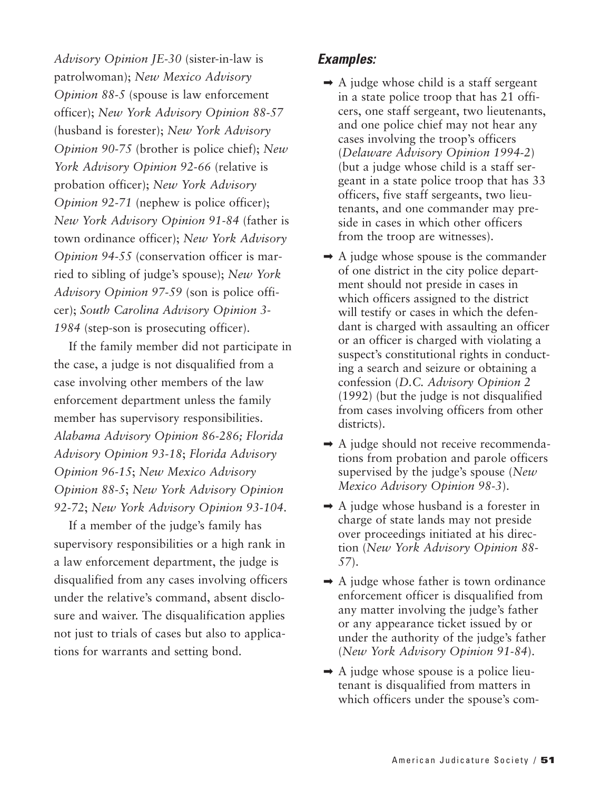*Advisory Opinion JE-30* (sister-in-law is patrolwoman); *New Mexico Advisory Opinion 88-5* (spouse is law enforcement officer); *New York Advisory Opinion 88-57* (husband is forester); *New York Advisory Opinion 90-75* (brother is police chief); *New York Advisory Opinion 92-66* (relative is probation officer); *New York Advisory Opinion 92-71* (nephew is police officer); *New York Advisory Opinion 91-84* (father is town ordinance officer); *New York Advisory Opinion 94-55* (conservation officer is married to sibling of judge's spouse); *New York Advisory Opinion 97-59* (son is police officer); *South Carolina Advisory Opinion 3- 1984* (step-son is prosecuting officer).

If the family member did not participate in the case, a judge is not disqualified from a case involving other members of the law enforcement department unless the family member has supervisory responsibilities. *Alabama Advisory Opinion 86-286; Florida Advisory Opinion 93-18*; *Florida Advisory Opinion 96-15*; *New Mexico Advisory Opinion 88-5*; *New York Advisory Opinion 92-72*; *New York Advisory Opinion 93-104*.

If a member of the judge's family has supervisory responsibilities or a high rank in a law enforcement department, the judge is disqualified from any cases involving officers under the relative's command, absent disclosure and waiver. The disqualification applies not just to trials of cases but also to applications for warrants and setting bond.

- $\rightarrow$  A judge whose child is a staff sergeant in a state police troop that has 21 officers, one staff sergeant, two lieutenants, and one police chief may not hear any cases involving the troop's officers (*Delaware Advisory Opinion 1994-2*) (but a judge whose child is a staff sergeant in a state police troop that has 33 officers, five staff sergeants, two lieutenants, and one commander may preside in cases in which other officers from the troop are witnesses).
- $\rightarrow$  A judge whose spouse is the commander of one district in the city police department should not preside in cases in which officers assigned to the district will testify or cases in which the defendant is charged with assaulting an officer or an officer is charged with violating a suspect's constitutional rights in conducting a search and seizure or obtaining a confession (*D.C. Advisory Opinion 2* (1992) (but the judge is not disqualified from cases involving officers from other districts).
- $\rightarrow$  A judge should not receive recommendations from probation and parole officers supervised by the judge's spouse (*New Mexico Advisory Opinion 98-3*).
- $\rightarrow$  A judge whose husband is a forester in charge of state lands may not preside over proceedings initiated at his direction (*New York Advisory Opinion 88- 57*).
- $\rightarrow$  A judge whose father is town ordinance enforcement officer is disqualified from any matter involving the judge's father or any appearance ticket issued by or under the authority of the judge's father (*New York Advisory Opinion 91-84*).
- $\rightarrow$  A judge whose spouse is a police lieutenant is disqualified from matters in which officers under the spouse's com-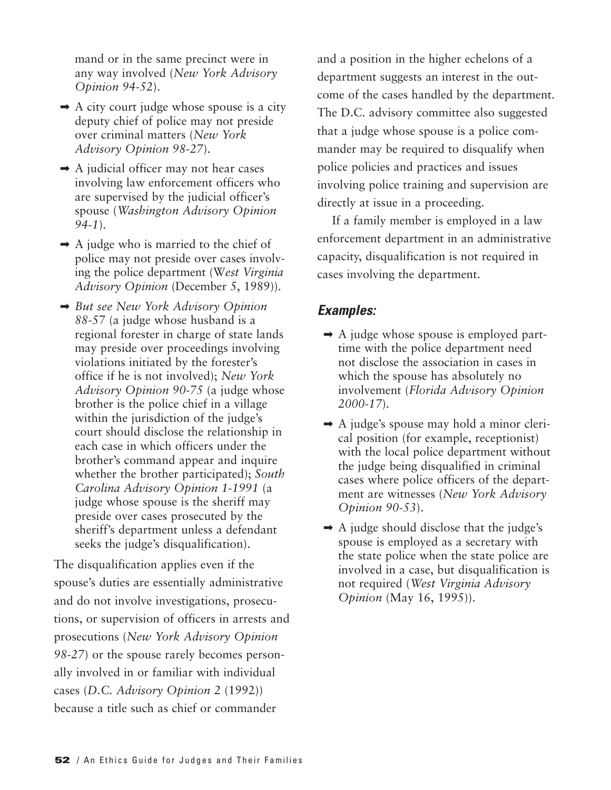mand or in the same precinct were in any way involved (*New York Advisory Opinion 94-52*).

- $\rightarrow$  A city court judge whose spouse is a city deputy chief of police may not preside over criminal matters (*New York Advisory Opinion 98-27*).
- $\rightarrow$  A judicial officer may not hear cases involving law enforcement officers who are supervised by the judicial officer's spouse (*Washington Advisory Opinion 94-1*).
- $\rightarrow$  A judge who is married to the chief of police may not preside over cases involving the police department (W*est Virginia Advisory Opinion* (December 5, 1989)).
- ➡ *But see New York Advisory Opinion 88-*57 (a judge whose husband is a regional forester in charge of state lands may preside over proceedings involving violations initiated by the forester's office if he is not involved); *New York Advisory Opinion 90-75* (a judge whose brother is the police chief in a village within the jurisdiction of the judge's court should disclose the relationship in each case in which officers under the brother's command appear and inquire whether the brother participated); *South Carolina Advisory Opinion 1-1991* (a judge whose spouse is the sheriff may preside over cases prosecuted by the sheriff's department unless a defendant seeks the judge's disqualification).

The disqualification applies even if the spouse's duties are essentially administrative and do not involve investigations, prosecutions, or supervision of officers in arrests and prosecutions (*New York Advisory Opinion 98-27*) or the spouse rarely becomes personally involved in or familiar with individual cases (*D.C. Advisory Opinion 2* (1992)) because a title such as chief or commander

and a position in the higher echelons of a department suggests an interest in the outcome of the cases handled by the department. The D.C. advisory committee also suggested that a judge whose spouse is a police commander may be required to disqualify when police policies and practices and issues involving police training and supervision are directly at issue in a proceeding.

If a family member is employed in a law enforcement department in an administrative capacity, disqualification is not required in cases involving the department.

- $\rightarrow$  A judge whose spouse is employed parttime with the police department need not disclose the association in cases in which the spouse has absolutely no involvement (*Florida Advisory Opinion 2000-17*).
- $\rightarrow$  A judge's spouse may hold a minor clerical position (for example, receptionist) with the local police department without the judge being disqualified in criminal cases where police officers of the department are witnesses (*New York Advisory Opinion 90-53*).
- $\rightarrow$  A judge should disclose that the judge's spouse is employed as a secretary with the state police when the state police are involved in a case, but disqualification is not required (*West Virginia Advisory Opinion* (May 16, 1995)).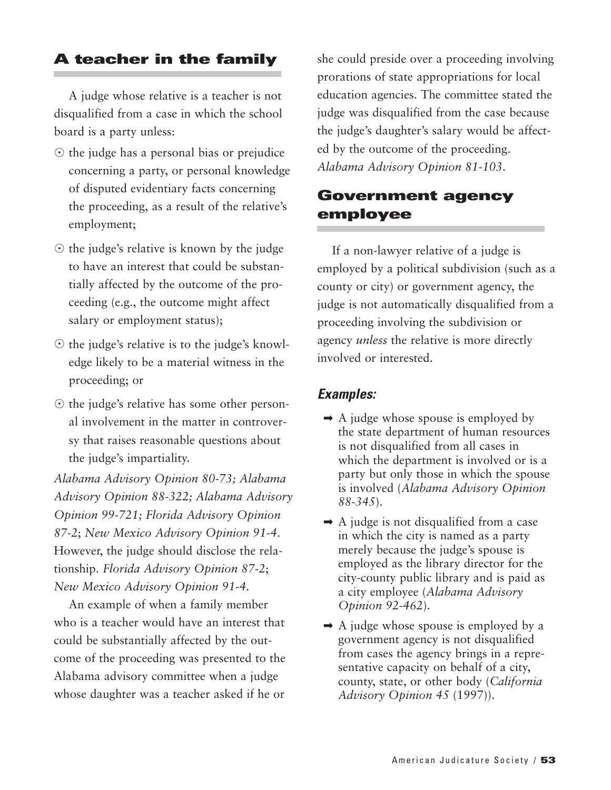## **A teacher in the family**

A judge whose relative is a teacher is not disqualified from a case in which the school board is a party unless:

- $\odot$  the judge has a personal bias or prejudice concerning a party, or personal knowledge of disputed evidentiary facts concerning the proceeding, as a result of the relative's employment;
- $\odot$  the judge's relative is known by the judge to have an interest that could be substantially affected by the outcome of the proceeding (e.g., the outcome might affect salary or employment status);
- the judge's relative is to the judge's knowledge likely to be a material witness in the proceeding; or
- $\odot$  the judge's relative has some other personal involvement in the matter in controversy that raises reasonable questions about the judge's impartiality.

*Alabama Advisory Opinion 80-73; Alabama Advisory Opinion 88-322; Alabama Advisory Opinion 99-721; Florida Advisory Opinion 87-2*; *New Mexico Advisory Opinion 91-4*. However, the judge should disclose the relationship. *Florida Advisory Opinion 87-2*; *New Mexico Advisory Opinion 91-4*.

An example of when a family member who is a teacher would have an interest that could be substantially affected by the outcome of the proceeding was presented to the Alabama advisory committee when a judge whose daughter was a teacher asked if he or

she could preside over a proceeding involving prorations of state appropriations for local education agencies. The committee stated the judge was disqualified from the case because the judge's daughter's salary would be affected by the outcome of the proceeding. *Alabama Advisory Opinion 81-103*.

#### **Government agency employee**

If a non-lawyer relative of a judge is employed by a political subdivision (such as a county or city) or government agency, the judge is not automatically disqualified from a proceeding involving the subdivision or agency *unless* the relative is more directly involved or interested.

- $\rightarrow$  A judge whose spouse is employed by the state department of human resources is not disqualified from all cases in which the department is involved or is a party but only those in which the spouse is involved (*Alabama Advisory Opinion 88-345*).
- $\rightarrow$  A judge is not disqualified from a case in which the city is named as a party merely because the judge's spouse is employed as the library director for the city-county public library and is paid as a city employee (*Alabama Advisory Opinion 92-462*).
- $\rightarrow$  A judge whose spouse is employed by a government agency is not disqualified from cases the agency brings in a representative capacity on behalf of a city, county, state, or other body (*California Advisory Opinion 45* (1997)).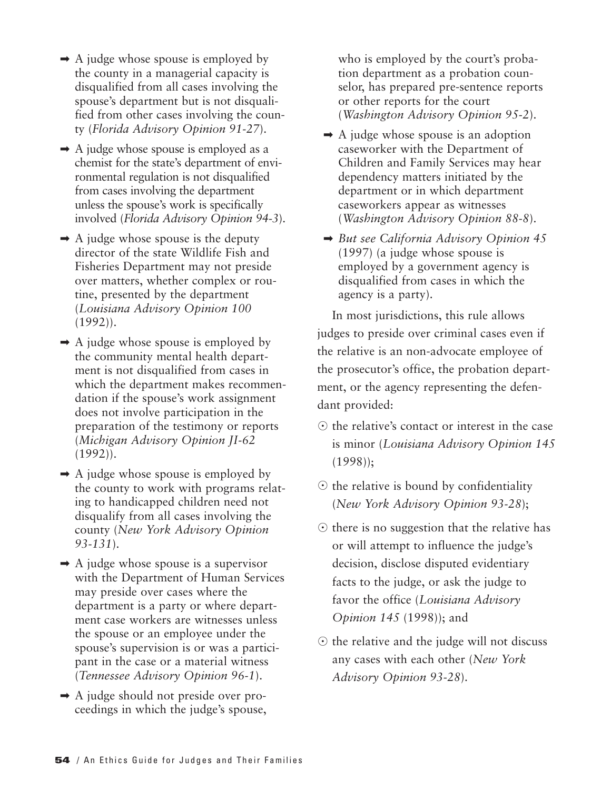- $\rightarrow$  A judge whose spouse is employed by the county in a managerial capacity is disqualified from all cases involving the spouse's department but is not disqualified from other cases involving the county (*Florida Advisory Opinion 91-27*).
- $\rightarrow$  A judge whose spouse is employed as a chemist for the state's department of environmental regulation is not disqualified from cases involving the department unless the spouse's work is specifically involved (*Florida Advisory Opinion 94-3*).
- $\rightarrow$  A judge whose spouse is the deputy director of the state Wildlife Fish and Fisheries Department may not preside over matters, whether complex or routine, presented by the department (*Louisiana Advisory Opinion 100*  $(1992)$ .
- $\rightarrow$  A judge whose spouse is employed by the community mental health department is not disqualified from cases in which the department makes recommendation if the spouse's work assignment does not involve participation in the preparation of the testimony or reports (*Michigan Advisory Opinion JI-62* (1992)).
- $\rightarrow$  A judge whose spouse is employed by the county to work with programs relating to handicapped children need not disqualify from all cases involving the county (*New York Advisory Opinion 93-131*).
- $\rightarrow$  A judge whose spouse is a supervisor with the Department of Human Services may preside over cases where the department is a party or where department case workers are witnesses unless the spouse or an employee under the spouse's supervision is or was a participant in the case or a material witness (*Tennessee Advisory Opinion 96-1*).
- ➡ A judge should not preside over proceedings in which the judge's spouse,

who is employed by the court's probation department as a probation counselor, has prepared pre-sentence reports or other reports for the court (*Washington Advisory Opinion 95-2*).

- $\rightarrow$  A judge whose spouse is an adoption caseworker with the Department of Children and Family Services may hear dependency matters initiated by the department or in which department caseworkers appear as witnesses (*Washington Advisory Opinion 88-8*).
- ➡ *But see California Advisory Opinion 45* (1997) (a judge whose spouse is employed by a government agency is disqualified from cases in which the agency is a party).

In most jurisdictions, this rule allows judges to preside over criminal cases even if the relative is an non-advocate employee of the prosecutor's office, the probation department, or the agency representing the defendant provided:

- $\odot$  the relative's contact or interest in the case is minor (*Louisiana Advisory Opinion 145* (1998));
- $\odot$  the relative is bound by confidentiality (*New York Advisory Opinion 93-28*);
- $\odot$  there is no suggestion that the relative has or will attempt to influence the judge's decision, disclose disputed evidentiary facts to the judge, or ask the judge to favor the office (*Louisiana Advisory Opinion 145* (1998)); and
- $\odot$  the relative and the judge will not discuss any cases with each other (*New York Advisory Opinion 93-28*).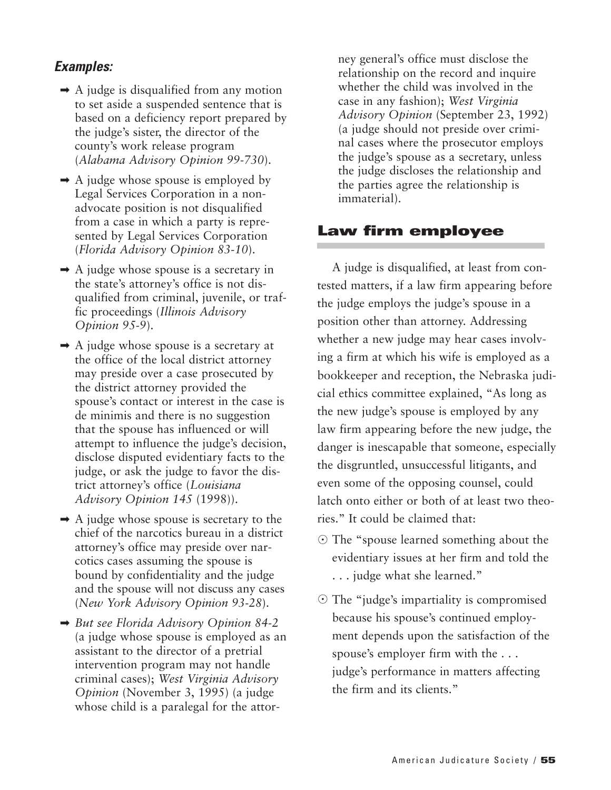#### *Examples:*

- $\rightarrow$  A judge is disqualified from any motion to set aside a suspended sentence that is based on a deficiency report prepared by the judge's sister, the director of the county's work release program (*Alabama Advisory Opinion 99-730*).
- $\rightarrow$  A judge whose spouse is employed by Legal Services Corporation in a nonadvocate position is not disqualified from a case in which a party is represented by Legal Services Corporation (*Florida Advisory Opinion 83-10*).
- $\rightarrow$  A judge whose spouse is a secretary in the state's attorney's office is not disqualified from criminal, juvenile, or traffic proceedings (*Illinois Advisory Opinion 95-9*).
- $\rightarrow$  A judge whose spouse is a secretary at the office of the local district attorney may preside over a case prosecuted by the district attorney provided the spouse's contact or interest in the case is de minimis and there is no suggestion that the spouse has influenced or will attempt to influence the judge's decision, disclose disputed evidentiary facts to the judge, or ask the judge to favor the district attorney's office (*Louisiana Advisory Opinion 145* (1998)).
- $\rightarrow$  A judge whose spouse is secretary to the chief of the narcotics bureau in a district attorney's office may preside over narcotics cases assuming the spouse is bound by confidentiality and the judge and the spouse will not discuss any cases (*New York Advisory Opinion 93-28*).
- ➡ *But see Florida Advisory Opinion 84-2* (a judge whose spouse is employed as an assistant to the director of a pretrial intervention program may not handle criminal cases); *West Virginia Advisory Opinion* (November 3, 1995) (a judge whose child is a paralegal for the attor-

ney general's office must disclose the relationship on the record and inquire whether the child was involved in the case in any fashion); *West Virginia Advisory Opinion* (September 23, 1992) (a judge should not preside over criminal cases where the prosecutor employs the judge's spouse as a secretary, unless the judge discloses the relationship and the parties agree the relationship is immaterial).

#### **Law firm employee**

A judge is disqualified, at least from contested matters, if a law firm appearing before the judge employs the judge's spouse in a position other than attorney. Addressing whether a new judge may hear cases involving a firm at which his wife is employed as a bookkeeper and reception, the Nebraska judicial ethics committee explained, "As long as the new judge's spouse is employed by any law firm appearing before the new judge, the danger is inescapable that someone, especially the disgruntled, unsuccessful litigants, and even some of the opposing counsel, could latch onto either or both of at least two theories." It could be claimed that:

- The "spouse learned something about the evidentiary issues at her firm and told the . . . judge what she learned."
- The "judge's impartiality is compromised because his spouse's continued employment depends upon the satisfaction of the spouse's employer firm with the . . . judge's performance in matters affecting the firm and its clients."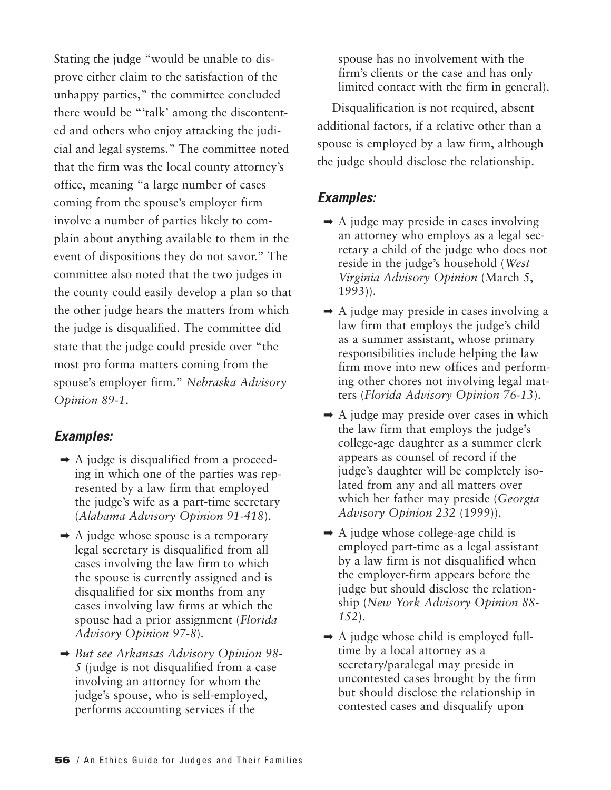Stating the judge "would be unable to disprove either claim to the satisfaction of the unhappy parties," the committee concluded there would be "'talk' among the discontented and others who enjoy attacking the judicial and legal systems." The committee noted that the firm was the local county attorney's office, meaning "a large number of cases coming from the spouse's employer firm involve a number of parties likely to complain about anything available to them in the event of dispositions they do not savor." The committee also noted that the two judges in the county could easily develop a plan so that the other judge hears the matters from which the judge is disqualified. The committee did state that the judge could preside over "the most pro forma matters coming from the spouse's employer firm." *Nebraska Advisory Opinion 89-1*.

#### *Examples:*

- $\rightarrow$  A judge is disqualified from a proceeding in which one of the parties was represented by a law firm that employed the judge's wife as a part-time secretary (*Alabama Advisory Opinion 91-418*).
- $\rightarrow$  A judge whose spouse is a temporary legal secretary is disqualified from all cases involving the law firm to which the spouse is currently assigned and is disqualified for six months from any cases involving law firms at which the spouse had a prior assignment (*Florida Advisory Opinion 97-8*).
- ➡ *But see Arkansas Advisory Opinion 98- 5* (judge is not disqualified from a case involving an attorney for whom the judge's spouse, who is self-employed, performs accounting services if the

spouse has no involvement with the firm's clients or the case and has only limited contact with the firm in general).

Disqualification is not required, absent additional factors, if a relative other than a spouse is employed by a law firm, although the judge should disclose the relationship.

- $\rightarrow$  A judge may preside in cases involving an attorney who employs as a legal secretary a child of the judge who does not reside in the judge's household (*West Virginia Advisory Opinion* (March 5, 1993)).
- $\rightarrow$  A judge may preside in cases involving a law firm that employs the judge's child as a summer assistant, whose primary responsibilities include helping the law firm move into new offices and performing other chores not involving legal matters (*Florida Advisory Opinion 76-13*).
- $\rightarrow$  A judge may preside over cases in which the law firm that employs the judge's college-age daughter as a summer clerk appears as counsel of record if the judge's daughter will be completely isolated from any and all matters over which her father may preside (*Georgia Advisory Opinion 232* (1999)).
- $\rightarrow$  A judge whose college-age child is employed part-time as a legal assistant by a law firm is not disqualified when the employer-firm appears before the judge but should disclose the relationship (*New York Advisory Opinion 88- 152*).
- $\rightarrow$  A judge whose child is employed fulltime by a local attorney as a secretary/paralegal may preside in uncontested cases brought by the firm but should disclose the relationship in contested cases and disqualify upon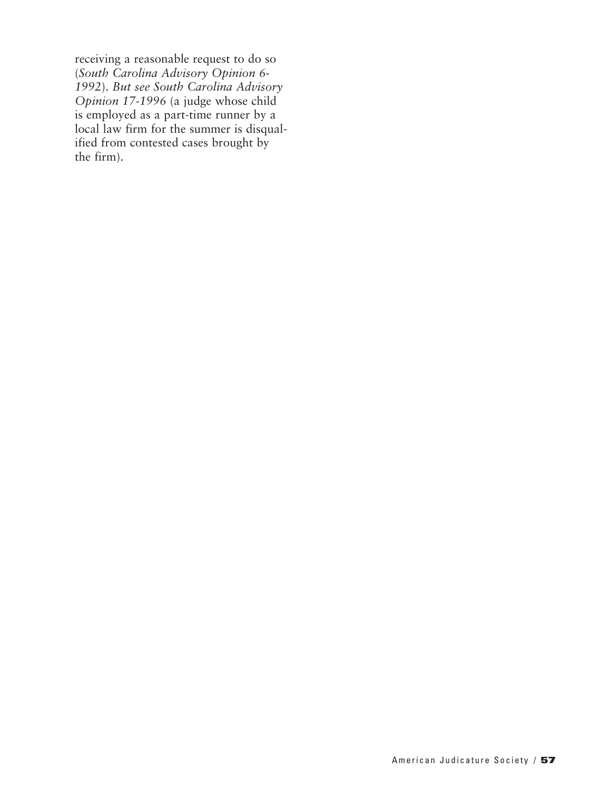receiving a reasonable request to do so (*South Carolina Advisory Opinion 6- 1992*). *But see South Carolina Advisory Opinion 17-1996* (a judge whose child is employed as a part-time runner by a local law firm for the summer is disqualified from contested cases brought by the firm).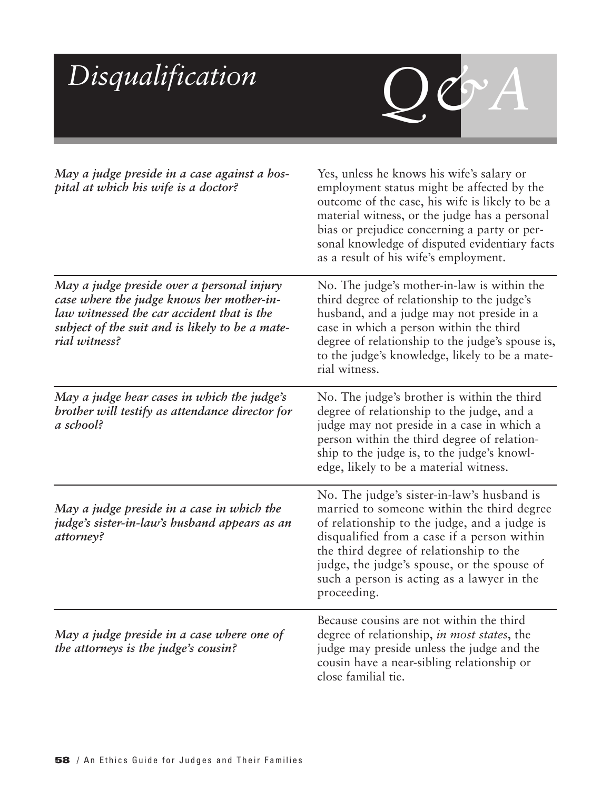| Disqualification                                                                                                                                                                                          | JOYA                                                                                                                                                                                                                                                                                                                                           |
|-----------------------------------------------------------------------------------------------------------------------------------------------------------------------------------------------------------|------------------------------------------------------------------------------------------------------------------------------------------------------------------------------------------------------------------------------------------------------------------------------------------------------------------------------------------------|
| May a judge preside in a case against a hos-<br>pital at which his wife is a doctor?                                                                                                                      | Yes, unless he knows his wife's salary or<br>employment status might be affected by the<br>outcome of the case, his wife is likely to be a<br>material witness, or the judge has a personal<br>bias or prejudice concerning a party or per-<br>sonal knowledge of disputed evidentiary facts<br>as a result of his wife's employment.          |
| May a judge preside over a personal injury<br>case where the judge knows her mother-in-<br>law witnessed the car accident that is the<br>subject of the suit and is likely to be a mate-<br>rial witness? | No. The judge's mother-in-law is within the<br>third degree of relationship to the judge's<br>husband, and a judge may not preside in a<br>case in which a person within the third<br>degree of relationship to the judge's spouse is,<br>to the judge's knowledge, likely to be a mate-<br>rial witness.                                      |
| May a judge hear cases in which the judge's<br>brother will testify as attendance director for<br>a school?                                                                                               | No. The judge's brother is within the third<br>degree of relationship to the judge, and a<br>judge may not preside in a case in which a<br>person within the third degree of relation-<br>ship to the judge is, to the judge's knowl-<br>edge, likely to be a material witness.                                                                |
| May a judge preside in a case in which the<br>judge's sister-in-law's husband appears as an<br>attorney?                                                                                                  | No. The judge's sister-in-law's husband is<br>married to someone within the third degree<br>of relationship to the judge, and a judge is<br>disqualified from a case if a person within<br>the third degree of relationship to the<br>judge, the judge's spouse, or the spouse of<br>such a person is acting as a lawyer in the<br>proceeding. |
| May a judge preside in a case where one of<br>the attorneys is the judge's cousin?                                                                                                                        | Because cousins are not within the third<br>degree of relationship, in most states, the<br>judge may preside unless the judge and the<br>cousin have a near-sibling relationship or<br>close familial tie.                                                                                                                                     |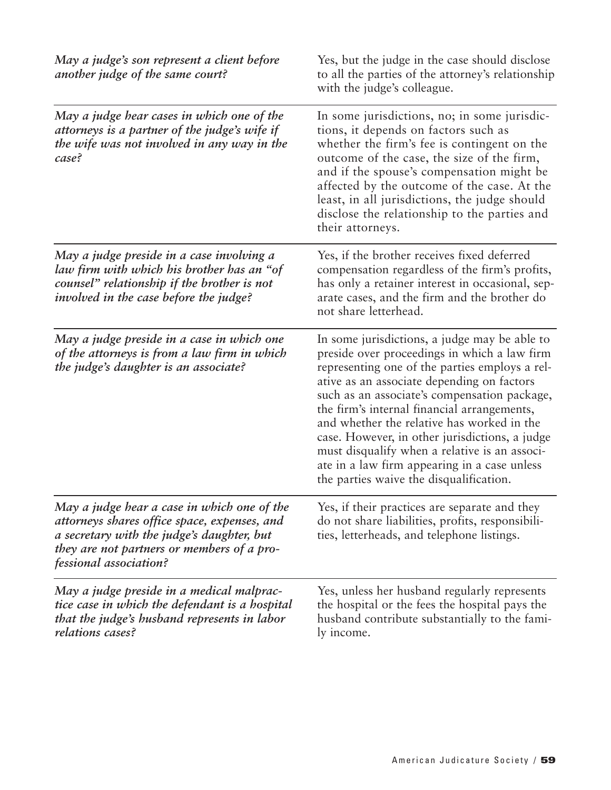| May a judge's son represent a client before<br>another judge of the same court?                                                                                                                                   | Yes, but the judge in the case should disclose<br>to all the parties of the attorney's relationship<br>with the judge's colleague.                                                                                                                                                                                                                                                                                                                                                                                                       |
|-------------------------------------------------------------------------------------------------------------------------------------------------------------------------------------------------------------------|------------------------------------------------------------------------------------------------------------------------------------------------------------------------------------------------------------------------------------------------------------------------------------------------------------------------------------------------------------------------------------------------------------------------------------------------------------------------------------------------------------------------------------------|
| May a judge hear cases in which one of the<br>attorneys is a partner of the judge's wife if<br>the wife was not involved in any way in the<br>case?                                                               | In some jurisdictions, no; in some jurisdic-<br>tions, it depends on factors such as<br>whether the firm's fee is contingent on the<br>outcome of the case, the size of the firm,<br>and if the spouse's compensation might be<br>affected by the outcome of the case. At the<br>least, in all jurisdictions, the judge should<br>disclose the relationship to the parties and<br>their attorneys.                                                                                                                                       |
| May a judge preside in a case involving a<br>law firm with which his brother has an "of<br>counsel" relationship if the brother is not<br><i>involved in the case before the judge?</i>                           | Yes, if the brother receives fixed deferred<br>compensation regardless of the firm's profits,<br>has only a retainer interest in occasional, sep-<br>arate cases, and the firm and the brother do<br>not share letterhead.                                                                                                                                                                                                                                                                                                               |
| May a judge preside in a case in which one<br>of the attorneys is from a law firm in which<br>the judge's daughter is an associate?                                                                               | In some jurisdictions, a judge may be able to<br>preside over proceedings in which a law firm<br>representing one of the parties employs a rel-<br>ative as an associate depending on factors<br>such as an associate's compensation package,<br>the firm's internal financial arrangements,<br>and whether the relative has worked in the<br>case. However, in other jurisdictions, a judge<br>must disqualify when a relative is an associ-<br>ate in a law firm appearing in a case unless<br>the parties waive the disqualification. |
| May a judge hear a case in which one of the<br>attorneys shares office space, expenses, and<br>a secretary with the judge's daughter, but<br>they are not partners or members of a pro-<br>fessional association? | Yes, if their practices are separate and they<br>do not share liabilities, profits, responsibili-<br>ties, letterheads, and telephone listings.                                                                                                                                                                                                                                                                                                                                                                                          |
| May a judge preside in a medical malprac-<br>tice case in which the defendant is a hospital<br>that the judge's husband represents in labor<br>relations cases?                                                   | Yes, unless her husband regularly represents<br>the hospital or the fees the hospital pays the<br>husband contribute substantially to the fami-<br>ly income.                                                                                                                                                                                                                                                                                                                                                                            |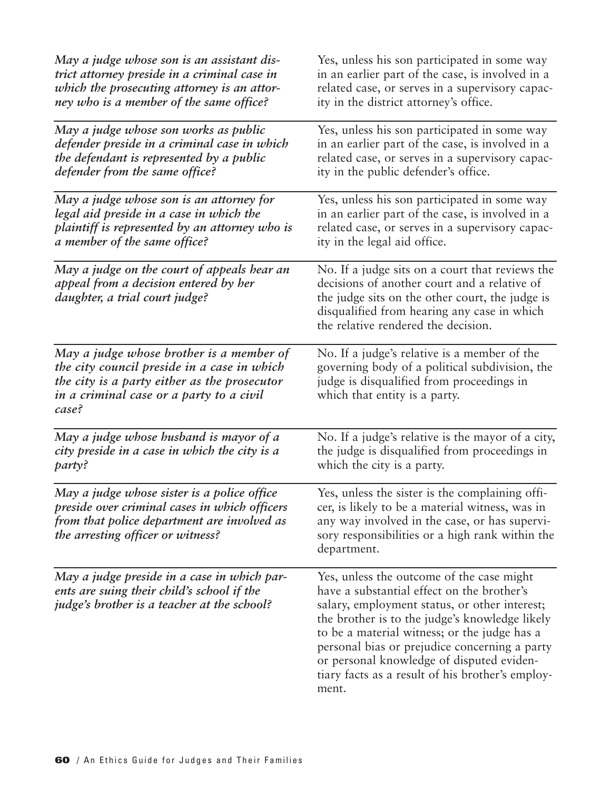| May a judge whose son is an assistant dis-                                                                                                                                                   | Yes, unless his son participated in some way                                                                                                                                                                                                                                                                                                                                                          |
|----------------------------------------------------------------------------------------------------------------------------------------------------------------------------------------------|-------------------------------------------------------------------------------------------------------------------------------------------------------------------------------------------------------------------------------------------------------------------------------------------------------------------------------------------------------------------------------------------------------|
| trict attorney preside in a criminal case in                                                                                                                                                 | in an earlier part of the case, is involved in a                                                                                                                                                                                                                                                                                                                                                      |
| which the prosecuting attorney is an attor-                                                                                                                                                  | related case, or serves in a supervisory capac-                                                                                                                                                                                                                                                                                                                                                       |
| ney who is a member of the same office?                                                                                                                                                      | ity in the district attorney's office.                                                                                                                                                                                                                                                                                                                                                                |
| May a judge whose son works as public                                                                                                                                                        | Yes, unless his son participated in some way                                                                                                                                                                                                                                                                                                                                                          |
| defender preside in a criminal case in which                                                                                                                                                 | in an earlier part of the case, is involved in a                                                                                                                                                                                                                                                                                                                                                      |
| the defendant is represented by a public                                                                                                                                                     | related case, or serves in a supervisory capac-                                                                                                                                                                                                                                                                                                                                                       |
| defender from the same office?                                                                                                                                                               | ity in the public defender's office.                                                                                                                                                                                                                                                                                                                                                                  |
| May a judge whose son is an attorney for                                                                                                                                                     | Yes, unless his son participated in some way                                                                                                                                                                                                                                                                                                                                                          |
| legal aid preside in a case in which the                                                                                                                                                     | in an earlier part of the case, is involved in a                                                                                                                                                                                                                                                                                                                                                      |
| plaintiff is represented by an attorney who is                                                                                                                                               | related case, or serves in a supervisory capac-                                                                                                                                                                                                                                                                                                                                                       |
| a member of the same office?                                                                                                                                                                 | ity in the legal aid office.                                                                                                                                                                                                                                                                                                                                                                          |
| May a judge on the court of appeals hear an<br>appeal from a decision entered by her<br>daughter, a trial court judge?                                                                       | No. If a judge sits on a court that reviews the<br>decisions of another court and a relative of<br>the judge sits on the other court, the judge is<br>disqualified from hearing any case in which<br>the relative rendered the decision.                                                                                                                                                              |
| May a judge whose brother is a member of<br>the city council preside in a case in which<br>the city is a party either as the prosecutor<br>in a criminal case or a party to a civil<br>case? | No. If a judge's relative is a member of the<br>governing body of a political subdivision, the<br>judge is disqualified from proceedings in<br>which that entity is a party.                                                                                                                                                                                                                          |
| May a judge whose husband is mayor of a                                                                                                                                                      | No. If a judge's relative is the mayor of a city,                                                                                                                                                                                                                                                                                                                                                     |
| city preside in a case in which the city is a                                                                                                                                                | the judge is disqualified from proceedings in                                                                                                                                                                                                                                                                                                                                                         |
| party?                                                                                                                                                                                       | which the city is a party.                                                                                                                                                                                                                                                                                                                                                                            |
| May a judge whose sister is a police office<br>preside over criminal cases in which officers<br>from that police department are involved as<br>the arresting officer or witness?             | Yes, unless the sister is the complaining offi-<br>cer, is likely to be a material witness, was in<br>any way involved in the case, or has supervi-<br>sory responsibilities or a high rank within the<br>department.                                                                                                                                                                                 |
| May a judge preside in a case in which par-<br>ents are suing their child's school if the<br>judge's brother is a teacher at the school?                                                     | Yes, unless the outcome of the case might<br>have a substantial effect on the brother's<br>salary, employment status, or other interest;<br>the brother is to the judge's knowledge likely<br>to be a material witness; or the judge has a<br>personal bias or prejudice concerning a party<br>or personal knowledge of disputed eviden-<br>tiary facts as a result of his brother's employ-<br>ment. |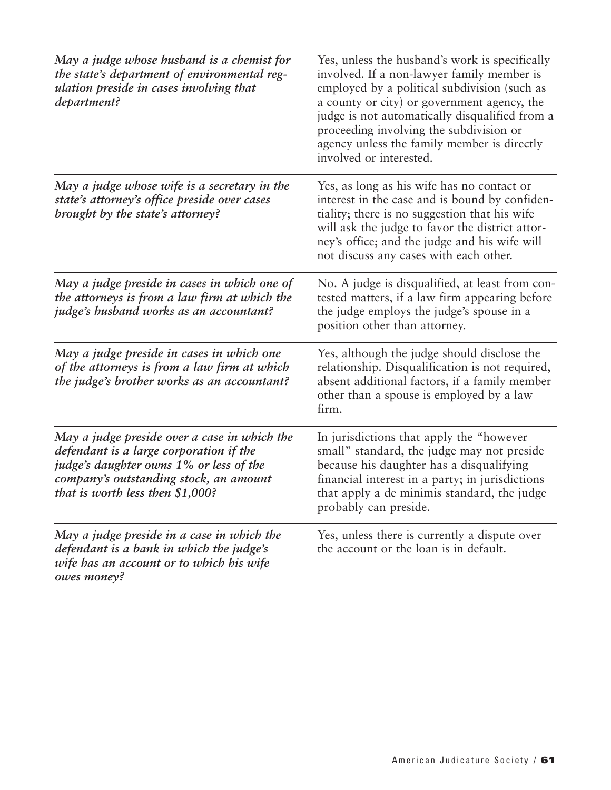| May a judge whose husband is a chemist for<br>the state's department of environmental reg-<br>ulation preside in cases involving that<br>department?                                                               | Yes, unless the husband's work is specifically<br>involved. If a non-lawyer family member is<br>employed by a political subdivision (such as<br>a county or city) or government agency, the<br>judge is not automatically disqualified from a<br>proceeding involving the subdivision or<br>agency unless the family member is directly<br>involved or interested. |
|--------------------------------------------------------------------------------------------------------------------------------------------------------------------------------------------------------------------|--------------------------------------------------------------------------------------------------------------------------------------------------------------------------------------------------------------------------------------------------------------------------------------------------------------------------------------------------------------------|
| May a judge whose wife is a secretary in the<br>state's attorney's office preside over cases<br>brought by the state's attorney?                                                                                   | Yes, as long as his wife has no contact or<br>interest in the case and is bound by confiden-<br>tiality; there is no suggestion that his wife<br>will ask the judge to favor the district attor-<br>ney's office; and the judge and his wife will<br>not discuss any cases with each other.                                                                        |
| May a judge preside in cases in which one of<br>the attorneys is from a law firm at which the<br>judge's husband works as an accountant?                                                                           | No. A judge is disqualified, at least from con-<br>tested matters, if a law firm appearing before<br>the judge employs the judge's spouse in a<br>position other than attorney.                                                                                                                                                                                    |
| May a judge preside in cases in which one<br>of the attorneys is from a law firm at which<br>the judge's brother works as an accountant?                                                                           | Yes, although the judge should disclose the<br>relationship. Disqualification is not required,<br>absent additional factors, if a family member<br>other than a spouse is employed by a law<br>firm.                                                                                                                                                               |
| May a judge preside over a case in which the<br>defendant is a large corporation if the<br>judge's daughter owns 1% or less of the<br>company's outstanding stock, an amount<br>that is worth less then $$1,000$ ? | In jurisdictions that apply the "however"<br>small" standard, the judge may not preside<br>because his daughter has a disqualifying<br>financial interest in a party; in jurisdictions<br>that apply a de minimis standard, the judge<br>probably can preside.                                                                                                     |
| May a judge preside in a case in which the<br>defendant is a bank in which the judge's<br>wife has an account or to which his wife<br>owes money?                                                                  | Yes, unless there is currently a dispute over<br>the account or the loan is in default.                                                                                                                                                                                                                                                                            |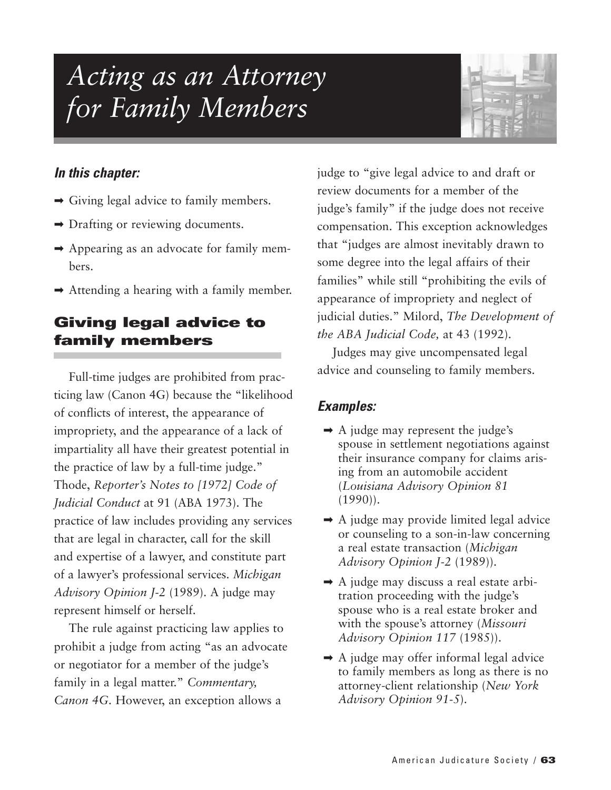# *Acting as an Attorney for Family Members*



## *In this chapter:*

- $\rightarrow$  Giving legal advice to family members.
- **►** Drafting or reviewing documents.
- ➡ Appearing as an advocate for family members.
- $\rightarrow$  Attending a hearing with a family member.

# **Giving legal advice to family members**

Full-time judges are prohibited from practicing law (Canon 4G) because the "likelihood of conflicts of interest, the appearance of impropriety, and the appearance of a lack of impartiality all have their greatest potential in the practice of law by a full-time judge." Thode, *Reporter's Notes to [1972] Code of Judicial Conduct* at 91 (ABA 1973). The practice of law includes providing any services that are legal in character, call for the skill and expertise of a lawyer, and constitute part of a lawyer's professional services. *Michigan Advisory Opinion J-2* (1989). A judge may represent himself or herself.

The rule against practicing law applies to prohibit a judge from acting "as an advocate or negotiator for a member of the judge's family in a legal matter." *Commentary, Canon 4G.* However, an exception allows a

judge to "give legal advice to and draft or review documents for a member of the judge's family" if the judge does not receive compensation. This exception acknowledges that "judges are almost inevitably drawn to some degree into the legal affairs of their families" while still "prohibiting the evils of appearance of impropriety and neglect of judicial duties." Milord, *The Development of the ABA Judicial Code,* at 43 (1992).

Judges may give uncompensated legal advice and counseling to family members.

- $\rightarrow$  A judge may represent the judge's spouse in settlement negotiations against their insurance company for claims arising from an automobile accident (*Louisiana Advisory Opinion 81*  $(1990)$ .
- $\rightarrow$  A judge may provide limited legal advice or counseling to a son-in-law concerning a real estate transaction (*Michigan Advisory Opinion J-2* (1989)).
- $\rightarrow$  A judge may discuss a real estate arbitration proceeding with the judge's spouse who is a real estate broker and with the spouse's attorney (*Missouri Advisory Opinion 117* (1985)).
- $\rightarrow$  A judge may offer informal legal advice to family members as long as there is no attorney-client relationship (*New York Advisory Opinion 91-5*).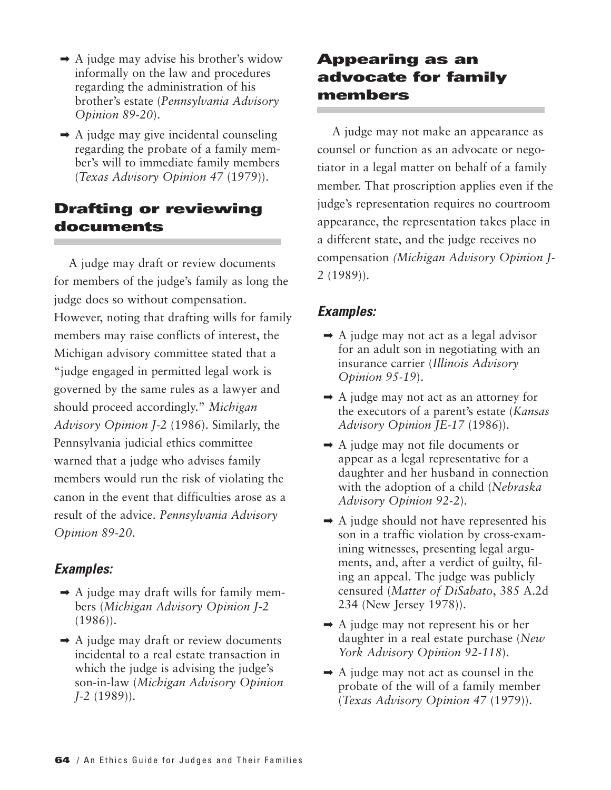- $\rightarrow$  A judge may advise his brother's widow informally on the law and procedures regarding the administration of his brother's estate (*Pennsylvania Advisory Opinion 89-20*).
- $\rightarrow$  A judge may give incidental counseling regarding the probate of a family member's will to immediate family members (*Texas Advisory Opinion 47* (1979)).

## **Drafting or reviewing documents**

A judge may draft or review documents for members of the judge's family as long the judge does so without compensation. However, noting that drafting wills for family members may raise conflicts of interest, the Michigan advisory committee stated that a "judge engaged in permitted legal work is governed by the same rules as a lawyer and should proceed accordingly." *Michigan Advisory Opinion J-2* (1986). Similarly, the Pennsylvania judicial ethics committee warned that a judge who advises family members would run the risk of violating the canon in the event that difficulties arose as a result of the advice. *Pennsylvania Advisory Opinion 89-20*.

## *Examples:*

- $\rightarrow$  A judge may draft wills for family members (*Michigan Advisory Opinion J-2* (1986)).
- $\rightarrow$  A judge may draft or review documents incidental to a real estate transaction in which the judge is advising the judge's son-in-law (*Michigan Advisory Opinion J-2* (1989)).

## **Appearing as an advocate for family members**

A judge may not make an appearance as counsel or function as an advocate or negotiator in a legal matter on behalf of a family member. That proscription applies even if the judge's representation requires no courtroom appearance, the representation takes place in a different state, and the judge receives no compensation *(Michigan Advisory Opinion J-2* (1989)).

- $\rightarrow$  A judge may not act as a legal advisor for an adult son in negotiating with an insurance carrier (*Illinois Advisory Opinion 95-19*).
- $\rightarrow$  A judge may not act as an attorney for the executors of a parent's estate (*Kansas Advisory Opinion JE-17* (1986)).
- $\rightarrow$  A judge may not file documents or appear as a legal representative for a daughter and her husband in connection with the adoption of a child (*Nebraska Advisory Opinion 92-2*).
- $\rightarrow$  A judge should not have represented his son in a traffic violation by cross-examining witnesses, presenting legal arguments, and, after a verdict of guilty, filing an appeal. The judge was publicly censured (*Matter of DiSabato*, 385 A.2d 234 (New Jersey 1978)).
- $\rightarrow$  A judge may not represent his or her daughter in a real estate purchase (*New York Advisory Opinion 92-118*).
- $\rightarrow$  A judge may not act as counsel in the probate of the will of a family member (*Texas Advisory Opinion 47* (1979)).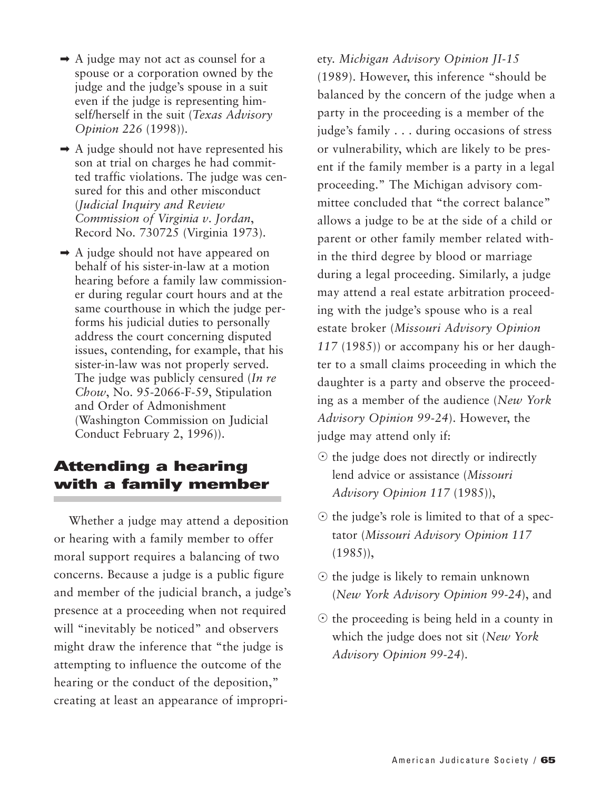- $\rightarrow$  A judge may not act as counsel for a spouse or a corporation owned by the judge and the judge's spouse in a suit even if the judge is representing himself/herself in the suit (*Texas Advisory Opinion 226* (1998)).
- $\rightarrow$  A judge should not have represented his son at trial on charges he had committed traffic violations. The judge was censured for this and other misconduct (*Judicial Inquiry and Review Commission of Virginia v*. *Jordan*, Record No. 730725 (Virginia 1973).
- $\rightarrow$  A judge should not have appeared on behalf of his sister-in-law at a motion hearing before a family law commissioner during regular court hours and at the same courthouse in which the judge performs his judicial duties to personally address the court concerning disputed issues, contending, for example, that his sister-in-law was not properly served. The judge was publicly censured (*In re Chow*, No. 95-2066-F-59, Stipulation and Order of Admonishment (Washington Commission on Judicial Conduct February 2, 1996)).

## **Attending a hearing with a family member**

Whether a judge may attend a deposition or hearing with a family member to offer moral support requires a balancing of two concerns. Because a judge is a public figure and member of the judicial branch, a judge's presence at a proceeding when not required will "inevitably be noticed" and observers might draw the inference that "the judge is attempting to influence the outcome of the hearing or the conduct of the deposition," creating at least an appearance of impropri-

ety. *Michigan Advisory Opinion JI-15* (1989). However, this inference "should be balanced by the concern of the judge when a party in the proceeding is a member of the judge's family . . . during occasions of stress or vulnerability, which are likely to be present if the family member is a party in a legal proceeding." The Michigan advisory committee concluded that "the correct balance" allows a judge to be at the side of a child or parent or other family member related within the third degree by blood or marriage during a legal proceeding. Similarly, a judge may attend a real estate arbitration proceeding with the judge's spouse who is a real estate broker (*Missouri Advisory Opinion 117* (1985)) or accompany his or her daughter to a small claims proceeding in which the daughter is a party and observe the proceeding as a member of the audience (*New York Advisory Opinion 99-24*). However, the judge may attend only if:

- $\odot$  the judge does not directly or indirectly lend advice or assistance (*Missouri Advisory Opinion 117* (1985)),
- $\odot$  the judge's role is limited to that of a spectator (*Missouri Advisory Opinion 117*  $(1985)$ ,
- $\odot$  the judge is likely to remain unknown (*New York Advisory Opinion 99-24*), and
- $\odot$  the proceeding is being held in a county in which the judge does not sit (*New York Advisory Opinion 99-24*).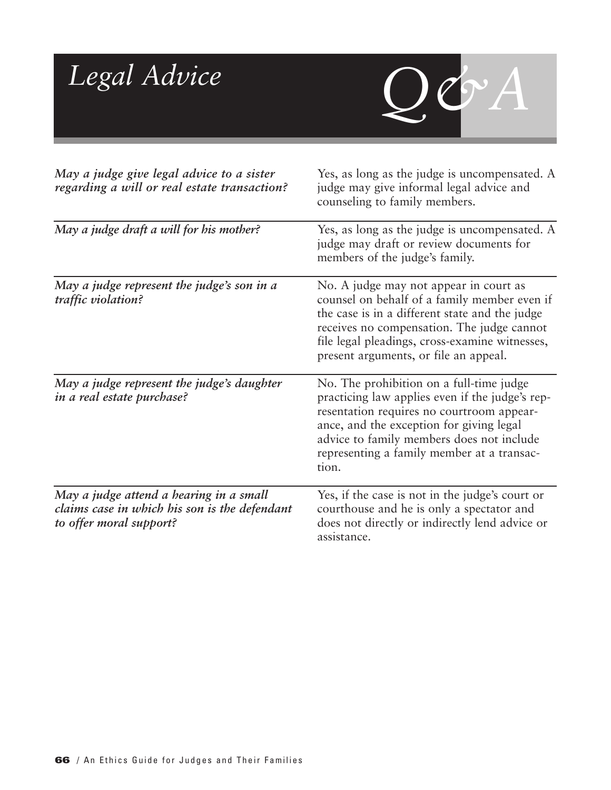| Legal Advice                                                                                                        |                                                                                                                                                                                                                                                                                          |
|---------------------------------------------------------------------------------------------------------------------|------------------------------------------------------------------------------------------------------------------------------------------------------------------------------------------------------------------------------------------------------------------------------------------|
| May a judge give legal advice to a sister<br>regarding a will or real estate transaction?                           | Yes, as long as the judge is uncompensated. A<br>judge may give informal legal advice and<br>counseling to family members.                                                                                                                                                               |
| May a judge draft a will for his mother?                                                                            | Yes, as long as the judge is uncompensated. A<br>judge may draft or review documents for<br>members of the judge's family.                                                                                                                                                               |
| May a judge represent the judge's son in a<br>traffic violation?                                                    | No. A judge may not appear in court as<br>counsel on behalf of a family member even if<br>the case is in a different state and the judge<br>receives no compensation. The judge cannot<br>file legal pleadings, cross-examine witnesses,<br>present arguments, or file an appeal.        |
| May a judge represent the judge's daughter<br>in a real estate purchase?                                            | No. The prohibition on a full-time judge<br>practicing law applies even if the judge's rep-<br>resentation requires no courtroom appear-<br>ance, and the exception for giving legal<br>advice to family members does not include<br>representing a family member at a transac-<br>tion. |
| May a judge attend a hearing in a small<br>claims case in which his son is the defendant<br>to offer moral support? | Yes, if the case is not in the judge's court or<br>courthouse and he is only a spectator and<br>does not directly or indirectly lend advice or<br>assistance.                                                                                                                            |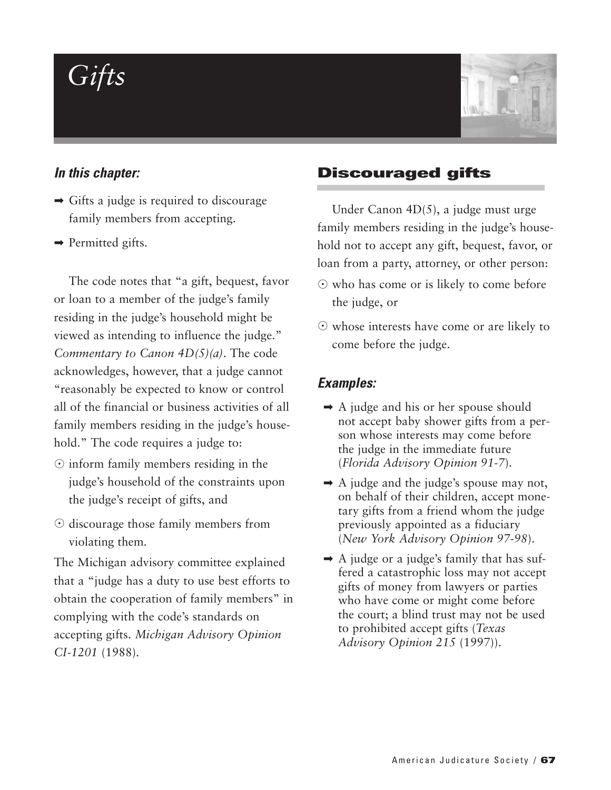# *Gifts*



#### *In this chapter:*

- $\rightarrow$  Gifts a judge is required to discourage family members from accepting.
- $\rightarrow$  Permitted gifts.

The code notes that "a gift, bequest, favor or loan to a member of the judge's family residing in the judge's household might be viewed as intending to influence the judge." *Commentary to Canon 4D(5)(a)*. The code acknowledges, however, that a judge cannot "reasonably be expected to know or control all of the financial or business activities of all family members residing in the judge's household." The code requires a judge to:

- $\odot$  inform family members residing in the judge's household of the constraints upon the judge's receipt of gifts, and
- $\odot$  discourage those family members from violating them.

The Michigan advisory committee explained that a "judge has a duty to use best efforts to obtain the cooperation of family members" in complying with the code's standards on accepting gifts. *Michigan Advisory Opinion CI-1201* (1988).

#### **Discouraged gifts**

Under Canon 4D(5), a judge must urge family members residing in the judge's household not to accept any gift, bequest, favor, or loan from a party, attorney, or other person:

- who has come or is likely to come before the judge, or
- whose interests have come or are likely to come before the judge.

- ➡ A judge and his or her spouse should not accept baby shower gifts from a person whose interests may come before the judge in the immediate future (*Florida Advisory Opinion 91-7*).
- $\rightarrow$  A judge and the judge's spouse may not, on behalf of their children, accept monetary gifts from a friend whom the judge previously appointed as a fiduciary (*New York Advisory Opinion 97-98*).
- $\rightarrow$  A judge or a judge's family that has suffered a catastrophic loss may not accept gifts of money from lawyers or parties who have come or might come before the court; a blind trust may not be used to prohibited accept gifts (*Texas Advisory Opinion 215* (1997)).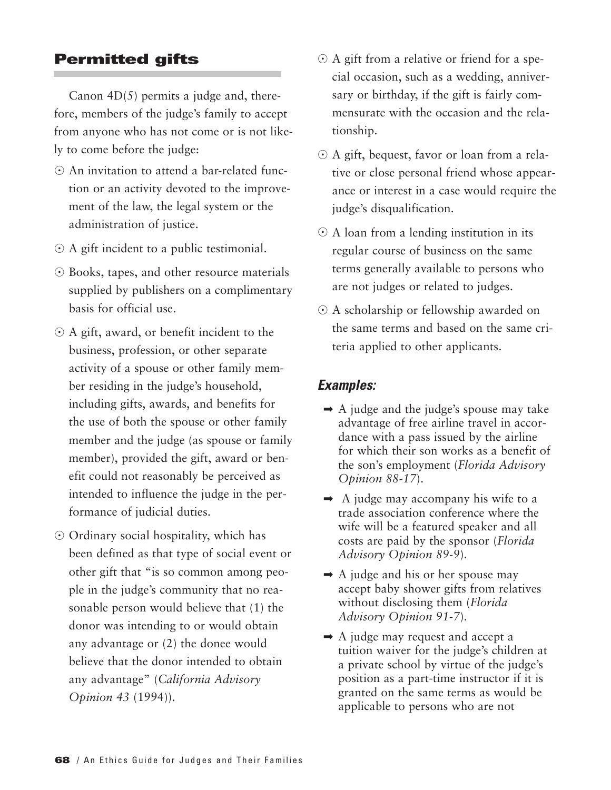### **Permitted gifts**

Canon  $4D(5)$  permits a judge and, therefore, members of the judge's family to accept from anyone who has not come or is not likely to come before the judge:

- An invitation to attend a bar-related function or an activity devoted to the improvement of the law, the legal system or the administration of justice.
- A gift incident to a public testimonial.
- Books, tapes, and other resource materials supplied by publishers on a complimentary basis for official use.
- A gift, award, or benefit incident to the business, profession, or other separate activity of a spouse or other family member residing in the judge's household, including gifts, awards, and benefits for the use of both the spouse or other family member and the judge (as spouse or family member), provided the gift, award or benefit could not reasonably be perceived as intended to influence the judge in the performance of judicial duties.
- Ordinary social hospitality, which has been defined as that type of social event or other gift that "is so common among people in the judge's community that no reasonable person would believe that (1) the donor was intending to or would obtain any advantage or (2) the donee would believe that the donor intended to obtain any advantage" (*California Advisory Opinion 43* (1994)).
- A gift from a relative or friend for a special occasion, such as a wedding, anniversary or birthday, if the gift is fairly commensurate with the occasion and the relationship.
- A gift, bequest, favor or loan from a relative or close personal friend whose appearance or interest in a case would require the judge's disqualification.
- $\odot$  A loan from a lending institution in its regular course of business on the same terms generally available to persons who are not judges or related to judges.
- $\odot$  A scholarship or fellowship awarded on the same terms and based on the same criteria applied to other applicants.

- $\rightarrow$  A judge and the judge's spouse may take advantage of free airline travel in accordance with a pass issued by the airline for which their son works as a benefit of the son's employment (*Florida Advisory Opinion 88-17*).
- $\rightarrow$  A judge may accompany his wife to a trade association conference where the wife will be a featured speaker and all costs are paid by the sponsor (*Florida Advisory Opinion 89-9*).
- $\rightarrow$  A judge and his or her spouse may accept baby shower gifts from relatives without disclosing them (*Florida Advisory Opinion 91-7*).
- $\rightarrow$  A judge may request and accept a tuition waiver for the judge's children at a private school by virtue of the judge's position as a part-time instructor if it is granted on the same terms as would be applicable to persons who are not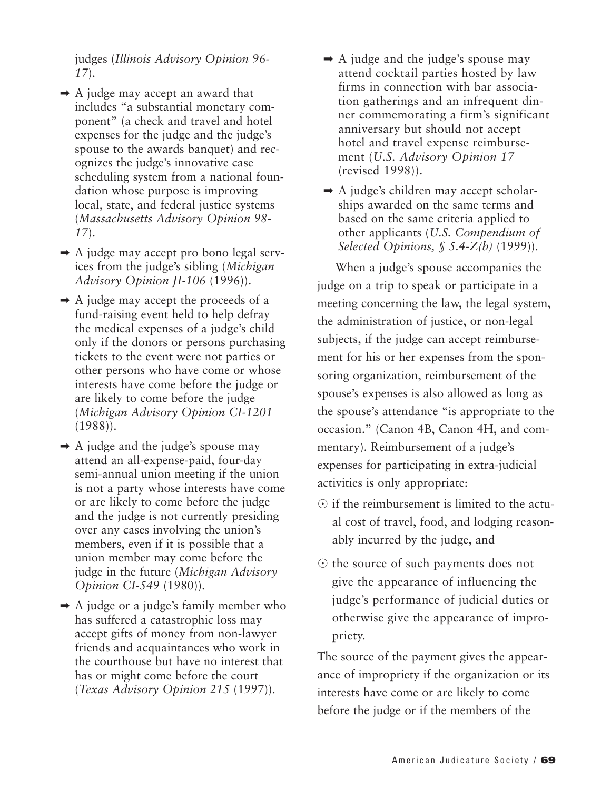judges (*Illinois Advisory Opinion 96- 17*).

- $\rightarrow$  A judge may accept an award that includes "a substantial monetary component" (a check and travel and hotel expenses for the judge and the judge's spouse to the awards banquet) and recognizes the judge's innovative case scheduling system from a national foundation whose purpose is improving local, state, and federal justice systems (*Massachusetts Advisory Opinion 98- 17*).
- $\rightarrow$  A judge may accept pro bono legal services from the judge's sibling (*Michigan Advisory Opinion JI-106* (1996)).
- $\rightarrow$  A judge may accept the proceeds of a fund-raising event held to help defray the medical expenses of a judge's child only if the donors or persons purchasing tickets to the event were not parties or other persons who have come or whose interests have come before the judge or are likely to come before the judge (*Michigan Advisory Opinion CI-1201* (1988)).
- $\rightarrow$  A judge and the judge's spouse may attend an all-expense-paid, four-day semi-annual union meeting if the union is not a party whose interests have come or are likely to come before the judge and the judge is not currently presiding over any cases involving the union's members, even if it is possible that a union member may come before the judge in the future (*Michigan Advisory Opinion CI-549* (1980)).
- $\rightarrow$  A judge or a judge's family member who has suffered a catastrophic loss may accept gifts of money from non-lawyer friends and acquaintances who work in the courthouse but have no interest that has or might come before the court (*Texas Advisory Opinion 215* (1997)).
- $\rightarrow$  A judge and the judge's spouse may attend cocktail parties hosted by law firms in connection with bar association gatherings and an infrequent dinner commemorating a firm's significant anniversary but should not accept hotel and travel expense reimbursement (*U.S. Advisory Opinion 17* (revised 1998)).
- $\rightarrow$  A judge's children may accept scholarships awarded on the same terms and based on the same criteria applied to other applicants (*U.S. Compendium of Selected Opinions, § 5.4-Z(b)* (1999)).

When a judge's spouse accompanies the judge on a trip to speak or participate in a meeting concerning the law, the legal system, the administration of justice, or non-legal subjects, if the judge can accept reimbursement for his or her expenses from the sponsoring organization, reimbursement of the spouse's expenses is also allowed as long as the spouse's attendance "is appropriate to the occasion." (Canon 4B, Canon 4H, and commentary). Reimbursement of a judge's expenses for participating in extra-judicial activities is only appropriate:

- $\odot$  if the reimbursement is limited to the actual cost of travel, food, and lodging reasonably incurred by the judge, and
- $\odot$  the source of such payments does not give the appearance of influencing the judge's performance of judicial duties or otherwise give the appearance of impropriety.

The source of the payment gives the appearance of impropriety if the organization or its interests have come or are likely to come before the judge or if the members of the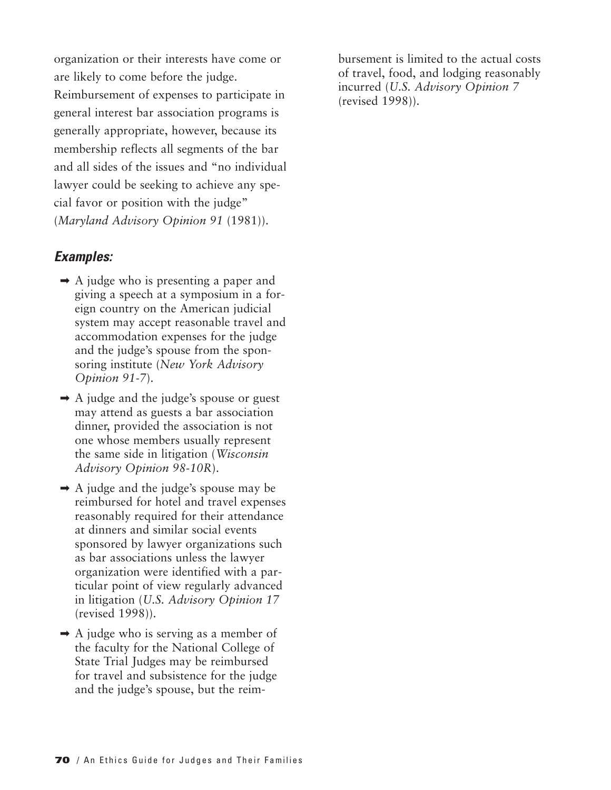organization or their interests have come or are likely to come before the judge.

Reimbursement of expenses to participate in general interest bar association programs is generally appropriate, however, because its membership reflects all segments of the bar and all sides of the issues and "no individual lawyer could be seeking to achieve any special favor or position with the judge" (*Maryland Advisory Opinion 91* (1981)).

#### *Examples:*

- $\rightarrow$  A judge who is presenting a paper and giving a speech at a symposium in a foreign country on the American judicial system may accept reasonable travel and accommodation expenses for the judge and the judge's spouse from the sponsoring institute (*New York Advisory Opinion 91-7*).
- $\rightarrow$  A judge and the judge's spouse or guest may attend as guests a bar association dinner, provided the association is not one whose members usually represent the same side in litigation (*Wisconsin Advisory Opinion 98-10R*).
- ➡ A judge and the judge's spouse may be reimbursed for hotel and travel expenses reasonably required for their attendance at dinners and similar social events sponsored by lawyer organizations such as bar associations unless the lawyer organization were identified with a particular point of view regularly advanced in litigation (*U.S. Advisory Opinion 17* (revised 1998)).
- $\rightarrow$  A judge who is serving as a member of the faculty for the National College of State Trial Judges may be reimbursed for travel and subsistence for the judge and the judge's spouse, but the reim-

bursement is limited to the actual costs of travel, food, and lodging reasonably incurred (*U.S. Advisory Opinion 7* (revised 1998)).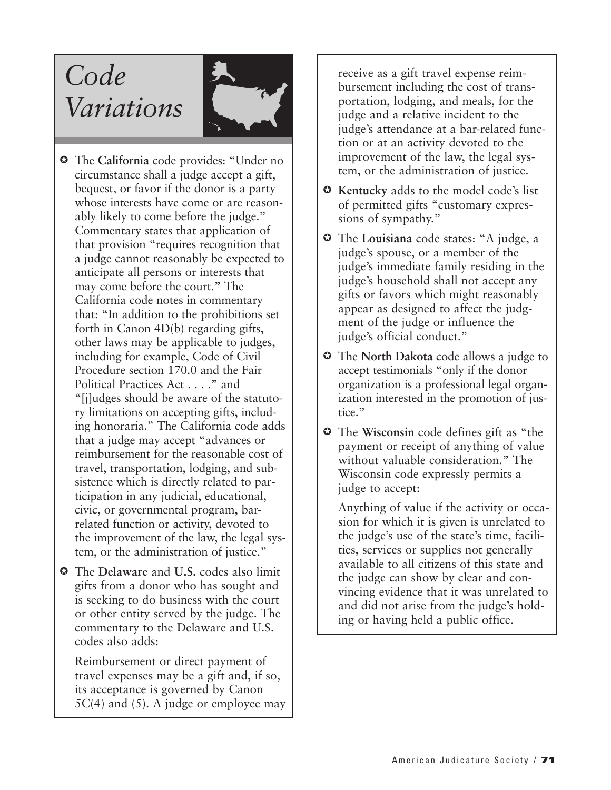# *Code Variations*



- The **California** code provides: "Under no circumstance shall a judge accept a gift, bequest, or favor if the donor is a party whose interests have come or are reasonably likely to come before the judge." Commentary states that application of that provision "requires recognition that a judge cannot reasonably be expected to anticipate all persons or interests that may come before the court." The California code notes in commentary that: "In addition to the prohibitions set forth in Canon 4D(b) regarding gifts, other laws may be applicable to judges, including for example, Code of Civil Procedure section 170.0 and the Fair Political Practices Act . . . ." and "[j]udges should be aware of the statutory limitations on accepting gifts, including honoraria." The California code adds that a judge may accept "advances or reimbursement for the reasonable cost of travel, transportation, lodging, and subsistence which is directly related to participation in any judicial, educational, civic, or governmental program, barrelated function or activity, devoted to the improvement of the law, the legal system, or the administration of justice."
- The **Delaware** and **U.S.** codes also limit gifts from a donor who has sought and is seeking to do business with the court or other entity served by the judge. The commentary to the Delaware and U.S. codes also adds:

Reimbursement or direct payment of travel expenses may be a gift and, if so, its acceptance is governed by Canon  $5C(4)$  and  $(5)$ . A judge or employee may receive as a gift travel expense reimbursement including the cost of transportation, lodging, and meals, for the judge and a relative incident to the judge's attendance at a bar-related function or at an activity devoted to the improvement of the law, the legal system, or the administration of justice.

- **Kentucky** adds to the model code's list of permitted gifts "customary expressions of sympathy."
- The **Louisiana** code states: "A judge, a judge's spouse, or a member of the judge's immediate family residing in the judge's household shall not accept any gifts or favors which might reasonably appear as designed to affect the judgment of the judge or influence the judge's official conduct."
- The **North Dakota** code allows a judge to accept testimonials "only if the donor organization is a professional legal organization interested in the promotion of justice."
- The **Wisconsin** code defines gift as "the payment or receipt of anything of value without valuable consideration." The Wisconsin code expressly permits a judge to accept:

Anything of value if the activity or occasion for which it is given is unrelated to the judge's use of the state's time, facilities, services or supplies not generally available to all citizens of this state and the judge can show by clear and convincing evidence that it was unrelated to and did not arise from the judge's holding or having held a public office.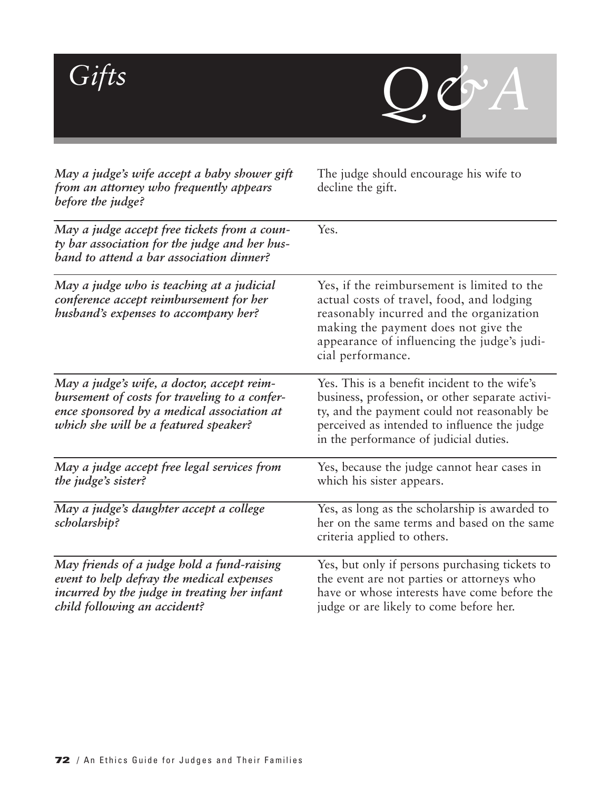

| May a judge's wife accept a baby shower gift<br>from an attorney who frequently appears<br>before the judge?                                                                       | The judge should encourage his wife to<br>decline the gift.                                                                                                                                                                                      |
|------------------------------------------------------------------------------------------------------------------------------------------------------------------------------------|--------------------------------------------------------------------------------------------------------------------------------------------------------------------------------------------------------------------------------------------------|
| May a judge accept free tickets from a coun-<br>ty bar association for the judge and her hus-<br>band to attend a bar association dinner?                                          | Yes.                                                                                                                                                                                                                                             |
| May a judge who is teaching at a judicial<br>conference accept reimbursement for her<br>husband's expenses to accompany her?                                                       | Yes, if the reimbursement is limited to the<br>actual costs of travel, food, and lodging<br>reasonably incurred and the organization<br>making the payment does not give the<br>appearance of influencing the judge's judi-<br>cial performance. |
| May a judge's wife, a doctor, accept reim-<br>bursement of costs for traveling to a confer-<br>ence sponsored by a medical association at<br>which she will be a featured speaker? | Yes. This is a benefit incident to the wife's<br>business, profession, or other separate activi-<br>ty, and the payment could not reasonably be<br>perceived as intended to influence the judge<br>in the performance of judicial duties.        |
| May a judge accept free legal services from<br>the judge's sister?                                                                                                                 | Yes, because the judge cannot hear cases in<br>which his sister appears.                                                                                                                                                                         |
| May a judge's daughter accept a college<br>scholarship?                                                                                                                            | Yes, as long as the scholarship is awarded to<br>her on the same terms and based on the same<br>criteria applied to others.                                                                                                                      |
| May friends of a judge hold a fund-raising<br>event to help defray the medical expenses<br>incurred by the judge in treating her infant<br>child following an accident?            | Yes, but only if persons purchasing tickets to<br>the event are not parties or attorneys who<br>have or whose interests have come before the<br>judge or are likely to come before her.                                                          |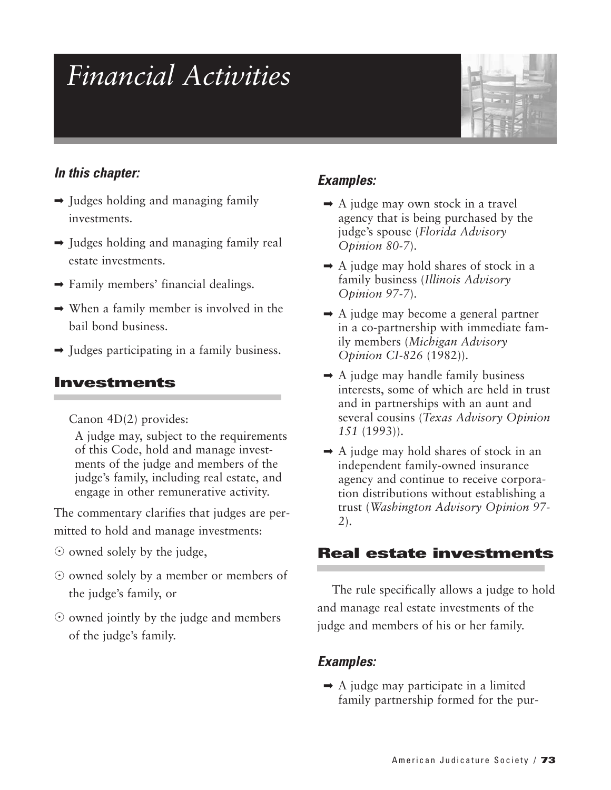# *Financial Activities*



### *In this chapter:*

- $\rightarrow$  Judges holding and managing family investments.
- ➡ Judges holding and managing family real estate investments.
- ➡ Family members' financial dealings.
- $\rightarrow$  When a family member is involved in the bail bond business.
- $\rightarrow$  Judges participating in a family business.

# **Investments**

Canon 4D(2) provides:

A judge may, subject to the requirements of this Code, hold and manage investments of the judge and members of the judge's family, including real estate, and engage in other remunerative activity.

The commentary clarifies that judges are permitted to hold and manage investments:

- $\odot$  owned solely by the judge,
- $\odot$  owned solely by a member or members of the judge's family, or
- $\odot$  owned jointly by the judge and members of the judge's family.

# *Examples:*

- $\rightarrow$  A judge may own stock in a travel agency that is being purchased by the judge's spouse (*Florida Advisory Opinion 80-7*).
- $\rightarrow$  A judge may hold shares of stock in a family business (*Illinois Advisory Opinion 97-7*).
- $\rightarrow$  A judge may become a general partner in a co-partnership with immediate family members (*Michigan Advisory Opinion CI-826* (1982)).
- $\rightarrow$  A judge may handle family business interests, some of which are held in trust and in partnerships with an aunt and several cousins (*Texas Advisory Opinion 151* (1993)).
- $\rightarrow$  A judge may hold shares of stock in an independent family-owned insurance agency and continue to receive corporation distributions without establishing a trust (*Washington Advisory Opinion 97- 2*).

# **Real estate investments**

The rule specifically allows a judge to hold and manage real estate investments of the judge and members of his or her family.

### *Examples:*

 $\rightarrow$  A judge may participate in a limited family partnership formed for the pur-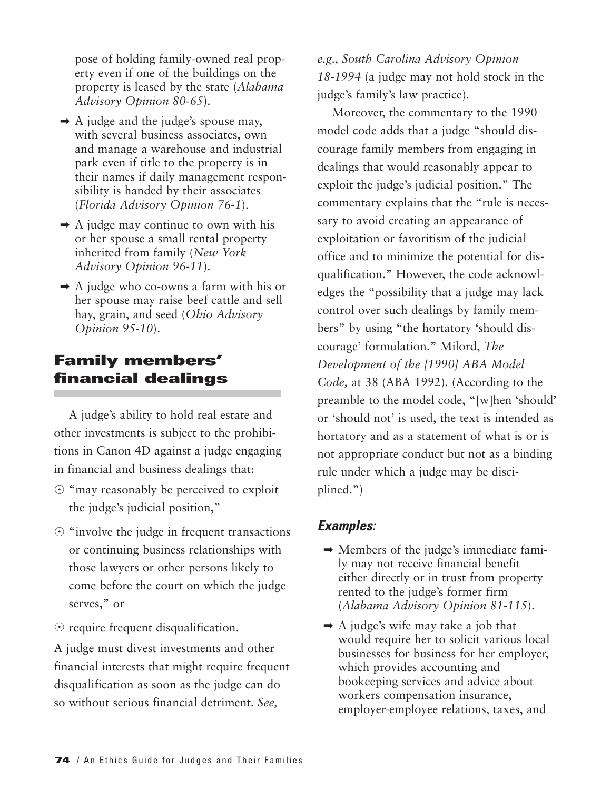pose of holding family-owned real property even if one of the buildings on the property is leased by the state (*Alabama Advisory Opinion 80-65*).

- $\rightarrow$  A judge and the judge's spouse may, with several business associates, own and manage a warehouse and industrial park even if title to the property is in their names if daily management responsibility is handed by their associates (*Florida Advisory Opinion 76-1*).
- $\rightarrow$  A judge may continue to own with his or her spouse a small rental property inherited from family (*New York Advisory Opinion 96-11*).
- $\rightarrow$  A judge who co-owns a farm with his or her spouse may raise beef cattle and sell hay, grain, and seed (*Ohio Advisory Opinion 95-10*).

# **Family members' financial dealings**

A judge's ability to hold real estate and other investments is subject to the prohibitions in Canon 4D against a judge engaging in financial and business dealings that:

- $\odot$  "may reasonably be perceived to exploit the judge's judicial position,"
- $\odot$  "involve the judge in frequent transactions or continuing business relationships with those lawyers or other persons likely to come before the court on which the judge serves," or
- $\odot$  require frequent disqualification.

A judge must divest investments and other financial interests that might require frequent disqualification as soon as the judge can do so without serious financial detriment. *See,*

*e.g., South Carolina Advisory Opinion 18-1994* (a judge may not hold stock in the judge's family's law practice).

Moreover, the commentary to the 1990 model code adds that a judge "should discourage family members from engaging in dealings that would reasonably appear to exploit the judge's judicial position." The commentary explains that the "rule is necessary to avoid creating an appearance of exploitation or favoritism of the judicial office and to minimize the potential for disqualification." However, the code acknowledges the "possibility that a judge may lack control over such dealings by family members" by using "the hortatory 'should discourage' formulation." Milord, *The Development of the [1990] ABA Model Code,* at 38 (ABA 1992). (According to the preamble to the model code, "[w]hen 'should' or 'should not' is used, the text is intended as hortatory and as a statement of what is or is not appropriate conduct but not as a binding rule under which a judge may be disciplined.")

- $\rightarrow$  Members of the judge's immediate family may not receive financial benefit either directly or in trust from property rented to the judge's former firm (*Alabama Advisory Opinion 81-115*).
- $\rightarrow$  A judge's wife may take a job that would require her to solicit various local businesses for business for her employer, which provides accounting and bookeeping services and advice about workers compensation insurance, employer-employee relations, taxes, and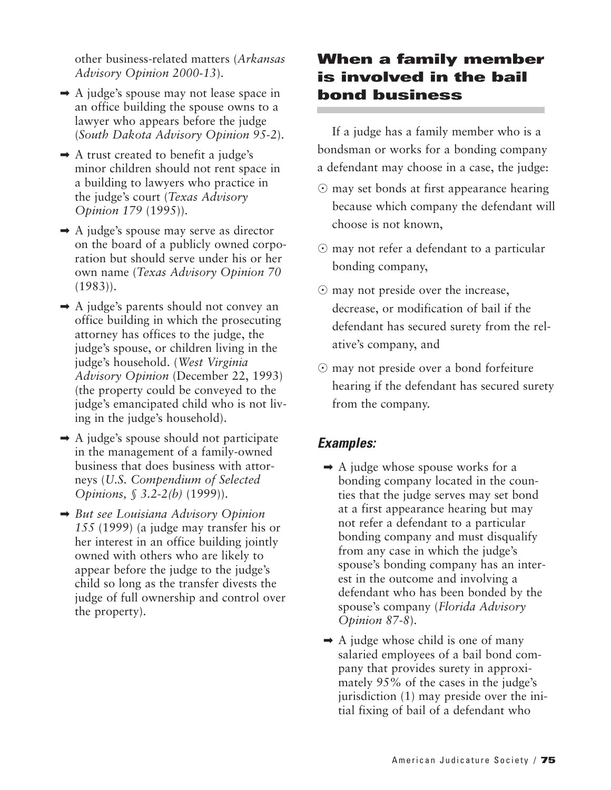other business-related matters (*Arkansas Advisory Opinion 2000-13*).

- $\rightarrow$  A judge's spouse may not lease space in an office building the spouse owns to a lawyer who appears before the judge (*South Dakota Advisory Opinion 95-2*).
- $\rightarrow$  A trust created to benefit a judge's minor children should not rent space in a building to lawyers who practice in the judge's court (*Texas Advisory Opinion 179* (1995)).
- $\rightarrow$  A judge's spouse may serve as director on the board of a publicly owned corporation but should serve under his or her own name (*Texas Advisory Opinion 70* (1983)).
- ➡ A judge's parents should not convey an office building in which the prosecuting attorney has offices to the judge, the judge's spouse, or children living in the judge's household. (*West Virginia Advisory Opinion* (December 22, 1993) (the property could be conveyed to the judge's emancipated child who is not living in the judge's household).
- $\rightarrow$  A judge's spouse should not participate in the management of a family-owned business that does business with attorneys (*U.S. Compendium of Selected Opinions, § 3.2-2(b)* (1999)).
- ➡ *But see Louisiana Advisory Opinion 155* (1999) (a judge may transfer his or her interest in an office building jointly owned with others who are likely to appear before the judge to the judge's child so long as the transfer divests the judge of full ownership and control over the property).

# **When a family member is involved in the bail bond business**

If a judge has a family member who is a bondsman or works for a bonding company a defendant may choose in a case, the judge:

- $\odot$  may set bonds at first appearance hearing because which company the defendant will choose is not known,
- may not refer a defendant to a particular bonding company,
- $\odot$  may not preside over the increase, decrease, or modification of bail if the defendant has secured surety from the relative's company, and
- may not preside over a bond forfeiture hearing if the defendant has secured surety from the company.

- $\rightarrow$  A judge whose spouse works for a bonding company located in the counties that the judge serves may set bond at a first appearance hearing but may not refer a defendant to a particular bonding company and must disqualify from any case in which the judge's spouse's bonding company has an interest in the outcome and involving a defendant who has been bonded by the spouse's company (*Florida Advisory Opinion 87-8*).
- $\rightarrow$  A judge whose child is one of many salaried employees of a bail bond company that provides surety in approximately 95% of the cases in the judge's jurisdiction (1) may preside over the initial fixing of bail of a defendant who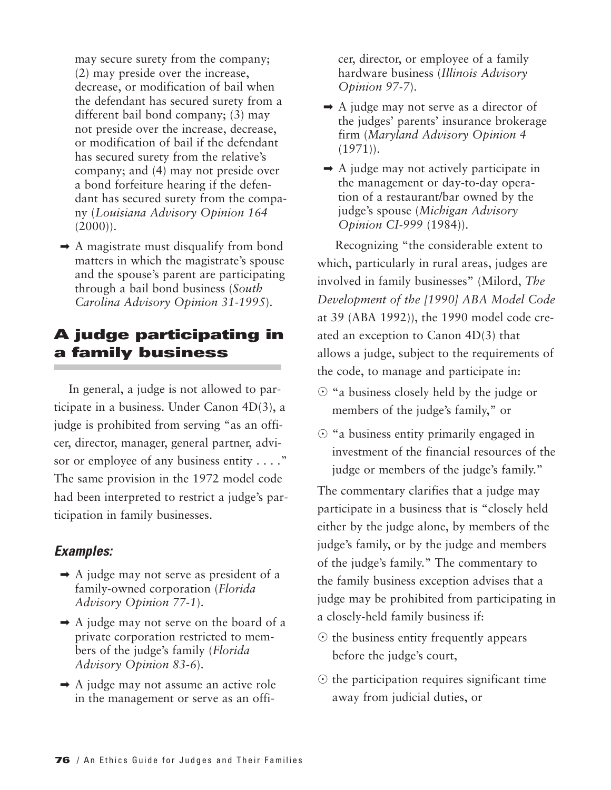may secure surety from the company; (2) may preside over the increase, decrease, or modification of bail when the defendant has secured surety from a different bail bond company; (3) may not preside over the increase, decrease, or modification of bail if the defendant has secured surety from the relative's company; and (4) may not preside over a bond forfeiture hearing if the defendant has secured surety from the company (*Louisiana Advisory Opinion 164*  $(2000)$ ).

➡ A magistrate must disqualify from bond matters in which the magistrate's spouse and the spouse's parent are participating through a bail bond business (*South Carolina Advisory Opinion 31-1995*).

# **A judge participating in a family business**

In general, a judge is not allowed to participate in a business. Under Canon 4D(3), a judge is prohibited from serving "as an officer, director, manager, general partner, advisor or employee of any business entity . . . ." The same provision in the 1972 model code had been interpreted to restrict a judge's participation in family businesses.

#### *Examples:*

- $\rightarrow$  A judge may not serve as president of a family-owned corporation (*Florida Advisory Opinion 77-1*).
- $\rightarrow$  A judge may not serve on the board of a private corporation restricted to members of the judge's family (*Florida Advisory Opinion 83-6*).
- ➡ A judge may not assume an active role in the management or serve as an offi-

cer, director, or employee of a family hardware business (*Illinois Advisory Opinion 97-7*).

- $\rightarrow$  A judge may not serve as a director of the judges' parents' insurance brokerage firm (*Maryland Advisory Opinion 4*  $(1971)$ .
- $\rightarrow$  A judge may not actively participate in the management or day-to-day operation of a restaurant/bar owned by the judge's spouse (*Michigan Advisory Opinion CI-999* (1984)).

Recognizing "the considerable extent to which, particularly in rural areas, judges are involved in family businesses" (Milord, *The Development of the [1990] ABA Model Code* at 39 (ABA 1992)), the 1990 model code created an exception to Canon 4D(3) that allows a judge, subject to the requirements of the code, to manage and participate in:

- $\odot$  "a business closely held by the judge or members of the judge's family," or
- $\odot$  "a business entity primarily engaged in investment of the financial resources of the judge or members of the judge's family."

The commentary clarifies that a judge may participate in a business that is "closely held either by the judge alone, by members of the judge's family, or by the judge and members of the judge's family." The commentary to the family business exception advises that a judge may be prohibited from participating in a closely-held family business if:

- $\odot$  the business entity frequently appears before the judge's court,
- $\odot$  the participation requires significant time away from judicial duties, or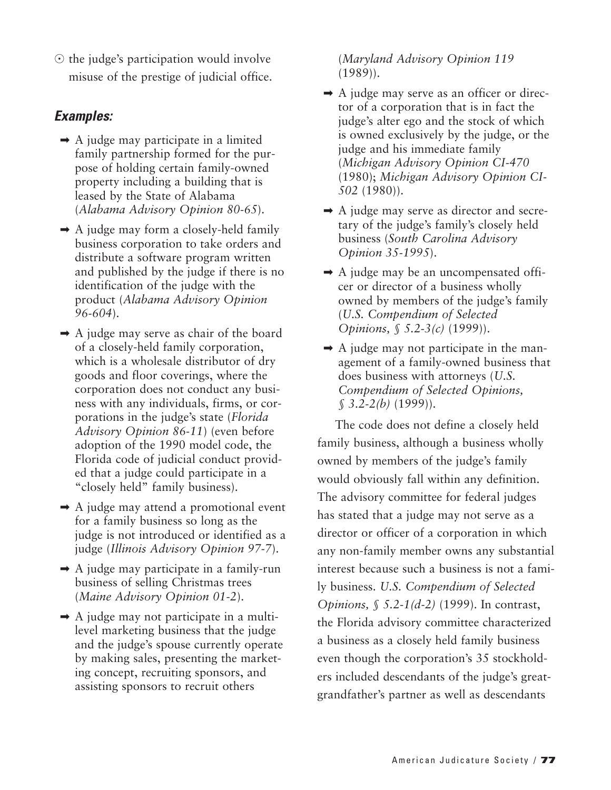$\odot$  the judge's participation would involve misuse of the prestige of judicial office.

## *Examples:*

- $\rightarrow$  A judge may participate in a limited family partnership formed for the purpose of holding certain family-owned property including a building that is leased by the State of Alabama (*Alabama Advisory Opinion 80-65*).
- $\rightarrow$  A judge may form a closely-held family business corporation to take orders and distribute a software program written and published by the judge if there is no identification of the judge with the product (*Alabama Advisory Opinion 96-604*).
- $\rightarrow$  A judge may serve as chair of the board of a closely-held family corporation, which is a wholesale distributor of dry goods and floor coverings, where the corporation does not conduct any business with any individuals, firms, or corporations in the judge's state (*Florida Advisory Opinion 86-11*) (even before adoption of the 1990 model code, the Florida code of judicial conduct provided that a judge could participate in a "closely held" family business).
- $\rightarrow$  A judge may attend a promotional event for a family business so long as the judge is not introduced or identified as a judge (*Illinois Advisory Opinion 97-7*).
- ➡ A judge may participate in a family-run business of selling Christmas trees (*Maine Advisory Opinion 01-2*).
- $\rightarrow$  A judge may not participate in a multilevel marketing business that the judge and the judge's spouse currently operate by making sales, presenting the marketing concept, recruiting sponsors, and assisting sponsors to recruit others

(*Maryland Advisory Opinion 119* (1989)).

- $\rightarrow$  A judge may serve as an officer or director of a corporation that is in fact the judge's alter ego and the stock of which is owned exclusively by the judge, or the judge and his immediate family (*Michigan Advisory Opinion CI-470* (1980); *Michigan Advisory Opinion CI-502* (1980)).
- $\rightarrow$  A judge may serve as director and secretary of the judge's family's closely held business (*South Carolina Advisory Opinion 35-1995*).
- $\rightarrow$  A judge may be an uncompensated officer or director of a business wholly owned by members of the judge's family (*U.S. Compendium of Selected Opinions, § 5.2-3(c)* (1999)).
- $\rightarrow$  A judge may not participate in the management of a family-owned business that does business with attorneys (*U.S. Compendium of Selected Opinions, § 3.2-2(b)* (1999)).

The code does not define a closely held family business, although a business wholly owned by members of the judge's family would obviously fall within any definition. The advisory committee for federal judges has stated that a judge may not serve as a director or officer of a corporation in which any non-family member owns any substantial interest because such a business is not a family business. *U.S. Compendium of Selected Opinions, § 5.2-1(d-2)* (1999). In contrast, the Florida advisory committee characterized a business as a closely held family business even though the corporation's 35 stockholders included descendants of the judge's greatgrandfather's partner as well as descendants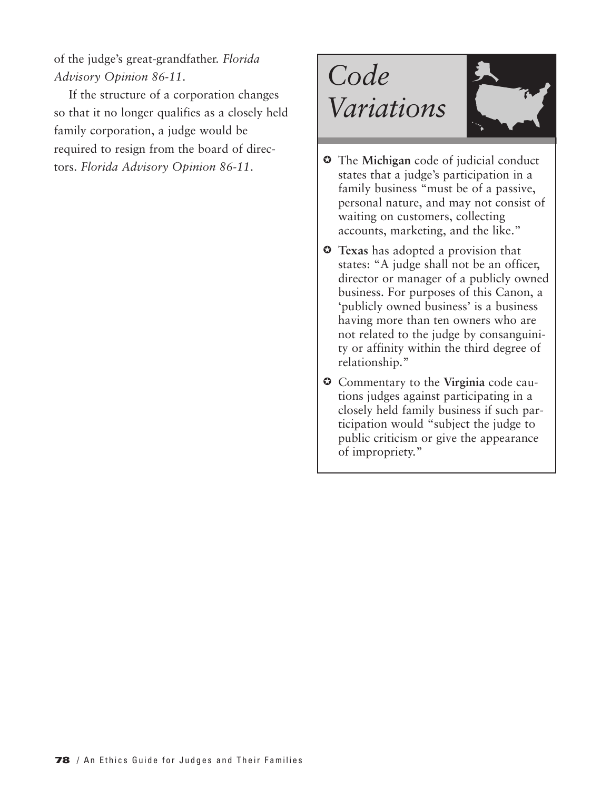of the judge's great-grandfather. *Florida Advisory Opinion 86-11*.

If the structure of a corporation changes so that it no longer qualifies as a closely held family corporation, a judge would be required to resign from the board of directors. *Florida Advisory Opinion 86-11*. The **Michigan** code of judicial conduct





- states that a judge's participation in a family business "must be of a passive, personal nature, and may not consist of waiting on customers, collecting accounts, marketing, and the like."
- **Texas** has adopted a provision that states: "A judge shall not be an officer, director or manager of a publicly owned business. For purposes of this Canon, a 'publicly owned business' is a business having more than ten owners who are not related to the judge by consanguinity or affinity within the third degree of relationship."
- Commentary to the **Virginia** code cautions judges against participating in a closely held family business if such participation would "subject the judge to public criticism or give the appearance of impropriety."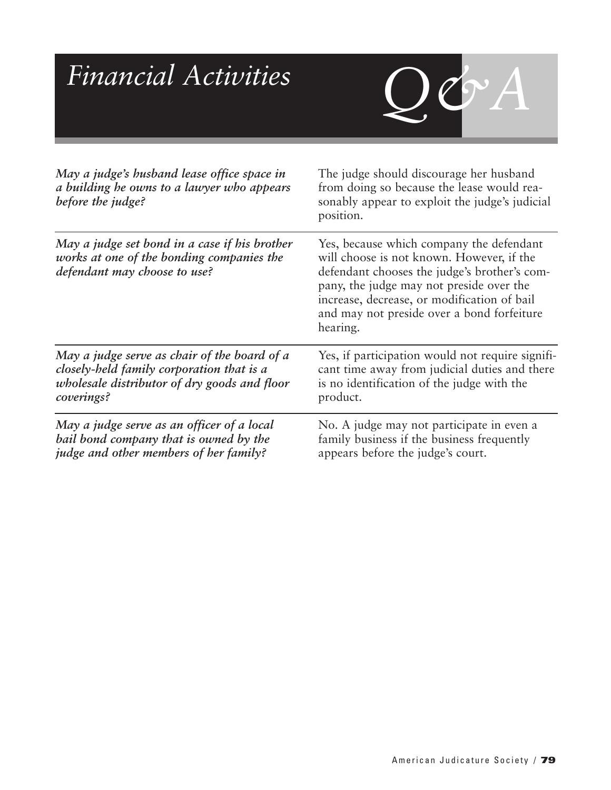| <b>Financial Activities</b>                                                                                                                             | OC                                                                                                                                                                                                                                                                                         |
|---------------------------------------------------------------------------------------------------------------------------------------------------------|--------------------------------------------------------------------------------------------------------------------------------------------------------------------------------------------------------------------------------------------------------------------------------------------|
| May a judge's husband lease office space in<br>a building he owns to a lawyer who appears<br>before the judge?                                          | The judge should discourage her husband<br>from doing so because the lease would rea-<br>sonably appear to exploit the judge's judicial<br>position.                                                                                                                                       |
| May a judge set bond in a case if his brother<br>works at one of the bonding companies the<br>defendant may choose to use?                              | Yes, because which company the defendant<br>will choose is not known. However, if the<br>defendant chooses the judge's brother's com-<br>pany, the judge may not preside over the<br>increase, decrease, or modification of bail<br>and may not preside over a bond forfeiture<br>hearing. |
| May a judge serve as chair of the board of a<br>closely-held family corporation that is a<br>wholesale distributor of dry goods and floor<br>coverings? | Yes, if participation would not require signifi-<br>cant time away from judicial duties and there<br>is no identification of the judge with the<br>product.                                                                                                                                |
| May a judge serve as an officer of a local<br>bail bond company that is owned by the<br>judge and other members of her family?                          | No. A judge may not participate in even a<br>family business if the business frequently<br>appears before the judge's court.                                                                                                                                                               |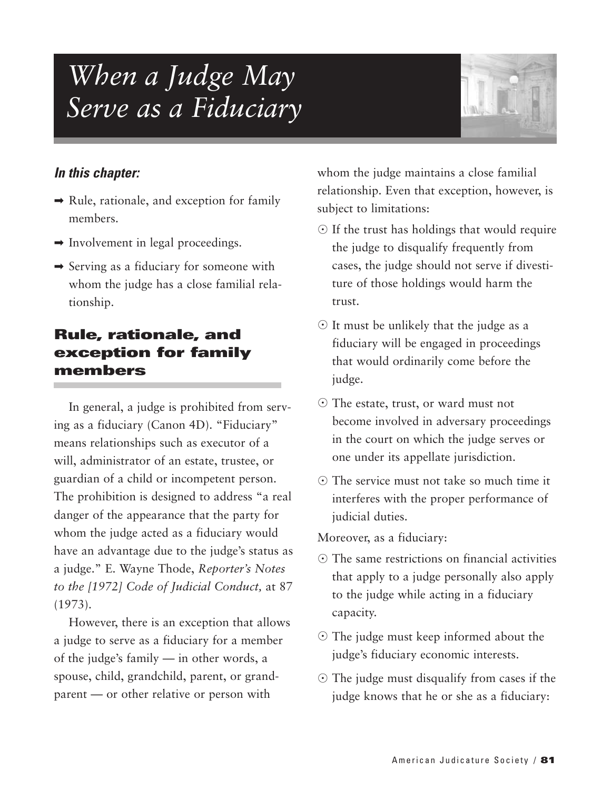# *When a Judge May Serve as a Fiduciary*



#### *In this chapter:*

- $\rightarrow$  Rule, rationale, and exception for family members.
- $\rightarrow$  Involvement in legal proceedings.
- $\rightarrow$  Serving as a fiduciary for someone with whom the judge has a close familial relationship.

# **Rule, rationale, and exception for family members**

In general, a judge is prohibited from serving as a fiduciary (Canon 4D). "Fiduciary" means relationships such as executor of a will, administrator of an estate, trustee, or guardian of a child or incompetent person. The prohibition is designed to address "a real danger of the appearance that the party for whom the judge acted as a fiduciary would have an advantage due to the judge's status as a judge." E. Wayne Thode, *Reporter's Notes to the [1972] Code of Judicial Conduct,* at 87 (1973).

However, there is an exception that allows a judge to serve as a fiduciary for a member of the judge's family — in other words, a spouse, child, grandchild, parent, or grandparent — or other relative or person with

whom the judge maintains a close familial relationship. Even that exception, however, is subject to limitations:

- $\odot$  If the trust has holdings that would require the judge to disqualify frequently from cases, the judge should not serve if divestiture of those holdings would harm the trust.
- It must be unlikely that the judge as a fiduciary will be engaged in proceedings that would ordinarily come before the judge.
- The estate, trust, or ward must not become involved in adversary proceedings in the court on which the judge serves or one under its appellate jurisdiction.
- The service must not take so much time it interferes with the proper performance of judicial duties.

Moreover, as a fiduciary:

- The same restrictions on financial activities that apply to a judge personally also apply to the judge while acting in a fiduciary capacity.
- The judge must keep informed about the judge's fiduciary economic interests.
- The judge must disqualify from cases if the judge knows that he or she as a fiduciary: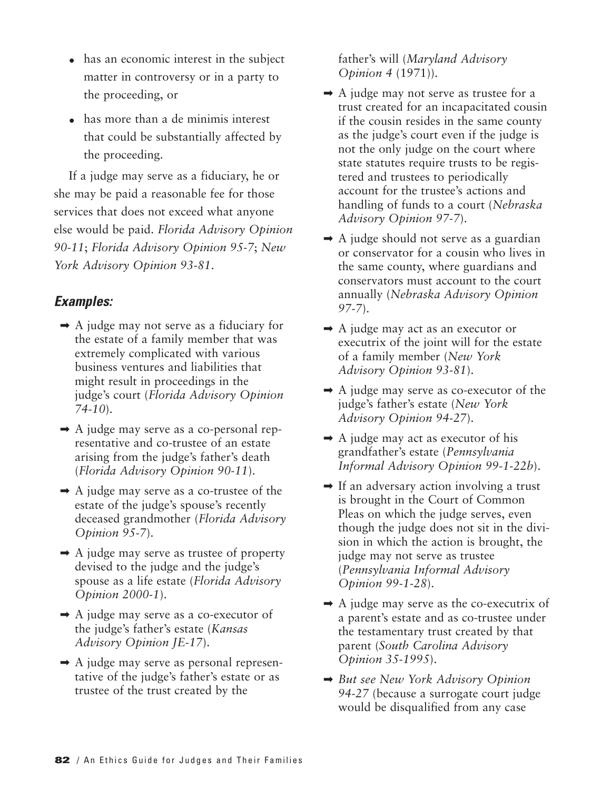- has an economic interest in the subject matter in controversy or in a party to the proceeding, or
- has more than a de minimis interest that could be substantially affected by the proceeding.

If a judge may serve as a fiduciary, he or she may be paid a reasonable fee for those services that does not exceed what anyone else would be paid. *Florida Advisory Opinion 90-11*; *Florida Advisory Opinion 95-7*; *New York Advisory Opinion 93-81*.

#### *Examples:*

- $\rightarrow$  A judge may not serve as a fiduciary for the estate of a family member that was extremely complicated with various business ventures and liabilities that might result in proceedings in the judge's court (*Florida Advisory Opinion 74-10*).
- $\rightarrow$  A judge may serve as a co-personal representative and co-trustee of an estate arising from the judge's father's death (*Florida Advisory Opinion 90-11*).
- $\rightarrow$  A judge may serve as a co-trustee of the estate of the judge's spouse's recently deceased grandmother (*Florida Advisory Opinion 95-7*).
- $\rightarrow$  A judge may serve as trustee of property devised to the judge and the judge's spouse as a life estate (*Florida Advisory Opinion 2000-1*).
- ➡ A judge may serve as a co-executor of the judge's father's estate (*Kansas Advisory Opinion JE-17*).
- $\rightarrow$  A judge may serve as personal representative of the judge's father's estate or as trustee of the trust created by the

father's will (*Maryland Advisory Opinion 4* (1971)).

- $\rightarrow$  A judge may not serve as trustee for a trust created for an incapacitated cousin if the cousin resides in the same county as the judge's court even if the judge is not the only judge on the court where state statutes require trusts to be registered and trustees to periodically account for the trustee's actions and handling of funds to a court (*Nebraska Advisory Opinion 97-7*).
- $\rightarrow$  A judge should not serve as a guardian or conservator for a cousin who lives in the same county, where guardians and conservators must account to the court annually (*Nebraska Advisory Opinion 97-7*).
- ➡ A judge may act as an executor or executrix of the joint will for the estate of a family member (*New York Advisory Opinion 93-81*).
- $\rightarrow$  A judge may serve as co-executor of the judge's father's estate (*New York Advisory Opinion 94-27*).
- $\rightarrow$  A judge may act as executor of his grandfather's estate (*Pennsylvania Informal Advisory Opinion 99-1-22b*).
- $\rightarrow$  If an adversary action involving a trust is brought in the Court of Common Pleas on which the judge serves, even though the judge does not sit in the division in which the action is brought, the judge may not serve as trustee (*Pennsylvania Informal Advisory Opinion 99-1-28*).
- $\rightarrow$  A judge may serve as the co-executrix of a parent's estate and as co-trustee under the testamentary trust created by that parent (*South Carolina Advisory Opinion 35-1995*).
- ➡ *But see New York Advisory Opinion 94-27* (because a surrogate court judge would be disqualified from any case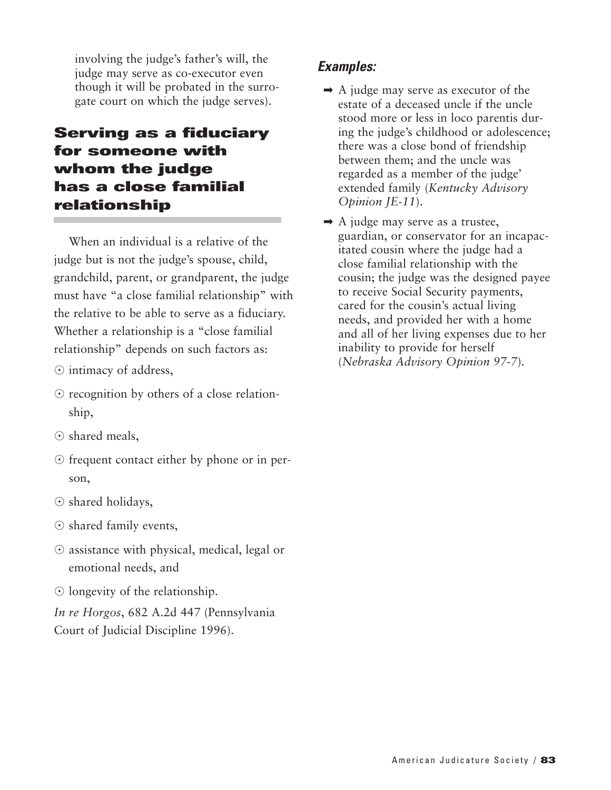involving the judge's father's will, the judge may serve as co-executor even though it will be probated in the surrogate court on which the judge serves).

# **Serving as a fiduciary for someone with whom the judge has a close familial relationship**

When an individual is a relative of the judge but is not the judge's spouse, child, grandchild, parent, or grandparent, the judge must have "a close familial relationship" with the relative to be able to serve as a fiduciary. Whether a relationship is a "close familial relationship" depends on such factors as:

- $\odot$  intimacy of address,
- recognition by others of a close relationship,
- $\odot$  shared meals,
- frequent contact either by phone or in person,
- O shared holidays,
- O shared family events,
- $\odot$  assistance with physical, medical, legal or emotional needs, and
- $\odot$  longevity of the relationship.

*In re Horgos*, 682 A.2d 447 (Pennsylvania Court of Judicial Discipline 1996).

- $\rightarrow$  A judge may serve as executor of the estate of a deceased uncle if the uncle stood more or less in loco parentis during the judge's childhood or adolescence; there was a close bond of friendship between them; and the uncle was regarded as a member of the judge' extended family (*Kentucky Advisory Opinion JE-11*).
- $\rightarrow$  A judge may serve as a trustee, guardian, or conservator for an incapacitated cousin where the judge had a close familial relationship with the cousin; the judge was the designed payee to receive Social Security payments, cared for the cousin's actual living needs, and provided her with a home and all of her living expenses due to her inability to provide for herself (*Nebraska Advisory Opinion 97-7*)*.*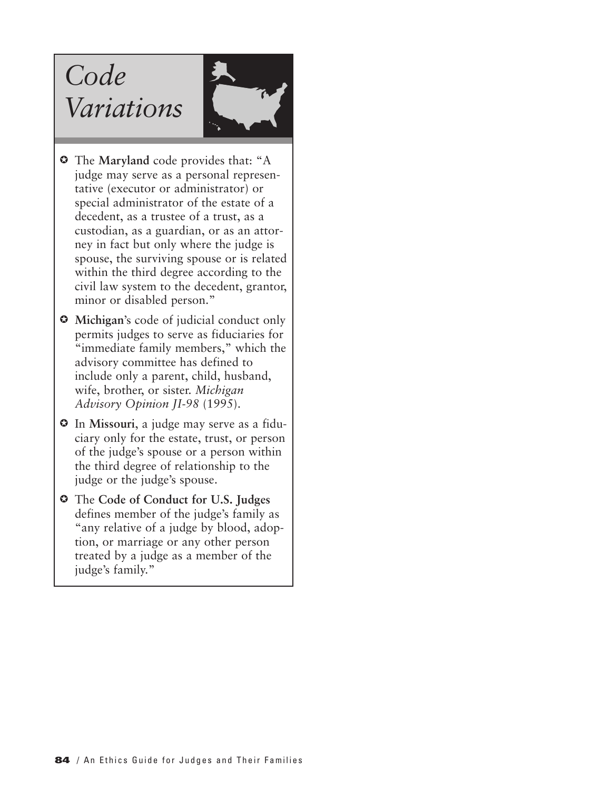# *Code Variations*



- $\odot$  The Maryland code provides that: "A judge may serve as a personal representative (executor or administrator) or special administrator of the estate of a decedent, as a trustee of a trust, as a custodian, as a guardian, or as an attorney in fact but only where the judge is spouse, the surviving spouse or is related within the third degree according to the civil law system to the decedent, grantor, minor or disabled person."
- $\odot$  Michigan's code of judicial conduct only permits judges to serve as fiduciaries for "immediate family members," which the advisory committee has defined to include only a parent, child, husband, wife, brother, or sister. *Michigan Advisory Opinion JI-98* (1995).
- In **Missouri**, a judge may serve as a fiduciary only for the estate, trust, or person of the judge's spouse or a person within the third degree of relationship to the judge or the judge's spouse.
- The **Code of Conduct for U.S. Judges** defines member of the judge's family as "any relative of a judge by blood, adoption, or marriage or any other person treated by a judge as a member of the judge's family."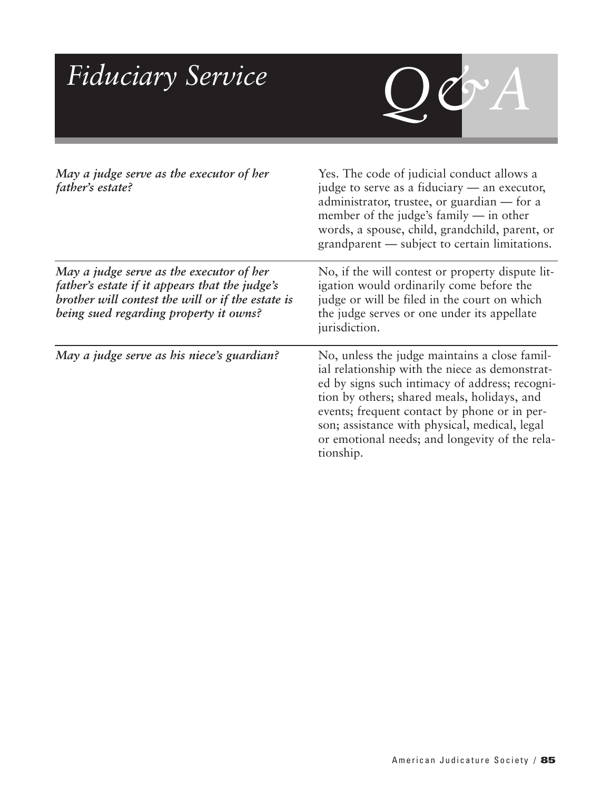| Fiduciary Service                                                                                                                                                                         |                                                                                                                                                                                                                                                                                                                                                                  |
|-------------------------------------------------------------------------------------------------------------------------------------------------------------------------------------------|------------------------------------------------------------------------------------------------------------------------------------------------------------------------------------------------------------------------------------------------------------------------------------------------------------------------------------------------------------------|
| May a judge serve as the executor of her<br>father's estate?                                                                                                                              | Yes. The code of judicial conduct allows a<br>judge to serve as a fiduciary — an executor,<br>administrator, trustee, or guardian — for a<br>member of the judge's family $-$ in other<br>words, a spouse, child, grandchild, parent, or<br>grandparent — subject to certain limitations.                                                                        |
| May a judge serve as the executor of her<br>father's estate if it appears that the judge's<br>brother will contest the will or if the estate is<br>being sued regarding property it owns? | No, if the will contest or property dispute lit-<br>igation would ordinarily come before the<br>judge or will be filed in the court on which<br>the judge serves or one under its appellate<br>jurisdiction.                                                                                                                                                     |
| May a judge serve as his niece's guardian?                                                                                                                                                | No, unless the judge maintains a close famil-<br>ial relationship with the niece as demonstrat-<br>ed by signs such intimacy of address; recogni-<br>tion by others; shared meals, holidays, and<br>events; frequent contact by phone or in per-<br>son; assistance with physical, medical, legal<br>or emotional needs; and longevity of the rela-<br>tionship. |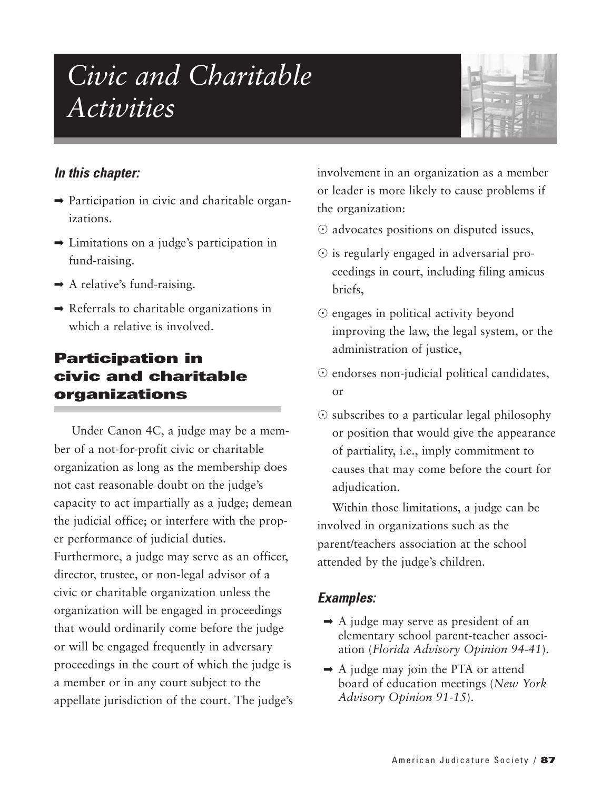# *Civic and Charitable Activities*



#### *In this chapter:*

- $\rightarrow$  Participation in civic and charitable organizations.
- $\rightarrow$  Limitations on a judge's participation in fund-raising.
- $\rightarrow$  A relative's fund-raising.
- $\rightarrow$  Referrals to charitable organizations in which a relative is involved.

# **Participation in civic and charitable organizations**

Under Canon 4C, a judge may be a member of a not-for-profit civic or charitable organization as long as the membership does not cast reasonable doubt on the judge's capacity to act impartially as a judge; demean the judicial office; or interfere with the proper performance of judicial duties. Furthermore, a judge may serve as an officer, director, trustee, or non-legal advisor of a civic or charitable organization unless the organization will be engaged in proceedings that would ordinarily come before the judge or will be engaged frequently in adversary proceedings in the court of which the judge is a member or in any court subject to the appellate jurisdiction of the court. The judge's involvement in an organization as a member or leader is more likely to cause problems if the organization:

- $\odot$  advocates positions on disputed issues,
- is regularly engaged in adversarial proceedings in court, including filing amicus briefs,
- engages in political activity beyond improving the law, the legal system, or the administration of justice,
- $\odot$  endorses non-judicial political candidates, or
- $\odot$  subscribes to a particular legal philosophy or position that would give the appearance of partiality, i.e., imply commitment to causes that may come before the court for adjudication.

Within those limitations, a judge can be involved in organizations such as the parent/teachers association at the school attended by the judge's children.

- $\rightarrow$  A judge may serve as president of an elementary school parent-teacher association (*Florida Advisory Opinion 94-41*).
- $\rightarrow$  A judge may join the PTA or attend board of education meetings (*New York Advisory Opinion 91-15*).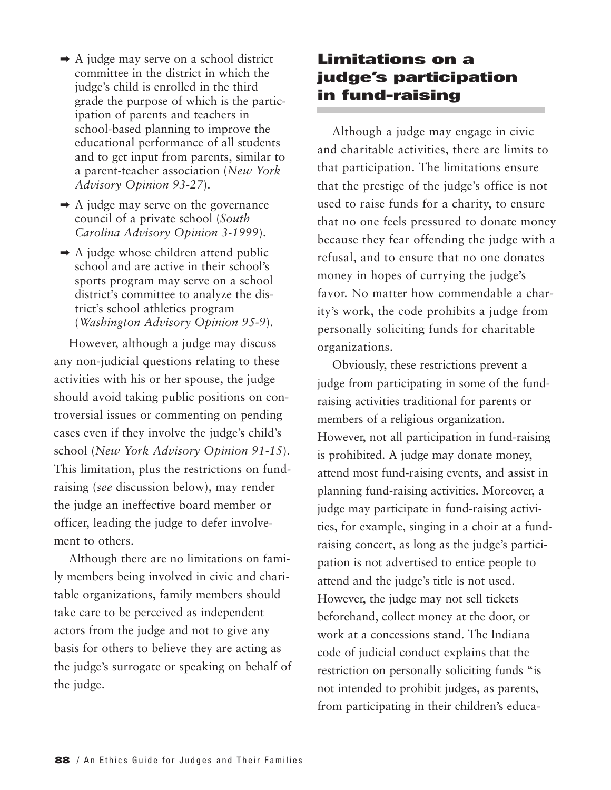- $\rightarrow$  A judge may serve on a school district committee in the district in which the judge's child is enrolled in the third grade the purpose of which is the participation of parents and teachers in school-based planning to improve the educational performance of all students and to get input from parents, similar to a parent-teacher association (*New York Advisory Opinion 93-27*).
- $\rightarrow$  A judge may serve on the governance council of a private school (*South Carolina Advisory Opinion 3-1999*).
- $\rightarrow$  A judge whose children attend public school and are active in their school's sports program may serve on a school district's committee to analyze the district's school athletics program (*Washington Advisory Opinion 95-9*).

However, although a judge may discuss any non-judicial questions relating to these activities with his or her spouse, the judge should avoid taking public positions on controversial issues or commenting on pending cases even if they involve the judge's child's school (*New York Advisory Opinion 91-15*). This limitation, plus the restrictions on fundraising (*see* discussion below), may render the judge an ineffective board member or officer, leading the judge to defer involvement to others.

Although there are no limitations on family members being involved in civic and charitable organizations, family members should take care to be perceived as independent actors from the judge and not to give any basis for others to believe they are acting as the judge's surrogate or speaking on behalf of the judge.

# **Limitations on a judge's participation in fund-raising**

Although a judge may engage in civic and charitable activities, there are limits to that participation. The limitations ensure that the prestige of the judge's office is not used to raise funds for a charity, to ensure that no one feels pressured to donate money because they fear offending the judge with a refusal, and to ensure that no one donates money in hopes of currying the judge's favor. No matter how commendable a charity's work, the code prohibits a judge from personally soliciting funds for charitable organizations.

Obviously, these restrictions prevent a judge from participating in some of the fundraising activities traditional for parents or members of a religious organization. However, not all participation in fund-raising is prohibited. A judge may donate money, attend most fund-raising events, and assist in planning fund-raising activities. Moreover, a judge may participate in fund-raising activities, for example, singing in a choir at a fundraising concert, as long as the judge's participation is not advertised to entice people to attend and the judge's title is not used. However, the judge may not sell tickets beforehand, collect money at the door, or work at a concessions stand. The Indiana code of judicial conduct explains that the restriction on personally soliciting funds "is not intended to prohibit judges, as parents, from participating in their children's educa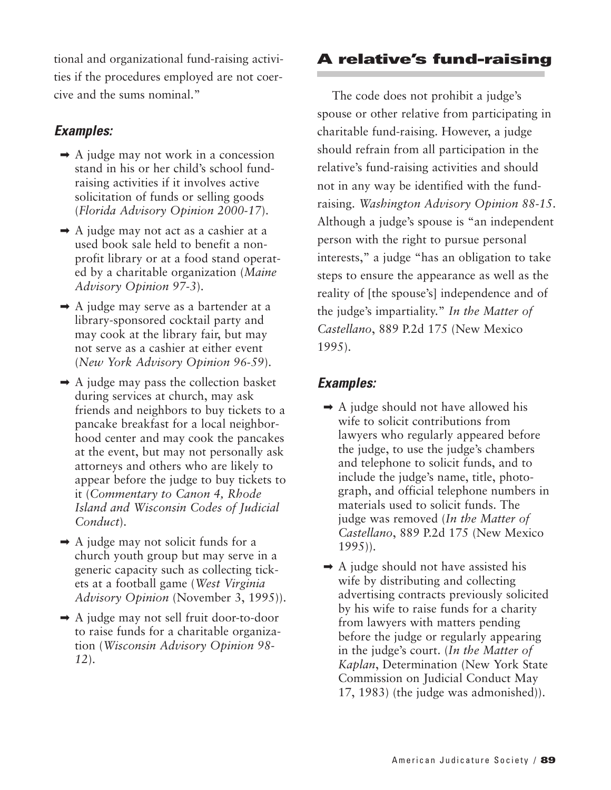tional and organizational fund-raising activities if the procedures employed are not coercive and the sums nominal."

## *Examples:*

- $\rightarrow$  A judge may not work in a concession stand in his or her child's school fundraising activities if it involves active solicitation of funds or selling goods (*Florida Advisory Opinion 2000-17*).
- $\rightarrow$  A judge may not act as a cashier at a used book sale held to benefit a nonprofit library or at a food stand operated by a charitable organization (*Maine Advisory Opinion 97-3*).
- ➡ A judge may serve as a bartender at a library-sponsored cocktail party and may cook at the library fair, but may not serve as a cashier at either event (*New York Advisory Opinion 96-59*).
- $\rightarrow$  A judge may pass the collection basket during services at church, may ask friends and neighbors to buy tickets to a pancake breakfast for a local neighborhood center and may cook the pancakes at the event, but may not personally ask attorneys and others who are likely to appear before the judge to buy tickets to it (*Commentary to Canon 4, Rhode Island and Wisconsin Codes of Judicial Conduct*).
- $\rightarrow$  A judge may not solicit funds for a church youth group but may serve in a generic capacity such as collecting tickets at a football game (*West Virginia Advisory Opinion* (November 3, 1995)).
- ➡ A judge may not sell fruit door-to-door to raise funds for a charitable organization (*Wisconsin Advisory Opinion 98- 12*).

# **A relative's fund-raising**

The code does not prohibit a judge's spouse or other relative from participating in charitable fund-raising. However, a judge should refrain from all participation in the relative's fund-raising activities and should not in any way be identified with the fundraising. *Washington Advisory Opinion 88-15*. Although a judge's spouse is "an independent person with the right to pursue personal interests," a judge "has an obligation to take steps to ensure the appearance as well as the reality of [the spouse's] independence and of the judge's impartiality." *In the Matter of Castellano*, 889 P.2d 175 (New Mexico 1995).

- $\rightarrow$  A judge should not have allowed his wife to solicit contributions from lawyers who regularly appeared before the judge, to use the judge's chambers and telephone to solicit funds, and to include the judge's name, title, photograph, and official telephone numbers in materials used to solicit funds. The judge was removed (*In the Matter of Castellano*, 889 P.2d 175 (New Mexico 1995)).
- $\rightarrow$  A judge should not have assisted his wife by distributing and collecting advertising contracts previously solicited by his wife to raise funds for a charity from lawyers with matters pending before the judge or regularly appearing in the judge's court. (*In the Matter of Kaplan*, Determination (New York State Commission on Judicial Conduct May 17, 1983) (the judge was admonished)).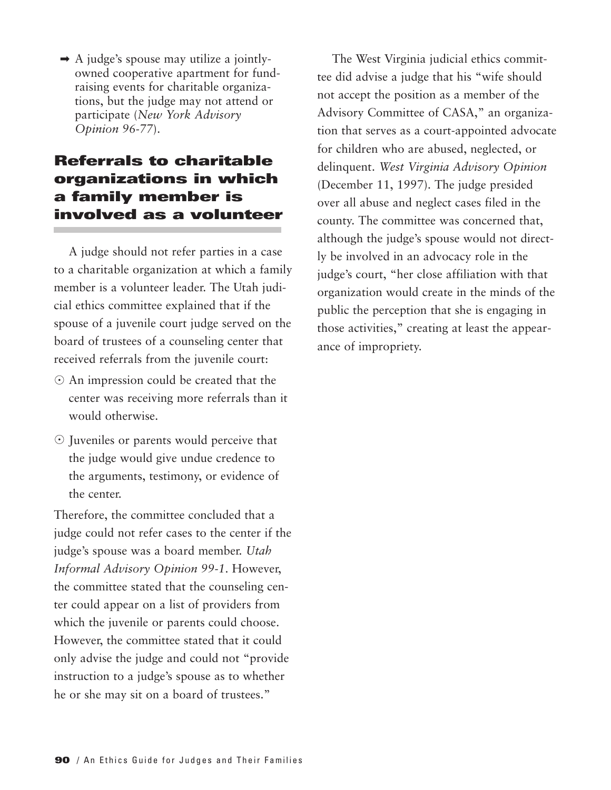$\rightarrow$  A judge's spouse may utilize a jointlyowned cooperative apartment for fundraising events for charitable organizations, but the judge may not attend or participate (*New York Advisory Opinion 96-77*).

# **Referrals to charitable organizations in which a family member is involved as a volunteer**

A judge should not refer parties in a case to a charitable organization at which a family member is a volunteer leader. The Utah judicial ethics committee explained that if the spouse of a juvenile court judge served on the board of trustees of a counseling center that received referrals from the juvenile court:

- $\odot$  An impression could be created that the center was receiving more referrals than it would otherwise.
- Juveniles or parents would perceive that the judge would give undue credence to the arguments, testimony, or evidence of the center.

Therefore, the committee concluded that a judge could not refer cases to the center if the judge's spouse was a board member. *Utah Informal Advisory Opinion 99-1*. However, the committee stated that the counseling center could appear on a list of providers from which the juvenile or parents could choose. However, the committee stated that it could only advise the judge and could not "provide instruction to a judge's spouse as to whether he or she may sit on a board of trustees."

The West Virginia judicial ethics committee did advise a judge that his "wife should not accept the position as a member of the Advisory Committee of CASA," an organization that serves as a court-appointed advocate for children who are abused, neglected, or delinquent. *West Virginia Advisory Opinion* (December 11, 1997). The judge presided over all abuse and neglect cases filed in the county. The committee was concerned that, although the judge's spouse would not directly be involved in an advocacy role in the judge's court, "her close affiliation with that organization would create in the minds of the public the perception that she is engaging in those activities," creating at least the appearance of impropriety.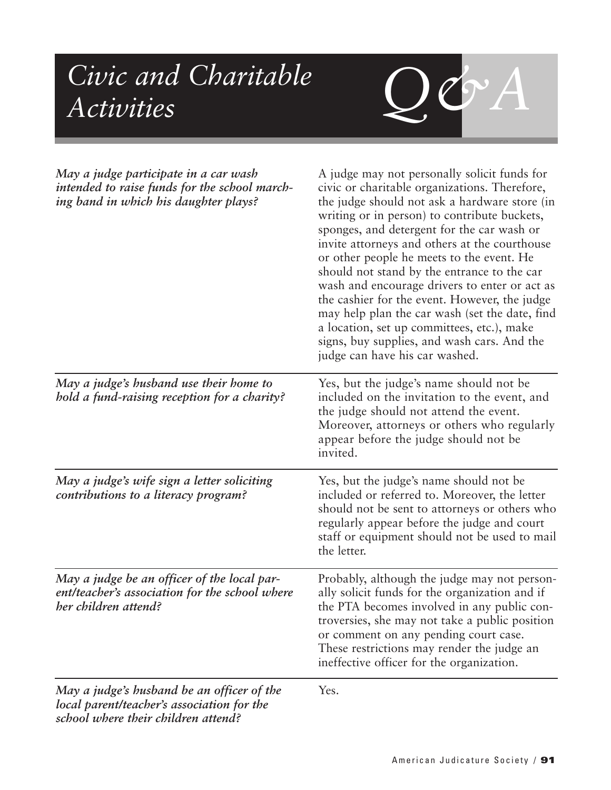# *Q&A Civic and Charitable Activities*

*local parent/teacher's association for the school where their children attend?*

| May a judge participate in a car wash<br>intended to raise funds for the school march-<br>ing band in which his daughter plays? | A judge may not personally solicit funds for<br>civic or charitable organizations. Therefore,<br>the judge should not ask a hardware store (in<br>writing or in person) to contribute buckets,<br>sponges, and detergent for the car wash or<br>invite attorneys and others at the courthouse<br>or other people he meets to the event. He<br>should not stand by the entrance to the car<br>wash and encourage drivers to enter or act as<br>the cashier for the event. However, the judge<br>may help plan the car wash (set the date, find<br>a location, set up committees, etc.), make<br>signs, buy supplies, and wash cars. And the<br>judge can have his car washed. |
|---------------------------------------------------------------------------------------------------------------------------------|------------------------------------------------------------------------------------------------------------------------------------------------------------------------------------------------------------------------------------------------------------------------------------------------------------------------------------------------------------------------------------------------------------------------------------------------------------------------------------------------------------------------------------------------------------------------------------------------------------------------------------------------------------------------------|
| May a judge's husband use their home to<br>hold a fund-raising reception for a charity?                                         | Yes, but the judge's name should not be<br>included on the invitation to the event, and<br>the judge should not attend the event.<br>Moreover, attorneys or others who regularly<br>appear before the judge should not be<br>invited.                                                                                                                                                                                                                                                                                                                                                                                                                                        |
| May a judge's wife sign a letter soliciting<br>contributions to a literacy program?                                             | Yes, but the judge's name should not be<br>included or referred to. Moreover, the letter<br>should not be sent to attorneys or others who<br>regularly appear before the judge and court<br>staff or equipment should not be used to mail<br>the letter.                                                                                                                                                                                                                                                                                                                                                                                                                     |
| May a judge be an officer of the local par-<br>ent/teacher's association for the school where<br>her children attend?           | Probably, although the judge may not person-<br>ally solicit funds for the organization and if<br>the PTA becomes involved in any public con-<br>troversies, she may not take a public position<br>or comment on any pending court case.<br>These restrictions may render the judge an<br>ineffective officer for the organization.                                                                                                                                                                                                                                                                                                                                          |
| May a judge's husband be an officer of the                                                                                      | Yes.                                                                                                                                                                                                                                                                                                                                                                                                                                                                                                                                                                                                                                                                         |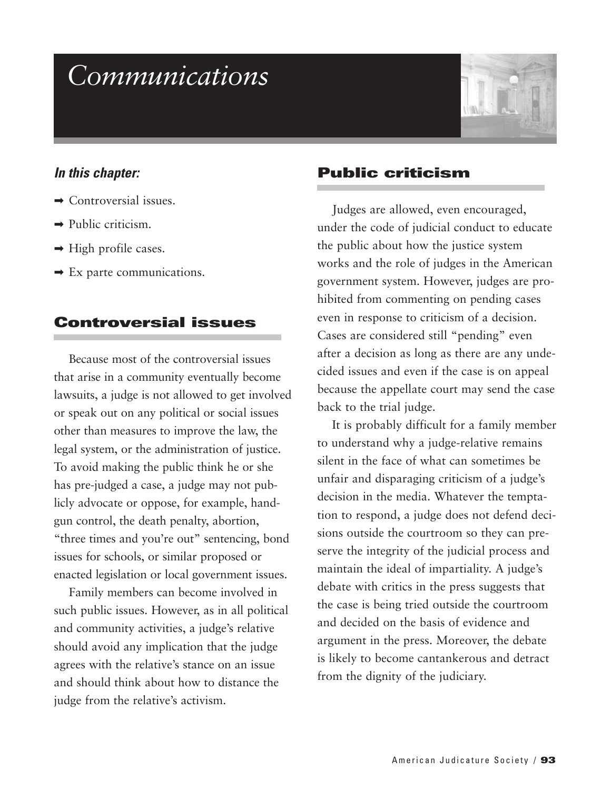# *Communications*



#### *In this chapter:*

- $\rightarrow$  Controversial issues.
- $\rightarrow$  Public criticism.
- $\rightarrow$  High profile cases.
- $\rightarrow$  Ex parte communications.

#### **Controversial issues**

Because most of the controversial issues that arise in a community eventually become lawsuits, a judge is not allowed to get involved or speak out on any political or social issues other than measures to improve the law, the legal system, or the administration of justice. To avoid making the public think he or she has pre-judged a case, a judge may not publicly advocate or oppose, for example, handgun control, the death penalty, abortion, "three times and you're out" sentencing, bond issues for schools, or similar proposed or enacted legislation or local government issues.

Family members can become involved in such public issues. However, as in all political and community activities, a judge's relative should avoid any implication that the judge agrees with the relative's stance on an issue and should think about how to distance the judge from the relative's activism.

#### **Public criticism**

Judges are allowed, even encouraged, under the code of judicial conduct to educate the public about how the justice system works and the role of judges in the American government system. However, judges are prohibited from commenting on pending cases even in response to criticism of a decision. Cases are considered still "pending" even after a decision as long as there are any undecided issues and even if the case is on appeal because the appellate court may send the case back to the trial judge.

It is probably difficult for a family member to understand why a judge-relative remains silent in the face of what can sometimes be unfair and disparaging criticism of a judge's decision in the media. Whatever the temptation to respond, a judge does not defend decisions outside the courtroom so they can preserve the integrity of the judicial process and maintain the ideal of impartiality. A judge's debate with critics in the press suggests that the case is being tried outside the courtroom and decided on the basis of evidence and argument in the press. Moreover, the debate is likely to become cantankerous and detract from the dignity of the judiciary.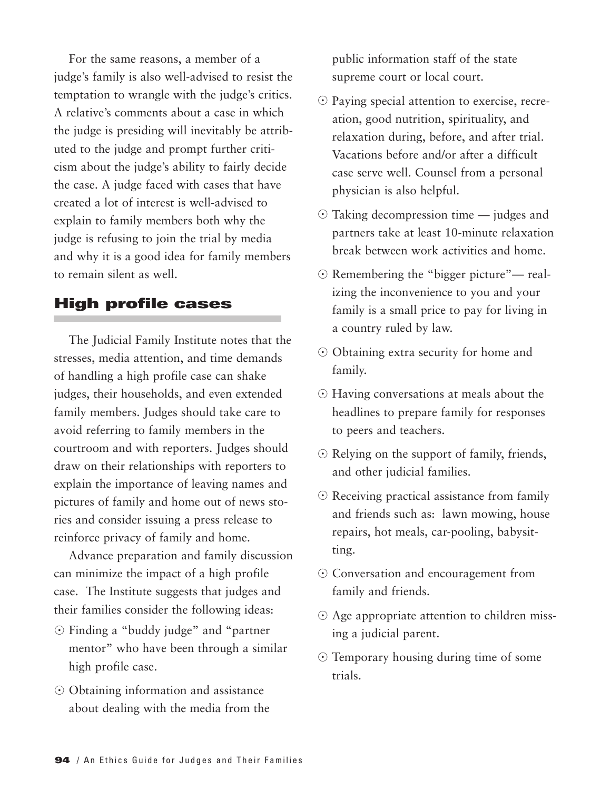For the same reasons, a member of a judge's family is also well-advised to resist the temptation to wrangle with the judge's critics. A relative's comments about a case in which the judge is presiding will inevitably be attributed to the judge and prompt further criticism about the judge's ability to fairly decide the case. A judge faced with cases that have created a lot of interest is well-advised to explain to family members both why the judge is refusing to join the trial by media and why it is a good idea for family members to remain silent as well.

#### **High profile cases**

The Judicial Family Institute notes that the stresses, media attention, and time demands of handling a high profile case can shake judges, their households, and even extended family members. Judges should take care to avoid referring to family members in the courtroom and with reporters. Judges should draw on their relationships with reporters to explain the importance of leaving names and pictures of family and home out of news stories and consider issuing a press release to reinforce privacy of family and home.

Advance preparation and family discussion can minimize the impact of a high profile case. The Institute suggests that judges and their families consider the following ideas:

- Finding a "buddy judge" and "partner mentor" who have been through a similar high profile case.
- Obtaining information and assistance about dealing with the media from the

public information staff of the state supreme court or local court.

- Paying special attention to exercise, recreation, good nutrition, spirituality, and relaxation during, before, and after trial. Vacations before and/or after a difficult case serve well. Counsel from a personal physician is also helpful.
- Taking decompression time judges and partners take at least 10-minute relaxation break between work activities and home.
- Remembering the "bigger picture"— realizing the inconvenience to you and your family is a small price to pay for living in a country ruled by law.
- Obtaining extra security for home and family.
- Having conversations at meals about the headlines to prepare family for responses to peers and teachers.
- Relying on the support of family, friends, and other judicial families.
- Receiving practical assistance from family and friends such as: lawn mowing, house repairs, hot meals, car-pooling, babysitting.
- Conversation and encouragement from family and friends.
- Age appropriate attention to children missing a judicial parent.
- Temporary housing during time of some trials.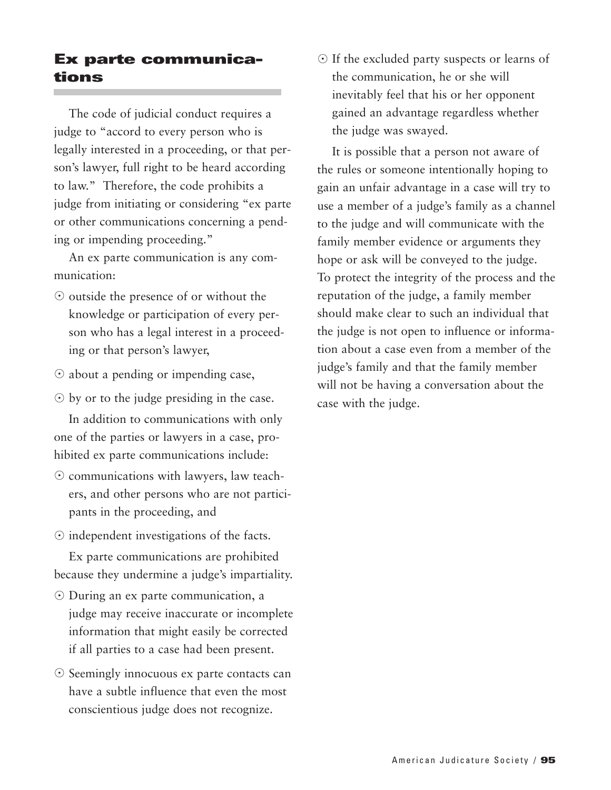# **Ex parte communications**

The code of judicial conduct requires a judge to "accord to every person who is legally interested in a proceeding, or that person's lawyer, full right to be heard according to law." Therefore, the code prohibits a judge from initiating or considering "ex parte or other communications concerning a pending or impending proceeding."

An ex parte communication is any communication:

- $\odot$  outside the presence of or without the knowledge or participation of every person who has a legal interest in a proceeding or that person's lawyer,
- about a pending or impending case,
- $\odot$  by or to the judge presiding in the case.

In addition to communications with only one of the parties or lawyers in a case, prohibited ex parte communications include:

- communications with lawyers, law teachers, and other persons who are not participants in the proceeding, and
- $\odot$  independent investigations of the facts.

Ex parte communications are prohibited because they undermine a judge's impartiality.

- During an ex parte communication, a judge may receive inaccurate or incomplete information that might easily be corrected if all parties to a case had been present.
- Seemingly innocuous ex parte contacts can have a subtle influence that even the most conscientious judge does not recognize.

- If the excluded party suspects or learns of the communication, he or she will inevitably feel that his or her opponent gained an advantage regardless whether the judge was swayed.

It is possible that a person not aware of the rules or someone intentionally hoping to gain an unfair advantage in a case will try to use a member of a judge's family as a channel to the judge and will communicate with the family member evidence or arguments they hope or ask will be conveyed to the judge. To protect the integrity of the process and the reputation of the judge, a family member should make clear to such an individual that the judge is not open to influence or information about a case even from a member of the judge's family and that the family member will not be having a conversation about the case with the judge.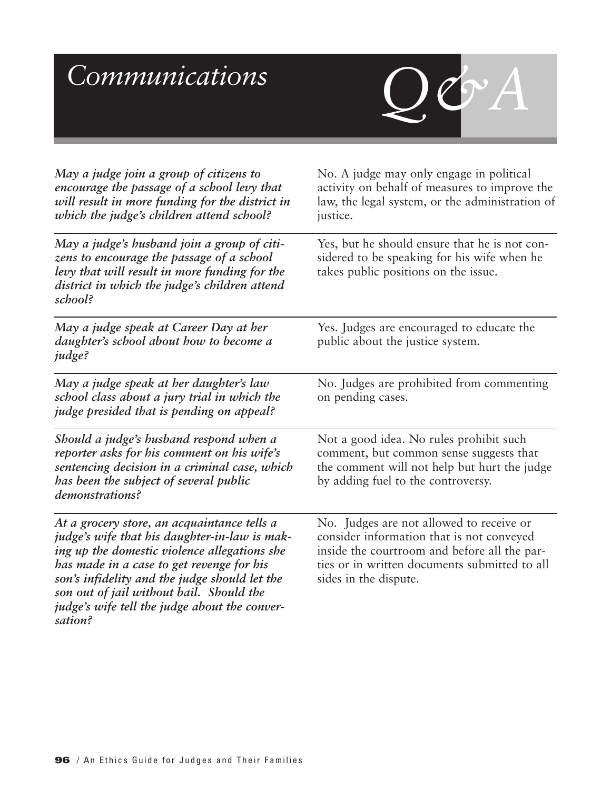# $Communications$

*May a judge join a group of citizens to encourage the passage of a school levy that will result in more funding for the district in*

*which the judge's children attend school?*

*May a judge's husband join a group of citizens to encourage the passage of a school levy that will result in more funding for the district in which the judge's children attend school?*

*May a judge speak at Career Day at her daughter's school about how to become a judge?*

*May a judge speak at her daughter's law school class about a jury trial in which the judge presided that is pending on appeal?*

*Should a judge's husband respond when a reporter asks for his comment on his wife's sentencing decision in a criminal case, which has been the subject of several public demonstrations?*

*At a grocery store, an acquaintance tells a judge's wife that his daughter-in-law is making up the domestic violence allegations she has made in a case to get revenge for his son's infidelity and the judge should let the son out of jail without bail. Should the judge's wife tell the judge about the conversation?*

No. A judge may only engage in political activity on behalf of measures to improve the law, the legal system, or the administration of justice.

Yes, but he should ensure that he is not considered to be speaking for his wife when he takes public positions on the issue.

Yes. Judges are encouraged to educate the public about the justice system.

No. Judges are prohibited from commenting on pending cases.

Not a good idea. No rules prohibit such comment, but common sense suggests that the comment will not help but hurt the judge by adding fuel to the controversy.

No. Judges are not allowed to receive or consider information that is not conveyed inside the courtroom and before all the parties or in written documents submitted to all sides in the dispute.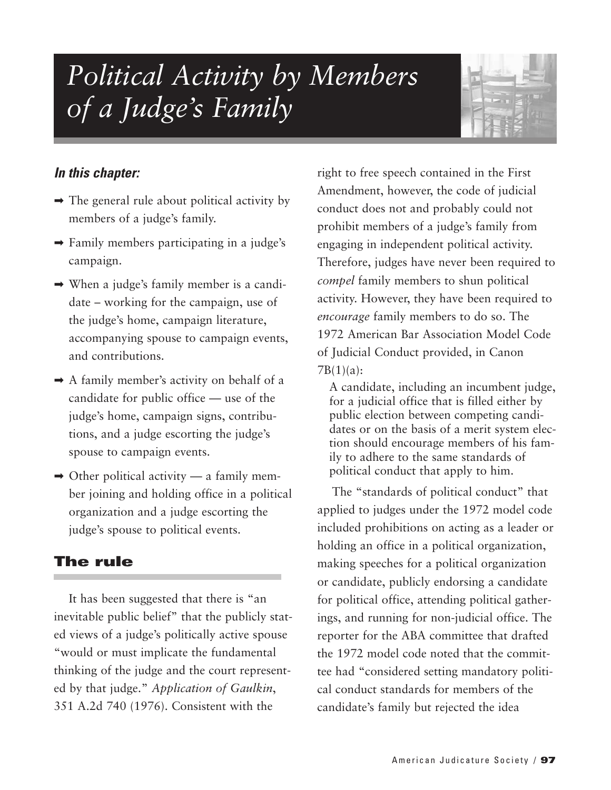# *Political Activity by Members of a Judge's Family*



#### *In this chapter:*

- $\rightarrow$  The general rule about political activity by members of a judge's family.
- $\rightarrow$  Family members participating in a judge's campaign.
- ➡ When a judge's family member is a candidate – working for the campaign, use of the judge's home, campaign literature, accompanying spouse to campaign events, and contributions.
- $\rightarrow$  A family member's activity on behalf of a candidate for public office — use of the judge's home, campaign signs, contributions, and a judge escorting the judge's spouse to campaign events.
- $\rightarrow$  Other political activity a family member joining and holding office in a political organization and a judge escorting the judge's spouse to political events.

### **The rule**

It has been suggested that there is "an inevitable public belief" that the publicly stated views of a judge's politically active spouse "would or must implicate the fundamental thinking of the judge and the court represented by that judge." *Application of Gaulkin*, 351 A.2d 740 (1976). Consistent with the

right to free speech contained in the First Amendment, however, the code of judicial conduct does not and probably could not prohibit members of a judge's family from engaging in independent political activity. Therefore, judges have never been required to *compel* family members to shun political activity. However, they have been required to *encourage* family members to do so. The 1972 American Bar Association Model Code of Judicial Conduct provided, in Canon  $7B(1)(a)$ :

A candidate, including an incumbent judge, for a judicial office that is filled either by public election between competing candidates or on the basis of a merit system election should encourage members of his family to adhere to the same standards of political conduct that apply to him.

The "standards of political conduct" that applied to judges under the 1972 model code included prohibitions on acting as a leader or holding an office in a political organization, making speeches for a political organization or candidate, publicly endorsing a candidate for political office, attending political gatherings, and running for non-judicial office. The reporter for the ABA committee that drafted the 1972 model code noted that the committee had "considered setting mandatory political conduct standards for members of the candidate's family but rejected the idea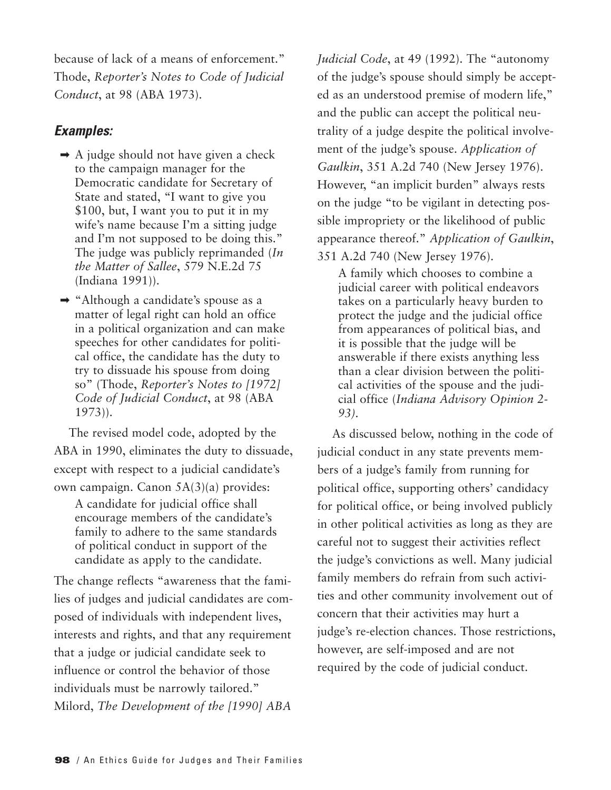because of lack of a means of enforcement." Thode, *Reporter's Notes to Code of Judicial Conduct*, at 98 (ABA 1973).

#### *Examples:*

- $\rightarrow$  A judge should not have given a check to the campaign manager for the Democratic candidate for Secretary of State and stated, "I want to give you \$100, but, I want you to put it in my wife's name because I'm a sitting judge and I'm not supposed to be doing this." The judge was publicly reprimanded (*In the Matter of Sallee*, 579 N.E.2d 75 (Indiana 1991)).
- ➡ "Although a candidate's spouse as a matter of legal right can hold an office in a political organization and can make speeches for other candidates for political office, the candidate has the duty to try to dissuade his spouse from doing so" (Thode, *Reporter's Notes to [1972] Code of Judicial Conduct*, at 98 (ABA 1973)).

The revised model code, adopted by the ABA in 1990, eliminates the duty to dissuade, except with respect to a judicial candidate's own campaign. Canon 5A(3)(a) provides:

A candidate for judicial office shall encourage members of the candidate's family to adhere to the same standards of political conduct in support of the candidate as apply to the candidate.

The change reflects "awareness that the families of judges and judicial candidates are composed of individuals with independent lives, interests and rights, and that any requirement that a judge or judicial candidate seek to influence or control the behavior of those individuals must be narrowly tailored." Milord, *The Development of the [1990] ABA*

*Judicial Code*, at 49 (1992). The "autonomy of the judge's spouse should simply be accepted as an understood premise of modern life," and the public can accept the political neutrality of a judge despite the political involvement of the judge's spouse. *Application of Gaulkin*, 351 A.2d 740 (New Jersey 1976). However, "an implicit burden" always rests on the judge "to be vigilant in detecting possible impropriety or the likelihood of public appearance thereof." *Application of Gaulkin*, 351 A.2d 740 (New Jersey 1976).

A family which chooses to combine a judicial career with political endeavors takes on a particularly heavy burden to protect the judge and the judicial office from appearances of political bias, and it is possible that the judge will be answerable if there exists anything less than a clear division between the political activities of the spouse and the judicial office (*Indiana Advisory Opinion 2- 93).*

As discussed below, nothing in the code of judicial conduct in any state prevents members of a judge's family from running for political office, supporting others' candidacy for political office, or being involved publicly in other political activities as long as they are careful not to suggest their activities reflect the judge's convictions as well. Many judicial family members do refrain from such activities and other community involvement out of concern that their activities may hurt a judge's re-election chances. Those restrictions, however, are self-imposed and are not required by the code of judicial conduct.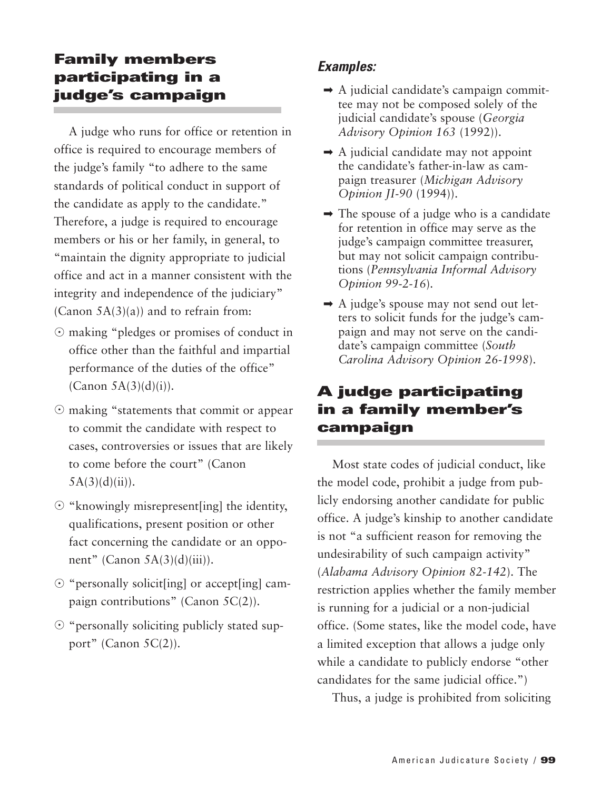# **Family members participating in a judge's campaign**

A judge who runs for office or retention in office is required to encourage members of the judge's family "to adhere to the same standards of political conduct in support of the candidate as apply to the candidate." Therefore, a judge is required to encourage members or his or her family, in general, to "maintain the dignity appropriate to judicial office and act in a manner consistent with the integrity and independence of the judiciary" (Canon  $5A(3)(a)$ ) and to refrain from:

- making "pledges or promises of conduct in office other than the faithful and impartial performance of the duties of the office"  $(Canon 5A(3)(d)(i)).$
- making "statements that commit or appear to commit the candidate with respect to cases, controversies or issues that are likely to come before the court" (Canon  $5A(3)(d)(ii)$ .
- $\odot$  "knowingly misrepresent[ing] the identity, qualifications, present position or other fact concerning the candidate or an opponent" (Canon  $5A(3)(d)(iii)$ ).
- "personally solicit[ing] or accept[ing] campaign contributions" (Canon 5C(2)).
- "personally soliciting publicly stated support" (Canon 5C(2)).

# *Examples:*

- $\rightarrow$  A judicial candidate's campaign committee may not be composed solely of the judicial candidate's spouse (*Georgia Advisory Opinion 163* (1992)).
- $\rightarrow$  A judicial candidate may not appoint the candidate's father-in-law as campaign treasurer (*Michigan Advisory Opinion JI-90* (1994)).
- $\rightarrow$  The spouse of a judge who is a candidate for retention in office may serve as the judge's campaign committee treasurer, but may not solicit campaign contributions (*Pennsylvania Informal Advisory Opinion 99-2-16*).
- $\rightarrow$  A judge's spouse may not send out letters to solicit funds for the judge's campaign and may not serve on the candidate's campaign committee (*South Carolina Advisory Opinion 26-1998*).

# **A judge participating in a family member's campaign**

Most state codes of judicial conduct, like the model code, prohibit a judge from publicly endorsing another candidate for public office. A judge's kinship to another candidate is not "a sufficient reason for removing the undesirability of such campaign activity" (*Alabama Advisory Opinion 82-142*). The restriction applies whether the family member is running for a judicial or a non-judicial office. (Some states, like the model code, have a limited exception that allows a judge only while a candidate to publicly endorse "other candidates for the same judicial office.")

Thus, a judge is prohibited from soliciting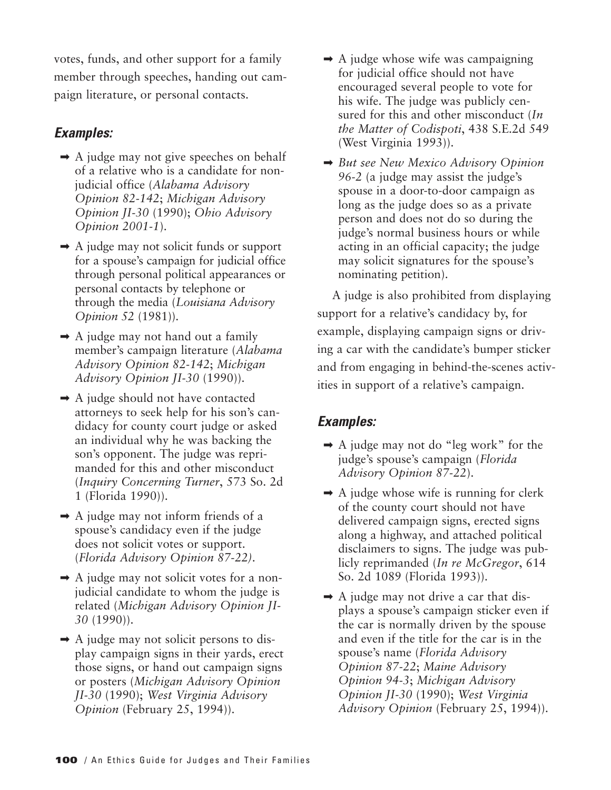votes, funds, and other support for a family member through speeches, handing out campaign literature, or personal contacts.

### *Examples:*

- $\rightarrow$  A judge may not give speeches on behalf of a relative who is a candidate for nonjudicial office (*Alabama Advisory Opinion 82-142*; *Michigan Advisory Opinion JI-30* (1990); *Ohio Advisory Opinion 2001-1*).
- ➡ A judge may not solicit funds or support for a spouse's campaign for judicial office through personal political appearances or personal contacts by telephone or through the media (*Louisiana Advisory Opinion 52* (1981)).
- $\rightarrow$  A judge may not hand out a family member's campaign literature (*Alabama Advisory Opinion 82-142*; *Michigan Advisory Opinion JI-30* (1990)).
- $\rightarrow$  A judge should not have contacted attorneys to seek help for his son's candidacy for county court judge or asked an individual why he was backing the son's opponent. The judge was reprimanded for this and other misconduct (*Inquiry Concerning Turner*, 573 So. 2d 1 (Florida 1990)).
- $\rightarrow$  A judge may not inform friends of a spouse's candidacy even if the judge does not solicit votes or support. (*Florida Advisory Opinion 87-22)*.
- $\rightarrow$  A judge may not solicit votes for a nonjudicial candidate to whom the judge is related (*Michigan Advisory Opinion JI-30* (1990)).
- $\rightarrow$  A judge may not solicit persons to display campaign signs in their yards, erect those signs, or hand out campaign signs or posters (*Michigan Advisory Opinion JI-30* (1990); *West Virginia Advisory Opinion* (February 25, 1994)).
- $\rightarrow$  A judge whose wife was campaigning for judicial office should not have encouraged several people to vote for his wife. The judge was publicly censured for this and other misconduct (*In the Matter of Codispoti*, 438 S.E.2d 549 (West Virginia 1993)).
- ➡ *But see New Mexico Advisory Opinion 96-2* (a judge may assist the judge's spouse in a door-to-door campaign as long as the judge does so as a private person and does not do so during the judge's normal business hours or while acting in an official capacity; the judge may solicit signatures for the spouse's nominating petition).

A judge is also prohibited from displaying support for a relative's candidacy by, for example, displaying campaign signs or driving a car with the candidate's bumper sticker and from engaging in behind-the-scenes activities in support of a relative's campaign.

- ➡ A judge may not do "leg work" for the judge's spouse's campaign (*Florida Advisory Opinion 87-22*).
- $\rightarrow$  A judge whose wife is running for clerk of the county court should not have delivered campaign signs, erected signs along a highway, and attached political disclaimers to signs. The judge was publicly reprimanded (*In re McGregor*, 614 So. 2d 1089 (Florida 1993)).
- $\rightarrow$  A judge may not drive a car that displays a spouse's campaign sticker even if the car is normally driven by the spouse and even if the title for the car is in the spouse's name (*Florida Advisory Opinion 87-22*; *Maine Advisory Opinion 94-3*; *Michigan Advisory Opinion JI-30* (1990); *West Virginia Advisory Opinion* (February 25, 1994)).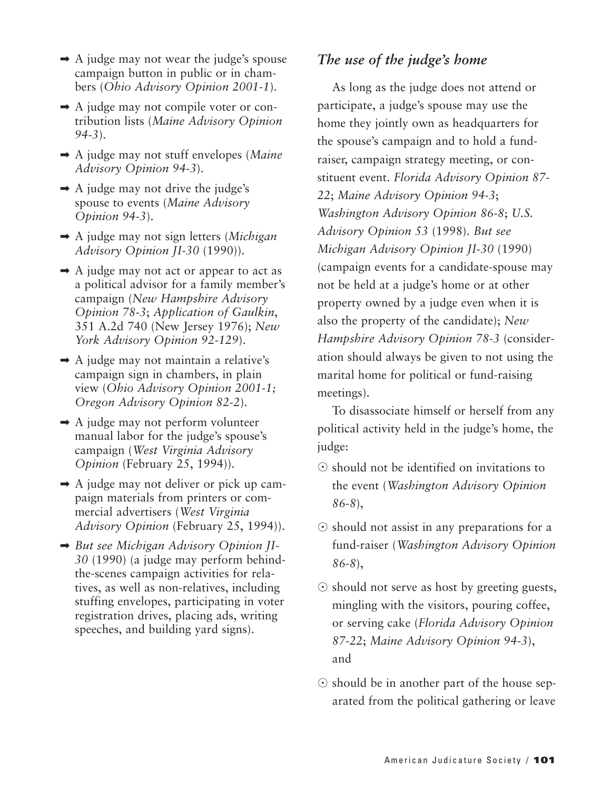- $\rightarrow$  A judge may not wear the judge's spouse campaign button in public or in chambers (*Ohio Advisory Opinion 2001-1*).
- ➡ A judge may not compile voter or contribution lists (*Maine Advisory Opinion 94-3*).
- ➡ A judge may not stuff envelopes (*Maine Advisory Opinion 94-3*).
- $\rightarrow$  A judge may not drive the judge's spouse to events (*Maine Advisory Opinion 94-3*).
- ➡ A judge may not sign letters (*Michigan Advisory Opinion JI-30* (1990)).
- $\rightarrow$  A judge may not act or appear to act as a political advisor for a family member's campaign (*New Hampshire Advisory Opinion 78-3*; *Application of Gaulkin*, 351 A.2d 740 (New Jersey 1976); *New York Advisory Opinion 92-129*).
- $\rightarrow$  A judge may not maintain a relative's campaign sign in chambers, in plain view (*Ohio Advisory Opinion 2001-1; Oregon Advisory Opinion 82-2*).
- ➡ A judge may not perform volunteer manual labor for the judge's spouse's campaign (*West Virginia Advisory Opinion* (February 25, 1994)).
- $\rightarrow$  A judge may not deliver or pick up campaign materials from printers or commercial advertisers (*West Virginia Advisory Opinion* (February 25, 1994)).
- ➡ *But see Michigan Advisory Opinion JI-30* (1990) (a judge may perform behindthe-scenes campaign activities for relatives, as well as non-relatives, including stuffing envelopes, participating in voter registration drives, placing ads, writing speeches, and building yard signs).

#### *The use of the judge's home*

As long as the judge does not attend or participate, a judge's spouse may use the home they jointly own as headquarters for the spouse's campaign and to hold a fundraiser, campaign strategy meeting, or constituent event. *Florida Advisory Opinion 87- 22*; *Maine Advisory Opinion 94-3*; *Washington Advisory Opinion 86-8*; *U.S. Advisory Opinion 53* (1998). *But see Michigan Advisory Opinion JI-30* (1990) (campaign events for a candidate-spouse may not be held at a judge's home or at other property owned by a judge even when it is also the property of the candidate); *New Hampshire Advisory Opinion 78-3* (consideration should always be given to not using the marital home for political or fund-raising meetings).

To disassociate himself or herself from any political activity held in the judge's home, the judge:

- $\odot$  should not be identified on invitations to the event (*Washington Advisory Opinion 86-8*),
- $\odot$  should not assist in any preparations for a fund-raiser (*Washington Advisory Opinion 86-8*),
- $\odot$  should not serve as host by greeting guests, mingling with the visitors, pouring coffee, or serving cake (*Florida Advisory Opinion 87-22*; *Maine Advisory Opinion 94-3*), and
- $\odot$  should be in another part of the house separated from the political gathering or leave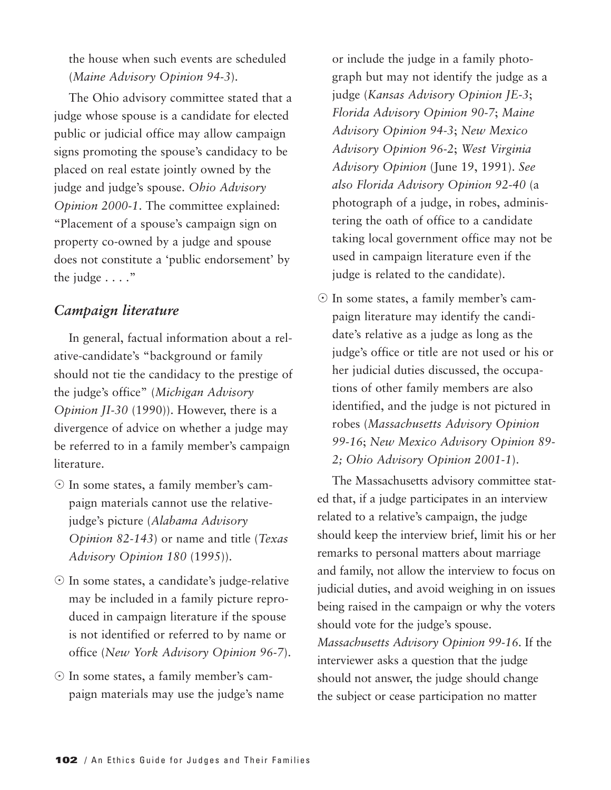the house when such events are scheduled (*Maine Advisory Opinion 94-3*).

The Ohio advisory committee stated that a judge whose spouse is a candidate for elected public or judicial office may allow campaign signs promoting the spouse's candidacy to be placed on real estate jointly owned by the judge and judge's spouse. *Ohio Advisory Opinion 2000-1*. The committee explained: "Placement of a spouse's campaign sign on property co-owned by a judge and spouse does not constitute a 'public endorsement' by the judge . . . ."

#### *Campaign literature*

In general, factual information about a relative-candidate's "background or family should not tie the candidacy to the prestige of the judge's office" (*Michigan Advisory Opinion JI-30* (1990)). However, there is a divergence of advice on whether a judge may be referred to in a family member's campaign literature.

- In some states, a family member's campaign materials cannot use the relativejudge's picture (*Alabama Advisory Opinion 82-143*) or name and title (*Texas Advisory Opinion 180* (1995)).
- In some states, a candidate's judge-relative may be included in a family picture reproduced in campaign literature if the spouse is not identified or referred to by name or office (*New York Advisory Opinion 96-7*).
- In some states, a family member's campaign materials may use the judge's name

or include the judge in a family photograph but may not identify the judge as a judge (*Kansas Advisory Opinion JE-3*; *Florida Advisory Opinion 90-7*; *Maine Advisory Opinion 94-3*; *New Mexico Advisory Opinion 96-2*; *West Virginia Advisory Opinion* (June 19, 1991). *See also Florida Advisory Opinion 92-40* (a photograph of a judge, in robes, administering the oath of office to a candidate taking local government office may not be used in campaign literature even if the judge is related to the candidate).

- In some states, a family member's campaign literature may identify the candidate's relative as a judge as long as the judge's office or title are not used or his or her judicial duties discussed, the occupations of other family members are also identified, and the judge is not pictured in robes (*Massachusetts Advisory Opinion 99-16*; *New Mexico Advisory Opinion 89- 2; Ohio Advisory Opinion 2001-1*).

The Massachusetts advisory committee stated that, if a judge participates in an interview related to a relative's campaign, the judge should keep the interview brief, limit his or her remarks to personal matters about marriage and family, not allow the interview to focus on judicial duties, and avoid weighing in on issues being raised in the campaign or why the voters should vote for the judge's spouse. *Massachusetts Advisory Opinion 99-16*. If the interviewer asks a question that the judge should not answer, the judge should change the subject or cease participation no matter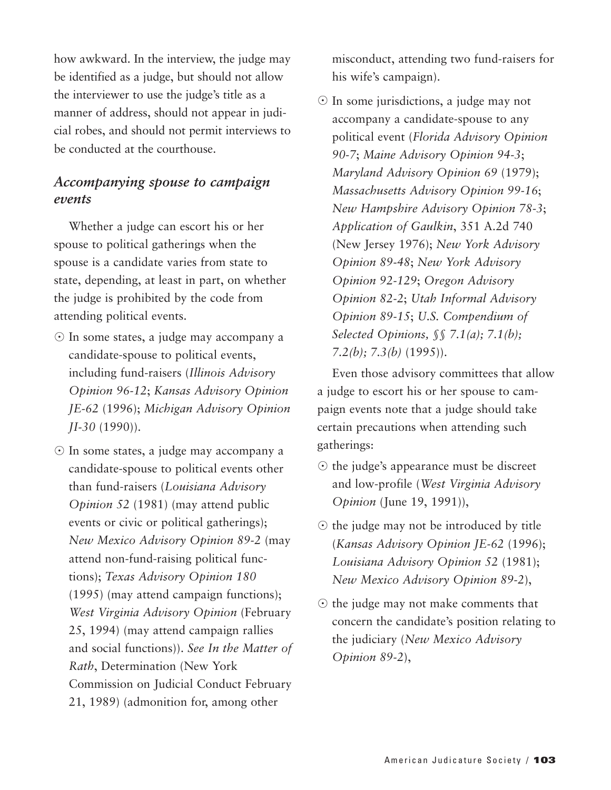how awkward. In the interview, the judge may be identified as a judge, but should not allow the interviewer to use the judge's title as a manner of address, should not appear in judicial robes, and should not permit interviews to be conducted at the courthouse.

### *Accompanying spouse to campaign events*

Whether a judge can escort his or her spouse to political gatherings when the spouse is a candidate varies from state to state, depending, at least in part, on whether the judge is prohibited by the code from attending political events.

- In some states, a judge may accompany a candidate-spouse to political events, including fund-raisers (*Illinois Advisory Opinion 96-12*; *Kansas Advisory Opinion JE-62* (1996); *Michigan Advisory Opinion JI-30* (1990)).
- In some states, a judge may accompany a candidate-spouse to political events other than fund-raisers (*Louisiana Advisory Opinion 52* (1981) (may attend public events or civic or political gatherings); *New Mexico Advisory Opinion 89-2* (may attend non-fund-raising political functions); *Texas Advisory Opinion 180* (1995) (may attend campaign functions); *West Virginia Advisory Opinion* (February 25, 1994) (may attend campaign rallies and social functions)). *See In the Matter of Rath*, Determination (New York Commission on Judicial Conduct February 21, 1989) (admonition for, among other

misconduct, attending two fund-raisers for his wife's campaign).

- In some jurisdictions, a judge may not accompany a candidate-spouse to any political event (*Florida Advisory Opinion 90-7*; *Maine Advisory Opinion 94-3*; *Maryland Advisory Opinion 69* (1979); *Massachusetts Advisory Opinion 99-16*; *New Hampshire Advisory Opinion 78-3*; *Application of Gaulkin*, 351 A.2d 740 (New Jersey 1976); *New York Advisory Opinion 89-48*; *New York Advisory Opinion 92-129*; *Oregon Advisory Opinion 82-2*; *Utah Informal Advisory Opinion 89-15*; *U.S. Compendium of Selected Opinions, §§ 7.1(a); 7.1(b); 7.2(b); 7.3(b)* (1995)).

Even those advisory committees that allow a judge to escort his or her spouse to campaign events note that a judge should take certain precautions when attending such gatherings:

- $\odot$  the judge's appearance must be discreet and low-profile (*West Virginia Advisory Opinion* (June 19, 1991)),
- $\odot$  the judge may not be introduced by title (*Kansas Advisory Opinion JE-62* (1996); *Louisiana Advisory Opinion 52* (1981); *New Mexico Advisory Opinion 89-2*),
- $\odot$  the judge may not make comments that concern the candidate's position relating to the judiciary (*New Mexico Advisory Opinion 89-2*),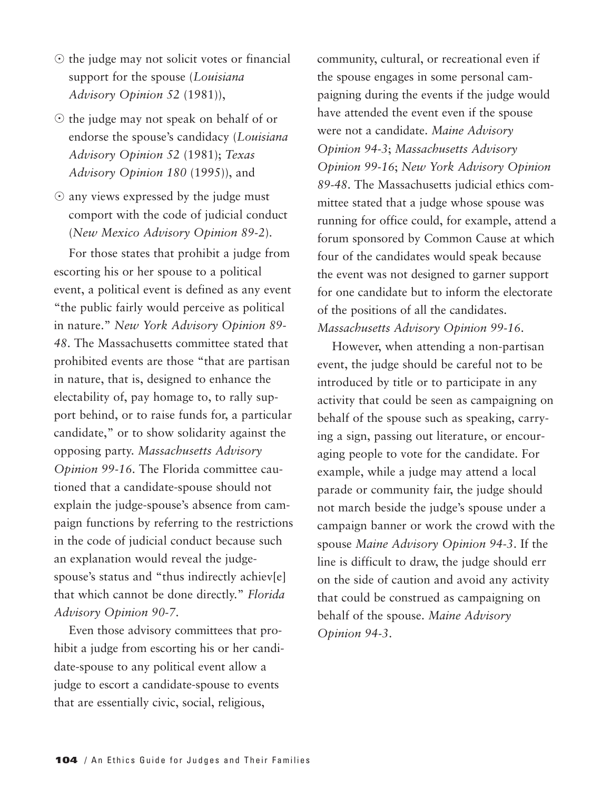- $\odot$  the judge may not solicit votes or financial support for the spouse (*Louisiana Advisory Opinion 52* (1981)),
- $\odot$  the judge may not speak on behalf of or endorse the spouse's candidacy (*Louisiana Advisory Opinion 52* (1981); *Texas Advisory Opinion 180* (1995)), and
- $\odot$  any views expressed by the judge must comport with the code of judicial conduct (*New Mexico Advisory Opinion 89-2*).

For those states that prohibit a judge from escorting his or her spouse to a political event, a political event is defined as any event "the public fairly would perceive as political in nature." *New York Advisory Opinion 89- 48*. The Massachusetts committee stated that prohibited events are those "that are partisan in nature, that is, designed to enhance the electability of, pay homage to, to rally support behind, or to raise funds for, a particular candidate," or to show solidarity against the opposing party. *Massachusetts Advisory Opinion 99-16*. The Florida committee cautioned that a candidate-spouse should not explain the judge-spouse's absence from campaign functions by referring to the restrictions in the code of judicial conduct because such an explanation would reveal the judgespouse's status and "thus indirectly achiev[e] that which cannot be done directly." *Florida Advisory Opinion 90-7*.

Even those advisory committees that prohibit a judge from escorting his or her candidate-spouse to any political event allow a judge to escort a candidate-spouse to events that are essentially civic, social, religious,

community, cultural, or recreational even if the spouse engages in some personal campaigning during the events if the judge would have attended the event even if the spouse were not a candidate. *Maine Advisory Opinion 94-3*; *Massachusetts Advisory Opinion 99-16*; *New York Advisory Opinion 89-48*. The Massachusetts judicial ethics committee stated that a judge whose spouse was running for office could, for example, attend a forum sponsored by Common Cause at which four of the candidates would speak because the event was not designed to garner support for one candidate but to inform the electorate of the positions of all the candidates. *Massachusetts Advisory Opinion 99-16*.

However, when attending a non-partisan event, the judge should be careful not to be introduced by title or to participate in any activity that could be seen as campaigning on behalf of the spouse such as speaking, carrying a sign, passing out literature, or encouraging people to vote for the candidate. For example, while a judge may attend a local parade or community fair, the judge should not march beside the judge's spouse under a campaign banner or work the crowd with the spouse *Maine Advisory Opinion 94-3*. If the line is difficult to draw, the judge should err on the side of caution and avoid any activity that could be construed as campaigning on behalf of the spouse. *Maine Advisory Opinion 94-3*.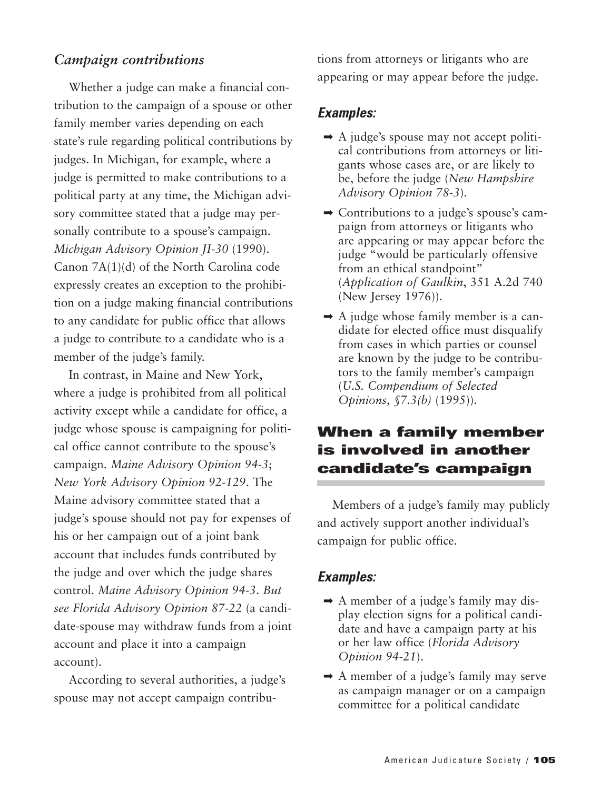#### *Campaign contributions*

Whether a judge can make a financial contribution to the campaign of a spouse or other family member varies depending on each state's rule regarding political contributions by judges. In Michigan, for example, where a judge is permitted to make contributions to a political party at any time, the Michigan advisory committee stated that a judge may personally contribute to a spouse's campaign. *Michigan Advisory Opinion JI-30* (1990). Canon 7A(1)(d) of the North Carolina code expressly creates an exception to the prohibition on a judge making financial contributions to any candidate for public office that allows a judge to contribute to a candidate who is a member of the judge's family.

In contrast, in Maine and New York, where a judge is prohibited from all political activity except while a candidate for office, a judge whose spouse is campaigning for political office cannot contribute to the spouse's campaign. *Maine Advisory Opinion 94-3*; *New York Advisory Opinion 92-129*. The Maine advisory committee stated that a judge's spouse should not pay for expenses of his or her campaign out of a joint bank account that includes funds contributed by the judge and over which the judge shares control. *Maine Advisory Opinion 94-3*. *But see Florida Advisory Opinion 87-22* (a candidate-spouse may withdraw funds from a joint account and place it into a campaign account).

According to several authorities, a judge's spouse may not accept campaign contributions from attorneys or litigants who are appearing or may appear before the judge.

#### *Examples:*

- $\rightarrow$  A judge's spouse may not accept political contributions from attorneys or litigants whose cases are, or are likely to be, before the judge (*New Hampshire Advisory Opinion 78-3*).
- ➡ Contributions to a judge's spouse's campaign from attorneys or litigants who are appearing or may appear before the judge "would be particularly offensive from an ethical standpoint" (*Application of Gaulkin*, 351 A.2d 740 (New Jersey 1976)).
- $\rightarrow$  A judge whose family member is a candidate for elected office must disqualify from cases in which parties or counsel are known by the judge to be contributors to the family member's campaign (*U.S. Compendium of Selected Opinions, §7.3(b)* (1995)).

## **When a family member is involved in another candidate's campaign**

Members of a judge's family may publicly and actively support another individual's campaign for public office.

#### *Examples:*

- ➡ A member of a judge's family may display election signs for a political candidate and have a campaign party at his or her law office (*Florida Advisory Opinion 94-21*).
- ➡ A member of a judge's family may serve as campaign manager or on a campaign committee for a political candidate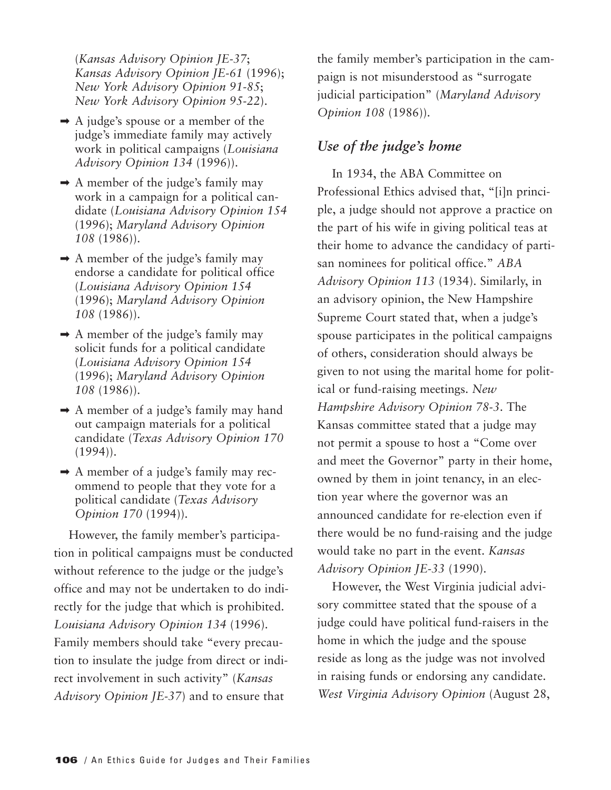(*Kansas Advisory Opinion JE-37*; *Kansas Advisory Opinion JE-61* (1996); *New York Advisory Opinion 91-85*; *New York Advisory Opinion 95-22*).

- $\rightarrow$  A judge's spouse or a member of the judge's immediate family may actively work in political campaigns (*Louisiana Advisory Opinion 134* (1996)).
- $\rightarrow$  A member of the judge's family may work in a campaign for a political candidate (*Louisiana Advisory Opinion 154* (1996); *Maryland Advisory Opinion 108* (1986)).
- $\rightarrow$  A member of the judge's family may endorse a candidate for political office (*Louisiana Advisory Opinion 154* (1996); *Maryland Advisory Opinion 108* (1986)).
- $\rightarrow$  A member of the judge's family may solicit funds for a political candidate (*Louisiana Advisory Opinion 154* (1996); *Maryland Advisory Opinion 108* (1986)).
- $\rightarrow$  A member of a judge's family may hand out campaign materials for a political candidate (*Texas Advisory Opinion 170*  $(1994)$ .
- $\rightarrow$  A member of a judge's family may recommend to people that they vote for a political candidate (*Texas Advisory Opinion 170* (1994)).

However, the family member's participation in political campaigns must be conducted without reference to the judge or the judge's office and may not be undertaken to do indirectly for the judge that which is prohibited. *Louisiana Advisory Opinion 134* (1996). Family members should take "every precaution to insulate the judge from direct or indirect involvement in such activity" (*Kansas Advisory Opinion JE-37*) and to ensure that

the family member's participation in the campaign is not misunderstood as "surrogate judicial participation" (*Maryland Advisory Opinion 108* (1986)).

## *Use of the judge's home*

In 1934, the ABA Committee on Professional Ethics advised that, "[i]n principle, a judge should not approve a practice on the part of his wife in giving political teas at their home to advance the candidacy of partisan nominees for political office." *ABA Advisory Opinion 113* (1934). Similarly, in an advisory opinion, the New Hampshire Supreme Court stated that, when a judge's spouse participates in the political campaigns of others, consideration should always be given to not using the marital home for political or fund-raising meetings. *New Hampshire Advisory Opinion 78-3*. The Kansas committee stated that a judge may not permit a spouse to host a "Come over and meet the Governor" party in their home, owned by them in joint tenancy, in an election year where the governor was an announced candidate for re-election even if there would be no fund-raising and the judge would take no part in the event. *Kansas Advisory Opinion JE-33* (1990).

However, the West Virginia judicial advisory committee stated that the spouse of a judge could have political fund-raisers in the home in which the judge and the spouse reside as long as the judge was not involved in raising funds or endorsing any candidate. *West Virginia Advisory Opinion* (August 28,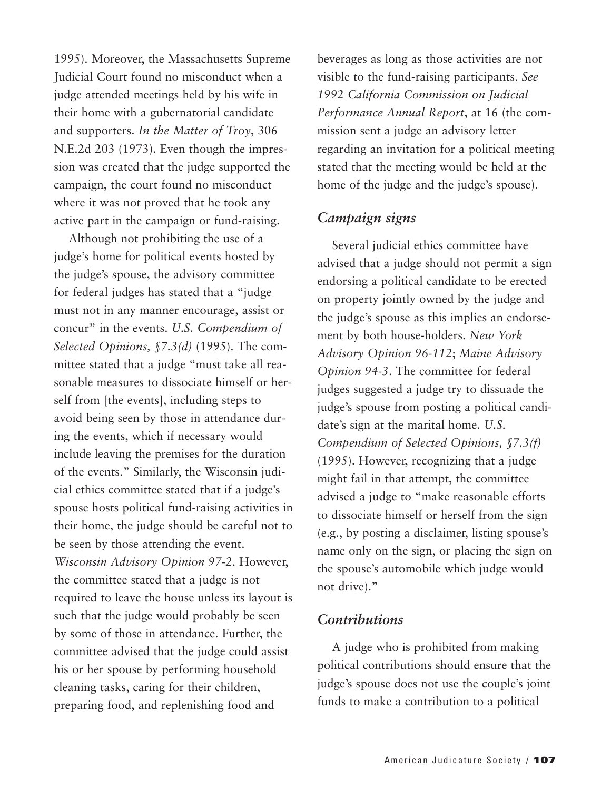1995). Moreover, the Massachusetts Supreme Judicial Court found no misconduct when a judge attended meetings held by his wife in their home with a gubernatorial candidate and supporters. *In the Matter of Troy*, 306 N.E.2d 203 (1973). Even though the impression was created that the judge supported the campaign, the court found no misconduct where it was not proved that he took any active part in the campaign or fund-raising.

Although not prohibiting the use of a judge's home for political events hosted by the judge's spouse, the advisory committee for federal judges has stated that a "judge must not in any manner encourage, assist or concur" in the events. *U.S. Compendium of Selected Opinions, §7.3(d)* (1995). The committee stated that a judge "must take all reasonable measures to dissociate himself or herself from [the events], including steps to avoid being seen by those in attendance during the events, which if necessary would include leaving the premises for the duration of the events." Similarly, the Wisconsin judicial ethics committee stated that if a judge's spouse hosts political fund-raising activities in their home, the judge should be careful not to be seen by those attending the event. *Wisconsin Advisory Opinion 97-2*. However, the committee stated that a judge is not required to leave the house unless its layout is such that the judge would probably be seen by some of those in attendance. Further, the committee advised that the judge could assist his or her spouse by performing household cleaning tasks, caring for their children, preparing food, and replenishing food and

beverages as long as those activities are not visible to the fund-raising participants. *See 1992 California Commission on Judicial Performance Annual Report*, at 16 (the commission sent a judge an advisory letter regarding an invitation for a political meeting stated that the meeting would be held at the home of the judge and the judge's spouse).

## *Campaign signs*

Several judicial ethics committee have advised that a judge should not permit a sign endorsing a political candidate to be erected on property jointly owned by the judge and the judge's spouse as this implies an endorsement by both house-holders. *New York Advisory Opinion 96-112*; *Maine Advisory Opinion 94-3*. The committee for federal judges suggested a judge try to dissuade the judge's spouse from posting a political candidate's sign at the marital home. *U.S. Compendium of Selected Opinions, §7.3(f)* (1995). However, recognizing that a judge might fail in that attempt, the committee advised a judge to "make reasonable efforts to dissociate himself or herself from the sign (e.g., by posting a disclaimer, listing spouse's name only on the sign, or placing the sign on the spouse's automobile which judge would not drive)."

#### *Contributions*

A judge who is prohibited from making political contributions should ensure that the judge's spouse does not use the couple's joint funds to make a contribution to a political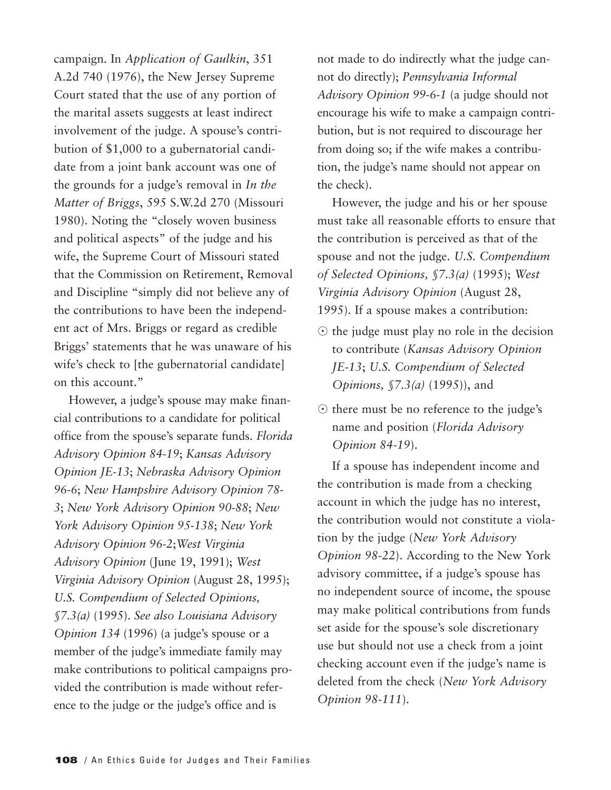campaign. In *Application of Gaulkin*, 351 A.2d 740 (1976), the New Jersey Supreme Court stated that the use of any portion of the marital assets suggests at least indirect involvement of the judge. A spouse's contribution of \$1,000 to a gubernatorial candidate from a joint bank account was one of the grounds for a judge's removal in *In the Matter of Briggs*, 595 S.W.2d 270 (Missouri 1980). Noting the "closely woven business and political aspects" of the judge and his wife, the Supreme Court of Missouri stated that the Commission on Retirement, Removal and Discipline "simply did not believe any of the contributions to have been the independent act of Mrs. Briggs or regard as credible Briggs' statements that he was unaware of his wife's check to [the gubernatorial candidate] on this account."

However, a judge's spouse may make financial contributions to a candidate for political office from the spouse's separate funds. *Florida Advisory Opinion 84-19*; *Kansas Advisory Opinion JE-13*; *Nebraska Advisory Opinion 96-6*; *New Hampshire Advisory Opinion 78- 3*; *New York Advisory Opinion 90-88*; *New York Advisory Opinion 95-138*; *New York Advisory Opinion 96-2*;*West Virginia Advisory Opinion* (June 19, 1991); *West Virginia Advisory Opinion* (August 28, 1995); *U.S. Compendium of Selected Opinions, §7.3(a)* (1995). *See also Louisiana Advisory Opinion 134* (1996) (a judge's spouse or a member of the judge's immediate family may make contributions to political campaigns provided the contribution is made without reference to the judge or the judge's office and is

not made to do indirectly what the judge cannot do directly); *Pennsylvania Informal Advisory Opinion 99-6-1* (a judge should not encourage his wife to make a campaign contribution, but is not required to discourage her from doing so; if the wife makes a contribution, the judge's name should not appear on the check).

However, the judge and his or her spouse must take all reasonable efforts to ensure that the contribution is perceived as that of the spouse and not the judge. *U.S. Compendium of Selected Opinions, §7.3(a)* (1995); *West Virginia Advisory Opinion* (August 28, 1995). If a spouse makes a contribution:

- $\odot$  the judge must play no role in the decision to contribute (*Kansas Advisory Opinion JE-13*; *U.S. Compendium of Selected Opinions, §7.3(a)* (1995)), and
- $\odot$  there must be no reference to the judge's name and position (*Florida Advisory Opinion 84-19*).

If a spouse has independent income and the contribution is made from a checking account in which the judge has no interest, the contribution would not constitute a violation by the judge (*New York Advisory Opinion 98-22*). According to the New York advisory committee, if a judge's spouse has no independent source of income, the spouse may make political contributions from funds set aside for the spouse's sole discretionary use but should not use a check from a joint checking account even if the judge's name is deleted from the check (*New York Advisory Opinion 98-111*).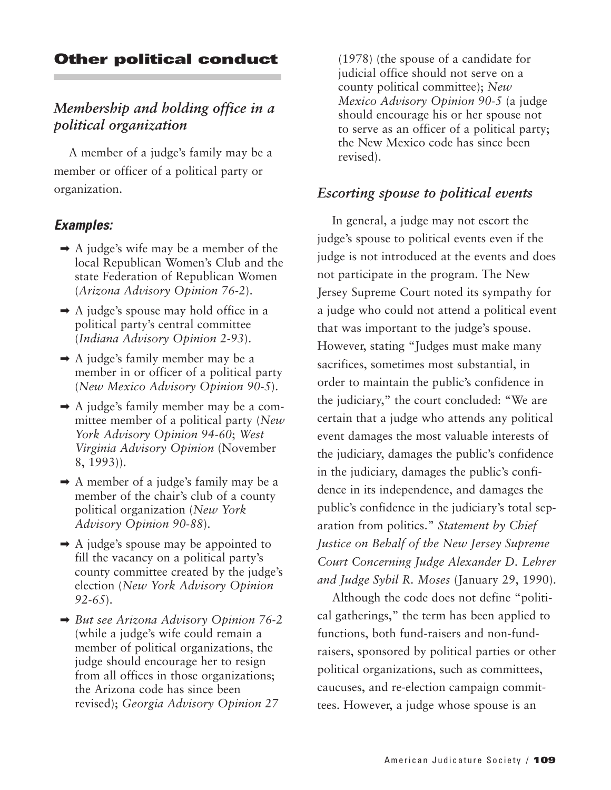## **Other political conduct**

## *Membership and holding office in a political organization*

A member of a judge's family may be a member or officer of a political party or organization.

#### *Examples:*

- $\rightarrow$  A judge's wife may be a member of the local Republican Women's Club and the state Federation of Republican Women (*Arizona Advisory Opinion 76-2*).
- $\rightarrow$  A judge's spouse may hold office in a political party's central committee (*Indiana Advisory Opinion 2-93*).
- $\rightarrow$  A judge's family member may be a member in or officer of a political party (*New Mexico Advisory Opinion 90-5*).
- $\rightarrow$  A judge's family member may be a committee member of a political party (*New York Advisory Opinion 94-60*; *West Virginia Advisory Opinion* (November 8, 1993)).
- ➡ A member of a judge's family may be a member of the chair's club of a county political organization (*New York Advisory Opinion 90-88*).
- $\rightarrow$  A judge's spouse may be appointed to fill the vacancy on a political party's county committee created by the judge's election (*New York Advisory Opinion 92-65*).
- ➡ *But see Arizona Advisory Opinion 76-2* (while a judge's wife could remain a member of political organizations, the judge should encourage her to resign from all offices in those organizations; the Arizona code has since been revised); *Georgia Advisory Opinion 27*

(1978) (the spouse of a candidate for judicial office should not serve on a county political committee); *New Mexico Advisory Opinion 90-5* (a judge should encourage his or her spouse not to serve as an officer of a political party; the New Mexico code has since been revised).

#### *Escorting spouse to political events*

In general, a judge may not escort the judge's spouse to political events even if the judge is not introduced at the events and does not participate in the program. The New Jersey Supreme Court noted its sympathy for a judge who could not attend a political event that was important to the judge's spouse. However, stating "Judges must make many sacrifices, sometimes most substantial, in order to maintain the public's confidence in the judiciary," the court concluded: "We are certain that a judge who attends any political event damages the most valuable interests of the judiciary, damages the public's confidence in the judiciary, damages the public's confidence in its independence, and damages the public's confidence in the judiciary's total separation from politics." *Statement by Chief Justice on Behalf of the New Jersey Supreme Court Concerning Judge Alexander D. Lehrer and Judge Sybil R. Moses* (January 29, 1990).

Although the code does not define "political gatherings," the term has been applied to functions, both fund-raisers and non-fundraisers, sponsored by political parties or other political organizations, such as committees, caucuses, and re-election campaign committees. However, a judge whose spouse is an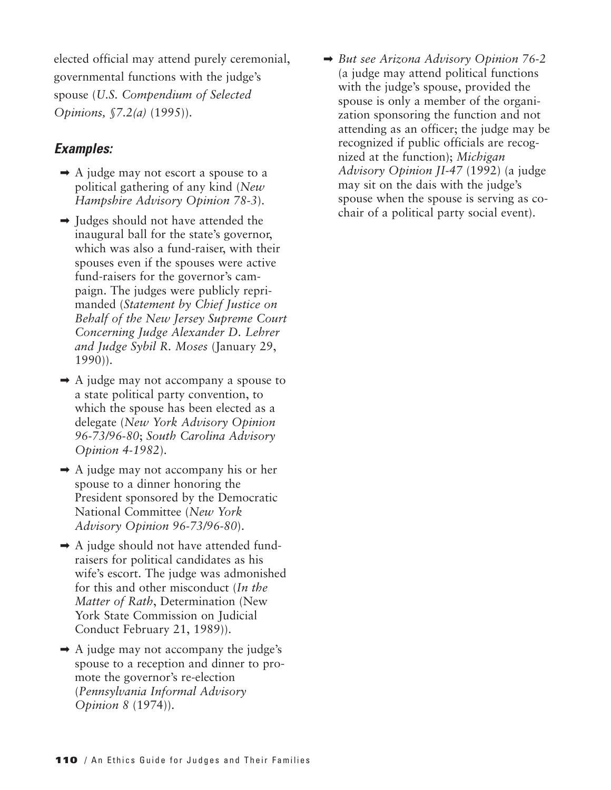elected official may attend purely ceremonial, governmental functions with the judge's spouse (*U.S. Compendium of Selected Opinions, §7.2(a)* (1995)).

#### *Examples:*

- $\rightarrow$  A judge may not escort a spouse to a political gathering of any kind (*New Hampshire Advisory Opinion 78-3*).
- $\rightarrow$  Judges should not have attended the inaugural ball for the state's governor, which was also a fund-raiser, with their spouses even if the spouses were active fund-raisers for the governor's campaign. The judges were publicly reprimanded (*Statement by Chief Justice on Behalf of the New Jersey Supreme Court Concerning Judge Alexander D. Lehrer and Judge Sybil R. Moses* (January 29, 1990)).
- $\rightarrow$  A judge may not accompany a spouse to a state political party convention, to which the spouse has been elected as a delegate (*New York Advisory Opinion 96-73/96-80*; *South Carolina Advisory Opinion 4-1982*).
- ➡ A judge may not accompany his or her spouse to a dinner honoring the President sponsored by the Democratic National Committee (*New York Advisory Opinion 96-73/96-80*).
- $\rightarrow$  A judge should not have attended fundraisers for political candidates as his wife's escort. The judge was admonished for this and other misconduct (*In the Matter of Rath*, Determination (New York State Commission on Judicial Conduct February 21, 1989)).
- $\rightarrow$  A judge may not accompany the judge's spouse to a reception and dinner to promote the governor's re-election (*Pennsylvania Informal Advisory Opinion 8* (1974)).

➡ *But see Arizona Advisory Opinion 76-2* (a judge may attend political functions with the judge's spouse, provided the spouse is only a member of the organization sponsoring the function and not attending as an officer; the judge may be recognized if public officials are recognized at the function); *Michigan Advisory Opinion JI-47* (1992) (a judge may sit on the dais with the judge's spouse when the spouse is serving as cochair of a political party social event).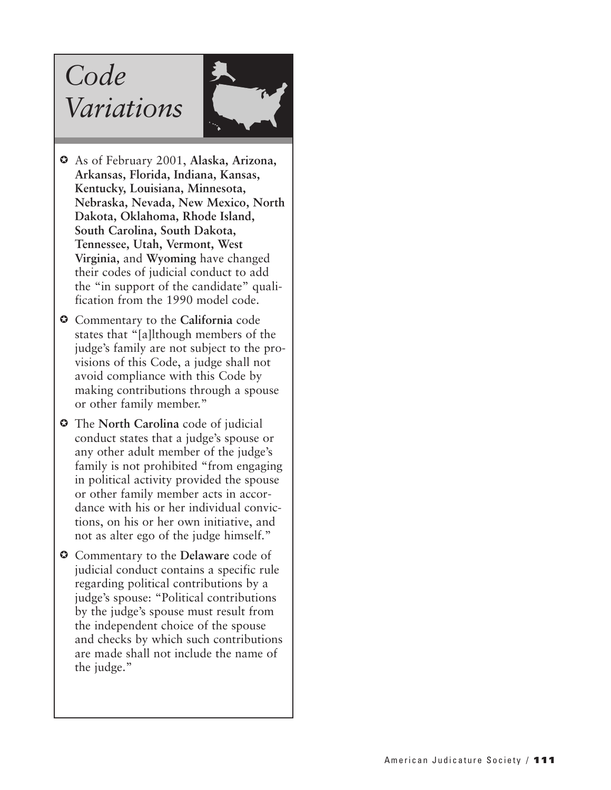# *Code Variations*



- As of February 2001, **Alaska, Arizona, Arkansas, Florida, Indiana, Kansas, Kentucky, Louisiana, Minnesota, Nebraska, Nevada, New Mexico, North Dakota, Oklahoma, Rhode Island, South Carolina, South Dakota, Tennessee, Utah, Vermont, West Virginia,** and **Wyoming** have changed their codes of judicial conduct to add the "in support of the candidate" qualification from the 1990 model code.
- Commentary to the **California** code states that "[a]lthough members of the judge's family are not subject to the provisions of this Code, a judge shall not avoid compliance with this Code by making contributions through a spouse or other family member."
- The **North Carolina** code of judicial conduct states that a judge's spouse or any other adult member of the judge's family is not prohibited "from engaging in political activity provided the spouse or other family member acts in accordance with his or her individual convictions, on his or her own initiative, and not as alter ego of the judge himself."
- Commentary to the **Delaware** code of judicial conduct contains a specific rule regarding political contributions by a judge's spouse: "Political contributions by the judge's spouse must result from the independent choice of the spouse and checks by which such contributions are made shall not include the name of the judge."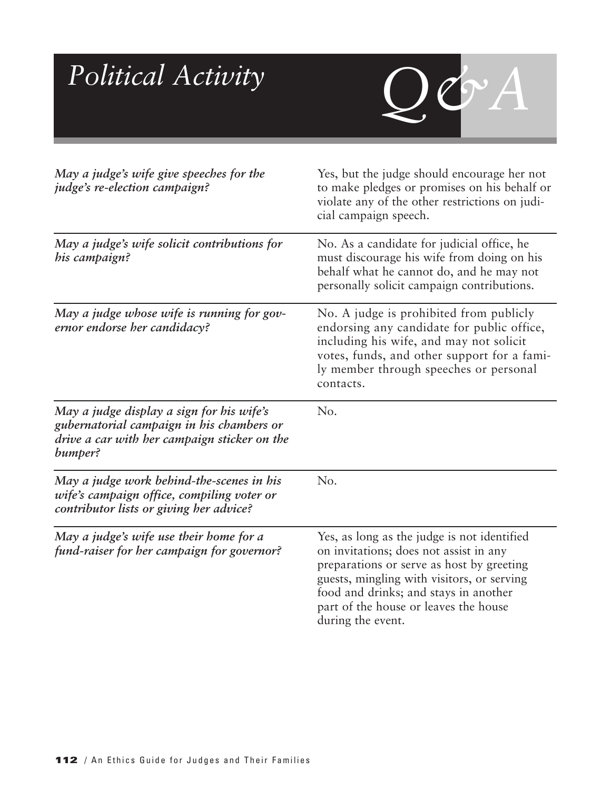| Political Activity                                                                                                                                | $\mathcal{Q}\mathcal{O}^{\prime} A$                                                                                                                                                                                                                                                     |
|---------------------------------------------------------------------------------------------------------------------------------------------------|-----------------------------------------------------------------------------------------------------------------------------------------------------------------------------------------------------------------------------------------------------------------------------------------|
| May a judge's wife give speeches for the<br><i>judge's re-election campaign?</i>                                                                  | Yes, but the judge should encourage her not<br>to make pledges or promises on his behalf or<br>violate any of the other restrictions on judi-<br>cial campaign speech.                                                                                                                  |
| May a judge's wife solicit contributions for<br>his campaign?                                                                                     | No. As a candidate for judicial office, he<br>must discourage his wife from doing on his<br>behalf what he cannot do, and he may not<br>personally solicit campaign contributions.                                                                                                      |
| May a judge whose wife is running for gov-<br>ernor endorse her candidacy?                                                                        | No. A judge is prohibited from publicly<br>endorsing any candidate for public office,<br>including his wife, and may not solicit<br>votes, funds, and other support for a fami-<br>ly member through speeches or personal<br>contacts.                                                  |
| May a judge display a sign for his wife's<br>gubernatorial campaign in his chambers or<br>drive a car with her campaign sticker on the<br>bumper? | No.                                                                                                                                                                                                                                                                                     |
| May a judge work behind-the-scenes in his<br>wife's campaign office, compiling voter or<br>contributor lists or giving her advice?                | No.                                                                                                                                                                                                                                                                                     |
| May a judge's wife use their home for a<br>fund-raiser for her campaign for governor?                                                             | Yes, as long as the judge is not identified<br>on invitations; does not assist in any<br>preparations or serve as host by greeting<br>guests, mingling with visitors, or serving<br>food and drinks; and stays in another<br>part of the house or leaves the house<br>during the event. |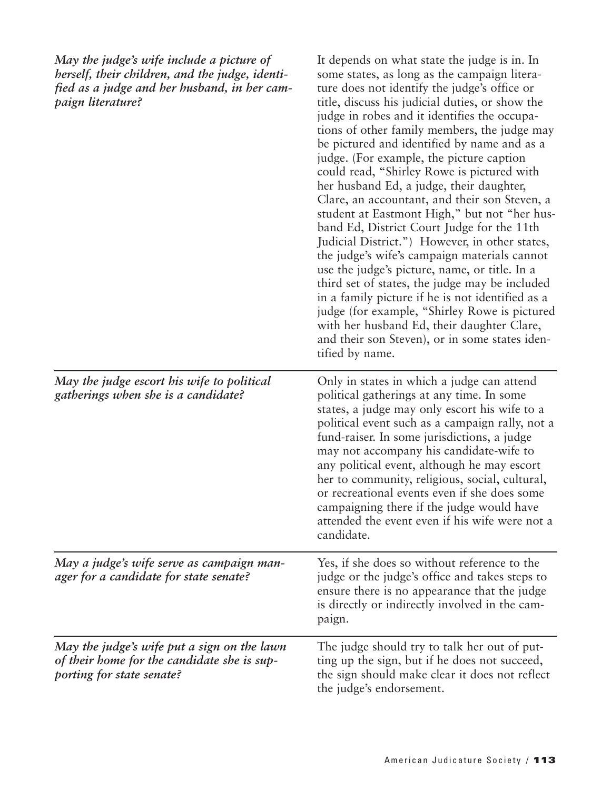| May the judge's wife include a picture of<br>herself, their children, and the judge, identi-<br>fied as a judge and her husband, in her cam-<br>paign literature? | It depends on what state the judge is in. In<br>some states, as long as the campaign litera-<br>ture does not identify the judge's office or<br>title, discuss his judicial duties, or show the<br>judge in robes and it identifies the occupa-<br>tions of other family members, the judge may<br>be pictured and identified by name and as a<br>judge. (For example, the picture caption<br>could read, "Shirley Rowe is pictured with<br>her husband Ed, a judge, their daughter,<br>Clare, an accountant, and their son Steven, a<br>student at Eastmont High," but not "her hus-<br>band Ed, District Court Judge for the 11th<br>Judicial District.") However, in other states,<br>the judge's wife's campaign materials cannot<br>use the judge's picture, name, or title. In a<br>third set of states, the judge may be included<br>in a family picture if he is not identified as a<br>judge (for example, "Shirley Rowe is pictured<br>with her husband Ed, their daughter Clare,<br>and their son Steven), or in some states iden-<br>tified by name. |
|-------------------------------------------------------------------------------------------------------------------------------------------------------------------|------------------------------------------------------------------------------------------------------------------------------------------------------------------------------------------------------------------------------------------------------------------------------------------------------------------------------------------------------------------------------------------------------------------------------------------------------------------------------------------------------------------------------------------------------------------------------------------------------------------------------------------------------------------------------------------------------------------------------------------------------------------------------------------------------------------------------------------------------------------------------------------------------------------------------------------------------------------------------------------------------------------------------------------------------------------|
| May the judge escort his wife to political<br>gatherings when she is a candidate?                                                                                 | Only in states in which a judge can attend<br>political gatherings at any time. In some<br>states, a judge may only escort his wife to a<br>political event such as a campaign rally, not a<br>fund-raiser. In some jurisdictions, a judge<br>may not accompany his candidate-wife to<br>any political event, although he may escort<br>her to community, religious, social, cultural,<br>or recreational events even if she does some<br>campaigning there if the judge would have<br>attended the event even if his wife were not a<br>candidate.                                                                                                                                                                                                                                                                                                                                                                                                                                                                                                              |
| May a judge's wife serve as campaign man-<br>ager for a candidate for state senate?                                                                               | Yes, if she does so without reference to the<br>judge or the judge's office and takes steps to<br>ensure there is no appearance that the judge<br>is directly or indirectly involved in the cam-<br>paign.                                                                                                                                                                                                                                                                                                                                                                                                                                                                                                                                                                                                                                                                                                                                                                                                                                                       |
| May the judge's wife put a sign on the lawn<br>of their home for the candidate she is sup-<br>porting for state senate?                                           | The judge should try to talk her out of put-<br>ting up the sign, but if he does not succeed,<br>the sign should make clear it does not reflect<br>the judge's endorsement.                                                                                                                                                                                                                                                                                                                                                                                                                                                                                                                                                                                                                                                                                                                                                                                                                                                                                      |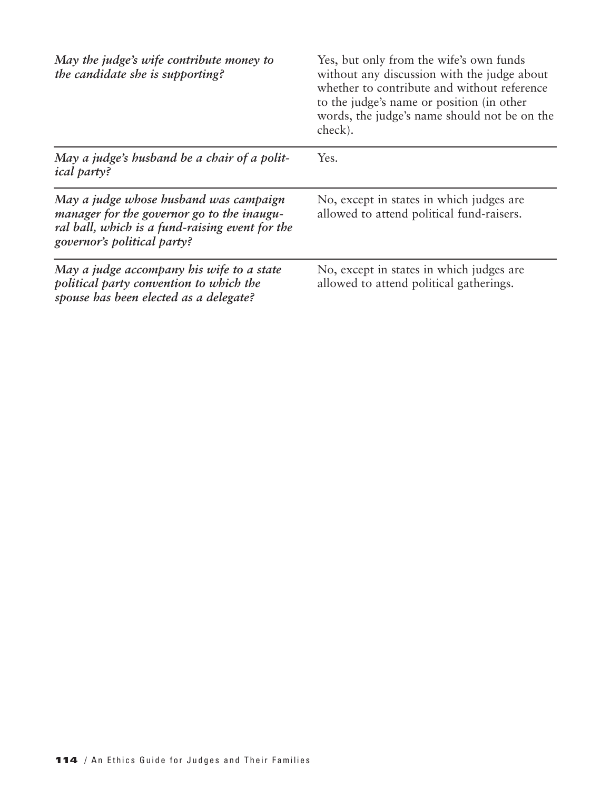| May the judge's wife contribute money to<br>the candidate she is supporting?                                                                                           | Yes, but only from the wife's own funds<br>without any discussion with the judge about<br>whether to contribute and without reference<br>to the judge's name or position (in other<br>words, the judge's name should not be on the<br>check). |
|------------------------------------------------------------------------------------------------------------------------------------------------------------------------|-----------------------------------------------------------------------------------------------------------------------------------------------------------------------------------------------------------------------------------------------|
| May a judge's husband be a chair of a polit-<br><i>ical party?</i>                                                                                                     | Yes.                                                                                                                                                                                                                                          |
| May a judge whose husband was campaign<br>manager for the governor go to the inaugu-<br>ral ball, which is a fund-raising event for the<br>governor's political party? | No, except in states in which judges are<br>allowed to attend political fund-raisers.                                                                                                                                                         |
| May a judge accompany his wife to a state<br>political party convention to which the<br>spouse has been elected as a delegate?                                         | No, except in states in which judges are<br>allowed to attend political gatherings.                                                                                                                                                           |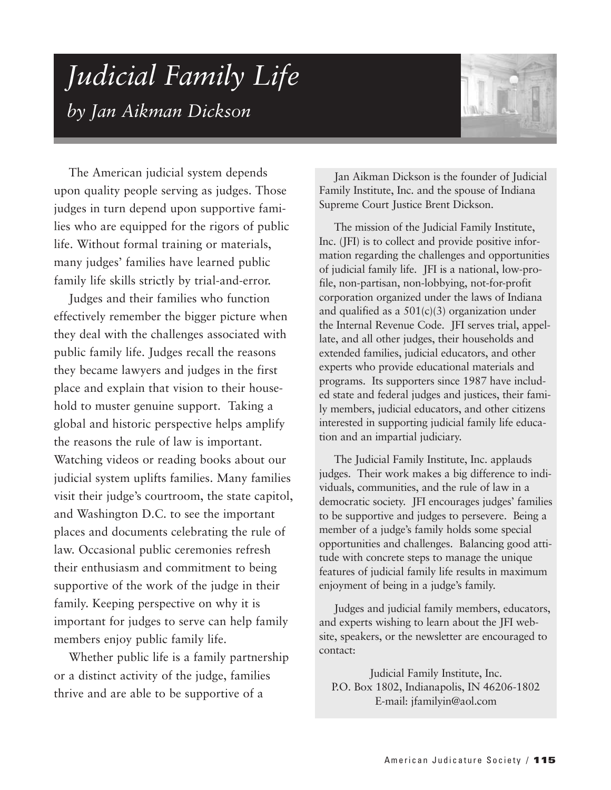## *Judicial Family Life by Jan Aikman Dickson*



The American judicial system depends upon quality people serving as judges. Those judges in turn depend upon supportive families who are equipped for the rigors of public life. Without formal training or materials, many judges' families have learned public family life skills strictly by trial-and-error.

Judges and their families who function effectively remember the bigger picture when they deal with the challenges associated with public family life. Judges recall the reasons they became lawyers and judges in the first place and explain that vision to their household to muster genuine support. Taking a global and historic perspective helps amplify the reasons the rule of law is important. Watching videos or reading books about our judicial system uplifts families. Many families visit their judge's courtroom, the state capitol, and Washington D.C. to see the important places and documents celebrating the rule of law. Occasional public ceremonies refresh their enthusiasm and commitment to being supportive of the work of the judge in their family. Keeping perspective on why it is important for judges to serve can help family members enjoy public family life.

Whether public life is a family partnership or a distinct activity of the judge, families thrive and are able to be supportive of a

Jan Aikman Dickson is the founder of Judicial Family Institute, Inc. and the spouse of Indiana Supreme Court Justice Brent Dickson.

The mission of the Judicial Family Institute, Inc. (JFI) is to collect and provide positive information regarding the challenges and opportunities of judicial family life. JFI is a national, low-profile, non-partisan, non-lobbying, not-for-profit corporation organized under the laws of Indiana and qualified as a  $501(c)(3)$  organization under the Internal Revenue Code. JFI serves trial, appellate, and all other judges, their households and extended families, judicial educators, and other experts who provide educational materials and programs. Its supporters since 1987 have included state and federal judges and justices, their family members, judicial educators, and other citizens interested in supporting judicial family life education and an impartial judiciary.

The Judicial Family Institute, Inc. applauds judges. Their work makes a big difference to individuals, communities, and the rule of law in a democratic society. JFI encourages judges' families to be supportive and judges to persevere. Being a member of a judge's family holds some special opportunities and challenges. Balancing good attitude with concrete steps to manage the unique features of judicial family life results in maximum enjoyment of being in a judge's family.

Judges and judicial family members, educators, and experts wishing to learn about the JFI website, speakers, or the newsletter are encouraged to contact:

Judicial Family Institute, Inc. P.O. Box 1802, Indianapolis, IN 46206-1802 E-mail: jfamilyin@aol.com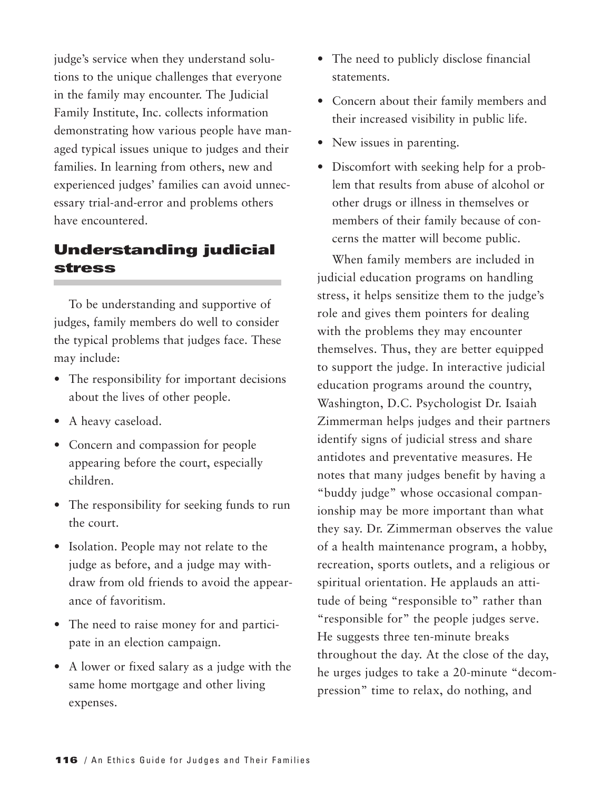judge's service when they understand solutions to the unique challenges that everyone in the family may encounter. The Judicial Family Institute, Inc. collects information demonstrating how various people have managed typical issues unique to judges and their families. In learning from others, new and experienced judges' families can avoid unnecessary trial-and-error and problems others have encountered.

## **Understanding judicial stress**

To be understanding and supportive of judges, family members do well to consider the typical problems that judges face. These may include:

- The responsibility for important decisions about the lives of other people.
- A heavy caseload.
- Concern and compassion for people appearing before the court, especially children.
- The responsibility for seeking funds to run the court.
- Isolation. People may not relate to the judge as before, and a judge may withdraw from old friends to avoid the appearance of favoritism.
- The need to raise money for and participate in an election campaign.
- A lower or fixed salary as a judge with the same home mortgage and other living expenses.
- The need to publicly disclose financial statements.
- Concern about their family members and their increased visibility in public life.
- New issues in parenting.
- Discomfort with seeking help for a problem that results from abuse of alcohol or other drugs or illness in themselves or members of their family because of concerns the matter will become public.

When family members are included in judicial education programs on handling stress, it helps sensitize them to the judge's role and gives them pointers for dealing with the problems they may encounter themselves. Thus, they are better equipped to support the judge. In interactive judicial education programs around the country, Washington, D.C. Psychologist Dr. Isaiah Zimmerman helps judges and their partners identify signs of judicial stress and share antidotes and preventative measures. He notes that many judges benefit by having a "buddy judge" whose occasional companionship may be more important than what they say. Dr. Zimmerman observes the value of a health maintenance program, a hobby, recreation, sports outlets, and a religious or spiritual orientation. He applauds an attitude of being "responsible to" rather than "responsible for" the people judges serve. He suggests three ten-minute breaks throughout the day. At the close of the day, he urges judges to take a 20-minute "decompression" time to relax, do nothing, and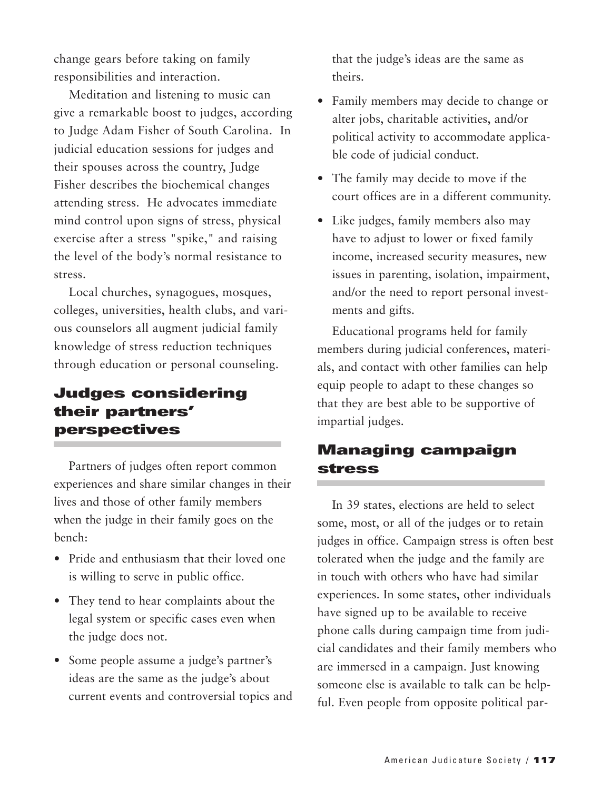change gears before taking on family responsibilities and interaction.

Meditation and listening to music can give a remarkable boost to judges, according to Judge Adam Fisher of South Carolina. In judicial education sessions for judges and their spouses across the country, Judge Fisher describes the biochemical changes attending stress. He advocates immediate mind control upon signs of stress, physical exercise after a stress "spike," and raising the level of the body's normal resistance to stress.

Local churches, synagogues, mosques, colleges, universities, health clubs, and various counselors all augment judicial family knowledge of stress reduction techniques through education or personal counseling.

## **Judges considering their partners' perspectives**

Partners of judges often report common experiences and share similar changes in their lives and those of other family members when the judge in their family goes on the bench:

- Pride and enthusiasm that their loved one is willing to serve in public office.
- They tend to hear complaints about the legal system or specific cases even when the judge does not.
- Some people assume a judge's partner's ideas are the same as the judge's about current events and controversial topics and

that the judge's ideas are the same as theirs.

- Family members may decide to change or alter jobs, charitable activities, and/or political activity to accommodate applicable code of judicial conduct.
- The family may decide to move if the court offices are in a different community.
- Like judges, family members also may have to adjust to lower or fixed family income, increased security measures, new issues in parenting, isolation, impairment, and/or the need to report personal investments and gifts.

Educational programs held for family members during judicial conferences, materials, and contact with other families can help equip people to adapt to these changes so that they are best able to be supportive of impartial judges.

## **Managing campaign stress**

In 39 states, elections are held to select some, most, or all of the judges or to retain judges in office. Campaign stress is often best tolerated when the judge and the family are in touch with others who have had similar experiences. In some states, other individuals have signed up to be available to receive phone calls during campaign time from judicial candidates and their family members who are immersed in a campaign. Just knowing someone else is available to talk can be helpful. Even people from opposite political par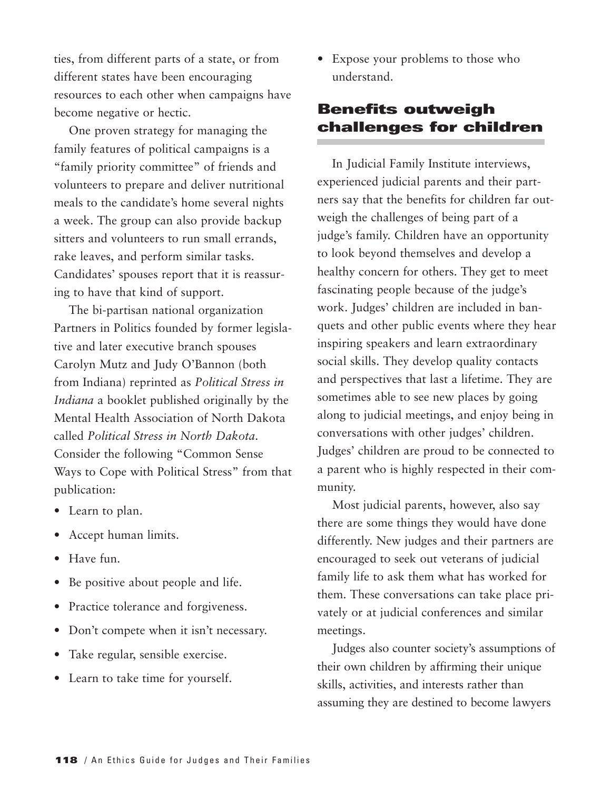ties, from different parts of a state, or from different states have been encouraging resources to each other when campaigns have become negative or hectic.

One proven strategy for managing the family features of political campaigns is a "family priority committee" of friends and volunteers to prepare and deliver nutritional meals to the candidate's home several nights a week. The group can also provide backup sitters and volunteers to run small errands, rake leaves, and perform similar tasks. Candidates' spouses report that it is reassuring to have that kind of support.

The bi-partisan national organization Partners in Politics founded by former legislative and later executive branch spouses Carolyn Mutz and Judy O'Bannon (both from Indiana) reprinted as *Political Stress in Indiana* a booklet published originally by the Mental Health Association of North Dakota called *Political Stress in North Dakota*. Consider the following "Common Sense Ways to Cope with Political Stress" from that publication:

- Learn to plan.
- Accept human limits.
- Have fun.
- Be positive about people and life.
- Practice tolerance and forgiveness.
- Don't compete when it isn't necessary.
- Take regular, sensible exercise.
- Learn to take time for yourself.

• Expose your problems to those who understand.

## **Benefits outweigh challenges for children**

In Judicial Family Institute interviews, experienced judicial parents and their partners say that the benefits for children far outweigh the challenges of being part of a judge's family. Children have an opportunity to look beyond themselves and develop a healthy concern for others. They get to meet fascinating people because of the judge's work. Judges' children are included in banquets and other public events where they hear inspiring speakers and learn extraordinary social skills. They develop quality contacts and perspectives that last a lifetime. They are sometimes able to see new places by going along to judicial meetings, and enjoy being in conversations with other judges' children. Judges' children are proud to be connected to a parent who is highly respected in their community.

Most judicial parents, however, also say there are some things they would have done differently. New judges and their partners are encouraged to seek out veterans of judicial family life to ask them what has worked for them. These conversations can take place privately or at judicial conferences and similar meetings.

Judges also counter society's assumptions of their own children by affirming their unique skills, activities, and interests rather than assuming they are destined to become lawyers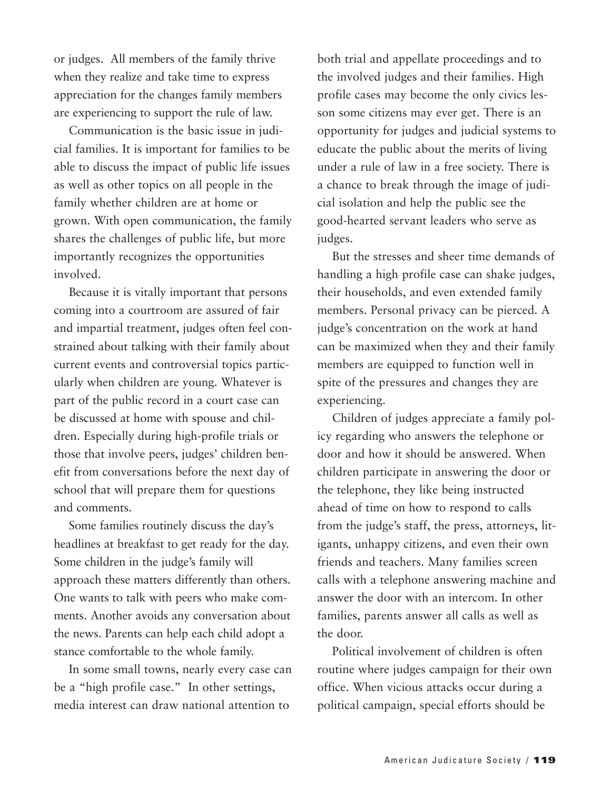or judges. All members of the family thrive when they realize and take time to express appreciation for the changes family members are experiencing to support the rule of law.

Communication is the basic issue in judicial families. It is important for families to be able to discuss the impact of public life issues as well as other topics on all people in the family whether children are at home or grown. With open communication, the family shares the challenges of public life, but more importantly recognizes the opportunities involved.

Because it is vitally important that persons coming into a courtroom are assured of fair and impartial treatment, judges often feel constrained about talking with their family about current events and controversial topics particularly when children are young. Whatever is part of the public record in a court case can be discussed at home with spouse and children. Especially during high-profile trials or those that involve peers, judges' children benefit from conversations before the next day of school that will prepare them for questions and comments.

Some families routinely discuss the day's headlines at breakfast to get ready for the day. Some children in the judge's family will approach these matters differently than others. One wants to talk with peers who make comments. Another avoids any conversation about the news. Parents can help each child adopt a stance comfortable to the whole family.

In some small towns, nearly every case can be a "high profile case." In other settings, media interest can draw national attention to

both trial and appellate proceedings and to the involved judges and their families. High profile cases may become the only civics lesson some citizens may ever get. There is an opportunity for judges and judicial systems to educate the public about the merits of living under a rule of law in a free society. There is a chance to break through the image of judicial isolation and help the public see the good-hearted servant leaders who serve as judges.

But the stresses and sheer time demands of handling a high profile case can shake judges, their households, and even extended family members. Personal privacy can be pierced. A judge's concentration on the work at hand can be maximized when they and their family members are equipped to function well in spite of the pressures and changes they are experiencing.

Children of judges appreciate a family policy regarding who answers the telephone or door and how it should be answered. When children participate in answering the door or the telephone, they like being instructed ahead of time on how to respond to calls from the judge's staff, the press, attorneys, litigants, unhappy citizens, and even their own friends and teachers. Many families screen calls with a telephone answering machine and answer the door with an intercom. In other families, parents answer all calls as well as the door.

Political involvement of children is often routine where judges campaign for their own office. When vicious attacks occur during a political campaign, special efforts should be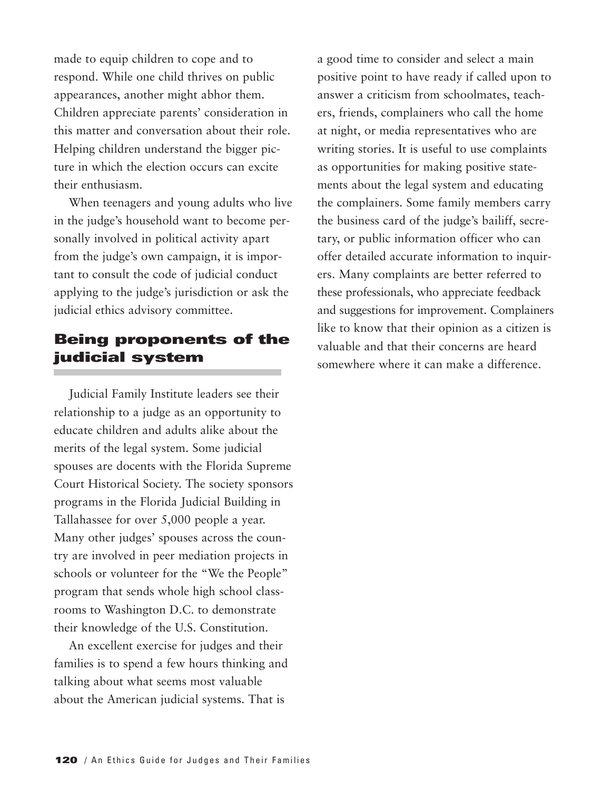made to equip children to cope and to respond. While one child thrives on public appearances, another might abhor them. Children appreciate parents' consideration in this matter and conversation about their role. Helping children understand the bigger picture in which the election occurs can excite their enthusiasm.

When teenagers and young adults who live in the judge's household want to become personally involved in political activity apart from the judge's own campaign, it is important to consult the code of judicial conduct applying to the judge's jurisdiction or ask the judicial ethics advisory committee.

## **Being proponents of the judicial system**

Judicial Family Institute leaders see their relationship to a judge as an opportunity to educate children and adults alike about the merits of the legal system. Some judicial spouses are docents with the Florida Supreme Court Historical Society. The society sponsors programs in the Florida Judicial Building in Tallahassee for over 5,000 people a year. Many other judges' spouses across the country are involved in peer mediation projects in schools or volunteer for the "We the People" program that sends whole high school classrooms to Washington D.C. to demonstrate their knowledge of the U.S. Constitution.

An excellent exercise for judges and their families is to spend a few hours thinking and talking about what seems most valuable about the American judicial systems. That is

a good time to consider and select a main positive point to have ready if called upon to answer a criticism from schoolmates, teachers, friends, complainers who call the home at night, or media representatives who are writing stories. It is useful to use complaints as opportunities for making positive statements about the legal system and educating the complainers. Some family members carry the business card of the judge's bailiff, secretary, or public information officer who can offer detailed accurate information to inquirers. Many complaints are better referred to these professionals, who appreciate feedback and suggestions for improvement. Complainers like to know that their opinion as a citizen is valuable and that their concerns are heard somewhere where it can make a difference.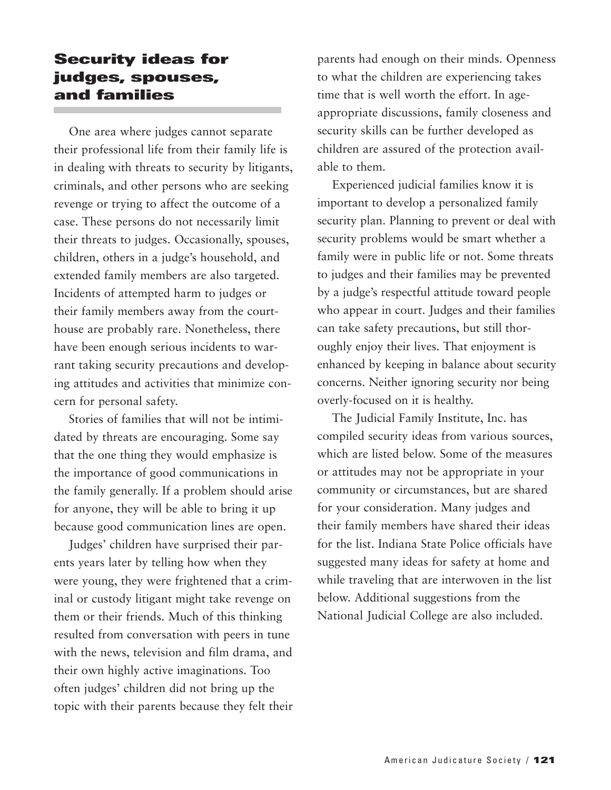## **Security ideas for judges, spouses, and families**

One area where judges cannot separate their professional life from their family life is in dealing with threats to security by litigants, criminals, and other persons who are seeking revenge or trying to affect the outcome of a case. These persons do not necessarily limit their threats to judges. Occasionally, spouses, children, others in a judge's household, and extended family members are also targeted. Incidents of attempted harm to judges or their family members away from the courthouse are probably rare. Nonetheless, there have been enough serious incidents to warrant taking security precautions and developing attitudes and activities that minimize concern for personal safety.

Stories of families that will not be intimidated by threats are encouraging. Some say that the one thing they would emphasize is the importance of good communications in the family generally. If a problem should arise for anyone, they will be able to bring it up because good communication lines are open.

Judges' children have surprised their parents years later by telling how when they were young, they were frightened that a criminal or custody litigant might take revenge on them or their friends. Much of this thinking resulted from conversation with peers in tune with the news, television and film drama, and their own highly active imaginations. Too often judges' children did not bring up the topic with their parents because they felt their parents had enough on their minds. Openness to what the children are experiencing takes time that is well worth the effort. In ageappropriate discussions, family closeness and security skills can be further developed as children are assured of the protection available to them.

Experienced judicial families know it is important to develop a personalized family security plan. Planning to prevent or deal with security problems would be smart whether a family were in public life or not. Some threats to judges and their families may be prevented by a judge's respectful attitude toward people who appear in court. Judges and their families can take safety precautions, but still thoroughly enjoy their lives. That enjoyment is enhanced by keeping in balance about security concerns. Neither ignoring security nor being overly-focused on it is healthy.

The Judicial Family Institute, Inc. has compiled security ideas from various sources, which are listed below. Some of the measures or attitudes may not be appropriate in your community or circumstances, but are shared for your consideration. Many judges and their family members have shared their ideas for the list. Indiana State Police officials have suggested many ideas for safety at home and while traveling that are interwoven in the list below. Additional suggestions from the National Judicial College are also included.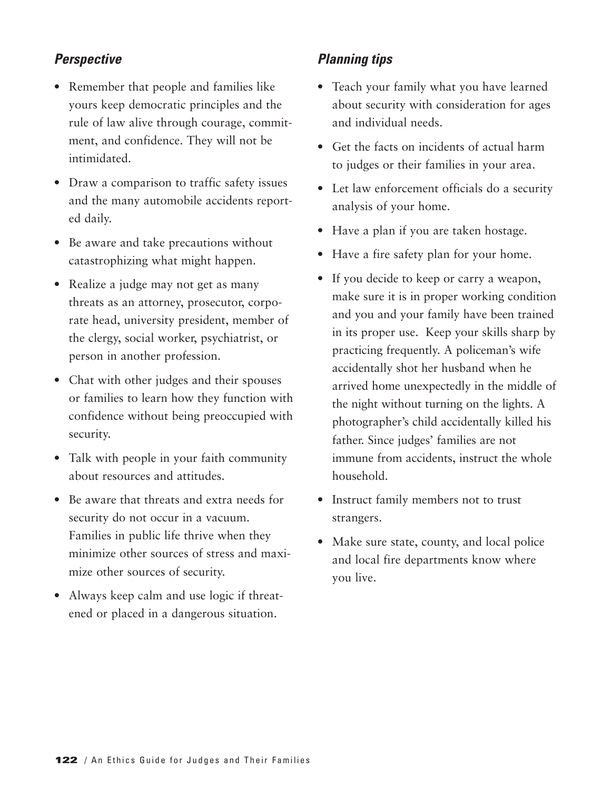## *Perspective*

- Remember that people and families like yours keep democratic principles and the rule of law alive through courage, commitment, and confidence. They will not be intimidated.
- Draw a comparison to traffic safety issues and the many automobile accidents reported daily.
- Be aware and take precautions without catastrophizing what might happen.
- Realize a judge may not get as many threats as an attorney, prosecutor, corporate head, university president, member of the clergy, social worker, psychiatrist, or person in another profession.
- Chat with other judges and their spouses or families to learn how they function with confidence without being preoccupied with security.
- Talk with people in your faith community about resources and attitudes.
- Be aware that threats and extra needs for security do not occur in a vacuum. Families in public life thrive when they minimize other sources of stress and maximize other sources of security.
- Always keep calm and use logic if threatened or placed in a dangerous situation.

## *Planning tips*

- Teach your family what you have learned about security with consideration for ages and individual needs.
- Get the facts on incidents of actual harm to judges or their families in your area.
- Let law enforcement officials do a security analysis of your home.
- Have a plan if you are taken hostage.
- Have a fire safety plan for your home.
- If you decide to keep or carry a weapon, make sure it is in proper working condition and you and your family have been trained in its proper use. Keep your skills sharp by practicing frequently. A policeman's wife accidentally shot her husband when he arrived home unexpectedly in the middle of the night without turning on the lights. A photographer's child accidentally killed his father. Since judges' families are not immune from accidents, instruct the whole household.
- Instruct family members not to trust strangers.
- Make sure state, county, and local police and local fire departments know where you live.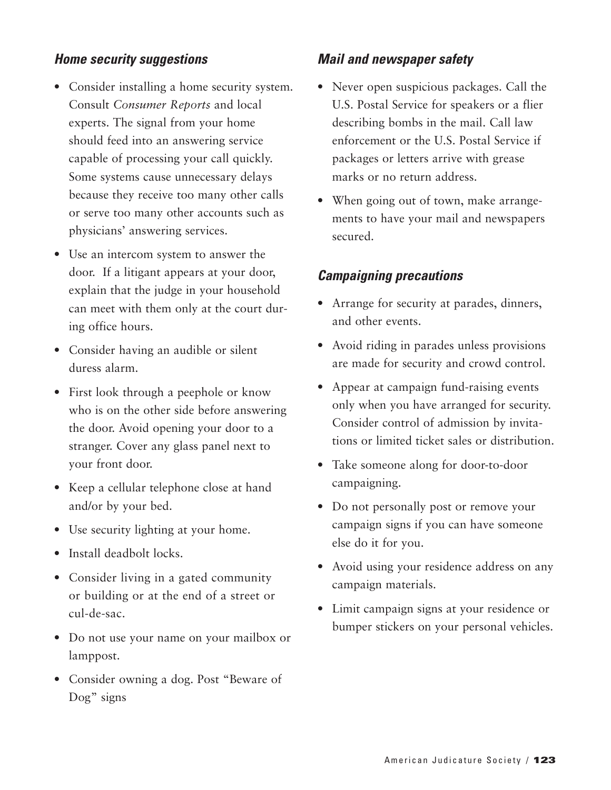#### *Home security suggestions*

- Consider installing a home security system. Consult *Consumer Reports* and local experts. The signal from your home should feed into an answering service capable of processing your call quickly. Some systems cause unnecessary delays because they receive too many other calls or serve too many other accounts such as physicians' answering services.
- Use an intercom system to answer the door. If a litigant appears at your door, explain that the judge in your household can meet with them only at the court during office hours.
- Consider having an audible or silent duress alarm.
- First look through a peephole or know who is on the other side before answering the door. Avoid opening your door to a stranger. Cover any glass panel next to your front door.
- Keep a cellular telephone close at hand and/or by your bed.
- Use security lighting at your home.
- Install deadbolt locks.
- Consider living in a gated community or building or at the end of a street or cul-de-sac.
- Do not use your name on your mailbox or lamppost.
- Consider owning a dog. Post "Beware of Dog" signs

#### *Mail and newspaper safety*

- Never open suspicious packages. Call the U.S. Postal Service for speakers or a flier describing bombs in the mail. Call law enforcement or the U.S. Postal Service if packages or letters arrive with grease marks or no return address.
- When going out of town, make arrangements to have your mail and newspapers secured.

#### *Campaigning precautions*

- Arrange for security at parades, dinners, and other events.
- Avoid riding in parades unless provisions are made for security and crowd control.
- Appear at campaign fund-raising events only when you have arranged for security. Consider control of admission by invitations or limited ticket sales or distribution.
- Take someone along for door-to-door campaigning.
- Do not personally post or remove your campaign signs if you can have someone else do it for you.
- Avoid using your residence address on any campaign materials.
- Limit campaign signs at your residence or bumper stickers on your personal vehicles.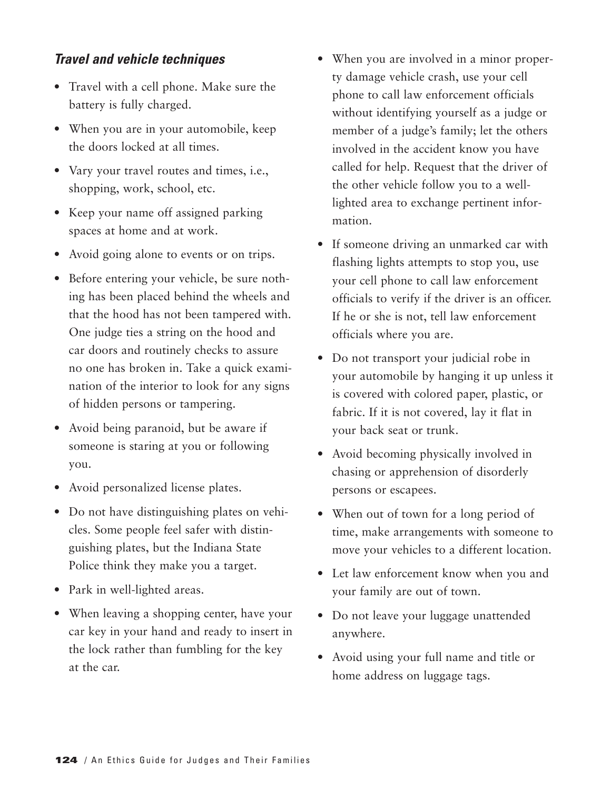#### *Travel and vehicle techniques*

- Travel with a cell phone. Make sure the battery is fully charged.
- When you are in your automobile, keep the doors locked at all times.
- Vary your travel routes and times, i.e., shopping, work, school, etc.
- Keep your name off assigned parking spaces at home and at work.
- Avoid going alone to events or on trips.
- Before entering your vehicle, be sure nothing has been placed behind the wheels and that the hood has not been tampered with. One judge ties a string on the hood and car doors and routinely checks to assure no one has broken in. Take a quick examination of the interior to look for any signs of hidden persons or tampering.
- Avoid being paranoid, but be aware if someone is staring at you or following you.
- Avoid personalized license plates.
- Do not have distinguishing plates on vehicles. Some people feel safer with distinguishing plates, but the Indiana State Police think they make you a target.
- Park in well-lighted areas.
- When leaving a shopping center, have your car key in your hand and ready to insert in the lock rather than fumbling for the key at the car.
- When you are involved in a minor property damage vehicle crash, use your cell phone to call law enforcement officials without identifying yourself as a judge or member of a judge's family; let the others involved in the accident know you have called for help. Request that the driver of the other vehicle follow you to a welllighted area to exchange pertinent information.
- If someone driving an unmarked car with flashing lights attempts to stop you, use your cell phone to call law enforcement officials to verify if the driver is an officer. If he or she is not, tell law enforcement officials where you are.
- Do not transport your judicial robe in your automobile by hanging it up unless it is covered with colored paper, plastic, or fabric. If it is not covered, lay it flat in your back seat or trunk.
- Avoid becoming physically involved in chasing or apprehension of disorderly persons or escapees.
- When out of town for a long period of time, make arrangements with someone to move your vehicles to a different location.
- Let law enforcement know when you and your family are out of town.
- Do not leave your luggage unattended anywhere.
- Avoid using your full name and title or home address on luggage tags.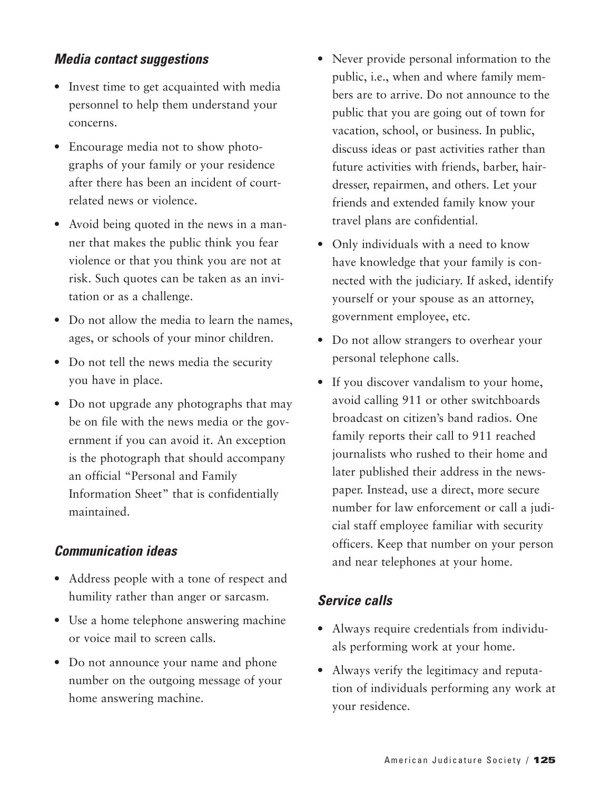#### *Media contact suggestions*

- Invest time to get acquainted with media personnel to help them understand your concerns.
- Encourage media not to show photographs of your family or your residence after there has been an incident of courtrelated news or violence.
- Avoid being quoted in the news in a manner that makes the public think you fear violence or that you think you are not at risk. Such quotes can be taken as an invitation or as a challenge.
- Do not allow the media to learn the names, ages, or schools of your minor children.
- Do not tell the news media the security you have in place.
- Do not upgrade any photographs that may be on file with the news media or the government if you can avoid it. An exception is the photograph that should accompany an official "Personal and Family Information Sheet" that is confidentially maintained.

#### *Communication ideas*

- Address people with a tone of respect and humility rather than anger or sarcasm.
- Use a home telephone answering machine or voice mail to screen calls.
- Do not announce your name and phone number on the outgoing message of your home answering machine.
- Never provide personal information to the public, i.e., when and where family members are to arrive. Do not announce to the public that you are going out of town for vacation, school, or business. In public, discuss ideas or past activities rather than future activities with friends, barber, hairdresser, repairmen, and others. Let your friends and extended family know your travel plans are confidential.
- Only individuals with a need to know have knowledge that your family is connected with the judiciary. If asked, identify yourself or your spouse as an attorney, government employee, etc.
- Do not allow strangers to overhear your personal telephone calls.
- If you discover vandalism to your home, avoid calling 911 or other switchboards broadcast on citizen's band radios. One family reports their call to 911 reached journalists who rushed to their home and later published their address in the newspaper. Instead, use a direct, more secure number for law enforcement or call a judicial staff employee familiar with security officers. Keep that number on your person and near telephones at your home.

## *Service calls*

- Always require credentials from individuals performing work at your home.
- Always verify the legitimacy and reputation of individuals performing any work at your residence.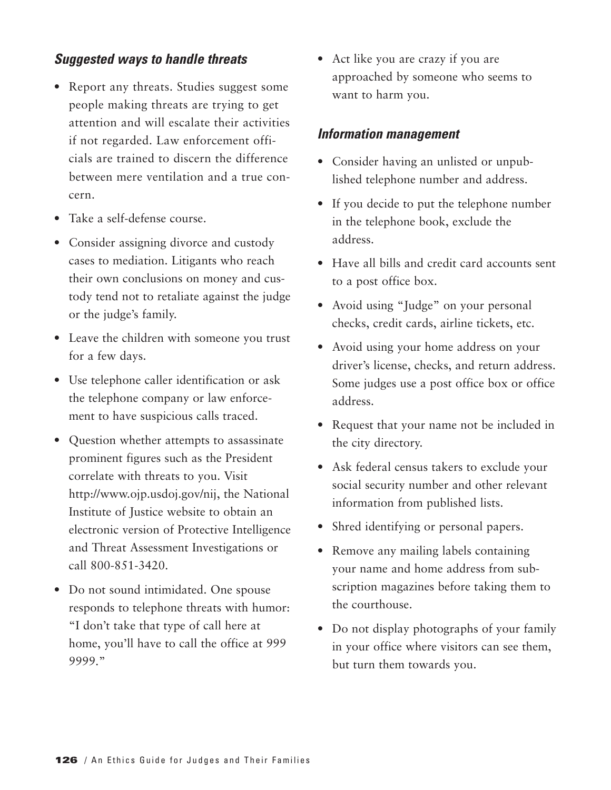#### *Suggested ways to handle threats*

- Report any threats. Studies suggest some people making threats are trying to get attention and will escalate their activities if not regarded. Law enforcement officials are trained to discern the difference between mere ventilation and a true concern.
- Take a self-defense course.
- Consider assigning divorce and custody cases to mediation. Litigants who reach their own conclusions on money and custody tend not to retaliate against the judge or the judge's family.
- Leave the children with someone you trust for a few days.
- Use telephone caller identification or ask the telephone company or law enforcement to have suspicious calls traced.
- Question whether attempts to assassinate prominent figures such as the President correlate with threats to you. Visit http://www.ojp.usdoj.gov/nij, the National Institute of Justice website to obtain an electronic version of Protective Intelligence and Threat Assessment Investigations or call 800-851-3420.
- Do not sound intimidated. One spouse responds to telephone threats with humor: "I don't take that type of call here at home, you'll have to call the office at 999 9999."

• Act like you are crazy if you are approached by someone who seems to want to harm you.

#### *Information management*

- Consider having an unlisted or unpublished telephone number and address.
- If you decide to put the telephone number in the telephone book, exclude the address.
- Have all bills and credit card accounts sent to a post office box.
- Avoid using "Judge" on your personal checks, credit cards, airline tickets, etc.
- Avoid using your home address on your driver's license, checks, and return address. Some judges use a post office box or office address.
- Request that your name not be included in the city directory.
- Ask federal census takers to exclude your social security number and other relevant information from published lists.
- Shred identifying or personal papers.
- Remove any mailing labels containing your name and home address from subscription magazines before taking them to the courthouse.
- Do not display photographs of your family in your office where visitors can see them, but turn them towards you.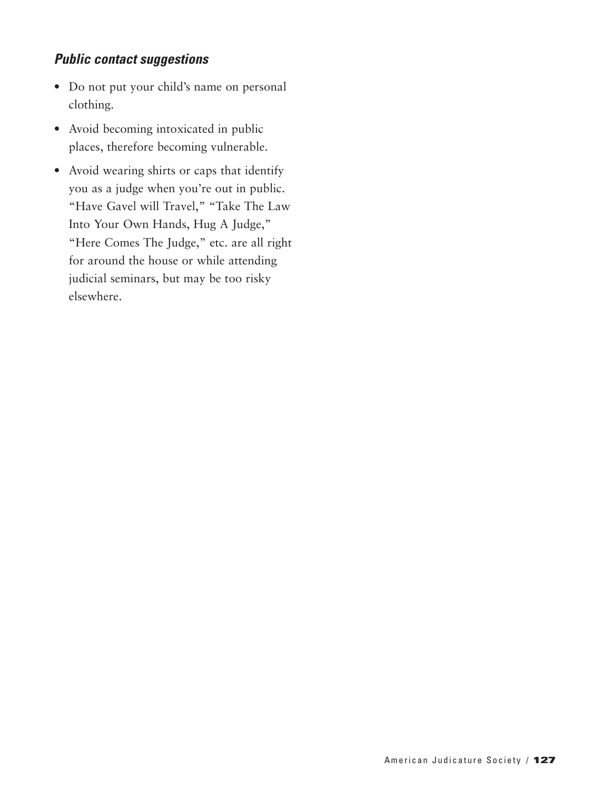## *Public contact suggestions*

- Do not put your child's name on personal clothing.
- Avoid becoming intoxicated in public places, therefore becoming vulnerable.
- Avoid wearing shirts or caps that identify you as a judge when you're out in public. "Have Gavel will Travel," "Take The Law Into Your Own Hands, Hug A Judge," "Here Comes The Judge," etc. are all right for around the house or while attending judicial seminars, but may be too risky elsewhere.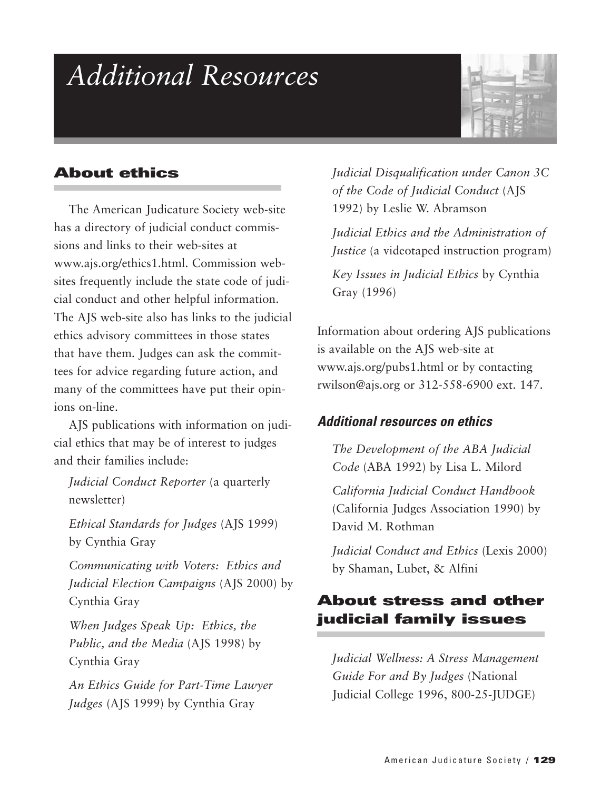## *Additional Resources*



## **About ethics**

The American Judicature Society web-site has a directory of judicial conduct commissions and links to their web-sites at www.ajs.org/ethics1.html. Commission websites frequently include the state code of judicial conduct and other helpful information. The AJS web-site also has links to the judicial ethics advisory committees in those states that have them. Judges can ask the committees for advice regarding future action, and many of the committees have put their opinions on-line.

AJS publications with information on judicial ethics that may be of interest to judges and their families include:

*Judicial Conduct Reporter* (a quarterly newsletter)

*Ethical Standards for Judges* (AJS 1999) by Cynthia Gray

*Communicating with Voters: Ethics and Judicial Election Campaigns* (AJS 2000) by Cynthia Gray

*When Judges Speak Up: Ethics, the Public, and the Media* (AJS 1998) by Cynthia Gray

*An Ethics Guide for Part-Time Lawyer Judges* (AJS 1999) by Cynthia Gray

*Judicial Disqualification under Canon 3C of the Code of Judicial Conduct* (AJS 1992) by Leslie W. Abramson

*Judicial Ethics and the Administration of Justice* (a videotaped instruction program)

*Key Issues in Judicial Ethics* by Cynthia Gray (1996)

Information about ordering AJS publications is available on the AJS web-site at www.ajs.org/pubs1.html or by contacting rwilson@ajs.org or 312-558-6900 ext. 147.

#### *Additional resources on ethics*

*The Development of the ABA Judicial Code* (ABA 1992) by Lisa L. Milord

*California Judicial Conduct Handbook* (California Judges Association 1990) by David M. Rothman

*Judicial Conduct and Ethics* (Lexis 2000) by Shaman, Lubet, & Alfini

## **About stress and other judicial family issues**

*Judicial Wellness: A Stress Management Guide For and By Judges* (National Judicial College 1996, 800-25-JUDGE)